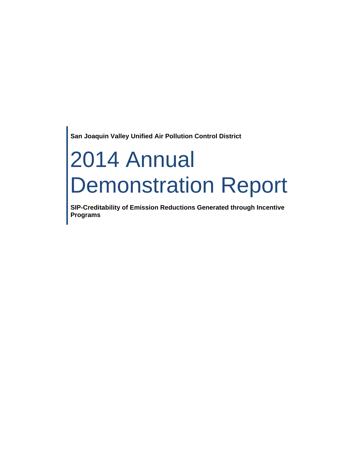**San Joaquin Valley Unified Air Pollution Control District** 

# 2014 Annual Demonstration Report

**SIP-Creditability of Emission Reductions Generated through Incentive Programs**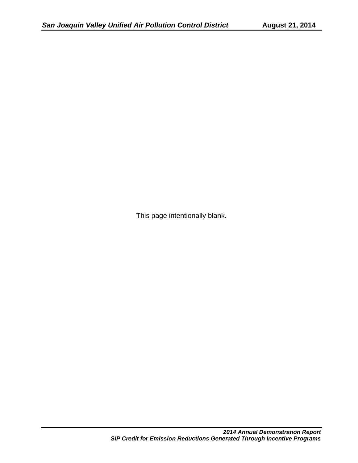This page intentionally blank.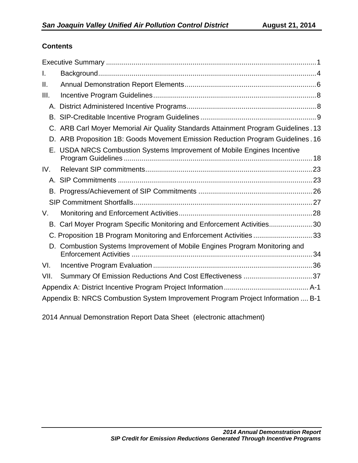## **Contents**

| I.   |                                                                                 |  |
|------|---------------------------------------------------------------------------------|--|
| ΙΙ.  |                                                                                 |  |
| III. |                                                                                 |  |
|      |                                                                                 |  |
|      |                                                                                 |  |
|      | ARB Carl Moyer Memorial Air Quality Standards Attainment Program Guidelines. 13 |  |
|      | D. ARB Proposition 1B: Goods Movement Emission Reduction Program Guidelines. 16 |  |
|      | E. USDA NRCS Combustion Systems Improvement of Mobile Engines Incentive         |  |
| IV.  |                                                                                 |  |
|      |                                                                                 |  |
|      |                                                                                 |  |
|      |                                                                                 |  |
| V.   |                                                                                 |  |
|      | B. Carl Moyer Program Specific Monitoring and Enforcement Activities30          |  |
|      | C. Proposition 1B Program Monitoring and Enforcement Activities 33              |  |
|      | D. Combustion Systems Improvement of Mobile Engines Program Monitoring and      |  |
| VI.  |                                                                                 |  |
| VII. |                                                                                 |  |
|      |                                                                                 |  |
|      | Appendix B: NRCS Combustion System Improvement Program Project Information  B-1 |  |

2014 Annual Demonstration Report Data Sheet (electronic attachment)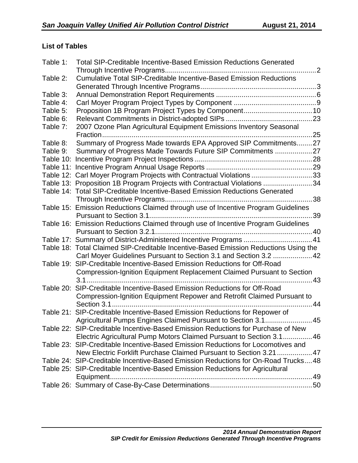# **List of Tables**

| Table 1: | Total SIP-Creditable Incentive-Based Emission Reductions Generated                   |
|----------|--------------------------------------------------------------------------------------|
|          | . 2                                                                                  |
| Table 2: | <b>Cumulative Total SIP-Creditable Incentive-Based Emission Reductions</b>           |
|          |                                                                                      |
| Table 3: |                                                                                      |
| Table 4: |                                                                                      |
| Table 5: |                                                                                      |
| Table 6: |                                                                                      |
| Table 7: | 2007 Ozone Plan Agricultural Equipment Emissions Inventory Seasonal                  |
|          |                                                                                      |
| Table 8: | Summary of Progress Made towards EPA Approved SIP Commitments27                      |
| Table 9: | Summary of Progress Made Towards Future SIP Commitments 27                           |
|          |                                                                                      |
|          |                                                                                      |
|          | Table 12: Carl Moyer Program Projects with Contractual Violations 33                 |
|          | Table 13: Proposition 1B Program Projects with Contractual Violations 34             |
|          | Table 14: Total SIP-Creditable Incentive-Based Emission Reductions Generated         |
|          |                                                                                      |
|          | Table 15: Emission Reductions Claimed through use of Incentive Program Guidelines    |
|          |                                                                                      |
|          | Table 16: Emission Reductions Claimed through use of Incentive Program Guidelines    |
|          |                                                                                      |
|          | Table 17: Summary of District-Administered Incentive Programs 41                     |
|          | Table 18: Total Claimed SIP-Creditable Incentive-Based Emission Reductions Using the |
|          | Carl Moyer Guidelines Pursuant to Section 3.1 and Section 3.2  42                    |
|          |                                                                                      |
|          | Table 19: SIP-Creditable Incentive-Based Emission Reductions for Off-Road            |
|          | Compression-Ignition Equipment Replacement Claimed Pursuant to Section               |
|          | Table 20: SIP-Creditable Incentive-Based Emission Reductions for Off-Road            |
|          |                                                                                      |
|          | Compression-Ignition Equipment Repower and Retrofit Claimed Pursuant to              |
|          | 44                                                                                   |
|          | Table 21: SIP-Creditable Incentive-Based Emission Reductions for Repower of          |
|          | Agricultural Pumps Engines Claimed Pursuant to Section 3.1<br>45                     |
|          | Table 22: SIP-Creditable Incentive-Based Emission Reductions for Purchase of New     |
|          | Electric Agricultural Pump Motors Claimed Pursuant to Section 3.146                  |
|          | Table 23: SIP-Creditable Incentive-Based Emission Reductions for Locomotives and     |
|          | New Electric Forklift Purchase Claimed Pursuant to Section 3.21 47                   |
|          | Table 24: SIP-Creditable Incentive-Based Emission Reductions for On-Road Trucks48    |
|          | Table 25: SIP-Creditable Incentive-Based Emission Reductions for Agricultural        |
|          |                                                                                      |
|          |                                                                                      |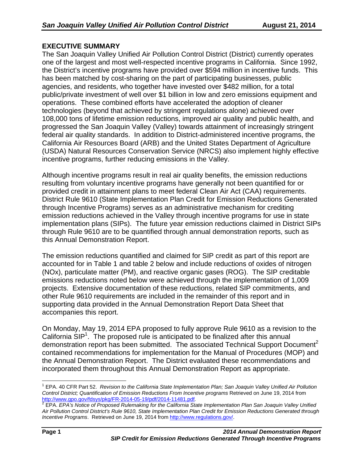### **EXECUTIVE SUMMARY**

The San Joaquin Valley Unified Air Pollution Control District (District) currently operates one of the largest and most well-respected incentive programs in California. Since 1992, the District's incentive programs have provided over \$594 million in incentive funds. This has been matched by cost-sharing on the part of participating businesses, public agencies, and residents, who together have invested over \$482 million, for a total public/private investment of well over \$1 billion in low and zero emissions equipment and operations. These combined efforts have accelerated the adoption of cleaner technologies (beyond that achieved by stringent regulations alone) achieved over 108,000 tons of lifetime emission reductions, improved air quality and public health, and progressed the San Joaquin Valley (Valley) towards attainment of increasingly stringent federal air quality standards. In addition to District-administered incentive programs, the California Air Resources Board (ARB) and the United States Department of Agriculture (USDA) Natural Resources Conservation Service (NRCS) also implement highly effective incentive programs, further reducing emissions in the Valley.

Although incentive programs result in real air quality benefits, the emission reductions resulting from voluntary incentive programs have generally not been quantified for or provided credit in attainment plans to meet federal Clean Air Act (CAA) requirements. District Rule 9610 (State Implementation Plan Credit for Emission Reductions Generated through Incentive Programs) serves as an administrative mechanism for crediting emission reductions achieved in the Valley through incentive programs for use in state implementation plans (SIPs). The future year emission reductions claimed in District SIPs through Rule 9610 are to be quantified through annual demonstration reports, such as this Annual Demonstration Report.

The emission reductions quantified and claimed for SIP credit as part of this report are accounted for in Table 1 and table 2 below and include reductions of oxides of nitrogen (NOx), particulate matter (PM), and reactive organic gases (ROG). The SIP creditable emissions reductions noted below were achieved through the implementation of 1,009 projects. Extensive documentation of these reductions, related SIP commitments, and other Rule 9610 requirements are included in the remainder of this report and in supporting data provided in the Annual Demonstration Report Data Sheet that accompanies this report.

On Monday, May 19, 2014 EPA proposed to fully approve Rule 9610 as a revision to the California  $SIP<sup>1</sup>$ . The proposed rule is anticipated to be finalized after this annual demonstration report has been submitted. The associated Technical Support Document<sup>2</sup> contained recommendations for implementation for the Manual of Procedures (MOP) and the Annual Demonstration Report. The District evaluated these recommendations and incorporated them throughout this Annual Demonstration Report as appropriate.

1

<sup>&</sup>lt;sup>1</sup> EPA. 40 CFR Part 52. Revision to the California State Implementation Plan; San Joaquin Valley Unified Air Pollution *Control District; Quantification of Emission Reductions From Incentive programs* Retrieved on June 19, 2014 from

http://www.gpo.gov/fdsys/pkg/FR-2014-05-19/pdf/2014-11481.pdf*.* <sup>2</sup> EPA. *EPA's Notice of Proposed Rulemaking for the California State Implementation Plan San Joaquin Valley Unified Air Pollution Control District's Rule 9610, State Implementation Plan Credit for Emission Reductions Generated through Incentive Programs*. Retrieved on June 19, 2014 from http://www.regulations.gov/.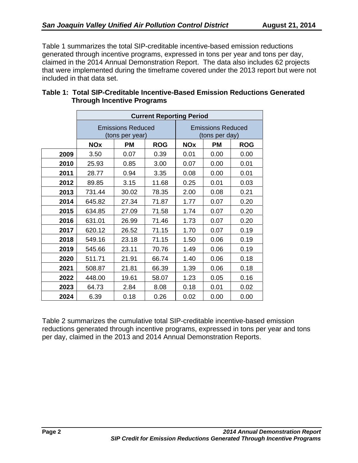Table 1 summarizes the total SIP-creditable incentive-based emission reductions generated through incentive programs, expressed in tons per year and tons per day, claimed in the 2014 Annual Demonstration Report. The data also includes 62 projects that were implemented during the timeframe covered under the 2013 report but were not included in that data set.

|      |            |                                             | <b>Current Reporting Period</b> |            |                                            |            |
|------|------------|---------------------------------------------|---------------------------------|------------|--------------------------------------------|------------|
|      |            | <b>Emissions Reduced</b><br>(tons per year) |                                 |            | <b>Emissions Reduced</b><br>(tons per day) |            |
|      | <b>NOx</b> | РM                                          | <b>ROG</b>                      | <b>NOx</b> | <b>PM</b>                                  | <b>ROG</b> |
| 2009 | 3.50       | 0.07                                        | 0.39                            | 0.01       | 0.00                                       | 0.00       |
| 2010 | 25.93      | 0.85                                        | 3.00                            | 0.07       | 0.00                                       | 0.01       |
| 2011 | 28.77      | 0.94                                        | 3.35                            | 0.08       | 0.00                                       | 0.01       |
| 2012 | 89.85      | 3.15                                        | 11.68                           | 0.25       | 0.01                                       | 0.03       |
| 2013 | 731.44     | 30.02                                       | 78.35                           | 2.00       | 0.08                                       | 0.21       |
| 2014 | 645.82     | 27.34                                       | 71.87                           | 1.77       | 0.07                                       | 0.20       |
| 2015 | 634.85     | 27.09                                       | 71.58                           | 1.74       | 0.07                                       | 0.20       |
| 2016 | 631.01     | 26.99                                       | 71.46                           | 1.73       | 0.07                                       | 0.20       |
| 2017 | 620.12     | 26.52                                       | 71.15                           | 1.70       | 0.07                                       | 0.19       |
| 2018 | 549.16     | 23.18                                       | 71.15                           | 1.50       | 0.06                                       | 0.19       |
| 2019 | 545.66     | 23.11                                       | 70.76                           | 1.49       | 0.06                                       | 0.19       |
| 2020 | 511.71     | 21.91                                       | 66.74                           | 1.40       | 0.06                                       | 0.18       |
| 2021 | 508.87     | 21.81                                       | 66.39                           | 1.39       | 0.06                                       | 0.18       |
| 2022 | 448.00     | 19.61                                       | 58.07                           | 1.23       | 0.05                                       | 0.16       |
| 2023 | 64.73      | 2.84                                        | 8.08                            | 0.18       | 0.01                                       | 0.02       |
| 2024 | 6.39       | 0.18                                        | 0.26                            | 0.02       | 0.00                                       | 0.00       |

# **Table 1: Total SIP-Creditable Incentive-Based Emission Reductions Generated Through Incentive Programs**

Table 2 summarizes the cumulative total SIP-creditable incentive-based emission reductions generated through incentive programs, expressed in tons per year and tons per day, claimed in the 2013 and 2014 Annual Demonstration Reports.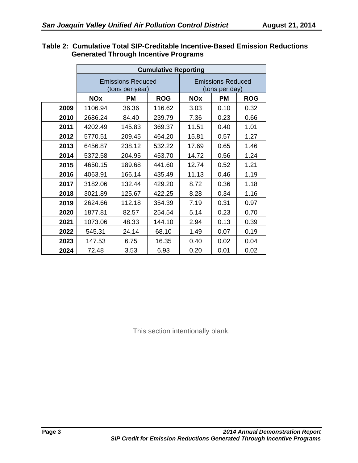|      |            |                                             | <b>Cumulative Reporting</b> |            |                                            |            |
|------|------------|---------------------------------------------|-----------------------------|------------|--------------------------------------------|------------|
|      |            | <b>Emissions Reduced</b><br>(tons per year) |                             |            | <b>Emissions Reduced</b><br>(tons per day) |            |
|      | <b>NOx</b> | <b>PM</b>                                   | <b>ROG</b>                  | <b>NOx</b> | <b>PM</b>                                  | <b>ROG</b> |
| 2009 | 1106.94    | 36.36                                       | 116.62                      | 3.03       | 0.10                                       | 0.32       |
| 2010 | 2686.24    | 84.40                                       | 239.79                      | 7.36       | 0.23                                       | 0.66       |
| 2011 | 4202.49    | 145.83                                      | 369.37                      | 11.51      | 0.40                                       | 1.01       |
| 2012 | 5770.51    | 209.45                                      | 464.20                      | 15.81      | 0.57                                       | 1.27       |
| 2013 | 6456.87    | 238.12                                      | 532.22                      | 17.69      | 0.65                                       | 1.46       |
| 2014 | 5372.58    | 204.95                                      | 453.70                      | 14.72      | 0.56                                       | 1.24       |
| 2015 | 4650.15    | 189.68                                      | 441.60                      | 12.74      | 0.52                                       | 1.21       |
| 2016 | 4063.91    | 166.14                                      | 435.49                      | 11.13      | 0.46                                       | 1.19       |
| 2017 | 3182.06    | 132.44                                      | 429.20                      | 8.72       | 0.36                                       | 1.18       |
| 2018 | 3021.89    | 125.67                                      | 422.25                      | 8.28       | 0.34                                       | 1.16       |
| 2019 | 2624.66    | 112.18                                      | 354.39                      | 7.19       | 0.31                                       | 0.97       |
| 2020 | 1877.81    | 82.57                                       | 254.54                      | 5.14       | 0.23                                       | 0.70       |
| 2021 | 1073.06    | 48.33                                       | 144.10                      | 2.94       | 0.13                                       | 0.39       |
| 2022 | 545.31     | 24.14                                       | 68.10                       | 1.49       | 0.07                                       | 0.19       |
| 2023 | 147.53     | 6.75                                        | 16.35                       | 0.40       | 0.02                                       | 0.04       |
| 2024 | 72.48      | 3.53                                        | 6.93                        | 0.20       | 0.01                                       | 0.02       |

## **Table 2: Cumulative Total SIP-Creditable Incentive-Based Emission Reductions Generated Through Incentive Programs**

This section intentionally blank.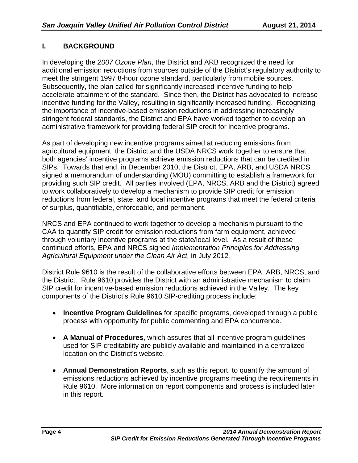# **I. BACKGROUND**

In developing the *2007 Ozone Plan*, the District and ARB recognized the need for additional emission reductions from sources outside of the District's regulatory authority to meet the stringent 1997 8-hour ozone standard, particularly from mobile sources. Subsequently, the plan called for significantly increased incentive funding to help accelerate attainment of the standard. Since then, the District has advocated to increase incentive funding for the Valley, resulting in significantly increased funding. Recognizing the importance of incentive-based emission reductions in addressing increasingly stringent federal standards, the District and EPA have worked together to develop an administrative framework for providing federal SIP credit for incentive programs.

As part of developing new incentive programs aimed at reducing emissions from agricultural equipment, the District and the USDA NRCS work together to ensure that both agencies' incentive programs achieve emission reductions that can be credited in SIPs. Towards that end, in December 2010, the District, EPA, ARB, and USDA NRCS signed a memorandum of understanding (MOU) committing to establish a framework for providing such SIP credit. All parties involved (EPA, NRCS, ARB and the District) agreed to work collaboratively to develop a mechanism to provide SIP credit for emission reductions from federal, state, and local incentive programs that meet the federal criteria of surplus, quantifiable, enforceable, and permanent.

NRCS and EPA continued to work together to develop a mechanism pursuant to the CAA to quantify SIP credit for emission reductions from farm equipment, achieved through voluntary incentive programs at the state/local level. As a result of these continued efforts, EPA and NRCS signed *Implementation Principles for Addressing Agricultural Equipment under the Clean Air Act,* in July 2012*.*

District Rule 9610 is the result of the collaborative efforts between EPA, ARB, NRCS, and the District. Rule 9610 provides the District with an administrative mechanism to claim SIP credit for incentive-based emission reductions achieved in the Valley. The key components of the District's Rule 9610 SIP-crediting process include:

- **Incentive Program Guidelines** for specific programs, developed through a public process with opportunity for public commenting and EPA concurrence.
- **A Manual of Procedures**, which assures that all incentive program guidelines used for SIP creditability are publicly available and maintained in a centralized location on the District's website.
- **Annual Demonstration Reports**, such as this report, to quantify the amount of emissions reductions achieved by incentive programs meeting the requirements in Rule 9610. More information on report components and process is included later in this report.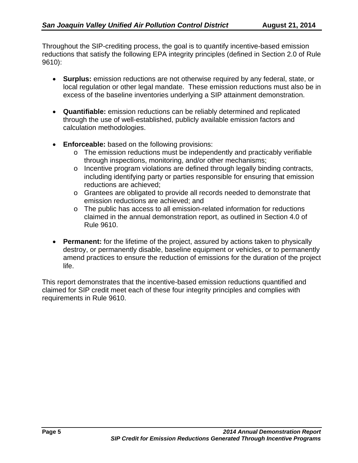Throughout the SIP-crediting process, the goal is to quantify incentive-based emission reductions that satisfy the following EPA integrity principles (defined in Section 2.0 of Rule 9610):

- **Surplus:** emission reductions are not otherwise required by any federal, state, or local regulation or other legal mandate. These emission reductions must also be in excess of the baseline inventories underlying a SIP attainment demonstration.
- **Quantifiable:** emission reductions can be reliably determined and replicated through the use of well-established, publicly available emission factors and calculation methodologies.
- **Enforceable:** based on the following provisions:
	- o The emission reductions must be independently and practicably verifiable through inspections, monitoring, and/or other mechanisms;
	- o Incentive program violations are defined through legally binding contracts, including identifying party or parties responsible for ensuring that emission reductions are achieved;
	- o Grantees are obligated to provide all records needed to demonstrate that emission reductions are achieved; and
	- o The public has access to all emission-related information for reductions claimed in the annual demonstration report, as outlined in Section 4.0 of Rule 9610.
- **Permanent:** for the lifetime of the project, assured by actions taken to physically destroy, or permanently disable, baseline equipment or vehicles, or to permanently amend practices to ensure the reduction of emissions for the duration of the project life.

This report demonstrates that the incentive-based emission reductions quantified and claimed for SIP credit meet each of these four integrity principles and complies with requirements in Rule 9610.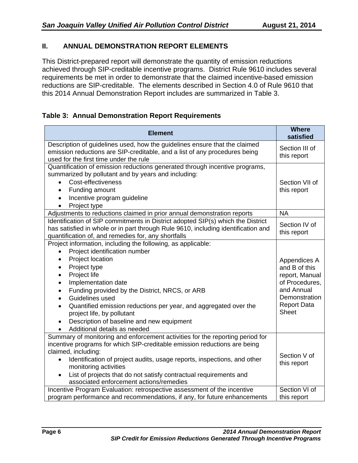## **II. ANNUAL DEMONSTRATION REPORT ELEMENTS**

This District-prepared report will demonstrate the quantity of emission reductions achieved through SIP-creditable incentive programs. District Rule 9610 includes several requirements be met in order to demonstrate that the claimed incentive-based emission reductions are SIP-creditable. The elements described in Section 4.0 of Rule 9610 that this 2014 Annual Demonstration Report includes are summarized in Table 3.

## **Table 3: Annual Demonstration Report Requirements**

| <b>Element</b>                                                                                                                                                                                                                                                                                                                                                                                                                  | <b>Where</b><br>satisfied                                                                                                              |
|---------------------------------------------------------------------------------------------------------------------------------------------------------------------------------------------------------------------------------------------------------------------------------------------------------------------------------------------------------------------------------------------------------------------------------|----------------------------------------------------------------------------------------------------------------------------------------|
| Description of guidelines used, how the guidelines ensure that the claimed<br>emission reductions are SIP-creditable, and a list of any procedures being<br>used for the first time under the rule                                                                                                                                                                                                                              | Section III of<br>this report                                                                                                          |
| Quantification of emission reductions generated through incentive programs,<br>summarized by pollutant and by years and including:<br>Cost-effectiveness<br>Funding amount<br>$\bullet$<br>Incentive program guideline<br>$\bullet$<br>Project type                                                                                                                                                                             | Section VII of<br>this report                                                                                                          |
| Adjustments to reductions claimed in prior annual demonstration reports                                                                                                                                                                                                                                                                                                                                                         | <b>NA</b>                                                                                                                              |
| Identification of SIP commitments in District adopted SIP(s) which the District<br>has satisfied in whole or in part through Rule 9610, including identification and<br>quantification of, and remedies for, any shortfalls                                                                                                                                                                                                     | Section IV of<br>this report                                                                                                           |
| Project information, including the following, as applicable:                                                                                                                                                                                                                                                                                                                                                                    |                                                                                                                                        |
| Project identification number                                                                                                                                                                                                                                                                                                                                                                                                   |                                                                                                                                        |
| Project location<br>Project type<br>Project life<br>$\bullet$<br>Implementation date<br>$\bullet$<br>Funding provided by the District, NRCS, or ARB<br>Guidelines used<br>$\bullet$<br>Quantified emission reductions per year, and aggregated over the<br>project life, by pollutant<br>Description of baseline and new equipment<br>$\bullet$<br>Additional details as needed                                                 | Appendices A<br>and B of this<br>report, Manual<br>of Procedures,<br>and Annual<br>Demonstration<br><b>Report Data</b><br><b>Sheet</b> |
| Summary of monitoring and enforcement activities for the reporting period for<br>incentive programs for which SIP-creditable emission reductions are being<br>claimed, including:<br>Identification of project audits, usage reports, inspections, and other<br>$\bullet$<br>monitoring activities<br>List of projects that do not satisfy contractual requirements and<br>$\bullet$<br>associated enforcement actions/remedies | Section V of<br>this report                                                                                                            |
| Incentive Program Evaluation: retrospective assessment of the incentive                                                                                                                                                                                                                                                                                                                                                         | Section VI of                                                                                                                          |
| program performance and recommendations, if any, for future enhancements                                                                                                                                                                                                                                                                                                                                                        | this report                                                                                                                            |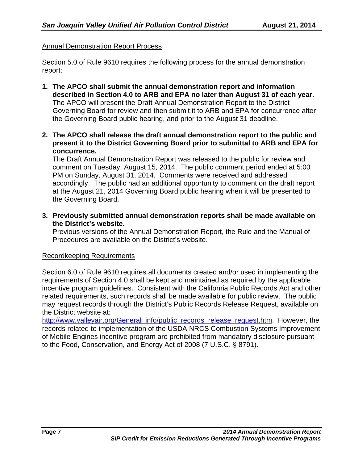#### Annual Demonstration Report Process

Section 5.0 of Rule 9610 requires the following process for the annual demonstration report:

- **1. The APCO shall submit the annual demonstration report and information described in Section 4.0 to ARB and EPA no later than August 31 of each year.**  The APCO will present the Draft Annual Demonstration Report to the District Governing Board for review and then submit it to ARB and EPA for concurrence after the Governing Board public hearing, and prior to the August 31 deadline.
- **2. The APCO shall release the draft annual demonstration report to the public and present it to the District Governing Board prior to submittal to ARB and EPA for concurrence.**

The Draft Annual Demonstration Report was released to the public for review and comment on Tuesday, August 15, 2014. The public comment period ended at 5:00 PM on Sunday, August 31, 2014. Comments were received and addressed accordingly. The public had an additional opportunity to comment on the draft report at the August 21, 2014 Governing Board public hearing when it will be presented to the Governing Board.

**3. Previously submitted annual demonstration reports shall be made available on the District's website.**

Previous versions of the Annual Demonstration Report, the Rule and the Manual of Procedures are available on the District's website.

#### Recordkeeping Requirements

Section 6.0 of Rule 9610 requires all documents created and/or used in implementing the requirements of Section 4.0 shall be kept and maintained as required by the applicable incentive program guidelines. Consistent with the California Public Records Act and other related requirements, such records shall be made available for public review. The public may request records through the District's Public Records Release Request, available on the District website at:

http://www.valleyair.org/General\_info/public\_records\_release\_request.htm. However, the records related to implementation of the USDA NRCS Combustion Systems Improvement of Mobile Engines incentive program are prohibited from mandatory disclosure pursuant to the Food, Conservation, and Energy Act of 2008 (7 U.S.C. § 8791).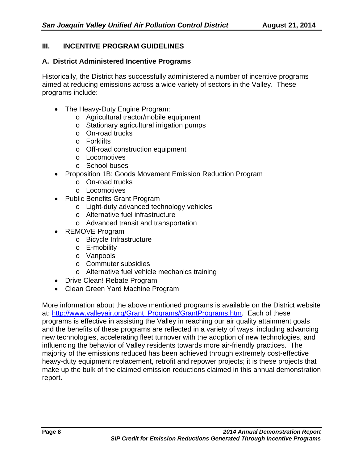## **III. INCENTIVE PROGRAM GUIDELINES**

### **A. District Administered Incentive Programs**

Historically, the District has successfully administered a number of incentive programs aimed at reducing emissions across a wide variety of sectors in the Valley. These programs include:

- The Heavy-Duty Engine Program:
	- o Agricultural tractor/mobile equipment
	- o Stationary agricultural irrigation pumps
	- o On-road trucks
	- o Forklifts
	- o Off-road construction equipment
	- o Locomotives
	- o School buses
- Proposition 1B: Goods Movement Emission Reduction Program
	- o On-road trucks
	- o Locomotives
- Public Benefits Grant Program
	- o Light-duty advanced technology vehicles
	- o Alternative fuel infrastructure
	- o Advanced transit and transportation
- REMOVE Program
	- o Bicycle Infrastructure
	- o E-mobility
	- o Vanpools
	- o Commuter subsidies
	- o Alternative fuel vehicle mechanics training
- Drive Clean! Rebate Program
- Clean Green Yard Machine Program

More information about the above mentioned programs is available on the District website at: http://www.valleyair.org/Grant\_Programs/GrantPrograms.htm. Each of these programs is effective in assisting the Valley in reaching our air quality attainment goals and the benefits of these programs are reflected in a variety of ways, including advancing new technologies, accelerating fleet turnover with the adoption of new technologies, and influencing the behavior of Valley residents towards more air-friendly practices. The majority of the emissions reduced has been achieved through extremely cost-effective heavy-duty equipment replacement, retrofit and repower projects; it is these projects that make up the bulk of the claimed emission reductions claimed in this annual demonstration report.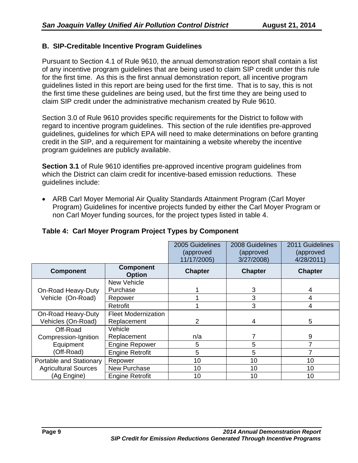## **B. SIP-Creditable Incentive Program Guidelines**

Pursuant to Section 4.1 of Rule 9610, the annual demonstration report shall contain a list of any incentive program guidelines that are being used to claim SIP credit under this rule for the first time. As this is the first annual demonstration report, all incentive program guidelines listed in this report are being used for the first time. That is to say, this is not the first time these guidelines are being used, but the first time they are being used to claim SIP credit under the administrative mechanism created by Rule 9610.

Section 3.0 of Rule 9610 provides specific requirements for the District to follow with regard to incentive program guidelines. This section of the rule identifies pre-approved guidelines, guidelines for which EPA will need to make determinations on before granting credit in the SIP, and a requirement for maintaining a website whereby the incentive program guidelines are publicly available.

**Section 3.1** of Rule 9610 identifies pre-approved incentive program guidelines from which the District can claim credit for incentive-based emission reductions. These guidelines include:

 ARB Carl Moyer Memorial Air Quality Standards Attainment Program (Carl Moyer Program) Guidelines for incentive projects funded by either the Carl Moyer Program or non Carl Moyer funding sources, for the project types listed in table 4.

## **Table 4: Carl Moyer Program Project Types by Component**

|                             |                                   | 2005 Guidelines<br>(approved<br>11/17/2005) | 2008 Guidelines<br>(approved<br>3/27/2008 | 2011 Guidelines<br>(approved<br>4/28/2011) |
|-----------------------------|-----------------------------------|---------------------------------------------|-------------------------------------------|--------------------------------------------|
| <b>Component</b>            | <b>Component</b><br><b>Option</b> | <b>Chapter</b>                              | <b>Chapter</b>                            | <b>Chapter</b>                             |
|                             | <b>New Vehicle</b>                |                                             |                                           |                                            |
| On-Road Heavy-Duty          | Purchase                          |                                             | 3                                         | 4                                          |
| Vehicle (On-Road)           | Repower                           |                                             | 3                                         | 4                                          |
|                             | Retrofit                          |                                             | 3                                         | 4                                          |
| On-Road Heavy-Duty          | <b>Fleet Modernization</b>        |                                             |                                           |                                            |
| Vehicles (On-Road)          | Replacement                       | 2                                           | 4                                         | 5                                          |
| Off-Road                    | Vehicle                           |                                             |                                           |                                            |
| Compression-Ignition        | Replacement                       | n/a                                         |                                           | 9                                          |
| Equipment                   | <b>Engine Repower</b>             | 5                                           | 5                                         |                                            |
| (Off-Road)                  | <b>Engine Retrofit</b>            | 5                                           | 5                                         |                                            |
| Portable and Stationary     | Repower                           | 10                                          | 10                                        | 10                                         |
| <b>Agricultural Sources</b> | New Purchase                      | 10                                          | 10                                        | 10                                         |
| (Ag Engine)                 | <b>Engine Retrofit</b>            | 10                                          | 10                                        | 10                                         |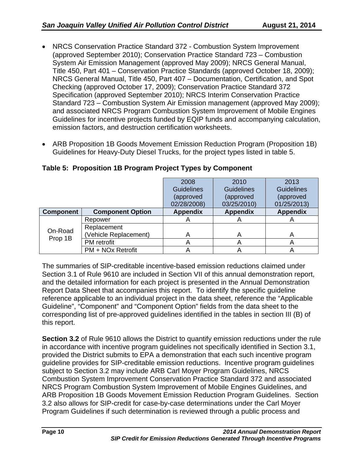- NRCS Conservation Practice Standard 372 Combustion System Improvement (approved September 2010); Conservation Practice Standard 723 – Combustion System Air Emission Management (approved May 2009); NRCS General Manual, Title 450, Part 401 – Conservation Practice Standards (approved October 18, 2009); NRCS General Manual, Title 450, Part 407 – Documentation, Certification, and Spot Checking (approved October 17, 2009); Conservation Practice Standard 372 Specification (approved September 2010); NRCS Interim Conservation Practice Standard 723 – Combustion System Air Emission management (approved May 2009); and associated NRCS Program Combustion System Improvement of Mobile Engines Guidelines for incentive projects funded by EQIP funds and accompanying calculation, emission factors, and destruction certification worksheets.
- ARB Proposition 1B Goods Movement Emission Reduction Program (Proposition 1B) Guidelines for Heavy-Duty Diesel Trucks, for the project types listed in table 5.

|           |                         | 2008              | 2010              | 2013              |
|-----------|-------------------------|-------------------|-------------------|-------------------|
|           |                         | <b>Guidelines</b> | <b>Guidelines</b> | <b>Guidelines</b> |
|           |                         | (approved         | (approved         | (approved         |
|           |                         | 02/28/2008)       | 03/25/2010)       | 01/25/2013        |
| Component | <b>Component Option</b> | <b>Appendix</b>   | <b>Appendix</b>   | <b>Appendix</b>   |
|           | Repower                 | n                 |                   |                   |
| On-Road   | Replacement             |                   |                   |                   |
| Prop 1B   | (Vehicle Replacement)   | A                 | A                 | A                 |
|           | PM retrofit             |                   |                   |                   |
|           | PM + NOx Retrofit       |                   |                   |                   |

#### **Table 5: Proposition 1B Program Project Types by Component**

The summaries of SIP-creditable incentive-based emission reductions claimed under Section 3.1 of Rule 9610 are included in Section VII of this annual demonstration report, and the detailed information for each project is presented in the Annual Demonstration Report Data Sheet that accompanies this report. To identify the specific guideline reference applicable to an individual project in the data sheet, reference the "Applicable Guideline", "Component" and "Component Option" fields from the data sheet to the corresponding list of pre-approved guidelines identified in the tables in section III (B) of this report.

**Section 3.2** of Rule 9610 allows the District to quantify emission reductions under the rule in accordance with incentive program guidelines not specifically identified in Section 3.1, provided the District submits to EPA a demonstration that each such incentive program guideline provides for SIP-creditable emission reductions. Incentive program guidelines subject to Section 3.2 may include ARB Carl Moyer Program Guidelines, NRCS Combustion System Improvement Conservation Practice Standard 372 and associated NRCS Program Combustion System Improvement of Mobile Engines Guidelines, and ARB Proposition 1B Goods Movement Emission Reduction Program Guidelines. Section 3.2 also allows for SIP-credit for case-by-case determinations under the Carl Moyer Program Guidelines if such determination is reviewed through a public process and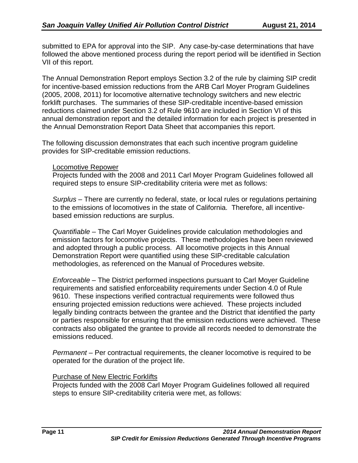submitted to EPA for approval into the SIP. Any case-by-case determinations that have followed the above mentioned process during the report period will be identified in Section VII of this report.

The Annual Demonstration Report employs Section 3.2 of the rule by claiming SIP credit for incentive-based emission reductions from the ARB Carl Moyer Program Guidelines (2005, 2008, 2011) for locomotive alternative technology switchers and new electric forklift purchases. The summaries of these SIP-creditable incentive-based emission reductions claimed under Section 3.2 of Rule 9610 are included in Section VI of this annual demonstration report and the detailed information for each project is presented in the Annual Demonstration Report Data Sheet that accompanies this report.

The following discussion demonstrates that each such incentive program guideline provides for SIP-creditable emission reductions.

#### Locomotive Repower

Projects funded with the 2008 and 2011 Carl Moyer Program Guidelines followed all required steps to ensure SIP-creditability criteria were met as follows:

*Surplus –* There are currently no federal, state, or local rules or regulations pertaining to the emissions of locomotives in the state of California. Therefore, all incentivebased emission reductions are surplus.

*Quantifiable* – The Carl Moyer Guidelines provide calculation methodologies and emission factors for locomotive projects. These methodologies have been reviewed and adopted through a public process. All locomotive projects in this Annual Demonstration Report were quantified using these SIP-creditable calculation methodologies, as referenced on the Manual of Procedures website.

*Enforceable –* The District performed inspections pursuant to Carl Moyer Guideline requirements and satisfied enforceability requirements under Section 4.0 of Rule 9610. These inspections verified contractual requirements were followed thus ensuring projected emission reductions were achieved. These projects included legally binding contracts between the grantee and the District that identified the party or parties responsible for ensuring that the emission reductions were achieved. These contracts also obligated the grantee to provide all records needed to demonstrate the emissions reduced.

*Permanent* – Per contractual requirements, the cleaner locomotive is required to be operated for the duration of the project life.

## Purchase of New Electric Forklifts

Projects funded with the 2008 Carl Moyer Program Guidelines followed all required steps to ensure SIP-creditability criteria were met, as follows: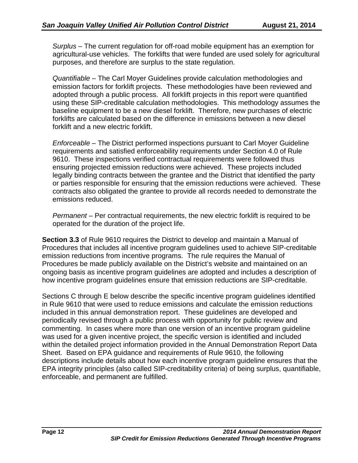*Surplus –* The current regulation for off-road mobile equipment has an exemption for agricultural-use vehicles. The forklifts that were funded are used solely for agricultural purposes, and therefore are surplus to the state regulation.

*Quantifiable* – The Carl Moyer Guidelines provide calculation methodologies and emission factors for forklift projects. These methodologies have been reviewed and adopted through a public process. All forklift projects in this report were quantified using these SIP-creditable calculation methodologies. This methodology assumes the baseline equipment to be a new diesel forklift. Therefore, new purchases of electric forklifts are calculated based on the difference in emissions between a new diesel forklift and a new electric forklift.

*Enforceable –* The District performed inspections pursuant to Carl Moyer Guideline requirements and satisfied enforceability requirements under Section 4.0 of Rule 9610. These inspections verified contractual requirements were followed thus ensuring projected emission reductions were achieved. These projects included legally binding contracts between the grantee and the District that identified the party or parties responsible for ensuring that the emission reductions were achieved. These contracts also obligated the grantee to provide all records needed to demonstrate the emissions reduced.

*Permanent* – Per contractual requirements, the new electric forklift is required to be operated for the duration of the project life.

**Section 3.3** of Rule 9610 requires the District to develop and maintain a Manual of Procedures that includes all incentive program guidelines used to achieve SIP-creditable emission reductions from incentive programs. The rule requires the Manual of Procedures be made publicly available on the District's website and maintained on an ongoing basis as incentive program guidelines are adopted and includes a description of how incentive program guidelines ensure that emission reductions are SIP-creditable.

Sections C through E below describe the specific incentive program guidelines identified in Rule 9610 that were used to reduce emissions and calculate the emission reductions included in this annual demonstration report. These guidelines are developed and periodically revised through a public process with opportunity for public review and commenting. In cases where more than one version of an incentive program guideline was used for a given incentive project, the specific version is identified and included within the detailed project information provided in the Annual Demonstration Report Data Sheet. Based on EPA guidance and requirements of Rule 9610, the following descriptions include details about how each incentive program guideline ensures that the EPA integrity principles (also called SIP-creditability criteria) of being surplus, quantifiable, enforceable, and permanent are fulfilled.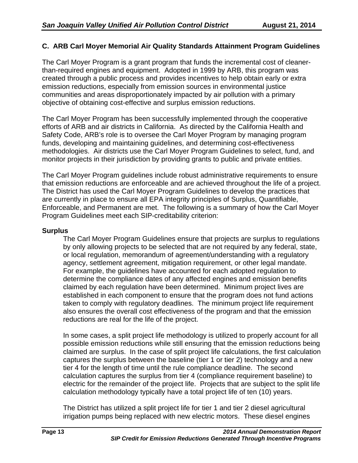## **C. ARB Carl Moyer Memorial Air Quality Standards Attainment Program Guidelines**

The Carl Moyer Program is a grant program that funds the incremental cost of cleanerthan-required engines and equipment. Adopted in 1999 by ARB, this program was created through a public process and provides incentives to help obtain early or extra emission reductions, especially from emission sources in environmental justice communities and areas disproportionately impacted by air pollution with a primary objective of obtaining cost-effective and surplus emission reductions.

The Carl Moyer Program has been successfully implemented through the cooperative efforts of ARB and air districts in California. As directed by the California Health and Safety Code, ARB's role is to oversee the Carl Moyer Program by managing program funds, developing and maintaining guidelines, and determining cost-effectiveness methodologies. Air districts use the Carl Moyer Program Guidelines to select, fund, and monitor projects in their jurisdiction by providing grants to public and private entities.

The Carl Moyer Program guidelines include robust administrative requirements to ensure that emission reductions are enforceable and are achieved throughout the life of a project. The District has used the Carl Moyer Program Guidelines to develop the practices that are currently in place to ensure all EPA integrity principles of Surplus, Quantifiable, Enforceable, and Permanent are met. The following is a summary of how the Carl Moyer Program Guidelines meet each SIP-creditability criterion:

### **Surplus**

The Carl Moyer Program Guidelines ensure that projects are surplus to regulations by only allowing projects to be selected that are not required by any federal, state, or local regulation, memorandum of agreement/understanding with a regulatory agency, settlement agreement, mitigation requirement, or other legal mandate. For example, the guidelines have accounted for each adopted regulation to determine the compliance dates of any affected engines and emission benefits claimed by each regulation have been determined. Minimum project lives are established in each component to ensure that the program does not fund actions taken to comply with regulatory deadlines. The minimum project life requirement also ensures the overall cost effectiveness of the program and that the emission reductions are real for the life of the project.

In some cases, a split project life methodology is utilized to properly account for all possible emission reductions while still ensuring that the emission reductions being claimed are surplus. In the case of split project life calculations, the first calculation captures the surplus between the baseline (tier 1 or tier 2) technology and a new tier 4 for the length of time until the rule compliance deadline. The second calculation captures the surplus from tier 4 (compliance requirement baseline) to electric for the remainder of the project life. Projects that are subject to the split life calculation methodology typically have a total project life of ten (10) years.

The District has utilized a split project life for tier 1 and tier 2 diesel agricultural irrigation pumps being replaced with new electric motors. These diesel engines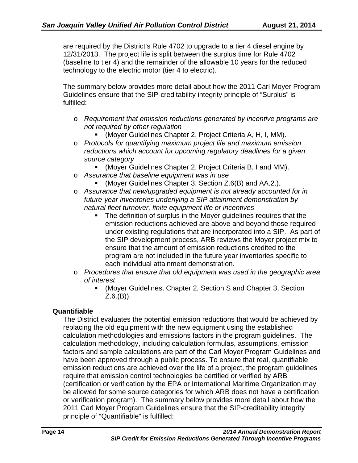are required by the District's Rule 4702 to upgrade to a tier 4 diesel engine by 12/31/2013. The project life is split between the surplus time for Rule 4702 (baseline to tier 4) and the remainder of the allowable 10 years for the reduced technology to the electric motor (tier 4 to electric).

The summary below provides more detail about how the 2011 Carl Moyer Program Guidelines ensure that the SIP-creditability integrity principle of "Surplus" is fulfilled:

- o *Requirement that emission reductions generated by incentive programs are not required by other regulation* 
	- (Moyer Guidelines Chapter 2, Project Criteria A, H, I, MM).
- o *Protocols for quantifying maximum project life and maximum emission reductions which account for upcoming regulatory deadlines for a given source category* 
	- (Moyer Guidelines Chapter 2, Project Criteria B, I and MM).
- o *Assurance that baseline equipment was in use* 
	- (Moyer Guidelines Chapter 3, Section Z.6(B) and AA.2.).
- o *Assurance that new/upgraded equipment is not already accounted for in future-year inventories underlying a SIP attainment demonstration by natural fleet turnover, finite equipment life or incentives* 
	- The definition of surplus in the Moyer guidelines requires that the emission reductions achieved are above and beyond those required under existing regulations that are incorporated into a SIP. As part of the SIP development process, ARB reviews the Moyer project mix to ensure that the amount of emission reductions credited to the program are not included in the future year inventories specific to each individual attainment demonstration.
- o *Procedures that ensure that old equipment was used in the geographic area of interest* 
	- (Moyer Guidelines, Chapter 2, Section S and Chapter 3, Section Z.6.(B)).

## **Quantifiable**

The District evaluates the potential emission reductions that would be achieved by replacing the old equipment with the new equipment using the established calculation methodologies and emissions factors in the program guidelines. The calculation methodology, including calculation formulas, assumptions, emission factors and sample calculations are part of the Carl Moyer Program Guidelines and have been approved through a public process. To ensure that real, quantifiable emission reductions are achieved over the life of a project, the program guidelines require that emission control technologies be certified or verified by ARB (certification or verification by the EPA or International Maritime Organization may be allowed for some source categories for which ARB does not have a certification or verification program). The summary below provides more detail about how the 2011 Carl Moyer Program Guidelines ensure that the SIP-creditability integrity principle of "Quantifiable" is fulfilled: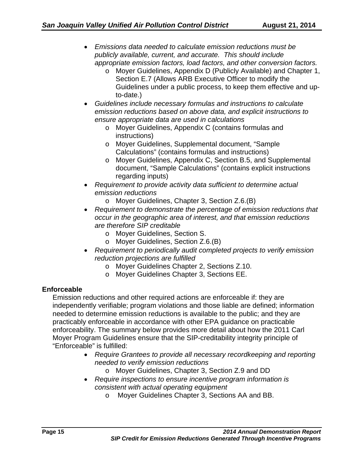- *Emissions data needed to calculate emission reductions must be publicly available, current, and accurate. This should include appropriate emission factors, load factors, and other conversion factors.* 
	- o Moyer Guidelines, Appendix D (Publicly Available) and Chapter 1, Section E.7 (Allows ARB Executive Officer to modify the Guidelines under a public process, to keep them effective and upto-date.)
- *Guidelines include necessary formulas and instructions to calculate emission reductions based on above data, and explicit instructions to ensure appropriate data are used in calculations* 
	- o Moyer Guidelines, Appendix C (contains formulas and instructions)
	- o Moyer Guidelines, Supplemental document, "Sample Calculations" (contains formulas and instructions)
	- o Moyer Guidelines, Appendix C, Section B.5, and Supplemental document, "Sample Calculations" (contains explicit instructions regarding inputs)
- *Requirement to provide activity data sufficient to determine actual emission reductions* 
	- o Moyer Guidelines, Chapter 3, Section Z.6.(B)
- *Requirement to demonstrate the percentage of emission reductions that occur in the geographic area of interest, and that emission reductions are therefore SIP creditable* 
	- o Moyer Guidelines, Section S.
	- o Moyer Guidelines, Section Z.6.(B)
- *Requirement to periodically audit completed projects to verify emission reduction projections are fulfilled* 
	- o Moyer Guidelines Chapter 2, Sections Z.10.
	- o Moyer Guidelines Chapter 3, Sections EE.

## **Enforceable**

Emission reductions and other required actions are enforceable if: they are independently verifiable; program violations and those liable are defined; information needed to determine emission reductions is available to the public; and they are practicably enforceable in accordance with other EPA guidance on practicable enforceability. The summary below provides more detail about how the 2011 Carl Moyer Program Guidelines ensure that the SIP-creditability integrity principle of "Enforceable" is fulfilled:

- *Require Grantees to provide all necessary recordkeeping and reporting needed to verify emission reductions* 
	- o Moyer Guidelines, Chapter 3, Section Z.9 and DD
- *Require inspections to ensure incentive program information is consistent with actual operating equipment* 
	- o Moyer Guidelines Chapter 3, Sections AA and BB.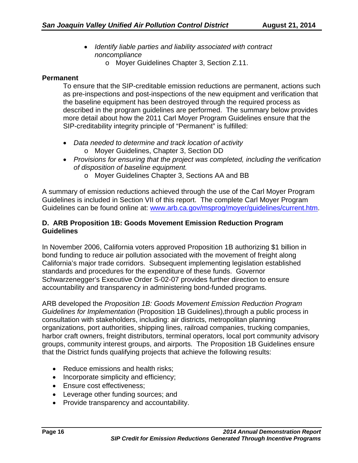- *Identify liable parties and liability associated with contract noncompliance* 
	- o Moyer Guidelines Chapter 3, Section Z.11.

#### **Permanent**

To ensure that the SIP-creditable emission reductions are permanent, actions such as pre-inspections and post-inspections of the new equipment and verification that the baseline equipment has been destroyed through the required process as described in the program guidelines are performed. The summary below provides more detail about how the 2011 Carl Moyer Program Guidelines ensure that the SIP-creditability integrity principle of "Permanent" is fulfilled:

- *Data needed to determine and track location of activity*  o Moyer Guidelines, Chapter 3, Section DD
- *Provisions for ensuring that the project was completed, including the verification of disposition of baseline equipment.* 
	- o Moyer Guidelines Chapter 3, Sections AA and BB

A summary of emission reductions achieved through the use of the Carl Moyer Program Guidelines is included in Section VII of this report. The complete Carl Moyer Program Guidelines can be found online at: www.arb.ca.gov/msprog/moyer/guidelines/current.htm.

#### **D. ARB Proposition 1B: Goods Movement Emission Reduction Program Guidelines**

In November 2006, California voters approved Proposition 1B authorizing \$1 billion in bond funding to reduce air pollution associated with the movement of freight along California's major trade corridors. Subsequent implementing legislation established standards and procedures for the expenditure of these funds. Governor Schwarzenegger's Executive Order S-02-07 provides further direction to ensure accountability and transparency in administering bond-funded programs.

ARB developed the *Proposition 1B: Goods Movement Emission Reduction Program Guidelines for Implementation* (Proposition 1B Guidelines),through a public process in consultation with stakeholders, including: air districts, metropolitan planning organizations, port authorities, shipping lines, railroad companies, trucking companies, harbor craft owners, freight distributors, terminal operators, local port community advisory groups, community interest groups, and airports. The Proposition 1B Guidelines ensure that the District funds qualifying projects that achieve the following results:

- Reduce emissions and health risks;
- Incorporate simplicity and efficiency;
- Ensure cost effectiveness;
- Leverage other funding sources; and
- Provide transparency and accountability.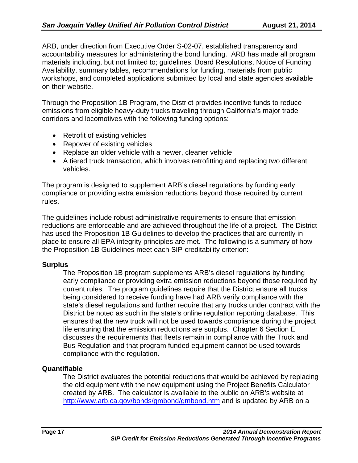ARB, under direction from Executive Order S-02-07, established transparency and accountability measures for administering the bond funding. ARB has made all program materials including, but not limited to; guidelines, Board Resolutions, Notice of Funding Availability, summary tables, recommendations for funding, materials from public workshops, and completed applications submitted by local and state agencies available on their website.

Through the Proposition 1B Program, the District provides incentive funds to reduce emissions from eligible heavy-duty trucks traveling through California's major trade corridors and locomotives with the following funding options:

- Retrofit of existing vehicles
- Repower of existing vehicles
- Replace an older vehicle with a newer, cleaner vehicle
- A tiered truck transaction, which involves retrofitting and replacing two different vehicles.

The program is designed to supplement ARB's diesel regulations by funding early compliance or providing extra emission reductions beyond those required by current rules.

The guidelines include robust administrative requirements to ensure that emission reductions are enforceable and are achieved throughout the life of a project. The District has used the Proposition 1B Guidelines to develop the practices that are currently in place to ensure all EPA integrity principles are met. The following is a summary of how the Proposition 1B Guidelines meet each SIP-creditability criterion:

## **Surplus**

The Proposition 1B program supplements ARB's diesel regulations by funding early compliance or providing extra emission reductions beyond those required by current rules. The program guidelines require that the District ensure all trucks being considered to receive funding have had ARB verify compliance with the state's diesel regulations and further require that any trucks under contract with the District be noted as such in the state's online regulation reporting database. This ensures that the new truck will not be used towards compliance during the project life ensuring that the emission reductions are surplus. Chapter 6 Section E discusses the requirements that fleets remain in compliance with the Truck and Bus Regulation and that program funded equipment cannot be used towards compliance with the regulation.

#### **Quantifiable**

The District evaluates the potential reductions that would be achieved by replacing the old equipment with the new equipment using the Project Benefits Calculator created by ARB. The calculator is available to the public on ARB's website at http://www.arb.ca.gov/bonds/gmbond/gmbond.htm and is updated by ARB on a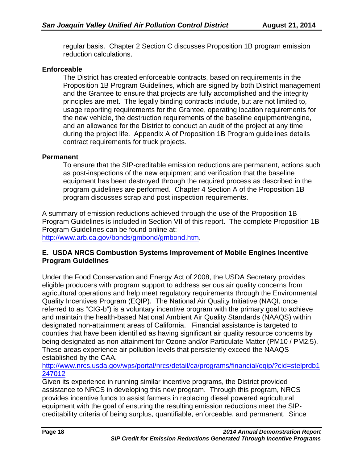regular basis. Chapter 2 Section C discusses Proposition 1B program emission reduction calculations.

### **Enforceable**

The District has created enforceable contracts, based on requirements in the Proposition 1B Program Guidelines, which are signed by both District management and the Grantee to ensure that projects are fully accomplished and the integrity principles are met. The legally binding contracts include, but are not limited to, usage reporting requirements for the Grantee, operating location requirements for the new vehicle, the destruction requirements of the baseline equipment/engine, and an allowance for the District to conduct an audit of the project at any time during the project life. Appendix A of Proposition 1B Program guidelines details contract requirements for truck projects.

#### **Permanent**

To ensure that the SIP-creditable emission reductions are permanent, actions such as post-inspections of the new equipment and verification that the baseline equipment has been destroyed through the required process as described in the program guidelines are performed. Chapter 4 Section A of the Proposition 1B program discusses scrap and post inspection requirements.

A summary of emission reductions achieved through the use of the Proposition 1B Program Guidelines is included in Section VII of this report. The complete Proposition 1B Program Guidelines can be found online at:

http://www.arb.ca.gov/bonds/gmbond/gmbond.htm.

## **E. USDA NRCS Combustion Systems Improvement of Mobile Engines Incentive Program Guidelines**

Under the Food Conservation and Energy Act of 2008, the USDA Secretary provides eligible producers with program support to address serious air quality concerns from agricultural operations and help meet regulatory requirements through the Environmental Quality Incentives Program (EQIP). The National Air Quality Initiative (NAQI, once referred to as "CIG-b") is a voluntary incentive program with the primary goal to achieve and maintain the health-based National Ambient Air Quality Standards (NAAQS) within designated non-attainment areas of California. Financial assistance is targeted to counties that have been identified as having significant air quality resource concerns by being designated as non-attainment for Ozone and/or Particulate Matter (PM10 / PM2.5). These areas experience air pollution levels that persistently exceed the NAAQS established by the CAA.

## http://www.nrcs.usda.gov/wps/portal/nrcs/detail/ca/programs/financial/eqip/?cid=stelprdb1 247012

Given its experience in running similar incentive programs, the District provided assistance to NRCS in developing this new program. Through this program, NRCS provides incentive funds to assist farmers in replacing diesel powered agricultural equipment with the goal of ensuring the resulting emission reductions meet the SIPcreditability criteria of being surplus, quantifiable, enforceable, and permanent. Since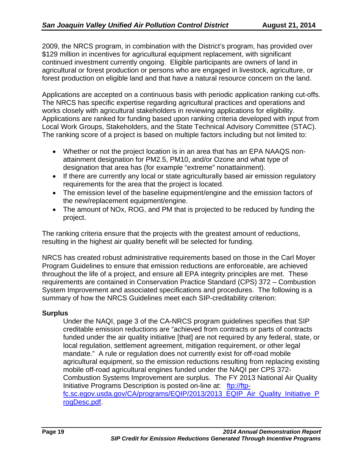2009, the NRCS program, in combination with the District's program, has provided over \$129 million in incentives for agricultural equipment replacement, with significant continued investment currently ongoing. Eligible participants are owners of land in agricultural or forest production or persons who are engaged in livestock, agriculture, or forest production on eligible land and that have a natural resource concern on the land.

Applications are accepted on a continuous basis with periodic application ranking cut-offs. The NRCS has specific expertise regarding agricultural practices and operations and works closely with agricultural stakeholders in reviewing applications for eligibility. Applications are ranked for funding based upon ranking criteria developed with input from Local Work Groups, Stakeholders, and the State Technical Advisory Committee (STAC). The ranking score of a project is based on multiple factors including but not limited to:

- Whether or not the project location is in an area that has an EPA NAAQS nonattainment designation for PM2.5, PM10, and/or Ozone and what type of designation that area has (for example "extreme" nonattainment).
- If there are currently any local or state agriculturally based air emission regulatory requirements for the area that the project is located.
- The emission level of the baseline equipment/engine and the emission factors of the new/replacement equipment/engine.
- The amount of NOx, ROG, and PM that is projected to be reduced by funding the project.

The ranking criteria ensure that the projects with the greatest amount of reductions, resulting in the highest air quality benefit will be selected for funding.

NRCS has created robust administrative requirements based on those in the Carl Moyer Program Guidelines to ensure that emission reductions are enforceable, are achieved throughout the life of a project, and ensure all EPA integrity principles are met. These requirements are contained in Conservation Practice Standard (CPS) 372 – Combustion System Improvement and associated specifications and procedures. The following is a summary of how the NRCS Guidelines meet each SIP-creditability criterion:

## **Surplus**

Under the NAQI, page 3 of the CA-NRCS program guidelines specifies that SIP creditable emission reductions are "achieved from contracts or parts of contracts funded under the air quality initiative [that] are not required by any federal, state, or local regulation, settlement agreement, mitigation requirement, or other legal mandate." A rule or regulation does not currently exist for off-road mobile agricultural equipment, so the emission reductions resulting from replacing existing mobile off-road agricultural engines funded under the NAQI per CPS 372- Combustion Systems Improvement are surplus. The FY 2013 National Air Quality Initiative Programs Description is posted on-line at: ftp://ftpfc.sc.egov.usda.gov/CA/programs/EQIP/2013/2013 EQIP Air Quality Initiative P rogDesc.pdf.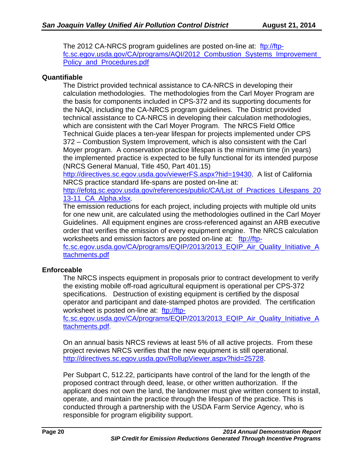The 2012 CA-NRCS program guidelines are posted on-line at: ftp://ftpfc.sc.egov.usda.gov/CA/programs/AQI/2012\_Combustion\_Systems\_Improvement\_ Policy\_and\_Procedures.pdf

## **Quantifiable**

The District provided technical assistance to CA-NRCS in developing their calculation methodologies. The methodologies from the Carl Moyer Program are the basis for components included in CPS-372 and its supporting documents for the NAQI, including the CA-NRCS program guidelines. The District provided technical assistance to CA-NRCS in developing their calculation methodologies, which are consistent with the Carl Moyer Program. The NRCS Field Office Technical Guide places a ten-year lifespan for projects implemented under CPS 372 – Combustion System Improvement, which is also consistent with the Carl Moyer program. A conservation practice lifespan is the minimum time (in years) the implemented practice is expected to be fully functional for its intended purpose (NRCS General Manual, Title 450, Part 401.15)

http://directives.sc.egov.usda.gov/viewerFS.aspx?hid=19430. A list of California NRCS practice standard life-spans are posted on-line at:

http://efotg.sc.egov.usda.gov/references/public/CA/List\_of\_Practices\_Lifespans\_20 13-11 CA Alpha.xlsx.

The emission reductions for each project, including projects with multiple old units for one new unit, are calculated using the methodologies outlined in the Carl Moyer Guidelines. All equipment engines are cross-referenced against an ARB executive order that verifies the emission of every equipment engine. The NRCS calculation worksheets and emission factors are posted on-line at: ftp://ftp-

fc.sc.egov.usda.gov/CA/programs/EQIP/2013/2013\_EQIP\_Air\_Quality\_Initiative\_A ttachments.pdf

## **Enforceable**

The NRCS inspects equipment in proposals prior to contract development to verify the existing mobile off-road agricultural equipment is operational per CPS-372 specifications. Destruction of existing equipment is certified by the disposal operator and participant and date-stamped photos are provided. The certification worksheet is posted on-line at: ftp://ftp-

fc.sc.egov.usda.gov/CA/programs/EQIP/2013/2013\_EQIP\_Air\_Quality\_Initiative\_A ttachments.pdf.

On an annual basis NRCS reviews at least 5% of all active projects. From these project reviews NRCS verifies that the new equipment is still operational. http://directives.sc.egov.usda.gov/RollupViewer.aspx?hid=25728.

Per Subpart C, 512.22, participants have control of the land for the length of the proposed contract through deed, lease, or other written authorization. If the applicant does not own the land, the landowner must give written consent to install, operate, and maintain the practice through the lifespan of the practice. This is conducted through a partnership with the USDA Farm Service Agency, who is responsible for program eligibility support.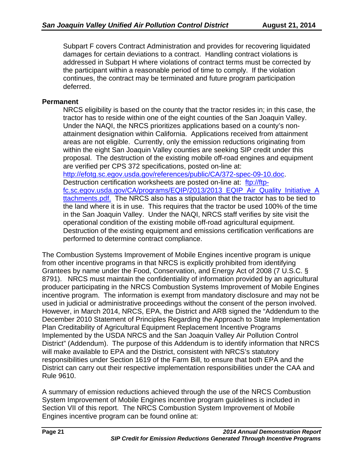Subpart F covers Contract Administration and provides for recovering liquidated damages for certain deviations to a contract. Handling contract violations is addressed in Subpart H where violations of contract terms must be corrected by the participant within a reasonable period of time to comply. If the violation continues, the contract may be terminated and future program participation deferred.

#### **Permanent**

NRCS eligibility is based on the county that the tractor resides in; in this case, the tractor has to reside within one of the eight counties of the San Joaquin Valley. Under the NAQI, the NRCS prioritizes applications based on a county's nonattainment designation within California. Applications received from attainment areas are not eligible. Currently, only the emission reductions originating from within the eight San Joaquin Valley counties are seeking SIP credit under this proposal. The destruction of the existing mobile off-road engines and equipment are verified per CPS 372 specifications, posted on-line at: http://efotg.sc.egov.usda.gov/references/public/CA/372-spec-09-10.doc. Destruction certification worksheets are posted on-line at: ftp://ftpfc.sc.egov.usda.gov/CA/programs/EQIP/2013/2013\_EQIP\_Air\_Quality\_Initiative\_A ttachments.pdf. The NRCS also has a stipulation that the tractor has to be tied to the land where it is in use. This requires that the tractor be used 100% of the time in the San Joaquin Valley. Under the NAQI, NRCS staff verifies by site visit the operational condition of the existing mobile off-road agricultural equipment.

Destruction of the existing equipment and emissions certification verifications are performed to determine contract compliance.

The Combustion Systems Improvement of Mobile Engines incentive program is unique from other incentive programs in that NRCS is explicitly prohibited from identifying Grantees by name under the Food, Conservation, and Energy Act of 2008 (7 U.S.C. § 8791). NRCS must maintain the confidentiality of information provided by an agricultural producer participating in the NRCS Combustion Systems Improvement of Mobile Engines incentive program. The information is exempt from mandatory disclosure and may not be used in judicial or administrative proceedings without the consent of the person involved. However, in March 2014, NRCS, EPA, the District and ARB signed the "Addendum to the December 2010 Statement of Principles Regarding the Approach to State Implementation Plan Creditability of Agricultural Equipment Replacement Incentive Programs Implemented by the USDA NRCS and the San Joaquin Valley Air Pollution Control District" (Addendum). The purpose of this Addendum is to identify information that NRCS will make available to EPA and the District, consistent with NRCS's statutory responsibilities under Section 1619 of the Farm Bill, to ensure that both EPA and the District can carry out their respective implementation responsibilities under the CAA and Rule 9610.

A summary of emission reductions achieved through the use of the NRCS Combustion System Improvement of Mobile Engines incentive program guidelines is included in Section VII of this report. The NRCS Combustion System Improvement of Mobile Engines incentive program can be found online at: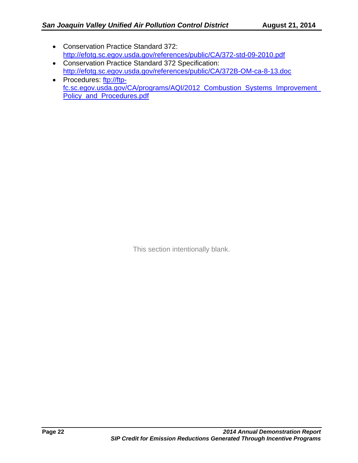- Conservation Practice Standard 372: http://efotg.sc.egov.usda.gov/references/public/CA/372-std-09-2010.pdf
- Conservation Practice Standard 372 Specification: http://efotg.sc.egov.usda.gov/references/public/CA/372B-OM-ca-8-13.doc
- Procedures: ftp://ftpfc.sc.egov.usda.gov/CA/programs/AQI/2012\_Combustion\_Systems\_Improvement\_ Policy\_and\_Procedures.pdf

This section intentionally blank.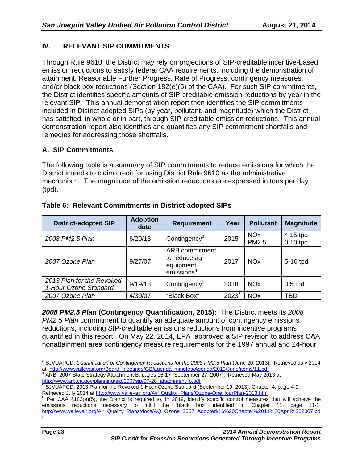# **IV. RELEVANT SIP COMMITMENTS**

Through Rule 9610, the District may rely on projections of SIP-creditable incentive-based emission reductions to satisfy federal CAA requirements, including the demonstration of attainment, Reasonable Further Progress, Rate of Progress, contingency measures, and/or black box reductions (Section 182(e)(5) of the CAA). For such SIP commitments, the District identifies specific amounts of SIP-creditable emission reductions by year in the relevant SIP. This annual demonstration report then identifies the SIP commitments included in District adopted SIPs (by year, pollutant, and magnitude) which the District has satisfied, in whole or in part, through SIP-creditable emission reductions. This annual demonstration report also identifies and quantifies any SIP commitment shortfalls and remedies for addressing those shortfalls.

## **A. SIP Commitments**

The following table is a summary of SIP commitments to reduce emissions for which the District intends to claim credit for using District Rule 9610 as the administrative mechanism. The magnitude of the emission reductions are expressed in tons per day (tpd).

| <b>District-adopted SIP</b>                        | <b>Adoption</b><br>date | <b>Requirement</b>                                                           | Year       | <b>Pollutant</b>               | <b>Magnitude</b>       |
|----------------------------------------------------|-------------------------|------------------------------------------------------------------------------|------------|--------------------------------|------------------------|
| 2008 PM2.5 Plan                                    | 6/20/13                 | Contingency <sup>3</sup>                                                     | 2015       | <b>NO<sub>x</sub></b><br>PM2.5 | 4.15 tpd<br>$0.10$ tpd |
| 2007 Ozone Plan                                    | 9/27/07                 | <b>ARB</b> commitment<br>to reduce ag<br>equipment<br>emissions <sup>4</sup> | 2017       | <b>NO<sub>x</sub></b>          | 5-10 tpd               |
| 2013 Plan for the Revoked<br>1-Hour Ozone Standard | 9/19/13                 | Contingency <sup>5</sup>                                                     | 2018       | <b>NO<sub>x</sub></b>          | 3.5 tpd                |
| 2007 Ozone Plan                                    | 4/30/07                 | "Black Box"                                                                  | $2023^{6}$ | <b>NO<sub>x</sub></b>          | <b>TBD</b>             |

## **Table 6: Relevant Commitments in District-adopted SIPs**

*2008 PM2.5 Plan* **(Contingency Quantification, 2015):** The District meets its *2008 PM2.5 Plan* commitment to quantify an adequate amount of contingency emissions reductions, including SIP-creditable emissions reductions from incentive programs quantified in this report. On May 22, 2014, EPA approved a SIP revision to address CAA nonattainment area contingency measure requirements for the 1997 annual and 24-hour

<sup>1</sup> 3 SJVUAPCD, *Quantification of Contingency Reductions for the 2008 PM2.5 Plan* (June 20, 2013). Retrieved July 2014 at http://www.valleyair.org/Board\_meetings/GB/agenda\_minutes/Agenda/2013/June/items/11.pdf

ARB, 2007 State Strategy Attachment B, pages 16-17 (September 27, 2007). Retrieved May 2013 at http://www.arb.ca.gov/planning/sip/2007sip/07-28\_attachment\_b.pdf

<sup>&</sup>lt;sup>5</sup> SJVUAPCD, 2013 Plan for the Revoked 1-Hour Ozone Standard (September 19, 2013), Chapter 4, page 4-9. Retrieved July 2014 at http://www.valleyair.org/Air\_Quality\_Plans/Ozone-OneHourPlan-2013.htm 6

 $6$  Per CAA  $\frac{1}{5}$ 182(e)(5), the District is required to, in 2019, identify specific control measures that will achieve the emissions reductions necessary to fulfill the "black box" identified in Chapter 11, page 11-1. http://www.valleyair.org/Air\_Quality\_Plans/docs/AQ\_Ozone\_2007\_Adopted/16%20Chapter%2011%20April%202007.pd f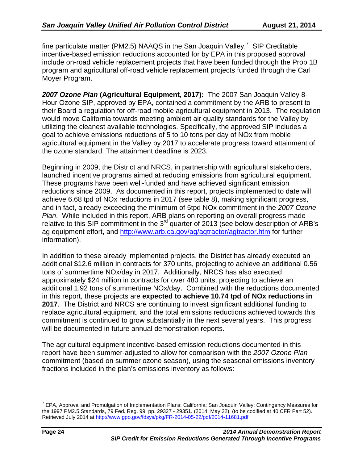fine particulate matter (PM2.5) NAAQS in the San Joaquin Valley.<sup>7</sup> SIP Creditable incentive-based emission reductions accounted for by EPA in this proposed approval include on-road vehicle replacement projects that have been funded through the Prop 1B program and agricultural off-road vehicle replacement projects funded through the Carl Moyer Program.

*2007 Ozone Plan* **(Agricultural Equipment, 2017):** The 2007 San Joaquin Valley 8- Hour Ozone SIP, approved by EPA, contained a commitment by the ARB to present to their Board a regulation for off-road mobile agricultural equipment in 2013. The regulation would move California towards meeting ambient air quality standards for the Valley by utilizing the cleanest available technologies. Specifically, the approved SIP includes a goal to achieve emissions reductions of 5 to 10 tons per day of NOx from mobile agricultural equipment in the Valley by 2017 to accelerate progress toward attainment of the ozone standard. The attainment deadline is 2023.

Beginning in 2009, the District and NRCS, in partnership with agricultural stakeholders, launched incentive programs aimed at reducing emissions from agricultural equipment. These programs have been well-funded and have achieved significant emission reductions since 2009. As documented in this report, projects implemented to date will achieve 6.68 tpd of NOx reductions in 2017 (see table 8), making significant progress, and in fact, already exceeding the minimum of 5tpd NOx commitment in the *2007 Ozone Plan*. While included in this report, ARB plans on reporting on overall progress made relative to this SIP commitment in the 3<sup>rd</sup> quarter of 2013 (see below description of ARB's ag equipment effort, and http://www.arb.ca.gov/ag/agtractor/agtractor.htm for further information).

In addition to these already implemented projects, the District has already executed an additional \$12.6 million in contracts for 370 units, projecting to achieve an additional 0.56 tons of summertime NOx/day in 2017. Additionally, NRCS has also executed approximately \$24 million in contracts for over 480 units, projecting to achieve an additional 1.92 tons of summertime NOx/day. Combined with the reductions documented in this report, these projects are **expected to achieve 10.74 tpd of NOx reductions in 2017**. The District and NRCS are continuing to invest significant additional funding to replace agricultural equipment, and the total emissions reductions achieved towards this commitment is continued to grow substantially in the next several years. This progress will be documented in future annual demonstration reports.

The agricultural equipment incentive-based emission reductions documented in this report have been summer-adjusted to allow for comparison with the *2007 Ozone Plan* commitment (based on summer ozone season), using the seasonal emissions inventory fractions included in the plan's emissions inventory as follows:

 7 EPA, Approval and Promulgation of Implementation Plans; California; San Joaquin Valley; Contingency Measures for the 1997 PM2.5 Standards, 79 Fed. Reg. 99, pp. 29327 - 29351. (2014, May 22). (to be codified at 40 CFR Part 52). Retrieved July 2014 at http://www.gpo.gov/fdsys/pkg/FR-2014-05-22/pdf/2014-11681.pdf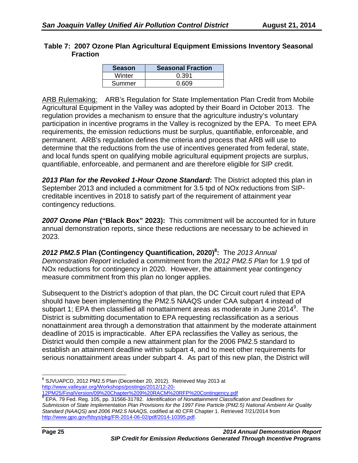### **Table 7: 2007 Ozone Plan Agricultural Equipment Emissions Inventory Seasonal Fraction**

| <b>Season</b> | <b>Seasonal Fraction</b> |
|---------------|--------------------------|
| Winter        | 0.391                    |
| Summer        | 0.609                    |

ARB Rulemaking: ARB's Regulation for State Implementation Plan Credit from Mobile Agricultural Equipment in the Valley was adopted by their Board in October 2013. The regulation provides a mechanism to ensure that the agriculture industry's voluntary participation in incentive programs in the Valley is recognized by the EPA. To meet EPA requirements, the emission reductions must be surplus, quantifiable, enforceable, and permanent. ARB's regulation defines the criteria and process that ARB will use to determine that the reductions from the use of incentives generated from federal, state, and local funds spent on qualifying mobile agricultural equipment projects are surplus, quantifiable, enforceable, and permanent and are therefore eligible for SIP credit.

*2013 Plan for the Revoked 1-Hour Ozone Standard***:** The District adopted this plan in September 2013 and included a commitment for 3.5 tpd of NOx reductions from SIPcreditable incentives in 2018 to satisfy part of the requirement of attainment year contingency reductions.

*2007 Ozone Plan* **("Black Box" 2023):** This commitment will be accounted for in future annual demonstration reports, since these reductions are necessary to be achieved in 2023.

*2012 PM2.5* **Plan (Contingency Quantification, 2020)8 :** The *2013 Annual Demonstration Report* included a commitment from the *2012 PM2.5 Plan* for 1.9 tpd of NOx reductions for contingency in 2020. However, the attainment year contingency measure commitment from this plan no longer applies.

Subsequent to the District's adoption of that plan, the DC Circuit court ruled that EPA should have been implementing the PM2.5 NAAQS under CAA subpart 4 instead of subpart 1; EPA then classified all nonattainment areas as moderate in June 2014<sup>9</sup>. The District is submitting documentation to EPA requesting reclassification as a serious nonattainment area through a demonstration that attainment by the moderate attainment deadline of 2015 is impracticable. After EPA reclassifies the Valley as serious, the District would then compile a new attainment plan for the 2006 PM2.5 standard to establish an attainment deadline within subpart 4, and to meet other requirements for serious nonattainment areas under subpart 4. As part of this new plan, the District will

 $\overline{\phantom{a}}$ <sup>8</sup> SJVUAPCD, 2012 PM2.5 Plan (December 20, 2012). Retrieved May 2013 at http://www.valleyair.org/Workshops/postings/2012/12-20- 12PM25/FinalVersion/09%20Chapter%209%20RACM%20RFP%20Contingency.pdf

<sup>9</sup> EPA. 79 Fed. Reg. 105, pp. 31566-31782. *Identification of Nonattainment Classification and Deadlines for Submission of State Implementation Plan Provisions for the 1997 Fine Particle (PM2.5) National Ambient Air Quality Standard (NAAQS) and 2006 PM2.5 NAAQS,* codified at 40 CFR Chapter 1. Retrieved 7/21/2014 from http://www.gpo.gov/fdsys/pkg/FR-2014-06-02/pdf/2014-10395.pdf.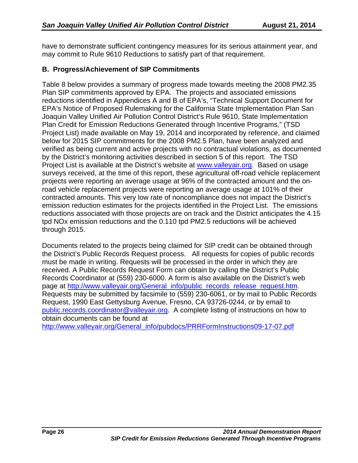have to demonstrate sufficient contingency measures for its serious attainment year, and may commit to Rule 9610 Reductions to satisfy part of that requirement.

## **B. Progress/Achievement of SIP Commitments**

Table 8 below provides a summary of progress made towards meeting the 2008 PM2.35 Plan SIP commitments approved by EPA. The projects and associated emissions reductions identified in Appendices A and B of EPA's, "Technical Support Document for EPA's Notice of Proposed Rulemaking for the California State Implementation Plan San Joaquin Valley Unified Air Pollution Control District's Rule 9610, State Implementation Plan Credit for Emission Reductions Generated through Incentive Programs," (TSD Project List) made available on May 19, 2014 and incorporated by reference, and claimed below for 2015 SIP commitments for the 2008 PM2.5 Plan, have been analyzed and verified as being current and active projects with no contractual violations, as documented by the District's monitoring activities described in section 5 of this report. The TSD Project List is available at the District's website at www.valleyair.org. Based on usage surveys received, at the time of this report, these agricultural off-road vehicle replacement projects were reporting an average usage at 96% of the contracted amount and the onroad vehicle replacement projects were reporting an average usage at 101% of their contracted amounts. This very low rate of noncompliance does not impact the District's emission reduction estimates for the projects identified in the Project List. The emissions reductions associated with those projects are on track and the District anticipates the 4.15 tpd NOx emission reductions and the 0.110 tpd PM2.5 reductions will be achieved through 2015.

Documents related to the projects being claimed for SIP credit can be obtained through the District's Public Records Request process. All requests for copies of public records must be made in writing. Requests will be processed in the order in which they are received. A Public Records Request Form can obtain by calling the District's Public Records Coordinator at (559) 230-6000. A form is also available on the District's web page at http://www.valleyair.org/General\_info/public\_records\_release\_request.htm. Requests may be submitted by facsimile to (559) 230-6061, or by mail to Public Records Request, 1990 East Gettysburg Avenue, Fresno, CA 93726-0244, or by email to public.records.coordinator@valleyair.org. A complete listing of instructions on how to obtain documents can be found at

http://www.valleyair.org/General\_info/pubdocs/PRRFormInstructions09-17-07.pdf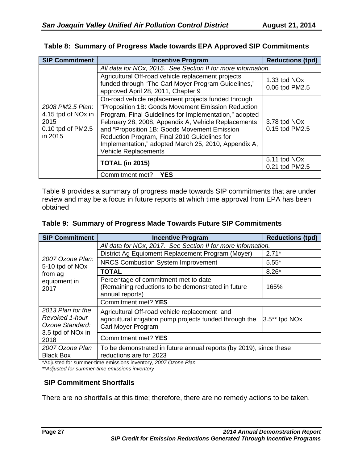| <b>SIP Commitment</b>                                                                        | <b>Incentive Program</b>                                                                                                                                                                                                                                                                                                                                                                                          | <b>Reductions (tpd)</b>                    |
|----------------------------------------------------------------------------------------------|-------------------------------------------------------------------------------------------------------------------------------------------------------------------------------------------------------------------------------------------------------------------------------------------------------------------------------------------------------------------------------------------------------------------|--------------------------------------------|
|                                                                                              | All data for NOx, 2015. See Section II for more information.                                                                                                                                                                                                                                                                                                                                                      |                                            |
|                                                                                              | Agricultural Off-road vehicle replacement projects<br>funded through "The Carl Moyer Program Guidelines,"<br>approved April 28, 2011, Chapter 9                                                                                                                                                                                                                                                                   | 1.33 tpd NO <sub>x</sub><br>0.06 tpd PM2.5 |
| 2008 PM2.5 Plan:<br>4.15 tpd of NO <sub>x</sub> in<br>2015<br>$0.10$ tpd of PM2.5<br>in 2015 | On-road vehicle replacement projects funded through<br>"Proposition 1B: Goods Movement Emission Reduction<br>Program, Final Guidelines for Implementation," adopted<br>February 28, 2008, Appendix A, Vehicle Replacements<br>and "Proposition 1B: Goods Movement Emission<br>Reduction Program, Final 2010 Guidelines for<br>Implementation," adopted March 25, 2010, Appendix A,<br><b>Vehicle Replacements</b> | 3.78 tpd NO <sub>x</sub><br>0.15 tpd PM2.5 |
|                                                                                              | <b>TOTAL (in 2015)</b>                                                                                                                                                                                                                                                                                                                                                                                            | 5.11 tpd NO <sub>x</sub><br>0.21 tpd PM2.5 |
|                                                                                              | Commitment met?<br><b>YES</b>                                                                                                                                                                                                                                                                                                                                                                                     |                                            |

|  |  |  |  |  |  | Table 8: Summary of Progress Made towards EPA Approved SIP Commitments |
|--|--|--|--|--|--|------------------------------------------------------------------------|
|--|--|--|--|--|--|------------------------------------------------------------------------|

Table 9 provides a summary of progress made towards SIP commitments that are under review and may be a focus in future reports at which time approval from EPA has been obtained

| Table 9: Summary of Progress Made Towards Future SIP Commitments |
|------------------------------------------------------------------|
|------------------------------------------------------------------|

| <b>SIP Commitment</b>                                                                           | <b>Incentive Program</b>                                                                                                        | <b>Reductions (tpd)</b> |  |
|-------------------------------------------------------------------------------------------------|---------------------------------------------------------------------------------------------------------------------------------|-------------------------|--|
| 2007 Ozone Plan:<br>5-10 tpd of NO <sub>x</sub><br>from ag<br>equipment in<br>2017              | All data for NOx, 2017. See Section II for more information.                                                                    |                         |  |
|                                                                                                 | District Ag Equipment Replacement Program (Moyer)                                                                               | $2.71*$                 |  |
|                                                                                                 | <b>NRCS Combustion System Improvement</b>                                                                                       | $5.55*$                 |  |
|                                                                                                 | <b>TOTAL</b>                                                                                                                    | $8.26*$                 |  |
|                                                                                                 | Percentage of commitment met to date<br>(Remaining reductions to be demonstrated in future<br>annual reports)                   | 165%                    |  |
|                                                                                                 | Commitment met? YES                                                                                                             |                         |  |
| 2013 Plan for the<br>Revoked 1-hour<br>Ozone Standard:<br>3.5 tpd of NO <sub>x</sub> in<br>2018 | Agricultural Off-road vehicle replacement and<br>agricultural irrigation pump projects funded through the<br>Carl Moyer Program | 3.5** tpd NOx           |  |
|                                                                                                 | Commitment met? YES                                                                                                             |                         |  |
| 2007 Ozone Plan<br><b>Black Box</b>                                                             | To be demonstrated in future annual reports (by 2019), since these<br>reductions are for 2023                                   |                         |  |
|                                                                                                 | $*$ $\lambda$ division for overcome times, or instance inventory. 0007 $\Omega$ and $\Omega$                                    |                         |  |

\*Adjusted for summer-time emissions inventory, *2007 Ozone Plan* 

*\*\*Adjusted for summer-time emissions inventory*

#### **SIP Commitment Shortfalls**

There are no shortfalls at this time; therefore, there are no remedy actions to be taken.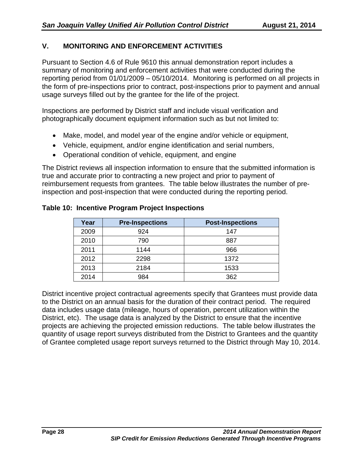## **V. MONITORING AND ENFORCEMENT ACTIVITIES**

Pursuant to Section 4.6 of Rule 9610 this annual demonstration report includes a summary of monitoring and enforcement activities that were conducted during the reporting period from 01/01/2009 – 05/10/2014. Monitoring is performed on all projects in the form of pre-inspections prior to contract, post-inspections prior to payment and annual usage surveys filled out by the grantee for the life of the project.

Inspections are performed by District staff and include visual verification and photographically document equipment information such as but not limited to:

- Make, model, and model year of the engine and/or vehicle or equipment,
- Vehicle, equipment, and/or engine identification and serial numbers,
- Operational condition of vehicle, equipment, and engine

The District reviews all inspection information to ensure that the submitted information is true and accurate prior to contracting a new project and prior to payment of reimbursement requests from grantees. The table below illustrates the number of preinspection and post-inspection that were conducted during the reporting period.

| Year | <b>Pre-Inspections</b> | <b>Post-Inspections</b> |
|------|------------------------|-------------------------|
| 2009 | 924                    | 147                     |
| 2010 | 790                    | 887                     |
| 2011 | 1144                   | 966                     |
| 2012 | 2298                   | 1372                    |
| 2013 | 2184                   | 1533                    |
| 2014 | 984                    | 362                     |

#### **Table 10: Incentive Program Project Inspections**

District incentive project contractual agreements specify that Grantees must provide data to the District on an annual basis for the duration of their contract period. The required data includes usage data (mileage, hours of operation, percent utilization within the District, etc). The usage data is analyzed by the District to ensure that the incentive projects are achieving the projected emission reductions. The table below illustrates the quantity of usage report surveys distributed from the District to Grantees and the quantity of Grantee completed usage report surveys returned to the District through May 10, 2014.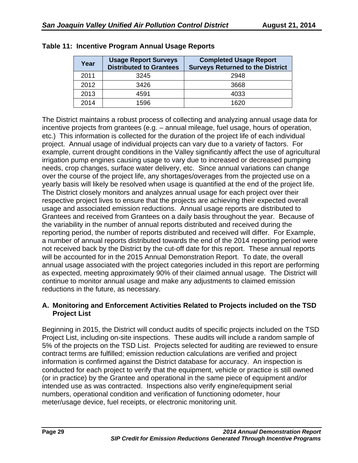| Year | <b>Usage Report Surveys</b><br><b>Distributed to Grantees</b> | <b>Completed Usage Report</b><br><b>Surveys Returned to the District</b> |
|------|---------------------------------------------------------------|--------------------------------------------------------------------------|
| 2011 | 3245                                                          | 2948                                                                     |
| 2012 | 3426                                                          | 3668                                                                     |
| 2013 | 4591                                                          | 4033                                                                     |
| 2014 | 1596                                                          | 1620                                                                     |

### **Table 11: Incentive Program Annual Usage Reports**

The District maintains a robust process of collecting and analyzing annual usage data for incentive projects from grantees (e.g. – annual mileage, fuel usage, hours of operation, etc.) This information is collected for the duration of the project life of each individual project. Annual usage of individual projects can vary due to a variety of factors. For example, current drought conditions in the Valley significantly affect the use of agricultural irrigation pump engines causing usage to vary due to increased or decreased pumping needs, crop changes, surface water delivery, etc. Since annual variations can change over the course of the project life, any shortages/overages from the projected use on a yearly basis will likely be resolved when usage is quantified at the end of the project life. The District closely monitors and analyzes annual usage for each project over their respective project lives to ensure that the projects are achieving their expected overall usage and associated emission reductions. Annual usage reports are distributed to Grantees and received from Grantees on a daily basis throughout the year. Because of the variability in the number of annual reports distributed and received during the reporting period, the number of reports distributed and received will differ. For Example, a number of annual reports distributed towards the end of the 2014 reporting period were not received back by the District by the cut-off date for this report. These annual reports will be accounted for in the 2015 Annual Demonstration Report. To date, the overall annual usage associated with the project categories included in this report are performing as expected, meeting approximately 90% of their claimed annual usage. The District will continue to monitor annual usage and make any adjustments to claimed emission reductions in the future, as necessary.

#### **A. Monitoring and Enforcement Activities Related to Projects included on the TSD Project List**

Beginning in 2015, the District will conduct audits of specific projects included on the TSD Project List, including on-site inspections. These audits will include a random sample of 5% of the projects on the TSD List. Projects selected for auditing are reviewed to ensure contract terms are fulfilled; emission reduction calculations are verified and project information is confirmed against the District database for accuracy. An inspection is conducted for each project to verify that the equipment, vehicle or practice is still owned (or in practice) by the Grantee and operational in the same piece of equipment and/or intended use as was contracted. Inspections also verify engine/equipment serial numbers, operational condition and verification of functioning odometer, hour meter/usage device, fuel receipts, or electronic monitoring unit.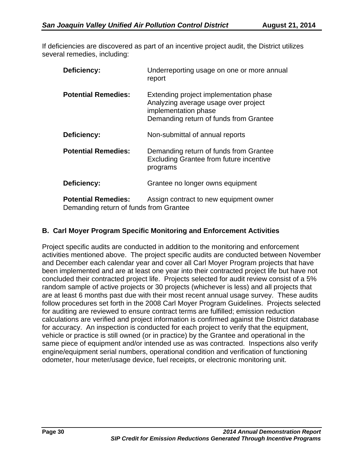If deficiencies are discovered as part of an incentive project audit, the District utilizes several remedies, including:

| Deficiency:                                                          | Underreporting usage on one or more annual<br>report                                                                                             |
|----------------------------------------------------------------------|--------------------------------------------------------------------------------------------------------------------------------------------------|
| <b>Potential Remedies:</b>                                           | Extending project implementation phase<br>Analyzing average usage over project<br>implementation phase<br>Demanding return of funds from Grantee |
| Deficiency:                                                          | Non-submittal of annual reports                                                                                                                  |
| <b>Potential Remedies:</b>                                           | Demanding return of funds from Grantee<br><b>Excluding Grantee from future incentive</b><br>programs                                             |
| Deficiency:                                                          | Grantee no longer owns equipment                                                                                                                 |
| <b>Potential Remedies:</b><br>Demanding return of funds from Grantee | Assign contract to new equipment owner                                                                                                           |

## **B. Carl Moyer Program Specific Monitoring and Enforcement Activities**

Project specific audits are conducted in addition to the monitoring and enforcement activities mentioned above. The project specific audits are conducted between November and December each calendar year and cover all Carl Moyer Program projects that have been implemented and are at least one year into their contracted project life but have not concluded their contracted project life. Projects selected for audit review consist of a 5% random sample of active projects or 30 projects (whichever is less) and all projects that are at least 6 months past due with their most recent annual usage survey. These audits follow procedures set forth in the 2008 Carl Moyer Program Guidelines. Projects selected for auditing are reviewed to ensure contract terms are fulfilled; emission reduction calculations are verified and project information is confirmed against the District database for accuracy. An inspection is conducted for each project to verify that the equipment, vehicle or practice is still owned (or in practice) by the Grantee and operational in the same piece of equipment and/or intended use as was contracted. Inspections also verify engine/equipment serial numbers, operational condition and verification of functioning odometer, hour meter/usage device, fuel receipts, or electronic monitoring unit.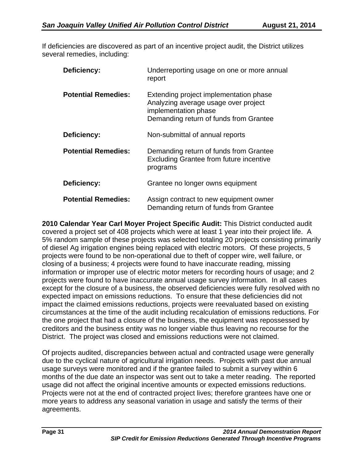If deficiencies are discovered as part of an incentive project audit, the District utilizes several remedies, including:

| Deficiency:                | Underreporting usage on one or more annual<br>report                                                                                             |
|----------------------------|--------------------------------------------------------------------------------------------------------------------------------------------------|
| <b>Potential Remedies:</b> | Extending project implementation phase<br>Analyzing average usage over project<br>implementation phase<br>Demanding return of funds from Grantee |
| Deficiency:                | Non-submittal of annual reports                                                                                                                  |
| <b>Potential Remedies:</b> | Demanding return of funds from Grantee<br><b>Excluding Grantee from future incentive</b><br>programs                                             |
| Deficiency:                | Grantee no longer owns equipment                                                                                                                 |
| <b>Potential Remedies:</b> | Assign contract to new equipment owner<br>Demanding return of funds from Grantee                                                                 |

**2010 Calendar Year Carl Moyer Project Specific Audit:** This District conducted audit covered a project set of 408 projects which were at least 1 year into their project life. A 5% random sample of these projects was selected totaling 20 projects consisting primarily of diesel Ag irrigation engines being replaced with electric motors. Of these projects, 5 projects were found to be non-operational due to theft of copper wire, well failure, or closing of a business; 4 projects were found to have inaccurate reading, missing information or improper use of electric motor meters for recording hours of usage; and 2 projects were found to have inaccurate annual usage survey information. In all cases except for the closure of a business, the observed deficiencies were fully resolved with no expected impact on emissions reductions. To ensure that these deficiencies did not impact the claimed emissions reductions, projects were reevaluated based on existing circumstances at the time of the audit including recalculation of emissions reductions. For the one project that had a closure of the business, the equipment was repossessed by creditors and the business entity was no longer viable thus leaving no recourse for the District. The project was closed and emissions reductions were not claimed.

Of projects audited, discrepancies between actual and contracted usage were generally due to the cyclical nature of agricultural irrigation needs. Projects with past due annual usage surveys were monitored and if the grantee failed to submit a survey within 6 months of the due date an inspector was sent out to take a meter reading. The reported usage did not affect the original incentive amounts or expected emissions reductions. Projects were not at the end of contracted project lives; therefore grantees have one or more years to address any seasonal variation in usage and satisfy the terms of their agreements.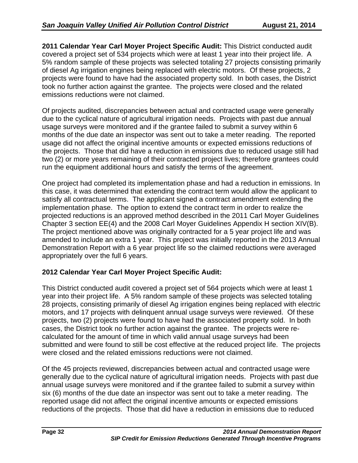**2011 Calendar Year Carl Moyer Project Specific Audit:** This District conducted audit covered a project set of 534 projects which were at least 1 year into their project life. A 5% random sample of these projects was selected totaling 27 projects consisting primarily of diesel Ag irrigation engines being replaced with electric motors. Of these projects, 2 projects were found to have had the associated property sold. In both cases, the District took no further action against the grantee. The projects were closed and the related emissions reductions were not claimed.

Of projects audited, discrepancies between actual and contracted usage were generally due to the cyclical nature of agricultural irrigation needs. Projects with past due annual usage surveys were monitored and if the grantee failed to submit a survey within 6 months of the due date an inspector was sent out to take a meter reading. The reported usage did not affect the original incentive amounts or expected emissions reductions of the projects. Those that did have a reduction in emissions due to reduced usage still had two (2) or more years remaining of their contracted project lives; therefore grantees could run the equipment additional hours and satisfy the terms of the agreement.

One project had completed its implementation phase and had a reduction in emissions. In this case, it was determined that extending the contract term would allow the applicant to satisfy all contractual terms. The applicant signed a contract amendment extending the implementation phase. The option to extend the contract term in order to realize the projected reductions is an approved method described in the 2011 Carl Moyer Guidelines Chapter 3 section EE(4) and the 2008 Carl Moyer Guidelines Appendix H section XIV(B). The project mentioned above was originally contracted for a 5 year project life and was amended to include an extra 1 year. This project was initially reported in the 2013 Annual Demonstration Report with a 6 year project life so the claimed reductions were averaged appropriately over the full 6 years.

## **2012 Calendar Year Carl Moyer Project Specific Audit:**

This District conducted audit covered a project set of 564 projects which were at least 1 year into their project life. A 5% random sample of these projects was selected totaling 28 projects, consisting primarily of diesel Ag irrigation engines being replaced with electric motors, and 17 projects with delinquent annual usage surveys were reviewed. Of these projects, two (2) projects were found to have had the associated property sold. In both cases, the District took no further action against the grantee. The projects were recalculated for the amount of time in which valid annual usage surveys had been submitted and were found to still be cost effective at the reduced project life. The projects were closed and the related emissions reductions were not claimed.

Of the 45 projects reviewed, discrepancies between actual and contracted usage were generally due to the cyclical nature of agricultural irrigation needs. Projects with past due annual usage surveys were monitored and if the grantee failed to submit a survey within six (6) months of the due date an inspector was sent out to take a meter reading. The reported usage did not affect the original incentive amounts or expected emissions reductions of the projects. Those that did have a reduction in emissions due to reduced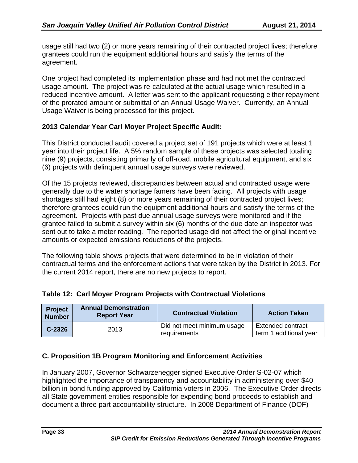usage still had two (2) or more years remaining of their contracted project lives; therefore grantees could run the equipment additional hours and satisfy the terms of the agreement.

One project had completed its implementation phase and had not met the contracted usage amount. The project was re-calculated at the actual usage which resulted in a reduced incentive amount. A letter was sent to the applicant requesting either repayment of the prorated amount or submittal of an Annual Usage Waiver. Currently, an Annual Usage Waiver is being processed for this project.

### **2013 Calendar Year Carl Moyer Project Specific Audit:**

This District conducted audit covered a project set of 191 projects which were at least 1 year into their project life. A 5% random sample of these projects was selected totaling nine (9) projects, consisting primarily of off-road, mobile agricultural equipment, and six (6) projects with delinquent annual usage surveys were reviewed.

Of the 15 projects reviewed, discrepancies between actual and contracted usage were generally due to the water shortage famers have been facing. All projects with usage shortages still had eight (8) or more years remaining of their contracted project lives; therefore grantees could run the equipment additional hours and satisfy the terms of the agreement. Projects with past due annual usage surveys were monitored and if the grantee failed to submit a survey within six (6) months of the due date an inspector was sent out to take a meter reading. The reported usage did not affect the original incentive amounts or expected emissions reductions of the projects.

The following table shows projects that were determined to be in violation of their contractual terms and the enforcement actions that were taken by the District in 2013. For the current 2014 report, there are no new projects to report.

| Table 12: Carl Moyer Program Projects with Contractual Violations |  |  |
|-------------------------------------------------------------------|--|--|
|                                                                   |  |  |

| <b>Project</b><br><b>Number</b> | <b>Annual Demonstration</b><br><b>Report Year</b> | <b>Contractual Violation</b>               | <b>Action Taken</b>                                |
|---------------------------------|---------------------------------------------------|--------------------------------------------|----------------------------------------------------|
| $C-2326$                        | 2013                                              | Did not meet minimum usage<br>requirements | <b>Extended contract</b><br>term 1 additional year |

### **C. Proposition 1B Program Monitoring and Enforcement Activities**

In January 2007, Governor Schwarzenegger signed Executive Order S-02-07 which highlighted the importance of transparency and accountability in administering over \$40 billion in bond funding approved by California voters in 2006. The Executive Order directs all State government entities responsible for expending bond proceeds to establish and document a three part accountability structure. In 2008 Department of Finance (DOF)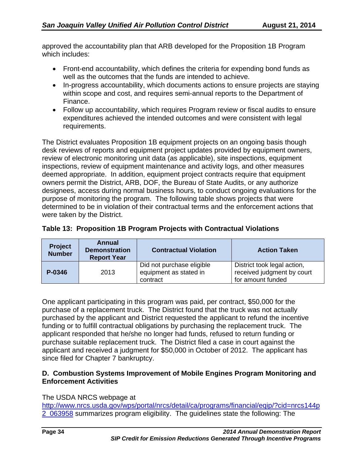approved the accountability plan that ARB developed for the Proposition 1B Program which includes:

- Front-end accountability, which defines the criteria for expending bond funds as well as the outcomes that the funds are intended to achieve.
- In-progress accountability, which documents actions to ensure projects are staying within scope and cost, and requires semi-annual reports to the Department of Finance.
- Follow up accountability, which requires Program review or fiscal audits to ensure expenditures achieved the intended outcomes and were consistent with legal requirements.

The District evaluates Proposition 1B equipment projects on an ongoing basis though desk reviews of reports and equipment project updates provided by equipment owners, review of electronic monitoring unit data (as applicable), site inspections, equipment inspections, review of equipment maintenance and activity logs, and other measures deemed appropriate. In addition, equipment project contracts require that equipment owners permit the District, ARB, DOF, the Bureau of State Audits, or any authorize designees, access during normal business hours, to conduct ongoing evaluations for the purpose of monitoring the program. The following table shows projects that were determined to be in violation of their contractual terms and the enforcement actions that were taken by the District.

| <b>Project</b><br><b>Number</b> | Annual<br><b>Demonstration</b><br><b>Report Year</b> | <b>Contractual Violation</b>                                    | <b>Action Taken</b>                                                            |
|---------------------------------|------------------------------------------------------|-----------------------------------------------------------------|--------------------------------------------------------------------------------|
| P-0346                          | 2013                                                 | Did not purchase eligible<br>equipment as stated in<br>contract | District took legal action,<br>received judgment by court<br>for amount funded |

One applicant participating in this program was paid, per contract, \$50,000 for the purchase of a replacement truck. The District found that the truck was not actually purchased by the applicant and District requested the applicant to refund the incentive funding or to fulfill contractual obligations by purchasing the replacement truck. The applicant responded that he/she no longer had funds, refused to return funding or purchase suitable replacement truck. The District filed a case in court against the applicant and received a judgment for \$50,000 in October of 2012. The applicant has since filed for Chapter 7 bankruptcy.

#### **D. Combustion Systems Improvement of Mobile Engines Program Monitoring and Enforcement Activities**

The USDA NRCS webpage at

http://www.nrcs.usda.gov/wps/portal/nrcs/detail/ca/programs/financial/eqip/?cid=nrcs144p 2\_063958 summarizes program eligibility. The guidelines state the following: The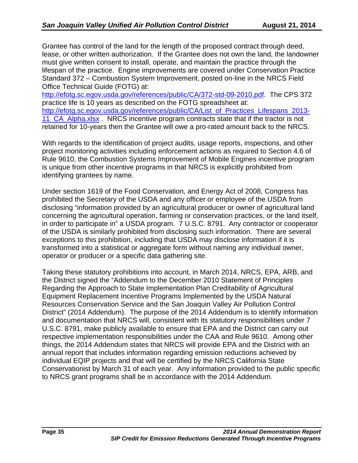Grantee has control of the land for the length of the proposed contract through deed, lease, or other written authorization. If the Grantee does not own the land, the landowner must give written consent to install, operate, and maintain the practice through the lifespan of the practice. Engine improvements are covered under Conservation Practice Standard 372 – Combustion System Improvement, posted on-line in the NRCS Field Office Technical Guide (FOTG) at:

http://efotg.sc.egov.usda.gov/references/public/CA/372-std-09-2010.pdf. The CPS 372 practice life is 10 years as described on the FOTG spreadsheet at: http://efotg.sc.egov.usda.gov/references/public/CA/List\_of\_Practices\_Lifespans\_2013-11\_CA\_Alpha.xlsx . NRCS incentive program contracts state that if the tractor is not retained for 10-years then the Grantee will owe a pro-rated amount back to the NRCS.

With regards to the identification of project audits, usage reports, inspections, and other project monitoring activities including enforcement actions as required to Section 4.6 of Rule 9610, the Combustion Systems Improvement of Mobile Engines incentive program is unique from other incentive programs in that NRCS is explicitly prohibited from identifying grantees by name.

Under section 1619 of the Food Conservation, and Energy Act of 2008, Congress has prohibited the Secretary of the USDA and any officer or employee of the USDA from disclosing "information provided by an agricultural producer or owner of agricultural land concerning the agricultural operation, farming or conservation practices, or the land itself, in order to participate in" a USDA program. 7 U.S.C. 8791. Any contractor or cooperator of the USDA is similarly prohibited from disclosing such information. There are several exceptions to this prohibition, including that USDA may disclose information if it is transformed into a statistical or aggregate form without naming any individual owner, operator or producer or a specific data gathering site.

Taking these statutory prohibitions into account, in March 2014, NRCS, EPA, ARB, and the District signed the "Addendum to the December 2010 Statement of Principles Regarding the Approach to State Implementation Plan Creditability of Agricultural Equipment Replacement Incentive Programs Implemented by the USDA Natural Resources Conservation Service and the San Joaquin Valley Air Pollution Control District" (2014 Addendum). The purpose of the 2014 Addendum is to identify information and documentation that NRCS will, consistent with its statutory responsibilities under 7 U.S.C. 8791, make publicly available to ensure that EPA and the District can carry out respective implementation responsibilities under the CAA and Rule 9610. Among other things, the 2014 Addendum states that NRCS will provide EPA and the District with an annual report that includes information regarding emission reductions achieved by individual EQIP projects and that will be certified by the NRCS California State Conservationist by March 31 of each year. Any information provided to the public specific to NRCS grant programs shall be in accordance with the 2014 Addendum.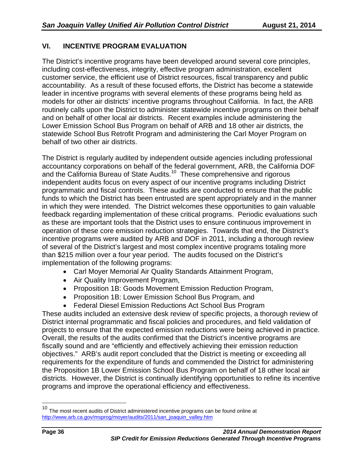### **VI. INCENTIVE PROGRAM EVALUATION**

The District's incentive programs have been developed around several core principles, including cost-effectiveness, integrity, effective program administration, excellent customer service, the efficient use of District resources, fiscal transparency and public accountability. As a result of these focused efforts, the District has become a statewide leader in incentive programs with several elements of these programs being held as models for other air districts' incentive programs throughout California. In fact, the ARB routinely calls upon the District to administer statewide incentive programs on their behalf and on behalf of other local air districts. Recent examples include administering the Lower Emission School Bus Program on behalf of ARB and 18 other air districts, the statewide School Bus Retrofit Program and administering the Carl Moyer Program on behalf of two other air districts.

The District is regularly audited by independent outside agencies including professional accountancy corporations on behalf of the federal government, ARB, the California DOF and the California Bureau of State Audits.<sup>10</sup> These comprehensive and rigorous independent audits focus on every aspect of our incentive programs including District programmatic and fiscal controls. These audits are conducted to ensure that the public funds to which the District has been entrusted are spent appropriately and in the manner in which they were intended. The District welcomes these opportunities to gain valuable feedback regarding implementation of these critical programs. Periodic evaluations such as these are important tools that the District uses to ensure continuous improvement in operation of these core emission reduction strategies. Towards that end, the District's incentive programs were audited by ARB and DOF in 2011, including a thorough review of several of the District's largest and most complex incentive programs totaling more than \$215 million over a four year period. The audits focused on the District's implementation of the following programs:

- Carl Moyer Memorial Air Quality Standards Attainment Program,
- Air Quality Improvement Program,
- Proposition 1B: Goods Movement Emission Reduction Program,
- Proposition 1B: Lower Emission School Bus Program, and
- Federal Diesel Emission Reductions Act School Bus Program

These audits included an extensive desk review of specific projects, a thorough review of District internal programmatic and fiscal policies and procedures, and field validation of projects to ensure that the expected emission reductions were being achieved in practice. Overall, the results of the audits confirmed that the District's incentive programs are fiscally sound and are "efficiently and effectively achieving their emission reduction objectives." ARB's audit report concluded that the District is meeting or exceeding all requirements for the expenditure of funds and commended the District for administering the Proposition 1B Lower Emission School Bus Program on behalf of 18 other local air districts. However, the District is continually identifying opportunities to refine its incentive programs and improve the operational efficiency and effectiveness.

 $\overline{a}$ 

 $10$  The most recent audits of District administered incentive programs can be found online at http://www.arb.ca.gov/msprog/mover/audits/2011/san\_joaquin\_valley.htm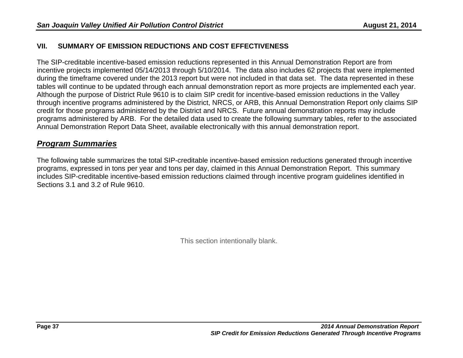### **VII. SUMMARY OF EMISSION REDUCTIONS AND COST EFFECTIVENESS**

The SIP-creditable incentive-based emission reductions represented in this Annual Demonstration Report are from incentive projects implemented 05/14/2013 through 5/10/2014. The data also includes 62 projects that were implemented during the timeframe covered under the 2013 report but were not included in that data set. The data represented in these tables will continue to be updated through each annual demonstration report as more projects are implemented each year. Although the purpose of District Rule 9610 is to claim SIP credit for incentive-based emission reductions in the Valley through incentive programs administered by the District, NRCS, or ARB, this Annual Demonstration Report only claims SIP credit for those programs administered by the District and NRCS. Future annual demonstration reports may include programs administered by ARB. For the detailed data used to create the following summary tables, refer to the associated Annual Demonstration Report Data Sheet, available electronically with this annual demonstration report.

# *Program Summaries*

The following table summarizes the total SIP-creditable incentive-based emission reductions generated through incentive programs, expressed in tons per year and tons per day, claimed in this Annual Demonstration Report. This summary includes SIP-creditable incentive-based emission reductions claimed through incentive program guidelines identified in Sections 3.1 and 3.2 of Rule 9610.

This section intentionally blank.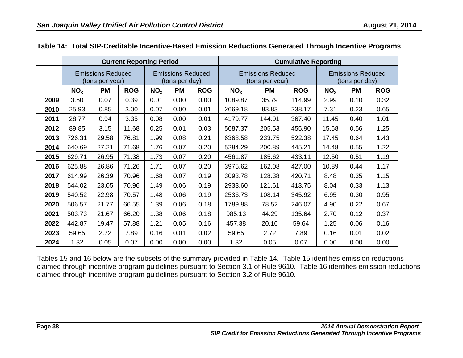|      |                 |                                             | <b>Current Reporting Period</b> |                                            |           |            | <b>Cumulative Reporting</b>                 |           |            |                                            |           |            |
|------|-----------------|---------------------------------------------|---------------------------------|--------------------------------------------|-----------|------------|---------------------------------------------|-----------|------------|--------------------------------------------|-----------|------------|
|      |                 | <b>Emissions Reduced</b><br>(tons per year) |                                 | <b>Emissions Reduced</b><br>(tons per day) |           |            | <b>Emissions Reduced</b><br>(tons per year) |           |            | <b>Emissions Reduced</b><br>(tons per day) |           |            |
|      | NO <sub>x</sub> | PM                                          | <b>ROG</b>                      | NO <sub>x</sub>                            | <b>PM</b> | <b>ROG</b> | NO <sub>x</sub>                             | <b>PM</b> | <b>ROG</b> | NO <sub>x</sub>                            | <b>PM</b> | <b>ROG</b> |
| 2009 | 3.50            | 0.07                                        | 0.39                            | 0.01                                       | 0.00      | 0.00       | 1089.87                                     | 35.79     | 114.99     | 2.99                                       | 0.10      | 0.32       |
| 2010 | 25.93           | 0.85                                        | 3.00                            | 0.07                                       | 0.00      | 0.01       | 2669.18                                     | 83.83     | 238.17     | 7.31                                       | 0.23      | 0.65       |
| 2011 | 28.77           | 0.94                                        | 3.35                            | 0.08                                       | 0.00      | 0.01       | 4179.77                                     | 144.91    | 367.40     | 11.45                                      | 0.40      | 1.01       |
| 2012 | 89.85           | 3.15                                        | 11.68                           | 0.25                                       | 0.01      | 0.03       | 5687.37                                     | 205.53    | 455.90     | 15.58                                      | 0.56      | 1.25       |
| 2013 | 726.31          | 29.58                                       | 76.81                           | 1.99                                       | 0.08      | 0.21       | 6368.58                                     | 233.75    | 522.38     | 17.45                                      | 0.64      | 1.43       |
| 2014 | 640.69          | 27.21                                       | 71.68                           | 1.76                                       | 0.07      | 0.20       | 5284.29                                     | 200.89    | 445.21     | 14.48                                      | 0.55      | 1.22       |
| 2015 | 629.71          | 26.95                                       | 71.38                           | 1.73                                       | 0.07      | 0.20       | 4561.87                                     | 185.62    | 433.11     | 12.50                                      | 0.51      | 1.19       |
| 2016 | 625.88          | 26.86                                       | 71.26                           | 1.71                                       | 0.07      | 0.20       | 3975.62                                     | 162.08    | 427.00     | 10.89                                      | 0.44      | 1.17       |
| 2017 | 614.99          | 26.39                                       | 70.96                           | 1.68                                       | 0.07      | 0.19       | 3093.78                                     | 128.38    | 420.71     | 8.48                                       | 0.35      | 1.15       |
| 2018 | 544.02          | 23.05                                       | 70.96                           | 1.49                                       | 0.06      | 0.19       | 2933.60                                     | 121.61    | 413.75     | 8.04                                       | 0.33      | 1.13       |
| 2019 | 540.52          | 22.98                                       | 70.57                           | 1.48                                       | 0.06      | 0.19       | 2536.73                                     | 108.14    | 345.92     | 6.95                                       | 0.30      | 0.95       |
| 2020 | 506.57          | 21.77                                       | 66.55                           | 1.39                                       | 0.06      | 0.18       | 1789.88                                     | 78.52     | 246.07     | 4.90                                       | 0.22      | 0.67       |
| 2021 | 503.73          | 21.67                                       | 66.20                           | 1.38                                       | 0.06      | 0.18       | 985.13                                      | 44.29     | 135.64     | 2.70                                       | 0.12      | 0.37       |
| 2022 | 442.87          | 19.47                                       | 57.88                           | 1.21                                       | 0.05      | 0.16       | 457.38                                      | 20.10     | 59.64      | 1.25                                       | 0.06      | 0.16       |
| 2023 | 59.65           | 2.72                                        | 7.89                            | 0.16                                       | 0.01      | 0.02       | 59.65                                       | 2.72      | 7.89       | 0.16                                       | 0.01      | 0.02       |
| 2024 | 1.32            | 0.05                                        | 0.07                            | 0.00                                       | 0.00      | 0.00       | 1.32                                        | 0.05      | 0.07       | 0.00                                       | 0.00      | 0.00       |

#### **Table 14: Total SIP-Creditable Incentive-Based Emission Reductions Generated Through Incentive Programs**

Tables 15 and 16 below are the subsets of the summary provided in Table 14. Table 15 identifies emission reductions claimed through incentive program guidelines pursuant to Section 3.1 of Rule 9610. Table 16 identifies emission reductions claimed through incentive program guidelines pursuant to Section 3.2 of Rule 9610.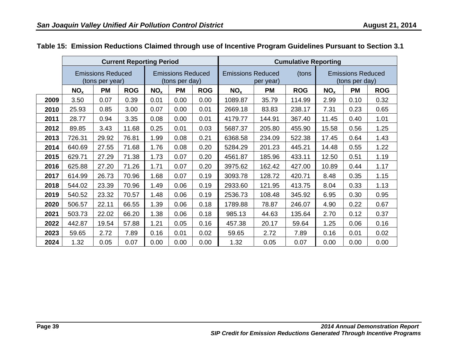|      |                 |                                             | <b>Current Reporting Period</b> |                                            |           |            | <b>Cumulative Reporting</b> |           |            |                                            |           |            |  |  |
|------|-----------------|---------------------------------------------|---------------------------------|--------------------------------------------|-----------|------------|-----------------------------|-----------|------------|--------------------------------------------|-----------|------------|--|--|
|      |                 | <b>Emissions Reduced</b><br>(tons per year) |                                 | <b>Emissions Reduced</b><br>(tons per day) |           |            | <b>Emissions Reduced</b>    | per year) | (tons      | <b>Emissions Reduced</b><br>(tons per day) |           |            |  |  |
|      | NO <sub>x</sub> | PМ                                          | <b>ROG</b>                      | NO <sub>x</sub>                            | <b>PM</b> | <b>ROG</b> | NO <sub>x</sub>             | <b>PM</b> | <b>ROG</b> | NO <sub>x</sub>                            | <b>PM</b> | <b>ROG</b> |  |  |
| 2009 | 3.50            | 0.07                                        | 0.39                            | 0.01                                       | 0.00      | 0.00       | 1089.87                     | 35.79     | 114.99     | 2.99                                       | 0.10      | 0.32       |  |  |
| 2010 | 25.93           | 0.85                                        | 3.00                            | 0.07                                       | 0.00      | 0.01       | 2669.18                     | 83.83     | 238.17     | 7.31                                       | 0.23      | 0.65       |  |  |
| 2011 | 28.77           | 0.94                                        | 3.35                            | 0.08                                       | 0.00      | 0.01       | 4179.77                     | 144.91    | 367.40     | 11.45                                      | 0.40      | 1.01       |  |  |
| 2012 | 89.85           | 3.43                                        | 11.68                           | 0.25                                       | 0.01      | 0.03       | 5687.37                     | 205.80    | 455.90     | 15.58                                      | 0.56      | 1.25       |  |  |
| 2013 | 726.31          | 29.92                                       | 76.81                           | 1.99                                       | 0.08      | 0.21       | 6368.58                     | 234.09    | 522.38     | 17.45                                      | 0.64      | 1.43       |  |  |
| 2014 | 640.69          | 27.55                                       | 71.68                           | 1.76                                       | 0.08      | 0.20       | 5284.29                     | 201.23    | 445.21     | 14.48                                      | 0.55      | 1.22       |  |  |
| 2015 | 629.71          | 27.29                                       | 71.38                           | 1.73                                       | 0.07      | 0.20       | 4561.87                     | 185.96    | 433.11     | 12.50                                      | 0.51      | 1.19       |  |  |
| 2016 | 625.88          | 27.20                                       | 71.26                           | 1.71                                       | 0.07      | 0.20       | 3975.62                     | 162.42    | 427.00     | 10.89                                      | 0.44      | 1.17       |  |  |
| 2017 | 614.99          | 26.73                                       | 70.96                           | 1.68                                       | 0.07      | 0.19       | 3093.78                     | 128.72    | 420.71     | 8.48                                       | 0.35      | 1.15       |  |  |
| 2018 | 544.02          | 23.39                                       | 70.96                           | 1.49                                       | 0.06      | 0.19       | 2933.60                     | 121.95    | 413.75     | 8.04                                       | 0.33      | 1.13       |  |  |
| 2019 | 540.52          | 23.32                                       | 70.57                           | 1.48                                       | 0.06      | 0.19       | 2536.73                     | 108.48    | 345.92     | 6.95                                       | 0.30      | 0.95       |  |  |
| 2020 | 506.57          | 22.11                                       | 66.55                           | 1.39                                       | 0.06      | 0.18       | 1789.88                     | 78.87     | 246.07     | 4.90                                       | 0.22      | 0.67       |  |  |
| 2021 | 503.73          | 22.02                                       | 66.20                           | 1.38                                       | 0.06      | 0.18       | 985.13                      | 44.63     | 135.64     | 2.70                                       | 0.12      | 0.37       |  |  |
| 2022 | 442.87          | 19.54                                       | 57.88                           | 1.21                                       | 0.05      | 0.16       | 457.38                      | 20.17     | 59.64      | 1.25                                       | 0.06      | 0.16       |  |  |
| 2023 | 59.65           | 2.72                                        | 7.89                            | 0.16                                       | 0.01      | 0.02       | 59.65                       | 2.72      | 7.89       | 0.16                                       | 0.01      | 0.02       |  |  |
| 2024 | 1.32            | 0.05                                        | 0.07                            | 0.00                                       | 0.00      | 0.00       | 1.32                        | 0.05      | 0.07       | 0.00                                       | 0.00      | 0.00       |  |  |

### **Table 15: Emission Reductions Claimed through use of Incentive Program Guidelines Pursuant to Section 3.1**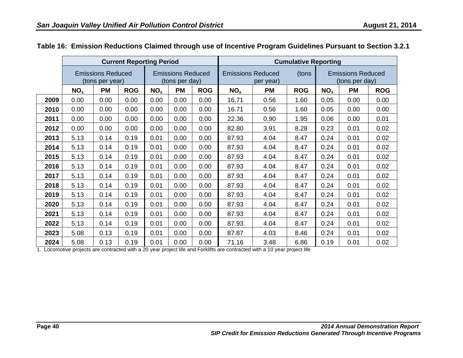|      |                 |                                             | <b>Current Reporting Period</b> |                                            |           |            | <b>Cumulative Reporting</b>  |           |                                   |                 |                |            |  |  |
|------|-----------------|---------------------------------------------|---------------------------------|--------------------------------------------|-----------|------------|------------------------------|-----------|-----------------------------------|-----------------|----------------|------------|--|--|
|      |                 | <b>Emissions Reduced</b><br>(tons per year) |                                 | <b>Emissions Reduced</b><br>(tons per day) |           |            | <b>Emissions Reduced</b>     | per year) | (tons<br><b>Emissions Reduced</b> |                 | (tons per day) |            |  |  |
|      | NO <sub>x</sub> | <b>PM</b>                                   | <b>ROG</b>                      | NO <sub>x</sub>                            | <b>PM</b> | <b>ROG</b> | NO <sub>x</sub><br><b>PM</b> |           | <b>ROG</b>                        | NO <sub>x</sub> | <b>PM</b>      | <b>ROG</b> |  |  |
| 2009 | 0.00            | 0.00                                        | 0.00                            | 0.00                                       | 0.00      | 0.00       | 16.71                        | 0.56      | 1.60                              | 0.05            | 0.00           | 0.00       |  |  |
| 2010 | 0.00            | 0.00                                        | 0.00                            | 0.00                                       | 0.00      | 0.00       | 16.71                        | 0.56      | 1.60                              | 0.05            | 0.00           | 0.00       |  |  |
| 2011 | 0.00            | 0.00                                        | 0.00                            | 0.00                                       | 0.00      | 0.00       | 22.36                        | 0.90      | 1.95                              | 0.06            | 0.00           | 0.01       |  |  |
| 2012 | 0.00            | 0.00                                        | 0.00                            | 0.00                                       | 0.00      | 0.00       | 82.80                        | 3.91      | 8.28                              | 0.23            | 0.01           | 0.02       |  |  |
| 2013 | 5.13            | 0.14                                        | 0.19                            | 0.01                                       | 0.00      | 0.00       | 87.93                        | 4.04      | 8.47                              | 0.24            | 0.01           | 0.02       |  |  |
| 2014 | 5.13            | 0.14                                        | 0.19                            | 0.01                                       | 0.00      | 0.00       | 87.93                        | 4.04      | 8.47                              | 0.24            | 0.01           | 0.02       |  |  |
| 2015 | 5.13            | 0.14                                        | 0.19                            | 0.01                                       | 0.00      | 0.00       | 87.93                        | 4.04      | 8.47                              | 0.24            | 0.01           | 0.02       |  |  |
| 2016 | 5.13            | 0.14                                        | 0.19                            | 0.01                                       | 0.00      | 0.00       | 87.93                        | 4.04      | 8.47                              | 0.24            | 0.01           | 0.02       |  |  |
| 2017 | 5.13            | 0.14                                        | 0.19                            | 0.01                                       | 0.00      | 0.00       | 87.93                        | 4.04      | 8.47                              | 0.24            | 0.01           | 0.02       |  |  |
| 2018 | 5.13            | 0.14                                        | 0.19                            | 0.01                                       | 0.00      | 0.00       | 87.93                        | 4.04      | 8.47                              | 0.24            | 0.01           | 0.02       |  |  |
| 2019 | 5.13            | 0.14                                        | 0.19                            | 0.01                                       | 0.00      | 0.00       | 87.93                        | 4.04      | 8.47                              | 0.24            | 0.01           | 0.02       |  |  |
| 2020 | 5.13            | 0.14                                        | 0.19                            | 0.01                                       | 0.00      | 0.00       | 87.93                        | 4.04      | 8.47                              | 0.24            | 0.01           | 0.02       |  |  |
| 2021 | 5.13            | 0.14                                        | 0.19                            | 0.01                                       | 0.00      | 0.00       | 87.93                        | 4.04      | 8.47                              | 0.24            | 0.01           | 0.02       |  |  |
| 2022 | 5.13            | 0.14                                        | 0.19                            | 0.01                                       | 0.00      | 0.00       | 87.93                        | 4.04      | 8.47                              | 0.24            | 0.01           | 0.02       |  |  |
| 2023 | 5.08            | 0.13                                        | 0.19                            | 0.01                                       | 0.00      | 0.00       | 87.87                        | 4.03      | 8.46                              | 0.24            | 0.01           | 0.02       |  |  |
| 2024 | 5.08            | 0.13                                        | 0.19                            | 0.01                                       | 0.00      | 0.00       | 71.16                        | 3.48      | 6.86                              | 0.19            | 0.01           | 0.02       |  |  |

#### **Table 16: Emission Reductions Claimed through use of Incentive Program Guidelines Pursuant to Section 3.2.1**

1. Locomotive projects are contracted with a 20 year project life and Forklifts are contracted with a 10 year project life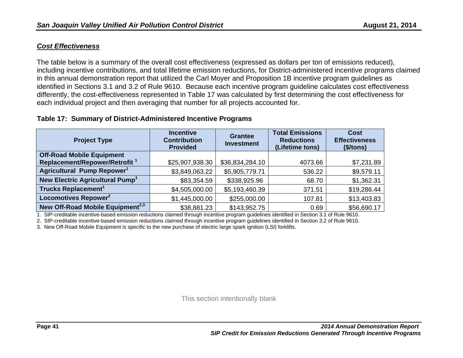#### *Cost Effectiveness*

The table below is a summary of the overall cost effectiveness (expressed as dollars per ton of emissions reduced), including incentive contributions, and total lifetime emission reductions, for District-administered incentive programs claimed in this annual demonstration report that utilized the Carl Moyer and Proposition 1B incentive program guidelines as identified in Sections 3.1 and 3.2 of Rule 9610. Because each incentive program guideline calculates cost effectiveness differently, the cost-effectiveness represented in Table 17 was calculated by first determining the cost effectiveness for each individual project and then averaging that number for all projects accounted for.

#### **Table 17: Summary of District-Administered Incentive Programs**

| <b>Project Type</b>                          | <b>Incentive</b><br><b>Contribution</b><br><b>Provided</b> | <b>Grantee</b><br><b>Investment</b> | <b>Total Emissions</b><br><b>Reductions</b><br>(Lifetime tons) | <b>Cost</b><br><b>Effectiveness</b><br>(\$/tons) |
|----------------------------------------------|------------------------------------------------------------|-------------------------------------|----------------------------------------------------------------|--------------------------------------------------|
| <b>Off-Road Mobile Equipment</b>             |                                                            |                                     |                                                                |                                                  |
| Replacement/Repower/Retrofit <sup>1</sup>    | \$25,907,938.30                                            | \$36,834,284.10                     | 4073.66                                                        | \$7,231.89                                       |
| Agricultural Pump Repower <sup>1</sup>       | \$3,849,063.22                                             | \$5,905,779.71                      | 536.22                                                         | \$9,579.11                                       |
| New Electric Agricultural Pump <sup>1</sup>  | \$83,354.59                                                | \$338,925.96                        | 68.70                                                          | \$1,362.31                                       |
| Trucks Replacement <sup>1</sup>              | \$4,505,000.00                                             | \$5,193,460.39                      | 371.51                                                         | \$19,286.44                                      |
| Locomotives Repower <sup>2</sup>             | \$1,445,000.00                                             | \$255,000.00                        | 107.81                                                         | \$13,403.83                                      |
| New Off-Road Mobile Equipment <sup>2,3</sup> | \$38,881.23                                                | \$143,952.75                        | 0.69                                                           | \$56,690.17                                      |

1. SIP-creditable incentive-based emission reductions claimed through incentive program guidelines identified in Section 3.1 of Rule 9610.

2. SIP-creditable incentive-based emission reductions claimed through incentive program guidelines identified in Section 3.2 of Rule 9610.

3. New Off-Road Mobile Equipment is specific to the new purchase of electric large spark ignition (LSI) forklifts.

This section intentionally blank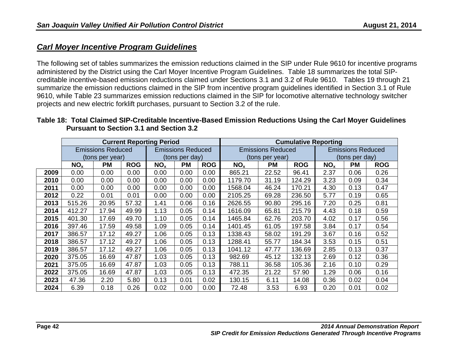## *Carl Moyer Incentive Program Guidelines*

The following set of tables summarizes the emission reductions claimed in the SIP under Rule 9610 for incentive programs administered by the District using the Carl Moyer Incentive Program Guidelines. Table 18 summarizes the total SIPcreditable incentive-based emission reductions claimed under Sections 3.1 and 3.2 of Rule 9610. Tables 19 through 21 summarize the emission reductions claimed in the SIP from incentive program guidelines identified in Section 3.1 of Rule 9610, while Table 23 summarizes emission reductions claimed in the SIP for locomotive alternative technology switcher projects and new electric forklift purchases, pursuant to Section 3.2 of the rule.

|      |                 |                          |            | <b>Current Reporting Period</b> |                          |            | <b>Cumulative Reporting</b> |                          |            |                 |                          |            |  |
|------|-----------------|--------------------------|------------|---------------------------------|--------------------------|------------|-----------------------------|--------------------------|------------|-----------------|--------------------------|------------|--|
|      |                 | <b>Emissions Reduced</b> |            |                                 | <b>Emissions Reduced</b> |            |                             | <b>Emissions Reduced</b> |            |                 | <b>Emissions Reduced</b> |            |  |
|      |                 | (tons per year)          |            | (tons per day)                  |                          |            | (tons per year)             |                          |            | (tons per day)  |                          |            |  |
|      | NO <sub>x</sub> | PM                       | <b>ROG</b> | NO <sub>x</sub>                 | <b>PM</b>                | <b>ROG</b> | NO <sub>x</sub>             | <b>PM</b>                | <b>ROG</b> | NO <sub>x</sub> | <b>PM</b>                | <b>ROG</b> |  |
| 2009 | 0.00            | 0.00                     | 0.00       | 0.00                            | 0.00                     | 0.00       | 865.21                      | 22.52                    | 96.41      | 2.37            | 0.06                     | 0.26       |  |
| 2010 | 0.00            | 0.00                     | 0.00       | 0.00                            | 0.00                     | 0.00       | 1179.70                     | 31.19                    | 124.29     | 3.23            | 0.09                     | 0.34       |  |
| 2011 | 0.00            | 0.00                     | 0.00       | 0.00                            | 0.00                     | 0.00       | 1568.04                     | 46.24                    | 170.21     | 4.30            | 0.13                     | 0.47       |  |
| 2012 | 0.22            | 0.01                     | 0.01       | 0.00                            | 0.00                     | 0.00       | 2105.25                     | 69.28                    | 236.50     | 5.77            | 0.19                     | 0.65       |  |
| 2013 | 515.26          | 20.95                    | 57.32      | 1.41                            | 0.06                     | 0.16       | 2626.55                     | 90.80                    | 295.16     | 7.20            | 0.25                     | 0.81       |  |
| 2014 | 412.27          | 17.94                    | 49.99      | 1.13                            | 0.05                     | 0.14       | 1616.09                     | 65.81                    | 215.79     | 4.43            | 0.18                     | 0.59       |  |
| 2015 | 401.30          | 17.69                    | 49.70      | 1.10                            | 0.05                     | 0.14       | 1465.84                     | 62.76                    | 203.70     | 4.02            | 0.17                     | 0.56       |  |
| 2016 | 397.46          | 17.59                    | 49.58      | 1.09                            | 0.05                     | 0.14       | 1401.45                     | 61.05                    | 197.58     | 3.84            | 0.17                     | 0.54       |  |
| 2017 | 386.57          | 17.12                    | 49.27      | 1.06                            | 0.05                     | 0.13       | 1338.43                     | 58.02                    | 191.29     | 3.67            | 0.16                     | 0.52       |  |
| 2018 | 386.57          | 17.12                    | 49.27      | 1.06                            | 0.05                     | 0.13       | 1288.41                     | 55.77                    | 184.34     | 3.53            | 0.15                     | 0.51       |  |
| 2019 | 386.57          | 17.12                    | 49.27      | 1.06                            | 0.05                     | 0.13       | 1041.12                     | 47.77                    | 136.69     | 2.85            | 0.13                     | 0.37       |  |
| 2020 | 375.05          | 16.69                    | 47.87      | 1.03                            | 0.05                     | 0.13       | 982.69                      | 45.12                    | 132.13     | 2.69            | 0.12                     | 0.36       |  |
| 2021 | 375.05          | 16.69                    | 47.87      | 1.03                            | 0.05                     | 0.13       | 788.11                      | 36.58                    | 105.36     | 2.16            | 0.10                     | 0.29       |  |
| 2022 | 375.05          | 16.69                    | 47.87      | 1.03                            | 0.05                     | 0.13       | 472.35                      | 21.22                    | 57.90      | 1.29            | 0.06                     | 0.16       |  |
| 2023 | 47.36           | 2.20                     | 5.80       | 0.13                            | 0.01                     | 0.02       | 130.15                      | 6.11                     | 14.08      | 0.36            | 0.02                     | 0.04       |  |
| 2024 | 6.39            | 0.18                     | 0.26       | 0.02                            | 0.00                     | 0.00       | 72.48                       | 3.53                     | 6.93       | 0.20            | 0.01                     | 0.02       |  |

#### **Table 18: Total Claimed SIP-Creditable Incentive-Based Emission Reductions Using the Carl Moyer Guidelines Pursuant to Section 3.1 and Section 3.2**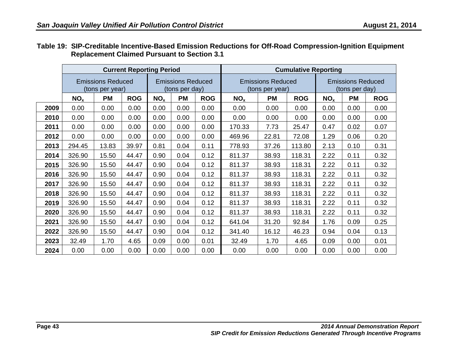|      |                 |                                             | <b>Current Reporting Period</b> |                                            |           |            | <b>Cumulative Reporting</b>                 |           |            |                                            |      |            |  |  |
|------|-----------------|---------------------------------------------|---------------------------------|--------------------------------------------|-----------|------------|---------------------------------------------|-----------|------------|--------------------------------------------|------|------------|--|--|
|      |                 | <b>Emissions Reduced</b><br>(tons per year) |                                 | <b>Emissions Reduced</b><br>(tons per day) |           |            | <b>Emissions Reduced</b><br>(tons per year) |           |            | <b>Emissions Reduced</b><br>(tons per day) |      |            |  |  |
|      | NO <sub>x</sub> | <b>PM</b>                                   | <b>ROG</b>                      | NO <sub>x</sub>                            | <b>PM</b> | <b>ROG</b> | NO <sub>x</sub>                             | <b>PM</b> | <b>ROG</b> | NO <sub>x</sub>                            | PM   | <b>ROG</b> |  |  |
| 2009 | 0.00            | 0.00                                        | 0.00                            | 0.00                                       | 0.00      | 0.00       | 0.00                                        | 0.00      | 0.00       | 0.00                                       | 0.00 | 0.00       |  |  |
| 2010 | 0.00            | 0.00                                        | 0.00                            | 0.00                                       | 0.00      | 0.00       | 0.00                                        | 0.00      | 0.00       | 0.00                                       | 0.00 | 0.00       |  |  |
| 2011 | 0.00            | 0.00                                        | 0.00                            | 0.00                                       | 0.00      | 0.00       | 170.33                                      | 7.73      | 25.47      | 0.47                                       | 0.02 | 0.07       |  |  |
| 2012 | 0.00            | 0.00                                        | 0.00                            | 0.00                                       | 0.00      | 0.00       | 469.96                                      | 22.81     | 72.08      | 1.29                                       | 0.06 | 0.20       |  |  |
| 2013 | 294.45          | 13.83                                       | 39.97                           | 0.81                                       | 0.04      | 0.11       | 778.93                                      | 37.26     | 113.80     | 2.13                                       | 0.10 | 0.31       |  |  |
| 2014 | 326.90          | 15.50                                       | 44.47                           | 0.90                                       | 0.04      | 0.12       | 811.37                                      | 38.93     | 118.31     | 2.22                                       | 0.11 | 0.32       |  |  |
| 2015 | 326.90          | 15.50                                       | 44.47                           | 0.90                                       | 0.04      | 0.12       | 811.37                                      | 38.93     | 118.31     | 2.22                                       | 0.11 | 0.32       |  |  |
| 2016 | 326.90          | 15.50                                       | 44.47                           | 0.90                                       | 0.04      | 0.12       | 811.37                                      | 38.93     | 118.31     | 2.22                                       | 0.11 | 0.32       |  |  |
| 2017 | 326.90          | 15.50                                       | 44.47                           | 0.90                                       | 0.04      | 0.12       | 811.37                                      | 38.93     | 118.31     | 2.22                                       | 0.11 | 0.32       |  |  |
| 2018 | 326.90          | 15.50                                       | 44.47                           | 0.90                                       | 0.04      | 0.12       | 811.37                                      | 38.93     | 118.31     | 2.22                                       | 0.11 | 0.32       |  |  |
| 2019 | 326.90          | 15.50                                       | 44.47                           | 0.90                                       | 0.04      | 0.12       | 811.37                                      | 38.93     | 118.31     | 2.22                                       | 0.11 | 0.32       |  |  |
| 2020 | 326.90          | 15.50                                       | 44.47                           | 0.90                                       | 0.04      | 0.12       | 811.37                                      | 38.93     | 118.31     | 2.22                                       | 0.11 | 0.32       |  |  |
| 2021 | 326.90          | 15.50                                       | 44.47                           | 0.90                                       | 0.04      | 0.12       | 641.04                                      | 31.20     | 92.84      | 1.76                                       | 0.09 | 0.25       |  |  |
| 2022 | 326.90          | 15.50                                       | 44.47                           | 0.90                                       | 0.04      | 0.12       | 341.40                                      | 16.12     | 46.23      | 0.94                                       | 0.04 | 0.13       |  |  |
| 2023 | 32.49           | 1.70                                        | 4.65                            | 0.09                                       | 0.00      | 0.01       | 32.49                                       | 1.70      | 4.65       | 0.09                                       | 0.00 | 0.01       |  |  |
| 2024 | 0.00            | 0.00                                        | 0.00                            | 0.00                                       | 0.00      | 0.00       | 0.00                                        | 0.00      | 0.00       | 0.00                                       | 0.00 | 0.00       |  |  |

#### **Table 19: SIP-Creditable Incentive-Based Emission Reductions for Off-Road Compression-Ignition Equipment Replacement Claimed Pursuant to Section 3.1**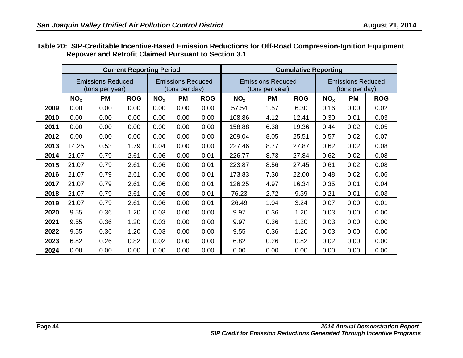|      |                 |                                             | <b>Current Reporting Period</b> |                                            |           |            | <b>Cumulative Reporting</b>                 |           |            |                                            |           |            |  |  |
|------|-----------------|---------------------------------------------|---------------------------------|--------------------------------------------|-----------|------------|---------------------------------------------|-----------|------------|--------------------------------------------|-----------|------------|--|--|
|      |                 | <b>Emissions Reduced</b><br>(tons per year) |                                 | <b>Emissions Reduced</b><br>(tons per day) |           |            | <b>Emissions Reduced</b><br>(tons per year) |           |            | <b>Emissions Reduced</b><br>(tons per day) |           |            |  |  |
|      | NO <sub>x</sub> | <b>PM</b>                                   | <b>ROG</b>                      | NO <sub>x</sub>                            | <b>PM</b> | <b>ROG</b> | NO <sub>x</sub>                             | <b>PM</b> | <b>ROG</b> | NO <sub>x</sub>                            | <b>PM</b> | <b>ROG</b> |  |  |
| 2009 | 0.00            | 0.00                                        | 0.00                            | 0.00                                       | 0.00      | 0.00       | 57.54                                       | 1.57      | 6.30       | 0.16                                       | 0.00      | 0.02       |  |  |
| 2010 | 0.00            | 0.00                                        | 0.00                            | 0.00                                       | 0.00      | 0.00       | 108.86                                      | 4.12      | 12.41      | 0.30                                       | 0.01      | 0.03       |  |  |
| 2011 | 0.00            | 0.00                                        | 0.00                            | 0.00                                       | 0.00      | 0.00       | 158.88                                      | 6.38      | 19.36      | 0.44                                       | 0.02      | 0.05       |  |  |
| 2012 | 0.00            | 0.00                                        | 0.00                            | 0.00                                       | 0.00      | 0.00       | 209.04                                      | 8.05      | 25.51      | 0.57                                       | 0.02      | 0.07       |  |  |
| 2013 | 14.25           | 0.53                                        | 1.79                            | 0.04                                       | 0.00      | 0.00       | 227.46                                      | 8.77      | 27.87      | 0.62                                       | 0.02      | 0.08       |  |  |
| 2014 | 21.07           | 0.79                                        | 2.61                            | 0.06                                       | 0.00      | 0.01       | 226.77                                      | 8.73      | 27.84      | 0.62                                       | 0.02      | 0.08       |  |  |
| 2015 | 21.07           | 0.79                                        | 2.61                            | 0.06                                       | 0.00      | 0.01       | 223.87                                      | 8.56      | 27.45      | 0.61                                       | 0.02      | 0.08       |  |  |
| 2016 | 21.07           | 0.79                                        | 2.61                            | 0.06                                       | 0.00      | 0.01       | 173.83                                      | 7.30      | 22.00      | 0.48                                       | 0.02      | 0.06       |  |  |
| 2017 | 21.07           | 0.79                                        | 2.61                            | 0.06                                       | 0.00      | 0.01       | 126.25                                      | 4.97      | 16.34      | 0.35                                       | 0.01      | 0.04       |  |  |
| 2018 | 21.07           | 0.79                                        | 2.61                            | 0.06                                       | 0.00      | 0.01       | 76.23                                       | 2.72      | 9.39       | 0.21                                       | 0.01      | 0.03       |  |  |
| 2019 | 21.07           | 0.79                                        | 2.61                            | 0.06                                       | 0.00      | 0.01       | 26.49                                       | 1.04      | 3.24       | 0.07                                       | 0.00      | 0.01       |  |  |
| 2020 | 9.55            | 0.36                                        | 1.20                            | 0.03                                       | 0.00      | 0.00       | 9.97                                        | 0.36      | 1.20       | 0.03                                       | 0.00      | 0.00       |  |  |
| 2021 | 9.55            | 0.36                                        | 1.20                            | 0.03                                       | 0.00      | 0.00       | 9.97                                        | 0.36      | 1.20       | 0.03                                       | 0.00      | 0.00       |  |  |
| 2022 | 9.55            | 0.36                                        | 1.20                            | 0.03                                       | 0.00      | 0.00       | 9.55                                        | 0.36      | 1.20       | 0.03                                       | 0.00      | 0.00       |  |  |
| 2023 | 6.82            | 0.26                                        | 0.82                            | 0.02                                       | 0.00      | 0.00       | 6.82                                        | 0.26      | 0.82       | 0.02                                       | 0.00      | 0.00       |  |  |
| 2024 | 0.00            | 0.00                                        | 0.00                            | 0.00                                       | 0.00      | 0.00       | 0.00                                        | 0.00      | 0.00       | 0.00                                       | 0.00      | 0.00       |  |  |

#### **Table 20: SIP-Creditable Incentive-Based Emission Reductions for Off-Road Compression-Ignition Equipment Repower and Retrofit Claimed Pursuant to Section 3.1**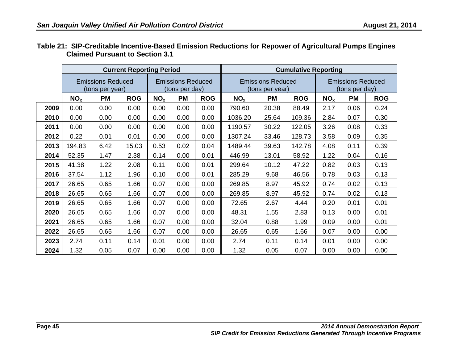|      |                 |                                             | <b>Current Reporting Period</b> |                                            |           |            | <b>Cumulative Reporting</b> |                                             |            |                                            |           |            |  |
|------|-----------------|---------------------------------------------|---------------------------------|--------------------------------------------|-----------|------------|-----------------------------|---------------------------------------------|------------|--------------------------------------------|-----------|------------|--|
|      |                 | <b>Emissions Reduced</b><br>(tons per year) |                                 | <b>Emissions Reduced</b><br>(tons per day) |           |            |                             | <b>Emissions Reduced</b><br>(tons per year) |            | <b>Emissions Reduced</b><br>(tons per day) |           |            |  |
|      | NO <sub>x</sub> | <b>PM</b>                                   | <b>ROG</b>                      | NO <sub>x</sub>                            | <b>PM</b> | <b>ROG</b> | NO <sub>x</sub>             | <b>PM</b>                                   | <b>ROG</b> | NO <sub>x</sub>                            | <b>PM</b> | <b>ROG</b> |  |
| 2009 | 0.00            | 0.00                                        | 0.00                            | 0.00                                       | 0.00      | 0.00       | 790.60                      | 20.38                                       | 88.49      | 2.17                                       | 0.06      | 0.24       |  |
| 2010 | 0.00            | 0.00                                        | 0.00                            | 0.00                                       | 0.00      | 0.00       | 1036.20                     | 25.64                                       | 109.36     | 2.84                                       | 0.07      | 0.30       |  |
| 2011 | 0.00            | 0.00                                        | 0.00                            | 0.00                                       | 0.00      | 0.00       | 1190.57                     | 30.22                                       | 122.05     | 3.26                                       | 0.08      | 0.33       |  |
| 2012 | 0.22            | 0.01                                        | 0.01                            | 0.00                                       | 0.00      | 0.00       | 1307.24                     | 33.46                                       | 128.73     | 3.58                                       | 0.09      | 0.35       |  |
| 2013 | 194.83          | 6.42                                        | 15.03                           | 0.53                                       | 0.02      | 0.04       | 1489.44                     | 39.63                                       | 142.78     | 4.08                                       | 0.11      | 0.39       |  |
| 2014 | 52.35           | 1.47                                        | 2.38                            | 0.14                                       | 0.00      | 0.01       | 446.99                      | 13.01                                       | 58.92      | 1.22                                       | 0.04      | 0.16       |  |
| 2015 | 41.38           | 1.22                                        | 2.08                            | 0.11                                       | 0.00      | 0.01       | 299.64                      | 10.12                                       | 47.22      | 0.82                                       | 0.03      | 0.13       |  |
| 2016 | 37.54           | 1.12                                        | 1.96                            | 0.10                                       | 0.00      | 0.01       | 285.29                      | 9.68                                        | 46.56      | 0.78                                       | 0.03      | 0.13       |  |
| 2017 | 26.65           | 0.65                                        | 1.66                            | 0.07                                       | 0.00      | 0.00       | 269.85                      | 8.97                                        | 45.92      | 0.74                                       | 0.02      | 0.13       |  |
| 2018 | 26.65           | 0.65                                        | 1.66                            | 0.07                                       | 0.00      | 0.00       | 269.85                      | 8.97                                        | 45.92      | 0.74                                       | 0.02      | 0.13       |  |
| 2019 | 26.65           | 0.65                                        | 1.66                            | 0.07                                       | 0.00      | 0.00       | 72.65                       | 2.67                                        | 4.44       | 0.20                                       | 0.01      | 0.01       |  |
| 2020 | 26.65           | 0.65                                        | 1.66                            | 0.07                                       | 0.00      | 0.00       | 48.31                       | 1.55                                        | 2.83       | 0.13                                       | 0.00      | 0.01       |  |
| 2021 | 26.65           | 0.65                                        | 1.66                            | 0.07                                       | 0.00      | 0.00       | 32.04                       | 0.88                                        | 1.99       | 0.09                                       | 0.00      | 0.01       |  |
| 2022 | 26.65           | 0.65                                        | 1.66                            | 0.07                                       | 0.00      | 0.00       | 26.65                       | 0.65                                        | 1.66       | 0.07                                       | 0.00      | 0.00       |  |
| 2023 | 2.74            | 0.11                                        | 0.14                            | 0.01                                       | 0.00      | 0.00       | 2.74                        | 0.11                                        | 0.14       | 0.01                                       | 0.00      | 0.00       |  |
| 2024 | 1.32            | 0.05                                        | 0.07                            | 0.00                                       | 0.00      | 0.00       | 1.32                        | 0.05                                        | 0.07       | 0.00                                       | 0.00      | 0.00       |  |

#### **Table 21: SIP-Creditable Incentive-Based Emission Reductions for Repower of Agricultural Pumps Engines Claimed Pursuant to Section 3.1**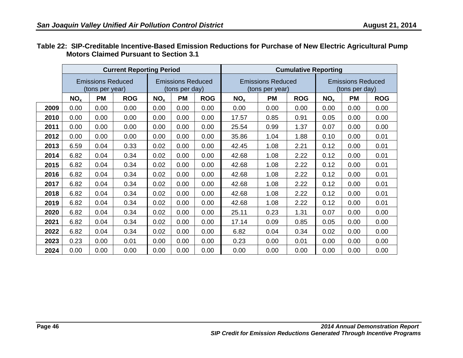|      |                 |                                             | <b>Current Reporting Period</b> |                 |                                            |            |                 |                                             | <b>Cumulative Reporting</b> |                 |                                            |            |
|------|-----------------|---------------------------------------------|---------------------------------|-----------------|--------------------------------------------|------------|-----------------|---------------------------------------------|-----------------------------|-----------------|--------------------------------------------|------------|
|      |                 | <b>Emissions Reduced</b><br>(tons per year) |                                 |                 | <b>Emissions Reduced</b><br>(tons per day) |            |                 | <b>Emissions Reduced</b><br>(tons per year) |                             |                 | <b>Emissions Reduced</b><br>(tons per day) |            |
|      | NO <sub>x</sub> | <b>PM</b>                                   | <b>ROG</b>                      | NO <sub>x</sub> | <b>PM</b>                                  | <b>ROG</b> | NO <sub>x</sub> | <b>PM</b>                                   | <b>ROG</b>                  | NO <sub>x</sub> | <b>PM</b>                                  | <b>ROG</b> |
| 2009 | 0.00            | 0.00                                        | 0.00                            | 0.00            | 0.00                                       | 0.00       | 0.00            | 0.00                                        | 0.00                        | 0.00            | 0.00                                       | 0.00       |
| 2010 | 0.00            | 0.00                                        | 0.00                            | 0.00            | 0.00                                       | 0.00       | 17.57           | 0.85                                        | 0.91                        | 0.05            | 0.00                                       | 0.00       |
| 2011 | 0.00            | 0.00                                        | 0.00                            | 0.00            | 0.00                                       | 0.00       | 25.54           | 0.99                                        | 1.37                        | 0.07            | 0.00                                       | 0.00       |
| 2012 | 0.00            | 0.00                                        | 0.00                            | 0.00            | 0.00<br>0.00                               |            | 35.86           | 1.04                                        | 1.88                        | 0.10            | 0.00                                       | 0.01       |
| 2013 | 6.59            | 0.04                                        | 0.33                            | 0.02            | 0.00<br>0.00                               |            | 42.45           | 1.08                                        | 2.21                        | 0.12            | 0.00                                       | 0.01       |
| 2014 | 6.82            | 0.04                                        | 0.34                            | 0.02            | 0.00                                       | 0.00       | 42.68           | 1.08                                        | 2.22                        | 0.12            | 0.00                                       | 0.01       |
| 2015 | 6.82            | 0.04                                        | 0.34                            | 0.02            | 0.00                                       | 0.00       | 42.68           | 1.08                                        | 2.22                        | 0.12            | 0.00                                       | 0.01       |
| 2016 | 6.82            | 0.04                                        | 0.34                            | 0.02            | 0.00                                       | 0.00       | 42.68           | 1.08                                        | 2.22                        | 0.12            | 0.00                                       | 0.01       |
| 2017 | 6.82            | 0.04                                        | 0.34                            | 0.02            | 0.00                                       | 0.00       | 42.68           | 1.08                                        | 2.22                        | 0.12            | 0.00                                       | 0.01       |
| 2018 | 6.82            | 0.04                                        | 0.34                            | 0.02            | 0.00                                       | 0.00       | 42.68           | 1.08                                        | 2.22                        | 0.12            | 0.00                                       | 0.01       |
| 2019 | 6.82            | 0.04                                        | 0.34                            | 0.02            | 0.00                                       | 0.00       | 42.68           | 1.08                                        | 2.22                        | 0.12            | 0.00                                       | 0.01       |
| 2020 | 6.82            | 0.04                                        | 0.34                            | 0.02            | 0.00                                       | 0.00       | 25.11           | 0.23                                        | 1.31                        | 0.07            | 0.00                                       | 0.00       |
| 2021 | 6.82            | 0.04                                        | 0.34                            | 0.02            | 0.00                                       | 0.00       | 17.14           | 0.09                                        | 0.85                        | 0.05            | 0.00                                       | 0.00       |
| 2022 | 6.82            | 0.04                                        | 0.34                            | 0.02            | 0.00                                       | 0.00       | 6.82            | 0.04                                        | 0.34                        | 0.02            | 0.00                                       | 0.00       |
| 2023 | 0.23            | 0.00                                        | 0.01                            | 0.00            | 0.00                                       | 0.00       | 0.23            | 0.00                                        | 0.01                        | 0.00            | 0.00                                       | 0.00       |
| 2024 | 0.00            | 0.00                                        | 0.00                            | 0.00            | 0.00                                       | 0.00       | 0.00            | 0.00                                        | 0.00                        | 0.00            | 0.00                                       | 0.00       |

#### **Table 22: SIP-Creditable Incentive-Based Emission Reductions for Purchase of New Electric Agricultural Pump Motors Claimed Pursuant to Section 3.1**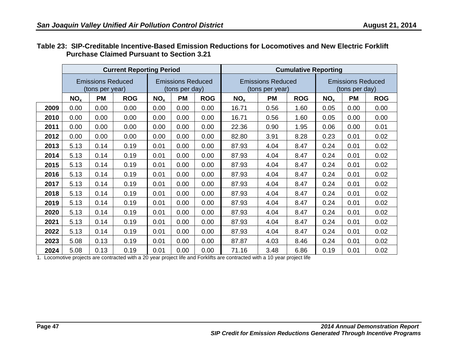|      |                 |                                             | <b>Current Reporting Period</b> |                 |                                            |            |                 |                                             | <b>Cumulative Reporting</b> |                 |                                            |            |
|------|-----------------|---------------------------------------------|---------------------------------|-----------------|--------------------------------------------|------------|-----------------|---------------------------------------------|-----------------------------|-----------------|--------------------------------------------|------------|
|      |                 | <b>Emissions Reduced</b><br>(tons per year) |                                 |                 | <b>Emissions Reduced</b><br>(tons per day) |            |                 | <b>Emissions Reduced</b><br>(tons per year) |                             |                 | <b>Emissions Reduced</b><br>(tons per day) |            |
|      | NO <sub>x</sub> | <b>PM</b>                                   | <b>ROG</b>                      | NO <sub>x</sub> | <b>PM</b>                                  | <b>ROG</b> | NO <sub>x</sub> | <b>PM</b>                                   | <b>ROG</b>                  | NO <sub>x</sub> | <b>PM</b>                                  | <b>ROG</b> |
| 2009 | 0.00            | 0.00                                        | 0.00                            | 0.00            | 0.00                                       | 0.00       | 16.71           | 0.56                                        | 1.60                        | 0.05            | 0.00                                       | 0.00       |
| 2010 | 0.00            | 0.00                                        | 0.00                            | 0.00            | 0.00                                       | 0.00       | 16.71           | 0.56                                        | 1.60                        | 0.05            | 0.00                                       | 0.00       |
| 2011 | 0.00            | 0.00                                        | 0.00                            | 0.00            | 0.00                                       | 0.00       | 22.36           | 0.90                                        | 1.95                        | 0.06            | 0.00                                       | 0.01       |
| 2012 | 0.00            | 0.00                                        | 0.00                            | 0.00            | 0.00                                       | 0.00       | 82.80           | 3.91                                        | 8.28                        | 0.23            | 0.01                                       | 0.02       |
| 2013 | 5.13            | 0.14                                        | 0.19                            | 0.01            | 0.00                                       | 0.00       | 87.93           | 4.04                                        | 8.47                        | 0.24            | 0.01                                       | 0.02       |
| 2014 | 5.13            | 0.14                                        | 0.19                            | 0.01            | 0.00                                       | 0.00       | 87.93           | 4.04                                        | 8.47                        | 0.24            | 0.01                                       | 0.02       |
| 2015 | 5.13            | 0.14                                        | 0.19                            | 0.01            | 0.00                                       | 0.00       | 87.93           | 4.04                                        | 8.47                        | 0.24            | 0.01                                       | 0.02       |
| 2016 | 5.13            | 0.14                                        | 0.19                            | 0.01            | 0.00                                       | 0.00       | 87.93           | 4.04                                        | 8.47                        | 0.24            | 0.01                                       | 0.02       |
| 2017 | 5.13            | 0.14                                        | 0.19                            | 0.01            | 0.00                                       | 0.00       | 87.93           | 4.04                                        | 8.47                        | 0.24            | 0.01                                       | 0.02       |
| 2018 | 5.13            | 0.14                                        | 0.19                            | 0.01            | 0.00                                       | 0.00       | 87.93           | 4.04                                        | 8.47                        | 0.24            | 0.01                                       | 0.02       |
| 2019 | 5.13            | 0.14                                        | 0.19                            | 0.01            | 0.00                                       | 0.00       | 87.93           | 4.04                                        | 8.47                        | 0.24            | 0.01                                       | 0.02       |
| 2020 | 5.13            | 0.14                                        | 0.19                            | 0.01            | 0.00                                       | 0.00       | 87.93           | 4.04                                        | 8.47                        | 0.24            | 0.01                                       | 0.02       |
| 2021 | 5.13            | 0.14                                        | 0.19                            | 0.01            | 0.00                                       | 0.00       | 87.93           | 4.04                                        | 8.47                        | 0.24            | 0.01                                       | 0.02       |
| 2022 | 5.13            | 0.14                                        | 0.19                            | 0.01            | 0.00                                       | 0.00       | 87.93           | 4.04                                        | 8.47                        | 0.24            | 0.01                                       | 0.02       |
| 2023 | 5.08            | 0.13                                        | 0.19                            | 0.01            | 0.00                                       | 0.00       | 87.87           | 4.03                                        | 8.46                        | 0.24            | 0.01                                       | 0.02       |
| 2024 | 5.08            | 0.13                                        | 0.19                            | 0.01            | 0.00                                       | 0.00       | 71.16           | 3.48                                        | 6.86                        | 0.19            | 0.01                                       | 0.02       |

#### **Table 23: SIP-Creditable Incentive-Based Emission Reductions for Locomotives and New Electric Forklift Purchase Claimed Pursuant to Section 3.21**

1. Locomotive projects are contracted with a 20 year project life and Forklifts are contracted with a 10 year project life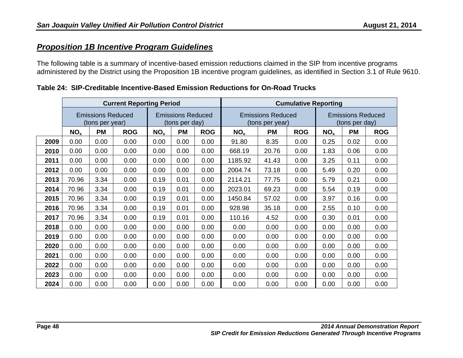# *Proposition 1B Incentive Program Guidelines*

The following table is a summary of incentive-based emission reductions claimed in the SIP from incentive programs administered by the District using the Proposition 1B incentive program guidelines, as identified in Section 3.1 of Rule 9610.

|      |                 |                                             | <b>Current Reporting Period</b> |                 |                                            |            |                 |                                             | <b>Cumulative Reporting</b> |                 |                                            |            |
|------|-----------------|---------------------------------------------|---------------------------------|-----------------|--------------------------------------------|------------|-----------------|---------------------------------------------|-----------------------------|-----------------|--------------------------------------------|------------|
|      |                 | <b>Emissions Reduced</b><br>(tons per year) |                                 |                 | <b>Emissions Reduced</b><br>(tons per day) |            |                 | <b>Emissions Reduced</b><br>(tons per year) |                             |                 | <b>Emissions Reduced</b><br>(tons per day) |            |
|      | NO <sub>x</sub> | <b>PM</b>                                   | <b>ROG</b>                      | NO <sub>x</sub> | <b>PM</b>                                  | <b>ROG</b> | NO <sub>x</sub> | <b>PM</b>                                   | <b>ROG</b>                  | NO <sub>x</sub> | <b>PM</b>                                  | <b>ROG</b> |
| 2009 | 0.00            | 0.00                                        | 0.00                            | 0.00            | 0.00                                       | 0.00       | 91.80           | 8.35                                        | 0.00                        | 0.25            | 0.02                                       | 0.00       |
| 2010 | 0.00            | 0.00                                        | 0.00                            | 0.00            | 0.00                                       | 0.00       | 668.19          | 20.76                                       | 0.00                        | 1.83            | 0.06                                       | 0.00       |
| 2011 | 0.00            | 0.00                                        | 0.00                            | 0.00            | 0.00                                       | 0.00       | 1185.92         | 41.43                                       | 0.00                        | 3.25            | 0.11                                       | 0.00       |
| 2012 | 0.00            | 0.00                                        | 0.00                            | 0.00            | 0.00                                       | 0.00       | 2004.74         | 73.18                                       | 0.00                        | 5.49            | 0.20                                       | 0.00       |
| 2013 | 70.96           | 3.34                                        | 0.00                            | 0.19            | 0.01                                       | 0.00       | 2114.21         | 77.75                                       | 0.00                        | 5.79            | 0.21                                       | 0.00       |
| 2014 | 70.96           | 3.34                                        | 0.00                            | 0.19            | 0.01                                       | 0.00       | 2023.01         | 69.23                                       | 0.00                        | 5.54            | 0.19                                       | 0.00       |
| 2015 | 70.96           | 3.34                                        | 0.00                            | 0.19            | 0.01                                       | 0.00       | 1450.84         | 57.02                                       | 0.00                        | 3.97            | 0.16                                       | 0.00       |
| 2016 | 70.96           | 3.34                                        | 0.00                            | 0.19            | 0.01                                       | 0.00       | 928.98          | 35.18                                       | 0.00                        | 2.55            | 0.10                                       | 0.00       |
| 2017 | 70.96           | 3.34                                        | 0.00                            | 0.19            | 0.01                                       | 0.00       | 110.16          | 4.52                                        | 0.00                        | 0.30            | 0.01                                       | 0.00       |
| 2018 | 0.00            | 0.00                                        | 0.00                            | 0.00            | 0.00                                       | 0.00       | 0.00            | 0.00                                        | 0.00                        | 0.00            | 0.00                                       | 0.00       |
| 2019 | 0.00            | 0.00                                        | 0.00                            | 0.00            | 0.00                                       | 0.00       | 0.00            | 0.00                                        | 0.00                        | 0.00            | 0.00                                       | 0.00       |
| 2020 | 0.00            | 0.00                                        | 0.00                            | 0.00            | 0.00                                       | 0.00       | 0.00            | 0.00                                        | 0.00                        | 0.00            | 0.00                                       | 0.00       |
| 2021 | 0.00            | 0.00                                        | 0.00                            | 0.00            | 0.00                                       | 0.00       | 0.00            | 0.00                                        | 0.00                        | 0.00            | 0.00                                       | 0.00       |
| 2022 | 0.00            | 0.00                                        | 0.00                            | 0.00            | 0.00                                       | 0.00       | 0.00            | 0.00                                        | 0.00                        | 0.00            | 0.00                                       | 0.00       |
| 2023 | 0.00            | 0.00                                        | 0.00                            | 0.00            | 0.00                                       | 0.00       | 0.00            | 0.00                                        | 0.00                        | 0.00            | 0.00                                       | 0.00       |
| 2024 | 0.00            | 0.00                                        | 0.00                            | 0.00            | 0.00                                       | 0.00       | 0.00            | 0.00                                        | 0.00                        | 0.00            | 0.00                                       | 0.00       |

**Table 24: SIP-Creditable Incentive-Based Emission Reductions for On-Road Trucks**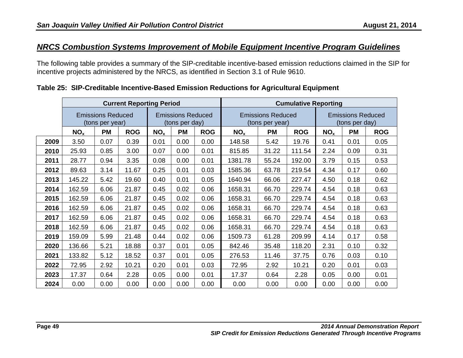## *NRCS Combustion Systems Improvement of Mobile Equipment Incentive Program Guidelines*

The following table provides a summary of the SIP-creditable incentive-based emission reductions claimed in the SIP for incentive projects administered by the NRCS, as identified in Section 3.1 of Rule 9610.

|      |                 |                                             | <b>Current Reporting Period</b> |                 |                                            |            |                 |                                             | <b>Cumulative Reporting</b> |                 |                                            |            |
|------|-----------------|---------------------------------------------|---------------------------------|-----------------|--------------------------------------------|------------|-----------------|---------------------------------------------|-----------------------------|-----------------|--------------------------------------------|------------|
|      |                 | <b>Emissions Reduced</b><br>(tons per year) |                                 |                 | <b>Emissions Reduced</b><br>(tons per day) |            |                 | <b>Emissions Reduced</b><br>(tons per year) |                             |                 | <b>Emissions Reduced</b><br>(tons per day) |            |
|      | NO <sub>x</sub> | <b>PM</b>                                   | <b>ROG</b>                      | NO <sub>x</sub> | <b>PM</b>                                  | <b>ROG</b> | NO <sub>x</sub> | <b>PM</b>                                   | <b>ROG</b>                  | NO <sub>x</sub> | <b>PM</b>                                  | <b>ROG</b> |
| 2009 | 3.50            | 0.07                                        | 0.39                            | 0.01            | 0.00                                       | 0.00       | 148.58          | 5.42                                        | 19.76                       | 0.41            | 0.01                                       | 0.05       |
| 2010 | 25.93           | 0.85                                        | 3.00                            | 0.07            | 0.00                                       | 0.01       | 815.85          | 31.22                                       | 111.54                      | 2.24            | 0.09                                       | 0.31       |
| 2011 | 28.77           | 0.94                                        | 3.35                            | 0.08            | 0.00                                       | 0.01       | 1381.78         | 55.24                                       | 192.00                      | 3.79            | 0.15                                       | 0.53       |
| 2012 | 89.63           | 3.14                                        | 11.67                           | 0.25            | 0.01                                       | 0.03       | 1585.36         | 63.78                                       | 219.54                      | 4.34            | 0.17                                       | 0.60       |
| 2013 | 145.22          | 5.42                                        | 19.60                           | 0.40            | 0.01                                       | 0.05       | 1640.94         | 66.06                                       | 227.47                      | 4.50            | 0.18                                       | 0.62       |
| 2014 | 162.59          | 6.06                                        | 21.87                           | 0.45            | 0.02                                       | 0.06       | 1658.31         | 66.70                                       | 229.74                      | 4.54            | 0.18                                       | 0.63       |
| 2015 | 162.59          | 6.06                                        | 21.87                           | 0.45            | 0.02                                       | 0.06       | 1658.31         | 66.70                                       | 229.74                      | 4.54            | 0.18                                       | 0.63       |
| 2016 | 162.59          | 6.06                                        | 21.87                           | 0.45            | 0.02                                       | 0.06       | 1658.31         | 66.70                                       | 229.74                      | 4.54            | 0.18                                       | 0.63       |
| 2017 | 162.59          | 6.06                                        | 21.87                           | 0.45            | 0.02                                       | 0.06       | 1658.31         | 66.70                                       | 229.74                      | 4.54            | 0.18                                       | 0.63       |
| 2018 | 162.59          | 6.06                                        | 21.87                           | 0.45            | 0.02                                       | 0.06       | 1658.31         | 66.70                                       | 229.74                      | 4.54            | 0.18                                       | 0.63       |
| 2019 | 159.09          | 5.99                                        | 21.48                           | 0.44            | 0.02                                       | 0.06       | 1509.73         | 61.28                                       | 209.99                      | 4.14            | 0.17                                       | 0.58       |
| 2020 | 136.66          | 5.21                                        | 18.88                           | 0.37            | 0.01                                       | 0.05       | 842.46          | 35.48                                       | 118.20                      | 2.31            | 0.10                                       | 0.32       |
| 2021 | 133.82          | 5.12                                        | 18.52                           | 0.37            | 0.01                                       | 0.05       | 276.53          | 11.46                                       | 37.75                       | 0.76            | 0.03                                       | 0.10       |
| 2022 | 72.95           | 2.92                                        | 10.21                           | 0.20            | 0.01                                       | 0.03       | 72.95           | 2.92                                        | 10.21                       | 0.20            | 0.01                                       | 0.03       |
| 2023 | 17.37           | 0.64                                        | 2.28                            | 0.05            | 0.00                                       | 0.01       | 17.37           | 0.64                                        | 2.28                        | 0.05            | 0.00                                       | 0.01       |
| 2024 | 0.00            | 0.00                                        | 0.00                            | 0.00            | 0.00                                       | 0.00       | 0.00            | 0.00                                        | 0.00                        | 0.00            | 0.00                                       | 0.00       |

#### **Table 25: SIP-Creditable Incentive-Based Emission Reductions for Agricultural Equipment**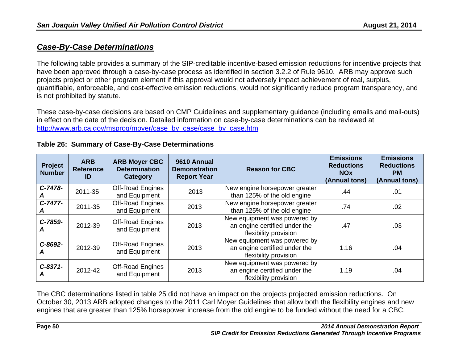# *Case-By-Case Determinations*

The following table provides a summary of the SIP-creditable incentive-based emission reductions for incentive projects that have been approved through a case-by-case process as identified in section 3.2.2 of Rule 9610. ARB may approve such projects project or other program element if this approval would not adversely impact achievement of real, surplus, quantifiable, enforceable, and cost-effective emission reductions, would not significantly reduce program transparency, and is not prohibited by statute.

These case-by-case decisions are based on CMP Guidelines and supplementary guidance (including emails and mail-outs) in effect on the date of the decision. Detailed information on case-by-case determinations can be reviewed at http://www.arb.ca.gov/msprog/moyer/case\_by\_case/case\_by\_case.htm

| Project<br><b>Number</b> | <b>ARB</b><br><b>Reference</b><br>ID | <b>ARB Moyer CBC</b><br><b>Determination</b><br>Category | 9610 Annual<br><b>Demonstration</b><br><b>Report Year</b> | <b>Reason for CBC</b>                                                                  | <b>Emissions</b><br><b>Reductions</b><br><b>NOx</b><br>(Annual tons) | <b>Emissions</b><br><b>Reductions</b><br><b>PM</b><br>(Annual tons) |
|--------------------------|--------------------------------------|----------------------------------------------------------|-----------------------------------------------------------|----------------------------------------------------------------------------------------|----------------------------------------------------------------------|---------------------------------------------------------------------|
| C-7478-                  | 2011-35                              | Off-Road Engines<br>and Equipment                        | 2013                                                      | New engine horsepower greater<br>than 125% of the old engine                           | .44                                                                  | .01                                                                 |
| C-7477-<br>A             | 2011-35                              | Off-Road Engines<br>and Equipment                        | 2013                                                      | New engine horsepower greater<br>than 125% of the old engine                           | .74                                                                  | .02                                                                 |
| C-7859-<br>A             | 2012-39                              | <b>Off-Road Engines</b><br>and Equipment                 | 2013                                                      | New equipment was powered by<br>an engine certified under the<br>flexibility provision | .47                                                                  | .03                                                                 |
| C-8692-<br>A             | 2012-39                              | <b>Off-Road Engines</b><br>and Equipment                 | 2013                                                      | New equipment was powered by<br>an engine certified under the<br>flexibility provision | 1.16                                                                 | .04                                                                 |
| $C-8371-$<br>A           | 2012-42                              | <b>Off-Road Engines</b><br>and Equipment                 | 2013                                                      | New equipment was powered by<br>an engine certified under the<br>flexibility provision | 1.19                                                                 | .04                                                                 |

### **Table 26: Summary of Case-By-Case Determinations**

The CBC determinations listed in table 25 did not have an impact on the projects projected emission reductions. On October 30, 2013 ARB adopted changes to the 2011 Carl Moyer Guidelines that allow both the flexibility engines and new engines that are greater than 125% horsepower increase from the old engine to be funded without the need for a CBC.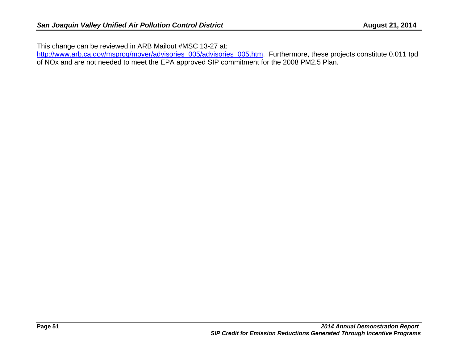This change can be reviewed in ARB Mailout #MSC 13-27 at:

http://www.arb.ca.gov/msprog/moyer/advisories\_005/advisories\_005.htm. Furthermore, these projects constitute 0.011 tpd of NOx and are not needed to meet the EPA approved SIP commitment for the 2008 PM2.5 Plan.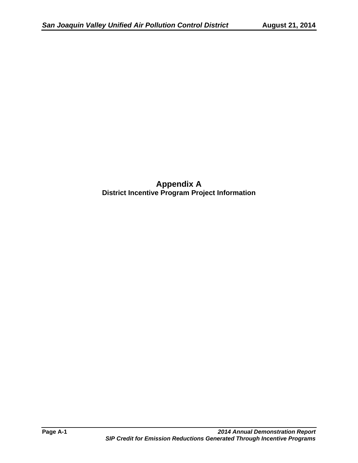**Appendix A District Incentive Program Project Information**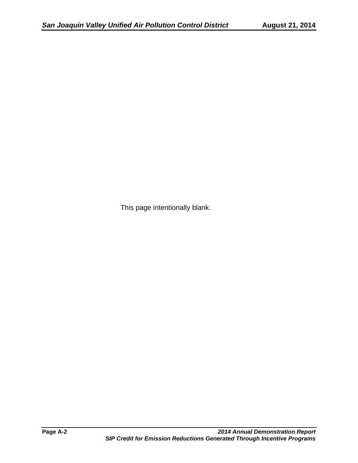This page intentionally blank.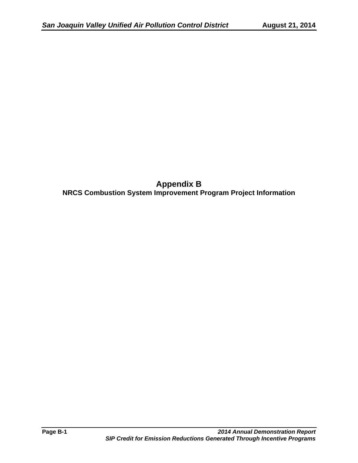**Appendix B NRCS Combustion System Improvement Program Project Information**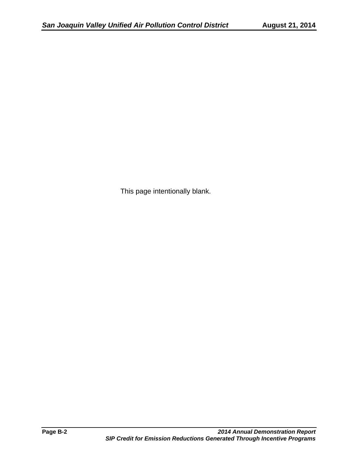This page intentionally blank.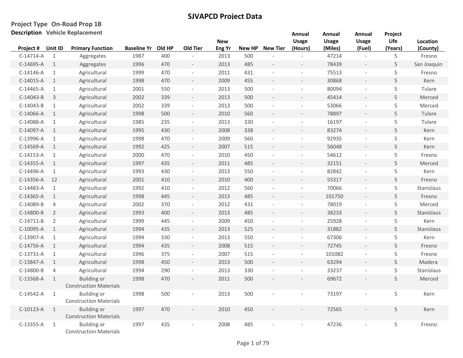**Project Type On-Road Prop 1B**

|                   |                | <b>Description</b> Vehicle Replacement              |                           |     |                          | <b>New</b>    |               |                          | Annual<br><b>Usage</b>   | Annual<br><b>Usage</b> | Annual<br><b>Usage</b>   | Project<br>Life | Location    |
|-------------------|----------------|-----------------------------------------------------|---------------------------|-----|--------------------------|---------------|---------------|--------------------------|--------------------------|------------------------|--------------------------|-----------------|-------------|
| Project # Unit ID |                | <b>Primary Function</b>                             | <b>Baseline Yr Old HP</b> |     | Old Tier                 | <b>Eng Yr</b> | <b>New HP</b> | <b>New Tier</b>          | (Hours)                  | (Miles)                | (Fuel)                   | (Years)         | (County)    |
| $C-14714-A$       | $\mathbf{1}$   | Aggregates                                          | 1987                      | 400 |                          | 2013          | 500           |                          |                          | 47214                  | $\overline{\phantom{a}}$ | 5               | Fresno      |
| C-14695-A         | $\mathbf{1}$   | Aggregates                                          | 1996                      | 470 | $\overline{\phantom{m}}$ | 2013          | 485           |                          | $\overline{\phantom{a}}$ | 78439                  | $\overline{a}$           | 5               | San Joaquin |
| C-14146-A         | $\,1\,$        | Agricultural                                        | 1999                      | 470 | $\overline{a}$           | 2011          | 431           |                          | $\frac{1}{2}$            | 75513                  | $\overline{a}$           | 5               | Fresno      |
| C-14015-A         | $\,1\,$        | Agricultural                                        | 1998                      | 470 | $\overline{\phantom{a}}$ | 2009          | 455           |                          | $\overline{\phantom{a}}$ | 30868                  | $\overline{\phantom{0}}$ | 5               | Kern        |
| C-14465-A         | $1\,$          | Agricultural                                        | 2001                      | 550 | $\overline{a}$           | 2013          | 500           |                          | $\overline{a}$           | 80094                  |                          | 5               | Tulare      |
| C-14043-B         | $\mathbf{3}$   | Agricultural                                        | 2002                      | 339 | $\overline{\phantom{a}}$ | 2013          | 500           |                          | $\overline{\phantom{a}}$ | 45414                  | $\overline{\phantom{0}}$ | 5               | Merced      |
| C-14043-B         | $1\,$          | Agricultural                                        | 2002                      | 339 | $\overline{a}$           | 2013          | 500           |                          | $\overline{a}$           | 53066                  |                          | 5               | Merced      |
| C-14066-A         | $\,1\,$        | Agricultural                                        | 1998                      | 500 | $\bar{\phantom{a}}$      | 2010          | 560           |                          | $\overline{\phantom{a}}$ | 78897                  | $\overline{a}$           | 5               | Tulare      |
| C-14088-A         | $\mathbf 1$    | Agricultural                                        | 1985                      | 235 | L,                       | 2013          | 330           |                          |                          | 16197                  |                          | 5               | Tulare      |
| C-14097-A         | $\,1\,$        | Agricultural                                        | 1995                      | 430 | $\overline{\phantom{m}}$ | 2008          | 338           |                          | $\overline{\phantom{a}}$ | 83274                  | $\overline{a}$           | 5               | Kern        |
| C-13996-A         | $1\,$          | Agricultural                                        | 1998                      | 470 |                          | 2009          | 560           |                          |                          | 92935                  |                          | 5               | Kern        |
| C-14569-A         | $\,1\,$        | Agricultural                                        | 1992                      | 425 | $\overline{\phantom{m}}$ | 2007          | 515           |                          |                          | 56048                  | $\overline{a}$           | 5               | Kern        |
| C-14153-A         | $1\,$          | Agricultural                                        | 2000                      | 470 | $\overline{a}$           | 2010          | 450           |                          |                          | 54612                  |                          | 5               | Fresno      |
| C-14355-A         | $\mathbf{1}$   | Agricultural                                        | 1997                      | 435 | $\overline{\phantom{m}}$ | 2011          | 485           |                          | $\overline{\phantom{a}}$ | 32151                  | $\overline{a}$           | 5               | Merced      |
| C-14496-A         | $\,1\,$        | Agricultural                                        | 1993                      | 430 | L,                       | 2013          | 550           |                          |                          | 82842                  |                          | 5               | Kern        |
| C-14356-A         | 12             | Agricultural                                        | 2001                      | 410 | $\overline{\phantom{a}}$ | 2010          | 400           | $\overline{\phantom{a}}$ | $\overline{\phantom{0}}$ | 55317                  | $\overline{\phantom{a}}$ | 5               | Fresno      |
| C-14483-A         | $\,1\,$        | Agricultural                                        | 1992                      | 410 | $\overline{\phantom{a}}$ | 2012          | 560           |                          |                          | 70066                  |                          | 5               | Stanislaus  |
| C-14365-A         | $\mathbf{1}$   | Agricultural                                        | 1998                      | 445 | $\overline{\phantom{m}}$ | 2013          | 485           |                          | $\overline{\phantom{a}}$ | 101750                 | $\overline{a}$           | 5               | Fresno      |
| C-14089-B         | 4              | Agricultural                                        | 2002                      | 370 | L,                       | 2012          | 431           |                          |                          | 78019                  |                          | 5               | Merced      |
| C-14800-B         | $\overline{2}$ | Agricultural                                        | 1993                      | 400 | $\overline{a}$           | 2013          | 485           |                          | $\overline{a}$           | 38233                  | $\overline{a}$           | 5               | Stanislaus  |
| $C-14711-B$       | $\overline{2}$ | Agricultural                                        | 1999                      | 445 | $\overline{a}$           | 2009          | 450           |                          |                          | 25928                  |                          | 5               | Kern        |
| C-10095-A         | $\mathbf{1}$   | Agricultural                                        | 1994                      | 435 | $\overline{a}$           | 2013          | 525           |                          |                          | 31882                  |                          | 5               | Stanislaus  |
| C-13907-A         | $\mathbf{1}$   | Agricultural                                        | 1994                      | 330 | $\overline{a}$           | 2013          | 550           |                          |                          | 67306                  |                          | 5               | Kern        |
| C-14756-A         | $\mathbf{1}$   | Agricultural                                        | 1994                      | 435 |                          | 2008          | 515           |                          |                          | 72745                  |                          | 5               | Fresno      |
| C-13731-A         | $\mathbf{1}$   | Agricultural                                        | 1996                      | 375 | L,                       | 2007          | 515           |                          |                          | 101082                 |                          | 5               | Fresno      |
| C-13847-A         | 1              | Agricultural                                        | 1998                      | 450 |                          | 2013          | 500           |                          |                          | 63294                  |                          | 5               | Madera      |
| C-14800-B         | $\overline{4}$ | Agricultural                                        | 1994                      | 290 | $\overline{a}$           | 2013          | 330           |                          |                          | 33237                  |                          | 5               | Stanislaus  |
| C-13368-A         | 1              | <b>Building or</b><br><b>Construction Materials</b> | 1998                      | 470 |                          | 2011          | 500           |                          |                          | 69672                  | $\overline{a}$           | 5               | Merced      |
| C-14542-A         | $1\,$          | <b>Building or</b><br><b>Construction Materials</b> | 1998                      | 500 |                          | 2013          | 500           |                          |                          | 73197                  |                          | 5               | Kern        |
| C-10123-A         | $\mathbf{1}$   | <b>Building or</b><br><b>Construction Materials</b> | 1997                      | 470 | $\overline{\phantom{a}}$ | 2010          | 450           |                          |                          | 72565                  | $\overline{a}$           | 5               | Kern        |
| C-13355-A         | $1\,$          | <b>Building or</b><br><b>Construction Materials</b> | 1997                      | 435 |                          | 2008          | 485           |                          |                          | 47236                  |                          | 5               | Fresno      |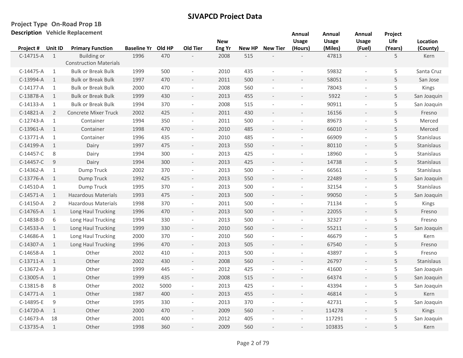**Project Type On-Road Prop 1B**

|                |                                                                                                                                                                                                                                                                                                                                                                                                                                                          |                                                   |        |                          | <b>New</b>    |               |                 | Annual                   | Annual       | Annual                   | Project<br>Life | Location    |
|----------------|----------------------------------------------------------------------------------------------------------------------------------------------------------------------------------------------------------------------------------------------------------------------------------------------------------------------------------------------------------------------------------------------------------------------------------------------------------|---------------------------------------------------|--------|--------------------------|---------------|---------------|-----------------|--------------------------|--------------|--------------------------|-----------------|-------------|
|                | <b>Primary Function</b>                                                                                                                                                                                                                                                                                                                                                                                                                                  |                                                   | Old HP | Old Tier                 | <b>Eng Yr</b> | <b>New HP</b> | <b>New Tier</b> | (Hours)                  | (Miles)      | (Fuel)                   | (Years)         | (County)    |
| $\mathbf{1}$   | <b>Building or</b><br><b>Construction Materials</b>                                                                                                                                                                                                                                                                                                                                                                                                      | 1996                                              | 470    |                          | 2008          | 515           |                 |                          | 47813        | $\overline{\phantom{0}}$ | 5               | Kern        |
| $1\,$          | <b>Bulk or Break Bulk</b>                                                                                                                                                                                                                                                                                                                                                                                                                                | 1999                                              | 500    |                          | 2010          | 435           |                 |                          | 59832        |                          | 5               | Santa Cruz  |
| $\mathbf{1}$   | <b>Bulk or Break Bulk</b>                                                                                                                                                                                                                                                                                                                                                                                                                                | 1997                                              | 470    |                          | 2011          | 500           |                 |                          | 58051        |                          | 5               | San Jose    |
| $\mathbf{1}$   | <b>Bulk or Break Bulk</b>                                                                                                                                                                                                                                                                                                                                                                                                                                | 2000                                              | 470    |                          | 2008          | 560           |                 | $\overline{\phantom{a}}$ | 78043        |                          | 5               | Kings       |
| $\mathbf{1}$   | <b>Bulk or Break Bulk</b>                                                                                                                                                                                                                                                                                                                                                                                                                                | 1999                                              | 430    |                          | 2013          | 455           |                 |                          | 5922         |                          | 5               | San Joaquin |
| $\,1\,$        | <b>Bulk or Break Bulk</b>                                                                                                                                                                                                                                                                                                                                                                                                                                | 1994                                              | 370    |                          | 2008          | 515           |                 | $\overline{\phantom{a}}$ | 90911        |                          | 5               | San Joaquin |
| $\overline{2}$ | <b>Concrete Mixer Truck</b>                                                                                                                                                                                                                                                                                                                                                                                                                              | 2002                                              | 425    |                          | 2011          | 430           |                 | $\overline{\phantom{a}}$ | 16156        |                          | 5               | Fresno      |
| $\mathbf{1}$   | Container                                                                                                                                                                                                                                                                                                                                                                                                                                                | 1994                                              | 350    |                          | 2011          | 500           |                 | $\overline{\phantom{a}}$ | 89673        |                          | 5               | Merced      |
| $\mathbf{1}$   | Container                                                                                                                                                                                                                                                                                                                                                                                                                                                | 1998                                              | 470    |                          | 2010          | 485           |                 | $\overline{a}$           | 66010        | $\overline{a}$           | 5               | Merced      |
| $1\,$          | Container                                                                                                                                                                                                                                                                                                                                                                                                                                                | 1996                                              | 435    |                          | 2010          | 485           |                 | $\overline{a}$           | 66909        |                          | 5               | Stanislaus  |
| $\mathbf{1}$   | Dairy                                                                                                                                                                                                                                                                                                                                                                                                                                                    | 1997                                              | 475    |                          | 2013          | 550           |                 |                          | 80110        |                          | 5               | Stanislaus  |
| 8              | Dairy                                                                                                                                                                                                                                                                                                                                                                                                                                                    | 1994                                              | 300    |                          | 2013          | 425           |                 |                          | 18960        |                          | 5               | Stanislaus  |
| 9              | Dairy                                                                                                                                                                                                                                                                                                                                                                                                                                                    | 1994                                              | 300    |                          | 2013          | 425           |                 |                          | 14738        |                          | 5               | Stanislaus  |
| $\mathbf 1$    | Dump Truck                                                                                                                                                                                                                                                                                                                                                                                                                                               | 2002                                              | 370    |                          | 2013          | 500           |                 |                          | 66561        |                          | 5               | Stanislaus  |
| $\mathbf{1}$   | Dump Truck                                                                                                                                                                                                                                                                                                                                                                                                                                               | 1992                                              | 425    |                          | 2013          | 550           |                 |                          | 22489        |                          | 5               | San Joaquin |
| $\,1\,$        | Dump Truck                                                                                                                                                                                                                                                                                                                                                                                                                                               | 1995                                              | 370    |                          | 2013          | 500           |                 | $\bar{ }$                | 32154        |                          | 5               | Stanislaus  |
| $\mathbf{1}$   | <b>Hazardous Materials</b>                                                                                                                                                                                                                                                                                                                                                                                                                               | 1993                                              | 475    |                          | 2013          | 500           |                 |                          | 99050        |                          | 5               | San Joaquin |
| $\overline{2}$ | <b>Hazardous Materials</b>                                                                                                                                                                                                                                                                                                                                                                                                                               | 1998                                              | 370    |                          | 2011          | 500           |                 | $\overline{\phantom{a}}$ | 71134        |                          | 5               | Kings       |
| $\mathbf{1}$   | Long Haul Trucking                                                                                                                                                                                                                                                                                                                                                                                                                                       | 1996                                              | 470    |                          | 2013          | 500           |                 |                          | 22055        |                          | 5               | Fresno      |
| 6              | Long Haul Trucking                                                                                                                                                                                                                                                                                                                                                                                                                                       | 1994                                              | 330    |                          | 2013          | 500           |                 | $\overline{a}$           | 32327        |                          | 5               | Fresno      |
| $\mathbf{1}$   | Long Haul Trucking                                                                                                                                                                                                                                                                                                                                                                                                                                       | 1999                                              | 330    |                          | 2010          | 560           |                 |                          | 55211        |                          | 5               | San Joaquin |
| $\mathbf{1}$   | Long Haul Trucking                                                                                                                                                                                                                                                                                                                                                                                                                                       | 2000                                              | 370    |                          | 2010          | 560           |                 | $\overline{\phantom{a}}$ | 46679        |                          | 5               | Kern        |
| $\mathbf{1}$   | Long Haul Trucking                                                                                                                                                                                                                                                                                                                                                                                                                                       | 1996                                              | 470    |                          | 2013          | 505           |                 |                          | 67540        |                          | 5               | Fresno      |
| $1\,$          | Other                                                                                                                                                                                                                                                                                                                                                                                                                                                    | 2002                                              | 410    |                          | 2013          | 500           |                 | $\frac{1}{2}$            | 43897        | $\overline{a}$           | 5               | Fresno      |
| $\mathbf{1}$   | Other                                                                                                                                                                                                                                                                                                                                                                                                                                                    | 2002                                              | 430    |                          | 2008          | 560           |                 | $\qquad \qquad -$        | 26797        | $\overline{\phantom{m}}$ | 5               | Stanislaus  |
| $\mathsf 3$    | Other                                                                                                                                                                                                                                                                                                                                                                                                                                                    | 1999                                              | 445    |                          | 2012          | 425           |                 | $\overline{a}$           | 41600        | $\overline{a}$           | 5               | San Joaquin |
| $\mathbf{1}$   | Other                                                                                                                                                                                                                                                                                                                                                                                                                                                    | 1999                                              | 435    | $\overline{\phantom{a}}$ | 2008          | 515           |                 | $\overline{\phantom{a}}$ | 64374        | $\overline{\phantom{m}}$ | 5               | San Joaquin |
| $\,8\,$        | Other                                                                                                                                                                                                                                                                                                                                                                                                                                                    | 2002                                              | 5000   |                          | 2013          | 425           |                 | $\overline{a}$           | 43394        |                          | 5               | San Joaquin |
| $1\,$          | Other                                                                                                                                                                                                                                                                                                                                                                                                                                                    | 1987                                              | 400    | $\overline{a}$           | 2013          | 455           |                 | $\overline{\phantom{a}}$ | 46814        | $\overline{a}$           | 5               | Kern        |
| 9              | Other                                                                                                                                                                                                                                                                                                                                                                                                                                                    | 1995                                              | 330    |                          | 2013          | 370           |                 | $\overline{a}$           | 42731        |                          | 5               | San Joaquin |
| $\mathbf{1}$   | Other                                                                                                                                                                                                                                                                                                                                                                                                                                                    | 2000                                              | 470    |                          | 2009          | 560           |                 |                          | 114278       |                          | 5               | Kings       |
| 18             | Other                                                                                                                                                                                                                                                                                                                                                                                                                                                    | 2001                                              | 400    |                          | 2012          | 405           |                 |                          | 117291       |                          | 5               | San Joaquin |
| $\mathbf{1}$   | Other                                                                                                                                                                                                                                                                                                                                                                                                                                                    | 1998                                              | 360    | $\overline{\phantom{a}}$ | 2009          | 560           |                 | $\overline{\phantom{a}}$ | 103835       | $\overline{\phantom{0}}$ | 5               | Kern        |
|                | Project #<br>C-14715-A<br>C-14475-A<br>C-13994-A<br>C-14177-A<br>C-13878-A<br>C-14133-A<br>C-14821-A<br>C-12743-A<br>C-13961-A<br>C-13771-A<br>C-14199-A<br>C-14457-C<br>C-14457-C<br>C-14362-A<br>C-13776-A<br>C-14510-A<br>C-14571-A<br>C-14150-A<br>C-14765-A<br>C-14838-D<br>C-14533-A<br>C-14686-A<br>C-14307-A<br>C-14658-A<br>$C-13711-A$<br>C-13672-A<br>C-13005-A<br>C-13815-B<br>C-14771-A<br>C-14895-E<br>C-14720-A<br>C-14673-A<br>C-13735-A | <b>Description</b> Vehicle Replacement<br>Unit ID |        | <b>Baseline Yr</b>       |               |               |                 |                          | <b>Usage</b> | <b>Usage</b>             | <b>Usage</b>    |             |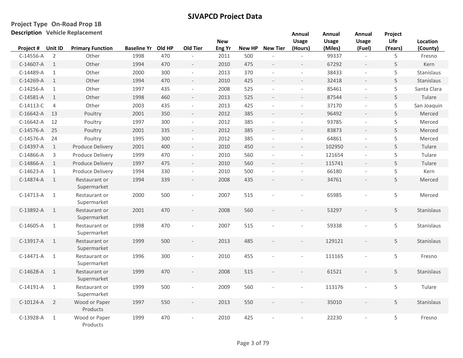**Project Type On-Road Prop 1B**

|             |                | <b>Description</b> Vehicle Replacement |                           |     |                          | <b>New</b>    |               |                          | Annual<br><b>Usage</b>   | Annual<br><b>Usage</b> | Annual<br><b>Usage</b>   | Project<br>Life | Location    |
|-------------|----------------|----------------------------------------|---------------------------|-----|--------------------------|---------------|---------------|--------------------------|--------------------------|------------------------|--------------------------|-----------------|-------------|
| Project #   | Unit ID        | <b>Primary Function</b>                | <b>Baseline Yr Old HP</b> |     | Old Tier                 | <b>Eng Yr</b> | <b>New HP</b> | <b>New Tier</b>          | (Hours)                  | (Miles)                | (Fuel)                   | (Years)         | (County)    |
| C-14556-A   | $\overline{2}$ | Other                                  | 1998                      | 470 | $\qquad \qquad \Box$     | 2011          | 500           |                          |                          | 99337                  | $\overline{\phantom{a}}$ | 5               | Fresno      |
| C-14607-A   | $\mathbf{1}$   | Other                                  | 1994                      | 470 | $\overline{\phantom{a}}$ | 2010          | 475           | $\overline{\phantom{a}}$ | $\overline{\phantom{a}}$ | 67292                  | $\overline{\phantom{0}}$ | 5               | Kern        |
| C-14489-A   | $\mathbf{1}$   | Other                                  | 2000                      | 300 | $\overline{a}$           | 2013          | 370           |                          | $\overline{a}$           | 38433                  | $\overline{a}$           | 5               | Stanislaus  |
| C-14269-A   | $\mathbf{1}$   | Other                                  | 1994                      | 470 | $\overline{\phantom{a}}$ | 2010          | 425           | $\overline{a}$           | $\overline{\phantom{a}}$ | 32418                  | $\overline{\phantom{a}}$ | 5               | Stanislaus  |
| C-14256-A   | $\mathbf{1}$   | Other                                  | 1997                      | 435 | $\overline{a}$           | 2008          | 525           |                          |                          | 85461                  |                          | 5               | Santa Clara |
| C-14581-A   | $\mathbf{1}$   | Other                                  | 1998                      | 460 | $\overline{\phantom{a}}$ | 2013          | 525           | $\overline{\phantom{a}}$ | $\overline{\phantom{0}}$ | 87544                  | $\overline{\phantom{a}}$ | 5               | Tulare      |
| $C-14113-C$ | 4              | Other                                  | 2003                      | 435 | $\frac{1}{2}$            | 2013          | 425           |                          |                          | 37170                  |                          | 5               | San Joaquin |
| C-16642-A   | 13             | Poultry                                | 2001                      | 350 | $\overline{\phantom{m}}$ | 2012          | 385           |                          | $\overline{a}$           | 96492                  | $\overline{a}$           | 5               | Merced      |
| C-16642-A   | 12             | Poultry                                | 1997                      | 300 | $\overline{a}$           | 2012          | 385           |                          |                          | 93785                  |                          | 5               | Merced      |
| C-14576-A   | 25             | Poultry                                | 2001                      | 335 |                          | 2012          | 385           |                          |                          | 83873                  |                          | 5               | Merced      |
| C-14576-A   | 24             | Poultry                                | 1995                      | 300 | $\overline{\phantom{0}}$ | 2012          | 385           |                          | $\frac{1}{2}$            | 64861                  |                          | 5               | Merced      |
| C-14397-A   | $\mathbf{1}$   | Produce Delivery                       | 2001                      | 400 | $\overline{\phantom{m}}$ | 2010          | 450           |                          | $\overline{\phantom{a}}$ | 102950                 |                          | 5               | Tulare      |
| C-14866-A   | 3              | Produce Delivery                       | 1999                      | 470 | $\frac{1}{2}$            | 2010          | 560           | $\overline{a}$           | $\overline{\phantom{0}}$ | 121654                 | $\overline{a}$           | 5               | Tulare      |
| C-14866-A   | $\mathbf{1}$   | Produce Delivery                       | 1997                      | 475 | $\overline{\phantom{a}}$ | 2010          | 560           | $\overline{\phantom{a}}$ | $\overline{\phantom{0}}$ | 115741                 | $\overline{\phantom{a}}$ | 5               | Tulare      |
| C-14623-A   | $\mathbf{1}$   | Produce Delivery                       | 1994                      | 330 | $\frac{1}{2}$            | 2010          | 500           |                          | $\overline{a}$           | 66180                  | $\overline{a}$           | 5               | Kern        |
| C-14874-A   | $\mathbf{1}$   | Restaurant or<br>Supermarket           | 1994                      | 339 | $\overline{\phantom{a}}$ | 2008          | 435           |                          |                          | 34761                  | $\overline{\phantom{0}}$ | 5               | Merced      |
| C-14713-A   | $\mathbf{1}$   | Restaurant or<br>Supermarket           | 2000                      | 500 | $\overline{\phantom{0}}$ | 2007          | 515           |                          | $\frac{1}{2}$            | 65985                  | $\overline{a}$           | 5               | Merced      |
| C-13892-A   | $\mathbf{1}$   | Restaurant or<br>Supermarket           | 2001                      | 470 |                          | 2008          | 560           |                          |                          | 53297                  |                          | 5               | Stanislaus  |
| C-14605-A   | $\mathbf{1}$   | Restaurant or<br>Supermarket           | 1998                      | 470 | $\overline{a}$           | 2007          | 515           |                          |                          | 59338                  |                          | 5               | Stanislaus  |
| C-13917-A   | $\mathbf{1}$   | Restaurant or<br>Supermarket           | 1999                      | 500 |                          | 2013          | 485           |                          |                          | 129121                 |                          | 5               | Stanislaus  |
| C-14471-A   | $\mathbf{1}$   | Restaurant or<br>Supermarket           | 1996                      | 300 |                          | 2010          | 455           |                          |                          | 111165                 |                          | 5               | Fresno      |
| C-14628-A   | $\mathbf{1}$   | Restaurant or<br>Supermarket           | 1999                      | 470 | $\overline{\phantom{m}}$ | 2008          | 515           |                          | $\overline{\phantom{0}}$ | 61521                  | $\overline{\phantom{a}}$ | 5               | Stanislaus  |
| C-14191-A   | $\mathbf{1}$   | Restaurant or<br>Supermarket           | 1999                      | 500 |                          | 2009          | 560           |                          |                          | 113176                 |                          | 5               | Tulare      |
| $C-10124-A$ | $\overline{2}$ | Wood or Paper<br>Products              | 1997                      | 550 | $\qquad \qquad -$        | 2013          | 550           |                          |                          | 35010                  | $\overline{a}$           | 5               | Stanislaus  |
| C-13928-A   | $\mathbf{1}$   | Wood or Paper<br>Products              | 1999                      | 470 |                          | 2010          | 425           |                          |                          | 22230                  |                          | 5               | Fresno      |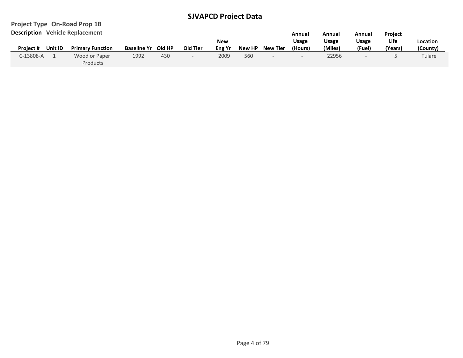|                                                                                                                                                |         | <b>Project Type On-Road Prop 1B</b> |                    |        |          |               |        |                                 |                          |         |                              |         |          |
|------------------------------------------------------------------------------------------------------------------------------------------------|---------|-------------------------------------|--------------------|--------|----------|---------------|--------|---------------------------------|--------------------------|---------|------------------------------|---------|----------|
| <b>Description</b> Vehicle Replacement<br><b>Project</b><br>Annual<br>Annual<br>Annual<br>Life<br><b>Usage</b><br>Usage<br>Usage<br><b>New</b> |         |                                     |                    |        |          |               |        |                                 |                          |         | <b>Location</b>              |         |          |
| <b>Project #</b>                                                                                                                               | Unit ID | <b>Primary Function</b>             | <b>Baseline Yr</b> | Old HP | Old Tier | <b>Eng Yr</b> | New HP | New Tier                        | (Hours)                  | (Miles) | (Fuel)                       | (Years) | (County) |
| C-13808-A                                                                                                                                      |         | Wood or Paper                       | 1992               | 430    |          | 2009          | 560    | $\hspace{0.1mm}-\hspace{0.1mm}$ | $\overline{\phantom{0}}$ | 22956   | $\qquad \qquad \blacksquare$ |         | Tulare   |
|                                                                                                                                                |         | Products                            |                    |        |          |               |        |                                 |                          |         |                              |         |          |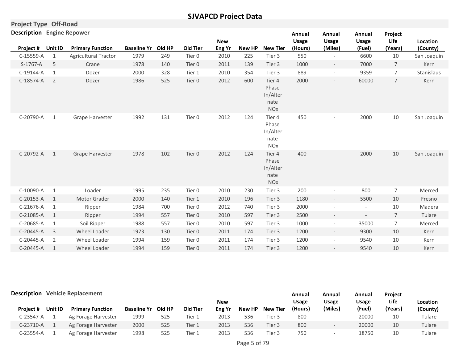|  | <b>Project Type Off-Road</b> |  |
|--|------------------------------|--|
|  |                              |  |

| <b>Description</b> Engine Repower |                |                             |                    |        |          | <b>New</b>    |               |                                                              | Annual<br><b>Usage</b> | Annual<br><b>Usage</b>   | Annual<br><b>Usage</b>   | Project<br>Life | Location    |
|-----------------------------------|----------------|-----------------------------|--------------------|--------|----------|---------------|---------------|--------------------------------------------------------------|------------------------|--------------------------|--------------------------|-----------------|-------------|
| Project #                         | Unit ID        | <b>Primary Function</b>     | <b>Baseline Yr</b> | Old HP | Old Tier | <b>Eng Yr</b> | <b>New HP</b> | <b>New Tier</b>                                              | (Hours)                | (Miles)                  | (Fuel)                   | (Years)         | (County)    |
| C-15559-A                         | $\mathbf{1}$   | <b>Agricultural Tractor</b> | 1979               | 249    | Tier 0   | 2010          | 225           | Tier 3                                                       | 550                    |                          | 6600                     | 10              | San Joaquin |
| $S-1767-A$                        | 5              | Crane                       | 1978               | 140    | Tier 0   | 2011          | 139           | Tier 3                                                       | 1000                   | $\overline{\phantom{a}}$ | 7000                     | $\overline{7}$  | Kern        |
| C-19144-A                         | $\mathbf{1}$   | Dozer                       | 2000               | 328    | Tier 1   | 2010          | 354           | Tier 3                                                       | 889                    | $\overline{\phantom{a}}$ | 9359                     | 7               | Stanislaus  |
| C-18574-A                         | $\overline{2}$ | Dozer                       | 1986               | 525    | Tier 0   | 2012          | 600           | Tier 4<br>Phase<br>In/Alter<br>nate<br><b>NO<sub>x</sub></b> | 2000                   |                          | 60000                    | $\overline{7}$  | Kern        |
| C-20790-A                         | $\mathbf{1}$   | Grape Harvester             | 1992               | 131    | Tier 0   | 2012          | 124           | Tier 4<br>Phase<br>In/Alter<br>nate<br><b>NO<sub>x</sub></b> | 450                    | $\overline{\phantom{a}}$ | 2000                     | 10              | San Joaquin |
| C-20792-A                         | $\mathbf{1}$   | <b>Grape Harvester</b>      | 1978               | 102    | Tier 0   | 2012          | 124           | Tier 4<br>Phase<br>In/Alter<br>nate<br><b>NO<sub>x</sub></b> | 400                    |                          | 2000                     | 10              | San Joaquin |
| C-10090-A                         | $\mathbf 1$    | Loader                      | 1995               | 235    | Tier 0   | 2010          | 230           | Tier 3                                                       | 200                    |                          | 800                      | 7               | Merced      |
| C-20153-A                         | 1              | Motor Grader                | 2000               | 140    | Tier 1   | 2010          | 196           | Tier 3                                                       | 1180                   | $\overline{\phantom{a}}$ | 5500                     | 10              | Fresno      |
| C-21676-A                         | $\mathbf{1}$   | Ripper                      | 1984               | 700    | Tier 0   | 2012          | 740           | Tier 3                                                       | 2000                   | $\overline{\phantom{a}}$ | $\overline{\phantom{a}}$ | 10              | Madera      |
| C-21085-A                         | $\mathbf{1}$   | Ripper                      | 1994               | 557    | Tier 0   | 2010          | 597           | Tier 3                                                       | 2500                   | $\overline{\phantom{a}}$ | $\overline{\phantom{a}}$ | 7               | Tulare      |
| C-20685-A                         | 1              | Soil Ripper                 | 1988               | 557    | Tier 0   | 2010          | 597           | Tier 3                                                       | 1000                   |                          | 35000                    | $\overline{7}$  | Merced      |
| C-20445-A                         | 3              | Wheel Loader                | 1973               | 130    | Tier 0   | 2011          | 174           | Tier 3                                                       | 1200                   | $\overline{\phantom{a}}$ | 9300                     | 10              | Kern        |
| C-20445-A                         | $\overline{2}$ | Wheel Loader                | 1994               | 159    | Tier 0   | 2011          | 174           | Tier 3                                                       | 1200                   | $\overline{\phantom{a}}$ | 9540                     | 10              | Kern        |
| C-20445-A                         | $\mathbf{1}$   | Wheel Loader                | 1994               | 159    | Tier 0   | 2011          | 174           | Tier 3                                                       | 1200                   |                          | 9540                     | 10              | Kern        |

| <b>Description</b> |         | <b>Vehicle Replacement</b> |                    |        |          |               | Annual | Annual          | Annual       | <b>Project</b> |        |         |          |
|--------------------|---------|----------------------------|--------------------|--------|----------|---------------|--------|-----------------|--------------|----------------|--------|---------|----------|
|                    |         |                            |                    |        |          | <b>New</b>    |        |                 | <b>Usage</b> | <b>Usage</b>   | Usage  | Life    | Location |
| <b>Project #</b>   | Unit ID | <b>Primary Function</b>    | <b>Baseline Yr</b> | Old HP | Old Tier | <b>Eng Yr</b> | New HP | <b>New Tier</b> | (Hours)      | (Miles)        | (Fuel) | (Years) | (County) |
| C-23547-A          |         | Ag Forage Harvester        | 1999               | 525    | Tier 1   | 2013          | 536    | Tier 3          | 800          |                | 20000  | 10      | Tulare   |
| C-23710-A          |         | Ag Forage Harvester        | 2000               | 525    | Tier 1   | 2013          | 536    | Tier 3          | 800          | $\sim$         | 20000  | 10      | Tulare   |
| C-23554-A          |         | Ag Forage Harvester        | 1998               | 525    | Tier 1   | 2013          | 536    | Tier:           | 750          |                | 18750  | 10      | Tulare   |

Page 5 of 79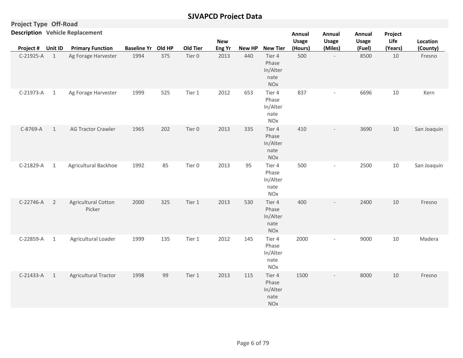| <b>Project Type Off-Road</b> |  |
|------------------------------|--|
|                              |  |

|                   |                | <b>Description</b> Vehicle Replacement |                           |     |          |                      |        |                                                              | Annual                  | Annual                   | Annual                 | Project         |                      |
|-------------------|----------------|----------------------------------------|---------------------------|-----|----------|----------------------|--------|--------------------------------------------------------------|-------------------------|--------------------------|------------------------|-----------------|----------------------|
| Project # Unit ID |                | <b>Primary Function</b>                | <b>Baseline Yr</b> Old HP |     | Old Tier | <b>New</b><br>Eng Yr | New HP | <b>New Tier</b>                                              | <b>Usage</b><br>(Hours) | <b>Usage</b><br>(Miles)  | <b>Usage</b><br>(Fuel) | Life<br>(Years) | Location<br>(County) |
| C-21925-A         | $\mathbf{1}$   | Ag Forage Harvester                    | 1994                      | 375 | Tier 0   | 2013                 | 440    | Tier 4<br>Phase<br>In/Alter<br>nate<br><b>NOx</b>            | 500                     | $\overline{\phantom{a}}$ | 8500                   | 10              | Fresno               |
| C-21973-A         | $\mathbf{1}$   | Ag Forage Harvester                    | 1999                      | 525 | Tier 1   | 2012                 | 653    | Tier 4<br>Phase<br>In/Alter<br>nate<br><b>NOx</b>            | 837                     | $\overline{\phantom{a}}$ | 6696                   | $10\,$          | Kern                 |
| C-8769-A          | $\mathbf{1}$   | <b>AG Tractor Crawler</b>              | 1965                      | 202 | Tier 0   | 2013                 | 335    | Tier 4<br>Phase<br>In/Alter<br>nate<br><b>NO<sub>x</sub></b> | 410                     | $\overline{\phantom{m}}$ | 3690                   | 10              | San Joaquin          |
| C-21829-A         | $\mathbf{1}$   | Agricultural Backhoe                   | 1992                      | 85  | Tier 0   | 2013                 | 95     | Tier 4<br>Phase<br>In/Alter<br>nate<br><b>NOx</b>            | 500                     | $\overline{\phantom{a}}$ | 2500                   | 10              | San Joaquin          |
| C-22746-A         | $\overline{2}$ | <b>Agricultural Cotton</b><br>Picker   | 2000                      | 325 | Tier 1   | 2013                 | 530    | Tier 4<br>Phase<br>In/Alter<br>nate<br><b>NOx</b>            | 400                     | $\overline{\phantom{0}}$ | 2400                   | 10              | Fresno               |
| C-22859-A         | $\mathbf{1}$   | Agricultural Loader                    | 1999                      | 135 | Tier 1   | 2012                 | 145    | Tier 4<br>Phase<br>In/Alter<br>nate<br><b>NOx</b>            | 2000                    | $\overline{a}$           | 9000                   | 10              | Madera               |
| C-21433-A         | $\mathbf{1}$   | <b>Agricultural Tractor</b>            | 1998                      | 99  | Tier 1   | 2013                 | 115    | Tier 4<br>Phase<br>In/Alter<br>nate<br><b>NOx</b>            | 1500                    | $\overline{\phantom{0}}$ | 8000                   | $10\,$          | Fresno               |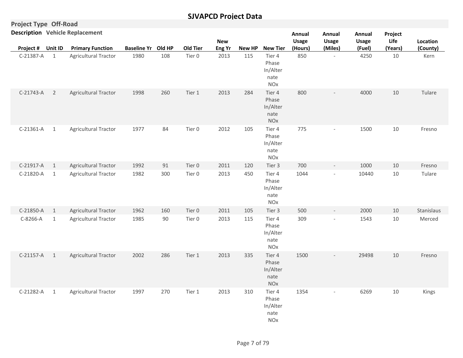| <b>Project Type Off-Road</b> |              |                                        |                    |     |          |               |               |                                                              |                        |                          |                        |                 |            |
|------------------------------|--------------|----------------------------------------|--------------------|-----|----------|---------------|---------------|--------------------------------------------------------------|------------------------|--------------------------|------------------------|-----------------|------------|
|                              |              | <b>Description</b> Vehicle Replacement |                    |     |          | <b>New</b>    |               |                                                              | Annual<br><b>Usage</b> | Annual<br><b>Usage</b>   | Annual<br><b>Usage</b> | Project<br>Life | Location   |
| Project # Unit ID            |              | <b>Primary Function</b>                | Baseline Yr Old HP |     | Old Tier | <b>Eng Yr</b> | <b>New HP</b> | <b>New Tier</b>                                              | (Hours)                | (Miles)                  | (Fuel)                 | (Years)         | (County)   |
| C-21387-A                    | $\mathbf{1}$ | <b>Agricultural Tractor</b>            | 1980               | 108 | Tier 0   | 2013          | 115           | Tier 4<br>Phase<br>In/Alter<br>nate<br><b>NO<sub>x</sub></b> | 850                    | $\overline{\phantom{m}}$ | 4250                   | $10\,$          | Kern       |
| C-21743-A                    | $\sqrt{2}$   | <b>Agricultural Tractor</b>            | 1998               | 260 | Tier 1   | 2013          | 284           | Tier 4<br>Phase<br>In/Alter<br>nate<br><b>NOx</b>            | 800                    | $\overline{\phantom{a}}$ | 4000                   | $10\,$          | Tulare     |
| C-21361-A                    | $\mathbf{1}$ | <b>Agricultural Tractor</b>            | 1977               | 84  | Tier 0   | 2012          | 105           | Tier 4<br>Phase<br>In/Alter<br>nate<br><b>NOx</b>            | 775                    | $\overline{\phantom{a}}$ | 1500                   | 10              | Fresno     |
| C-21917-A                    | $\mathbf{1}$ | <b>Agricultural Tractor</b>            | 1992               | 91  | Tier 0   | 2011          | 120           | Tier 3                                                       | 700                    | $\overline{\phantom{a}}$ | 1000                   | $10\,$          | Fresno     |
| C-21820-A                    | $\mathbf{1}$ | <b>Agricultural Tractor</b>            | 1982               | 300 | Tier 0   | 2013          | 450           | Tier 4<br>Phase<br>In/Alter<br>nate<br><b>NOx</b>            | 1044                   |                          | 10440                  | $10\,$          | Tulare     |
| C-21850-A                    | $\mathbf{1}$ | <b>Agricultural Tractor</b>            | 1962               | 160 | Tier 0   | 2011          | 105           | Tier 3                                                       | 500                    | $\overline{\phantom{a}}$ | 2000                   | 10              | Stanislaus |
| C-8266-A                     | $\mathbf{1}$ | <b>Agricultural Tractor</b>            | 1985               | 90  | Tier 0   | 2013          | 115           | Tier 4<br>Phase<br>In/Alter<br>nate<br><b>NOx</b>            | 309                    |                          | 1543                   | 10              | Merced     |
| C-21157-A                    | $\mathbf{1}$ | <b>Agricultural Tractor</b>            | 2002               | 286 | Tier 1   | 2013          | 335           | Tier 4<br>Phase<br>In/Alter<br>nate<br><b>NOx</b>            | 1500                   | $\overline{\phantom{a}}$ | 29498                  | 10              | Fresno     |
| C-21282-A                    | $\mathbf{1}$ | <b>Agricultural Tractor</b>            | 1997               | 270 | Tier 1   | 2013          | 310           | Tier 4<br>Phase<br>In/Alter<br>nate<br><b>NOx</b>            | 1354                   |                          | 6269                   | $10\,$          | Kings      |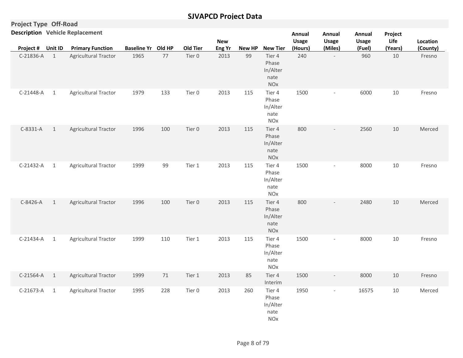**Project Type Off-Road Description Vehicle Replacement Project #Unit ID Primary Function Baseline Yr Old HP Old Tier New Eng Yr New HPNew Tier**<br>Tier 4 **Annual Usage (Hours)Annual Usage (Miles)Annual Usage (Fuel)Project Life (Years)Location** <u>D Primary Function Baseline Yr Old HP Old Tier Eng Yr New HP New Tier (Hours) (Miles) (Fuel) (Years) (County)</u> Agricultural Tractor 1965 77 Tier 0 2013 99 Phase In/Alternate NOxC-21836-A <sup>1</sup>1 Agricultural Tractor 1965 77 Tier 0 2013 99 Tier 4 240 - 960 10 Fresno 10 Fresno Agricultural Tractor  $1979$  133 Tier 0 2013 115 Tier 4 Phase In/Alternate NOxC-21448-A <sup>1</sup>1 Agricultural Tractor 1979 133 Tier 0 2013 115 Tier 4 1500 - 6000 10 Fresno 10 Fresno Agricultural Tractor 1996 100 Tier 0 2013 115 Tier 4 Phase In/Alternate NOxTier 4 C-8331-A <sup>1</sup>1 Agricultural Tractor 1996 100 Tier 0 2013 115 Tier 4 800 - 2560 10 Merced 10 Merced Agricultural Tractor 1999 99 Tier 1 2013 115 Phase In/Alternate NOxC-21432-A <sup>1</sup>1 Agricultural Tractor 1999 99 Tier 1 2013 115 Tier 4 1500 - 8000 10 Fresno 10 Fresno Agricultural Tractor 1996 100 Tier 0 2013 115 Tier 4 Phase In/Alternate NOxC-8426-A <sup>1</sup>1 Agricultural Tractor 1996 100 Tier 0 2013 115 Tier 4 800 - 2480 10 Merced 10 Merced Agricultural Tractor 1999 110 Tier 1 2013 115 Tier 4 Phase In/Alternate NOxC-21434-A <sup>1</sup>1 Agricultural Tractor 1999 110 Tier 1 2013 115 Tier 4 1500 - 8000 10 Fresno 10 Fresno Agricultural Tractor  $1999$  71 Tier 1 2013 85 Tier 4 InterimTier 4 C-21564-A <sup>1</sup>1 Agricultural Tractor 1999 71 Tier 1 2013 85 Tier 4 1500 - 8000 10 Fresno 10 Fresno Agricultural Tractor 1995 228 Tier 0 2013 260 Phase In/Alternate NOxC-21673-A <sup>1</sup>1 Agricultural Tractor 1995 228 Tier 0 2013 260 Tier 4 1950 - 16575 10 Merced 10 Merced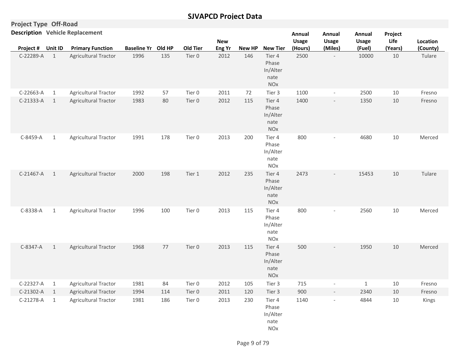| <b>Project Type Off-Road</b> |              |                                        |                           |     |          |               |               |                                                              |              |                          |              |         |          |
|------------------------------|--------------|----------------------------------------|---------------------------|-----|----------|---------------|---------------|--------------------------------------------------------------|--------------|--------------------------|--------------|---------|----------|
|                              |              | <b>Description</b> Vehicle Replacement |                           |     |          |               |               |                                                              | Annual       | Annual                   | Annual       | Project |          |
|                              |              |                                        |                           |     |          | <b>New</b>    |               |                                                              | <b>Usage</b> | <b>Usage</b>             | <b>Usage</b> | Life    | Location |
| Project # Unit ID            |              | <b>Primary Function</b>                | <b>Baseline Yr Old HP</b> |     | Old Tier | <b>Eng Yr</b> | <b>New HP</b> | <b>New Tier</b>                                              | (Hours)      | (Miles)                  | (Fuel)       | (Years) | (County) |
| C-22289-A                    | $\mathbf{1}$ | <b>Agricultural Tractor</b>            | 1996                      | 135 | Tier 0   | 2012          | 146           | Tier 4<br>Phase<br>In/Alter<br>nate<br><b>NOx</b>            | 2500         | $\overline{\phantom{a}}$ | 10000        | 10      | Tulare   |
| C-22663-A                    | 1            | Agricultural Tractor                   | 1992                      | 57  | Tier 0   | 2011          | 72            | Tier 3                                                       | 1100         | $\overline{\phantom{a}}$ | 2500         | 10      | Fresno   |
| C-21333-A                    | $\mathbf{1}$ | <b>Agricultural Tractor</b>            | 1983                      | 80  | Tier 0   | 2012          | 115           | Tier 4<br>Phase<br>In/Alter<br>nate<br><b>NO<sub>x</sub></b> | 1400         | $\overline{\phantom{a}}$ | 1350         | 10      | Fresno   |
| C-8459-A                     | $\mathbf{1}$ | Agricultural Tractor                   | 1991                      | 178 | Tier 0   | 2013          | 200           | Tier 4<br>Phase<br>In/Alter<br>nate<br><b>NOx</b>            | 800          |                          | 4680         | $10\,$  | Merced   |
| C-21467-A                    | $\mathbf{1}$ | <b>Agricultural Tractor</b>            | 2000                      | 198 | Tier 1   | 2012          | 235           | Tier 4<br>Phase<br>In/Alter<br>nate<br><b>NO<sub>x</sub></b> | 2473         | $\overline{\phantom{a}}$ | 15453        | 10      | Tulare   |
| C-8338-A                     | $\mathbf{1}$ | <b>Agricultural Tractor</b>            | 1996                      | 100 | Tier 0   | 2013          | 115           | Tier 4<br>Phase<br>In/Alter<br>nate<br><b>NOx</b>            | 800          |                          | 2560         | 10      | Merced   |
| C-8347-A                     | $\mathbf{1}$ | <b>Agricultural Tractor</b>            | 1968                      | 77  | Tier 0   | 2013          | 115           | Tier 4<br>Phase<br>In/Alter<br>nate<br><b>NO<sub>x</sub></b> | 500          |                          | 1950         | 10      | Merced   |
| C-22327-A 1                  |              | Agricultural Tractor                   | 1981                      | 84  | Tier 0   | 2012          | 105           | Tier 3                                                       | 715          |                          | $\mathbf{1}$ | 10      | Fresno   |
| C-21302-A                    | $\mathbf{1}$ | Agricultural Tractor                   | 1994                      | 114 | Tier 0   | 2011          | 120           | Tier 3                                                       | 900          |                          | 2340         | 10      | Fresno   |
| C-21278-A                    | $\mathbf{1}$ | <b>Agricultural Tractor</b>            | 1981                      | 186 | Tier 0   | 2013          | 230           | Tier 4<br>Phase<br>In/Alter<br>nate<br><b>NOx</b>            | 1140         | $\overline{\phantom{a}}$ | 4844         | 10      | Kings    |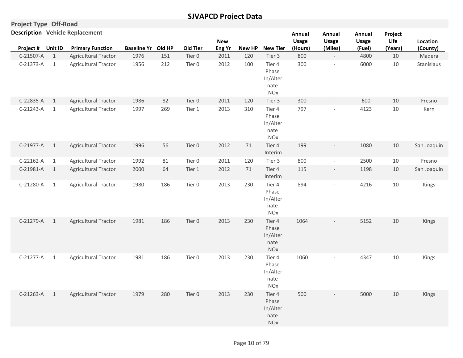|  | <b>Project Type Off-Road</b> |  |
|--|------------------------------|--|
|  |                              |  |

|                   |              | <b>Description</b> Vehicle Replacement |                           |        |          | <b>New</b> |        |                                                              | Annual<br><b>Usage</b> | Annual<br><b>Usage</b>   | <b>Annual</b><br><b>Usage</b> | Project<br>Life | Location    |
|-------------------|--------------|----------------------------------------|---------------------------|--------|----------|------------|--------|--------------------------------------------------------------|------------------------|--------------------------|-------------------------------|-----------------|-------------|
| Project # Unit ID |              | <b>Primary Function</b>                | <b>Baseline Yr Old HP</b> |        | Old Tier | Eng Yr     | New HP | <b>New Tier</b>                                              | (Hours)                | (Miles)                  | (Fuel)                        | (Years)         | (County)    |
| C-21507-A         | $\mathbf{1}$ | <b>Agricultural Tractor</b>            | 1976                      | 151    | Tier 0   | 2011       | 120    | Tier 3                                                       | 800                    | $\overline{\phantom{a}}$ | 4800                          | 10              | Madera      |
| C-21373-A         | $\mathbf{1}$ | <b>Agricultural Tractor</b>            | 1956                      | 212    | Tier 0   | 2012       | 100    | Tier 4<br>Phase<br>In/Alter<br>nate<br><b>NOx</b>            | 300                    |                          | 6000                          | 10              | Stanislaus  |
| C-22835-A         | $\mathbf{1}$ | <b>Agricultural Tractor</b>            | 1986                      | 82     | Tier 0   | 2011       | 120    | Tier 3                                                       | 300                    | $\overline{a}$           | 600                           | 10              | Fresno      |
| C-21243-A         | $\mathbf{1}$ | Agricultural Tractor                   | 1997                      | 269    | Tier 1   | 2013       | 310    | Tier 4<br>Phase<br>In/Alter<br>nate<br><b>NOx</b>            | 797                    |                          | 4123                          | $10\,$          | Kern        |
| C-21977-A         | $\mathbf{1}$ | <b>Agricultural Tractor</b>            | 1996                      | 56     | Tier 0   | 2012       | 71     | Tier 4<br>Interim                                            | 199                    | $\overline{\phantom{a}}$ | 1080                          | 10              | San Joaquin |
| C-22162-A         | $1\,$        | Agricultural Tractor                   | 1992                      | $81\,$ | Tier 0   | 2011       | 120    | Tier 3                                                       | 800                    | $\overline{\phantom{a}}$ | 2500                          | $10\,$          | Fresno      |
| C-21981-A         | $\mathbf{1}$ | <b>Agricultural Tractor</b>            | 2000                      | 64     | Tier 1   | 2012       | 71     | Tier 4<br>Interim                                            | 115                    | $\overline{\phantom{a}}$ | 1198                          | 10              | San Joaquin |
| C-21280-A         | $\mathbf{1}$ | Agricultural Tractor                   | 1980                      | 186    | Tier 0   | 2013       | 230    | Tier 4<br>Phase<br>In/Alter<br>nate<br><b>NOx</b>            | 894                    |                          | 4216                          | $10\,$          | Kings       |
| C-21279-A         | $\mathbf{1}$ | <b>Agricultural Tractor</b>            | 1981                      | 186    | Tier 0   | 2013       | 230    | Tier 4<br>Phase<br>In/Alter<br>nate<br><b>NOx</b>            | 1064                   | $\overline{\phantom{a}}$ | 5152                          | 10              | Kings       |
| C-21277-A         | $\mathbf{1}$ | Agricultural Tractor                   | 1981                      | 186    | Tier 0   | 2013       | 230    | Tier 4<br>Phase<br>In/Alter<br>nate<br><b>NOx</b>            | 1060                   |                          | 4347                          | 10              | Kings       |
| C-21263-A         | $\mathbf{1}$ | <b>Agricultural Tractor</b>            | 1979                      | 280    | Tier 0   | 2013       | 230    | Tier 4<br>Phase<br>In/Alter<br>nate<br><b>NO<sub>x</sub></b> | 500                    |                          | 5000                          | $10\,$          | Kings       |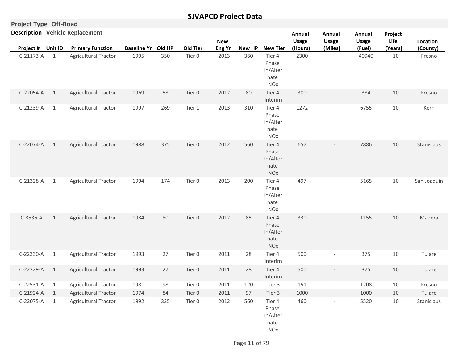| <b>Project Type Off-Road</b> |              |                                        |                           |     |          |               |               |                                                              |              |                          |              |         |             |
|------------------------------|--------------|----------------------------------------|---------------------------|-----|----------|---------------|---------------|--------------------------------------------------------------|--------------|--------------------------|--------------|---------|-------------|
|                              |              | <b>Description</b> Vehicle Replacement |                           |     |          |               |               |                                                              | Annual       | Annual                   | Annual       | Project |             |
|                              |              |                                        |                           |     |          | <b>New</b>    |               |                                                              | <b>Usage</b> | <b>Usage</b>             | <b>Usage</b> | Life    | Location    |
| Project # Unit ID            |              | <b>Primary Function</b>                | <b>Baseline Yr Old HP</b> |     | Old Tier | <b>Eng Yr</b> | <b>New HP</b> | <b>New Tier</b>                                              | (Hours)      | (Miles)                  | (Fuel)       | (Years) | (County)    |
| C-21173-A                    | $\mathbf{1}$ | <b>Agricultural Tractor</b>            | 1995                      | 350 | Tier 0   | 2013          | 360           | Tier 4<br>Phase<br>In/Alter<br>nate<br><b>NOx</b>            | 2300         | $\frac{1}{2}$            | 40940        | 10      | Fresno      |
| C-22054-A                    | $\mathbf{1}$ | <b>Agricultural Tractor</b>            | 1969                      | 58  | Tier 0   | 2012          | 80            | Tier 4<br>Interim                                            | 300          |                          | 384          | 10      | Fresno      |
| C-21239-A                    | $\mathbf{1}$ | <b>Agricultural Tractor</b>            | 1997                      | 269 | Tier 1   | 2013          | 310           | Tier 4<br>Phase<br>In/Alter<br>nate<br><b>NO<sub>x</sub></b> | 1272         | $\overline{\phantom{a}}$ | 6755         | 10      | Kern        |
| C-22074-A                    | $\mathbf{1}$ | <b>Agricultural Tractor</b>            | 1988                      | 375 | Tier 0   | 2012          | 560           | Tier 4<br>Phase<br>In/Alter<br>nate<br><b>NOx</b>            | 657          |                          | 7886         | 10      | Stanislaus  |
| C-21328-A                    | $\mathbf{1}$ | <b>Agricultural Tractor</b>            | 1994                      | 174 | Tier 0   | 2013          | 200           | Tier 4<br>Phase<br>In/Alter<br>nate<br><b>NO<sub>x</sub></b> | 497          | $\overline{\phantom{a}}$ | 5165         | 10      | San Joaquin |
| C-8536-A                     | $\mathbf{1}$ | <b>Agricultural Tractor</b>            | 1984                      | 80  | Tier 0   | 2012          | 85            | Tier 4<br>Phase<br>In/Alter<br>nate<br><b>NO<sub>x</sub></b> | 330          |                          | 1155         | 10      | Madera      |
| C-22330-A                    | $\mathbf{1}$ | <b>Agricultural Tractor</b>            | 1993                      | 27  | Tier 0   | 2011          | 28            | Tier 4<br>Interim                                            | 500          |                          | 375          | 10      | Tulare      |
| C-22329-A                    | $\mathbf{1}$ | <b>Agricultural Tractor</b>            | 1993                      | 27  | Tier 0   | 2011          | 28            | Tier 4<br>Interim                                            | 500          | $\overline{\phantom{a}}$ | 375          | 10      | Tulare      |
| C-22531-A 1                  |              | Agricultural Tractor                   | 1981                      | 98  | Tier 0   | 2011          | 120           | Tier 3                                                       | 151          |                          | 1208         | 10      | Fresno      |
| C-21924-A                    | $\mathbf{1}$ | <b>Agricultural Tractor</b>            | 1974                      | 84  | Tier 0   | 2011          | 97            | Tier 3                                                       | 1000         | $\overline{\phantom{a}}$ | 1000         | 10      | Tulare      |
| C-22075-A                    | $\mathbf{1}$ | <b>Agricultural Tractor</b>            | 1992                      | 335 | Tier 0   | 2012          | 560           | Tier 4<br>Phase<br>In/Alter<br>nate<br><b>NOx</b>            | 460          | $\overline{\phantom{a}}$ | 5520         | 10      | Stanislaus  |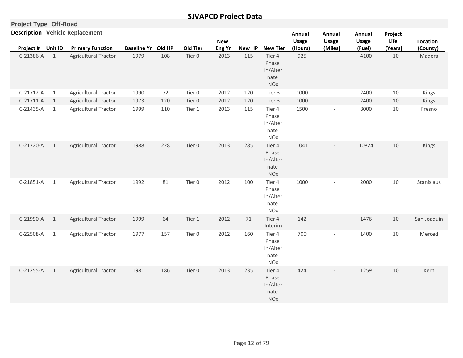| <b>Project Type Off-Road</b> |              |                                        |                    |     |          |               |               |                                                              |                        |                              |                        |                 |             |
|------------------------------|--------------|----------------------------------------|--------------------|-----|----------|---------------|---------------|--------------------------------------------------------------|------------------------|------------------------------|------------------------|-----------------|-------------|
|                              |              | <b>Description</b> Vehicle Replacement |                    |     |          | <b>New</b>    |               |                                                              | Annual<br><b>Usage</b> | Annual<br><b>Usage</b>       | Annual<br><b>Usage</b> | Project<br>Life | Location    |
| Project #                    | Unit ID      | <b>Primary Function</b>                | Baseline Yr Old HP |     | Old Tier | <b>Eng Yr</b> | <b>New HP</b> | <b>New Tier</b>                                              | (Hours)                | (Miles)                      | (Fuel)                 | (Years)         | (County)    |
| C-21386-A                    | $\mathbf{1}$ | <b>Agricultural Tractor</b>            | 1979               | 108 | Tier 0   | 2013          | 115           | Tier 4<br>Phase<br>In/Alter<br>nate<br><b>NO<sub>X</sub></b> | 925                    |                              | 4100                   | $10\,$          | Madera      |
| C-21712-A                    | $\mathbf{1}$ | <b>Agricultural Tractor</b>            | 1990               | 72  | Tier 0   | 2012          | 120           | Tier 3                                                       | 1000                   |                              | 2400                   | $10\,$          | Kings       |
| $C-21711-A$                  | $\mathbf{1}$ | <b>Agricultural Tractor</b>            | 1973               | 120 | Tier 0   | 2012          | 120           | Tier 3                                                       | 1000                   | $\overline{\phantom{a}}$     | 2400                   | 10              | Kings       |
| C-21435-A                    | $\mathbf{1}$ | <b>Agricultural Tractor</b>            | 1999               | 110 | Tier 1   | 2013          | 115           | Tier 4<br>Phase<br>In/Alter<br>nate<br><b>NO<sub>x</sub></b> | 1500                   | $\overline{\phantom{a}}$     | 8000                   | 10              | Fresno      |
| C-21720-A                    | $\mathbf{1}$ | <b>Agricultural Tractor</b>            | 1988               | 228 | Tier 0   | 2013          | 285           | Tier 4<br>Phase<br>In/Alter<br>nate<br><b>NOx</b>            | 1041                   | $\overline{\phantom{m}}$     | 10824                  | 10              | Kings       |
| C-21851-A                    | $\mathbf{1}$ | <b>Agricultural Tractor</b>            | 1992               | 81  | Tier 0   | 2012          | 100           | Tier 4<br>Phase<br>In/Alter<br>nate<br><b>NOx</b>            | 1000                   |                              | 2000                   | $10\,$          | Stanislaus  |
| C-21990-A                    | $1\,$        | <b>Agricultural Tractor</b>            | 1999               | 64  | Tier 1   | 2012          | 71            | Tier 4<br>Interim                                            | 142                    | $\overline{\phantom{a}}$     | 1476                   | $10\,$          | San Joaquin |
| C-22508-A                    | $\mathbf{1}$ | <b>Agricultural Tractor</b>            | 1977               | 157 | Tier 0   | 2012          | 160           | Tier 4<br>Phase<br>In/Alter<br>nate<br><b>NOx</b>            | 700                    | $\qquad \qquad \blacksquare$ | 1400                   | 10              | Merced      |
| C-21255-A                    | 1            | <b>Agricultural Tractor</b>            | 1981               | 186 | Tier 0   | 2013          | 235           | Tier 4<br>Phase<br>In/Alter                                  | 424                    | $\overline{\phantom{a}}$     | 1259                   | 10              | Kern        |

nate NOx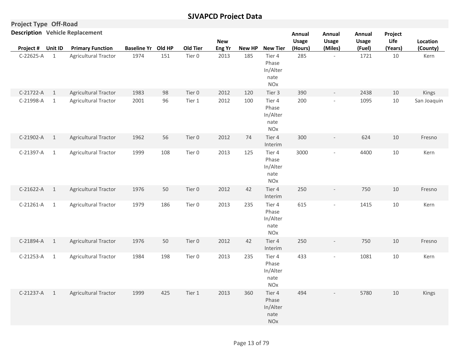| <b>Project Type Off-Road</b> |              |                                        |                    |     |          |               |        |                                                   |                        |                          |                        |                 |             |
|------------------------------|--------------|----------------------------------------|--------------------|-----|----------|---------------|--------|---------------------------------------------------|------------------------|--------------------------|------------------------|-----------------|-------------|
|                              |              | <b>Description</b> Vehicle Replacement |                    |     |          | <b>New</b>    |        |                                                   | Annual<br><b>Usage</b> | Annual<br><b>Usage</b>   | Annual<br><b>Usage</b> | Project<br>Life | Location    |
| Project # Unit ID            |              | <b>Primary Function</b>                | Baseline Yr Old HP |     | Old Tier | <b>Eng Yr</b> | New HP | <b>New Tier</b>                                   | (Hours)                | (Miles)                  | (Fuel)                 | (Years)         | (County)    |
| C-22625-A                    | $\mathbf{1}$ | <b>Agricultural Tractor</b>            | 1974               | 151 | Tier 0   | 2013          | 185    | Tier 4<br>Phase<br>In/Alter<br>nate<br><b>NOx</b> | 285                    | $\bar{a}$                | 1721                   | 10              | Kern        |
| C-21722-A                    | $\mathbf{1}$ | Agricultural Tractor                   | 1983               | 98  | Tier 0   | 2012          | 120    | Tier 3                                            | 390                    | $\overline{\phantom{a}}$ | 2438                   | 10              | Kings       |
| C-21998-A                    | $\mathbf{1}$ | <b>Agricultural Tractor</b>            | 2001               | 96  | Tier 1   | 2012          | 100    | Tier 4<br>Phase<br>In/Alter<br>nate<br><b>NOx</b> | 200                    | $\overline{a}$           | 1095                   | $10\,$          | San Joaquin |
| C-21902-A                    | $\mathbf{1}$ | <b>Agricultural Tractor</b>            | 1962               | 56  | Tier 0   | 2012          | 74     | Tier 4<br>Interim                                 | 300                    | $\overline{\phantom{a}}$ | 624                    | 10              | Fresno      |
| C-21397-A                    | $\mathbf{1}$ | Agricultural Tractor                   | 1999               | 108 | Tier 0   | 2013          | 125    | Tier 4<br>Phase<br>In/Alter<br>nate<br><b>NOx</b> | 3000                   | $\overline{\phantom{a}}$ | 4400                   | 10              | Kern        |
| C-21622-A                    | $\mathbf{1}$ | <b>Agricultural Tractor</b>            | 1976               | 50  | Tier 0   | 2012          | 42     | Tier 4<br>Interim                                 | 250                    | $\overline{\phantom{a}}$ | 750                    | 10              | Fresno      |
| $C-21261-A$                  | $\mathbf{1}$ | Agricultural Tractor                   | 1979               | 186 | Tier 0   | 2013          | 235    | Tier 4<br>Phase<br>In/Alter<br>nate<br><b>NOx</b> | 615                    | $\overline{\phantom{a}}$ | 1415                   | 10              | Kern        |
| C-21894-A                    | $\mathbf{1}$ | <b>Agricultural Tractor</b>            | 1976               | 50  | Tier 0   | 2012          | 42     | Tier 4<br>Interim                                 | 250                    | $\overline{\phantom{a}}$ | 750                    | 10              | Fresno      |
| C-21253-A                    | $\,1\,$      | <b>Agricultural Tractor</b>            | 1984               | 198 | Tier 0   | 2013          | 235    | Tier 4<br>Phase<br>In/Alter<br>nate<br><b>NOx</b> | 433                    | $\overline{a}$           | 1081                   | 10              | Kern        |
| C-21237-A                    | $\mathbf{1}$ | <b>Agricultural Tractor</b>            | 1999               | 425 | Tier 1   | 2013          | 360    | Tier 4<br>Phase<br>In/Alter<br>nate<br><b>NOx</b> | 494                    | $\overline{\phantom{a}}$ | 5780                   | 10              | Kings       |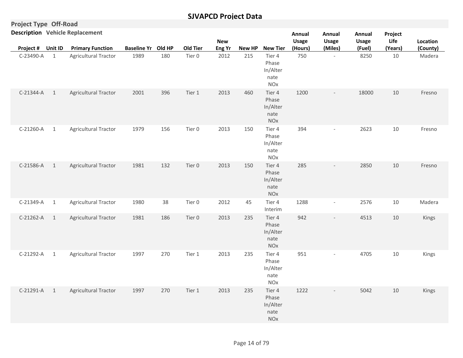| <b>Project Type Off-Road</b> |              |                                        |                    |     |          |               |        |                                                              |                        |                          |                        |                 |          |
|------------------------------|--------------|----------------------------------------|--------------------|-----|----------|---------------|--------|--------------------------------------------------------------|------------------------|--------------------------|------------------------|-----------------|----------|
|                              |              | <b>Description</b> Vehicle Replacement |                    |     |          | <b>New</b>    |        |                                                              | Annual<br><b>Usage</b> | Annual<br><b>Usage</b>   | Annual<br><b>Usage</b> | Project<br>Life | Location |
| Project # Unit ID            |              | <b>Primary Function</b>                | Baseline Yr Old HP |     | Old Tier | <b>Eng Yr</b> | New HP | <b>New Tier</b>                                              | (Hours)                | (Miles)                  | (Fuel)                 | (Years)         | (County) |
| C-23490-A                    | $\mathbf{1}$ | <b>Agricultural Tractor</b>            | 1989               | 180 | Tier 0   | 2012          | 215    | Tier 4<br>Phase<br>In/Alter<br>nate<br><b>NO<sub>x</sub></b> | 750                    | $\bar{a}$                | 8250                   | 10              | Madera   |
| C-21344-A                    | $\mathbf{1}$ | <b>Agricultural Tractor</b>            | 2001               | 396 | Tier 1   | 2013          | 460    | Tier 4<br>Phase<br>In/Alter<br>nate<br><b>NOx</b>            | 1200                   | $\overline{\phantom{a}}$ | 18000                  | $10\,$          | Fresno   |
| C-21260-A                    | $\mathbf{1}$ | <b>Agricultural Tractor</b>            | 1979               | 156 | Tier 0   | 2013          | 150    | Tier 4<br>Phase<br>In/Alter<br>nate<br><b>NOx</b>            | 394                    | $\overline{a}$           | 2623                   | 10              | Fresno   |
| C-21586-A                    | $\mathbf{1}$ | <b>Agricultural Tractor</b>            | 1981               | 132 | Tier 0   | 2013          | 150    | Tier 4<br>Phase<br>In/Alter<br>nate<br><b>NOx</b>            | 285                    | $\overline{\phantom{a}}$ | 2850                   | $10$            | Fresno   |
| C-21349-A                    | $\mathbf{1}$ | <b>Agricultural Tractor</b>            | 1980               | 38  | Tier 0   | 2012          | 45     | Tier 4<br>Interim                                            | 1288                   | $\overline{a}$           | 2576                   | $10\,$          | Madera   |
| C-21262-A                    | $\mathbf{1}$ | <b>Agricultural Tractor</b>            | 1981               | 186 | Tier 0   | 2013          | 235    | Tier 4<br>Phase<br>In/Alter<br>nate<br><b>NOx</b>            | 942                    | $\overline{\phantom{a}}$ | 4513                   | 10              | Kings    |
| C-21292-A                    | $\mathbf{1}$ | Agricultural Tractor                   | 1997               | 270 | Tier 1   | 2013          | 235    | Tier 4<br>Phase<br>In/Alter<br>nate<br><b>NOx</b>            | 951                    |                          | 4705                   | $10\,$          | Kings    |
| C-21291-A                    | $\mathbf{1}$ | <b>Agricultural Tractor</b>            | 1997               | 270 | Tier 1   | 2013          | 235    | Tier 4<br>Phase<br>In/Alter<br>nate<br><b>NOx</b>            | 1222                   | $\overline{\phantom{a}}$ | 5042                   | 10              | Kings    |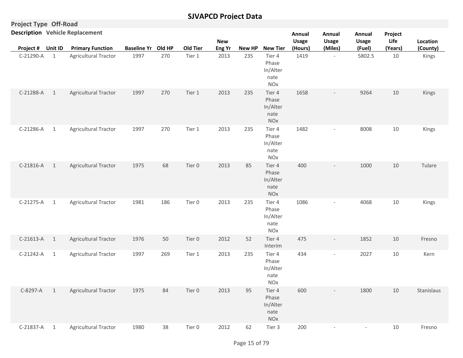| <b>Project Type Off-Road</b> |              |                                        |                    |     |          |            |               |                                                              |                        |                          |                          |                 |            |
|------------------------------|--------------|----------------------------------------|--------------------|-----|----------|------------|---------------|--------------------------------------------------------------|------------------------|--------------------------|--------------------------|-----------------|------------|
|                              |              | <b>Description</b> Vehicle Replacement |                    |     |          | <b>New</b> |               |                                                              | Annual<br><b>Usage</b> | Annual<br><b>Usage</b>   | Annual<br><b>Usage</b>   | Project<br>Life | Location   |
| Project # Unit ID            |              | <b>Primary Function</b>                | Baseline Yr Old HP |     | Old Tier | Eng Yr     | <b>New HP</b> | <b>New Tier</b>                                              | (Hours)                | (Miles)                  | (Fuel)                   | (Years)         | (County)   |
| C-21290-A                    | $\mathbf{1}$ | Agricultural Tractor                   | 1997               | 270 | Tier 1   | 2013       | 235           | Tier 4<br>Phase<br>In/Alter<br>nate<br><b>NOx</b>            | 1419                   | $\overline{\phantom{a}}$ | 5802.5                   | 10              | Kings      |
| C-21288-A                    | $\mathbf{1}$ | <b>Agricultural Tractor</b>            | 1997               | 270 | Tier 1   | 2013       | 235           | Tier 4<br>Phase<br>In/Alter<br>nate<br><b>NOx</b>            | 1658                   | $\overline{\phantom{a}}$ | 9264                     | 10              | Kings      |
| C-21286-A                    | $\mathbf{1}$ | <b>Agricultural Tractor</b>            | 1997               | 270 | Tier 1   | 2013       | 235           | Tier 4<br>Phase<br>In/Alter<br>nate<br><b>NO<sub>x</sub></b> | 1482                   | $\overline{\phantom{a}}$ | 8008                     | 10              | Kings      |
| C-21816-A                    | $\mathbf{1}$ | <b>Agricultural Tractor</b>            | 1975               | 68  | Tier 0   | 2013       | 85            | Tier 4<br>Phase<br>In/Alter<br>nate<br><b>NOx</b>            | 400                    | $\overline{\phantom{a}}$ | 1000                     | 10              | Tulare     |
| C-21275-A                    | $\mathbf{1}$ | <b>Agricultural Tractor</b>            | 1981               | 186 | Tier 0   | 2013       | 235           | Tier 4<br>Phase<br>In/Alter<br>nate<br><b>NO<sub>x</sub></b> | 1086                   | $\overline{\phantom{a}}$ | 4068                     | 10              | Kings      |
| C-21613-A                    | $\mathbf{1}$ | <b>Agricultural Tractor</b>            | 1976               | 50  | Tier 0   | 2012       | 52            | Tier 4<br>Interim                                            | 475                    | $\overline{\phantom{a}}$ | 1852                     | 10              | Fresno     |
| C-21242-A                    | $\mathbf{1}$ | Agricultural Tractor                   | 1997               | 269 | Tier 1   | 2013       | 235           | Tier 4<br>Phase<br>In/Alter<br>nate<br><b>NOx</b>            | 434                    | $\overline{\phantom{a}}$ | 2027                     | 10              | Kern       |
| C-8297-A                     | $\mathbf{1}$ | <b>Agricultural Tractor</b>            | 1975               | 84  | Tier 0   | 2013       | 95            | Tier 4<br>Phase<br>In/Alter<br>nate<br><b>NOx</b>            | 600                    | $\overline{\phantom{a}}$ | 1800                     | 10              | Stanislaus |
| C-21837-A                    | $\mathbf{1}$ | Agricultural Tractor                   | 1980               | 38  | Tier 0   | 2012       | 62            | Tier 3                                                       | 200                    |                          | $\overline{\phantom{a}}$ | $10\,$          | Fresno     |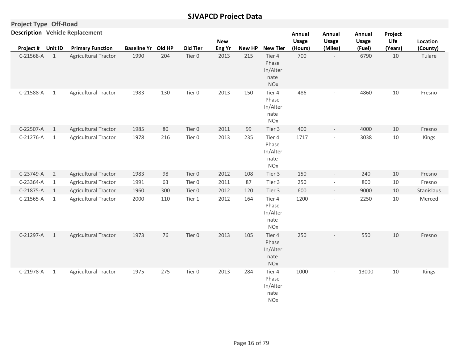|  | <b>Project Type Off-Road</b> |
|--|------------------------------|
|  |                              |

|                   |                | <b>Description</b> Vehicle Replacement |                    |     |          | <b>New</b>    |        |                                                              | Annual<br><b>Usage</b> | Annual<br><b>Usage</b>   | <b>Annual</b><br><b>Usage</b> | Project<br>Life | Location   |
|-------------------|----------------|----------------------------------------|--------------------|-----|----------|---------------|--------|--------------------------------------------------------------|------------------------|--------------------------|-------------------------------|-----------------|------------|
| Project # Unit ID |                | <b>Primary Function</b>                | Baseline Yr Old HP |     | Old Tier | <b>Eng Yr</b> | New HP | <b>New Tier</b>                                              | (Hours)                | (Miles)                  | (Fuel)                        | (Years)         | (County)   |
| C-21568-A         | $\mathbf{1}$   | <b>Agricultural Tractor</b>            | 1990               | 204 | Tier 0   | 2013          | 215    | Tier 4<br>Phase<br>In/Alter<br>nate<br><b>NO<sub>x</sub></b> | 700                    |                          | 6790                          | 10              | Tulare     |
| C-21588-A         | $1\,$          | <b>Agricultural Tractor</b>            | 1983               | 130 | Tier 0   | 2013          | 150    | Tier 4<br>Phase<br>In/Alter<br>nate<br><b>NO<sub>x</sub></b> | 486                    | $\overline{\phantom{a}}$ | 4860                          | 10              | Fresno     |
| C-22507-A         | $\mathbf{1}$   | <b>Agricultural Tractor</b>            | 1985               | 80  | Tier 0   | 2011          | 99     | Tier 3                                                       | 400                    | $\overline{\phantom{a}}$ | 4000                          | 10              | Fresno     |
| C-21276-A         | $\mathbf{1}$   | <b>Agricultural Tractor</b>            | 1978               | 216 | Tier 0   | 2013          | 235    | Tier 4<br>Phase<br>In/Alter<br>nate<br><b>NOx</b>            | 1717                   |                          | 3038                          | 10              | Kings      |
| C-23749-A         | $\overline{2}$ | <b>Agricultural Tractor</b>            | 1983               | 98  | Tier 0   | 2012          | 108    | Tier 3                                                       | 150                    | $\overline{\phantom{a}}$ | 240                           | 10              | Fresno     |
| C-23364-A         | $1\,$          | <b>Agricultural Tractor</b>            | 1991               | 63  | Tier 0   | 2011          | 87     | Tier 3                                                       | 250                    |                          | 800                           | $10\,$          | Fresno     |
| C-21875-A         | $\mathbf{1}$   | <b>Agricultural Tractor</b>            | 1960               | 300 | Tier 0   | 2012          | 120    | Tier 3                                                       | 600                    | $\overline{\phantom{a}}$ | 9000                          | 10              | Stanislaus |
| C-21565-A         | $\mathbf{1}$   | <b>Agricultural Tractor</b>            | 2000               | 110 | Tier 1   | 2012          | 164    | Tier 4<br>Phase<br>In/Alter<br>nate<br><b>NOx</b>            | 1200                   | $\overline{\phantom{a}}$ | 2250                          | 10              | Merced     |
| C-21297-A         | $\mathbf{1}$   | <b>Agricultural Tractor</b>            | 1973               | 76  | Tier 0   | 2013          | 105    | Tier 4<br>Phase<br>In/Alter<br>nate<br><b>NOx</b>            | 250                    |                          | 550                           | 10              | Fresno     |
| C-21978-A         | $1\,$          | <b>Agricultural Tractor</b>            | 1975               | 275 | Tier 0   | 2013          | 284    | Tier 4<br>Phase<br>In/Alter<br>nate<br><b>NOx</b>            | 1000                   | $\overline{\phantom{a}}$ | 13000                         | 10              | Kings      |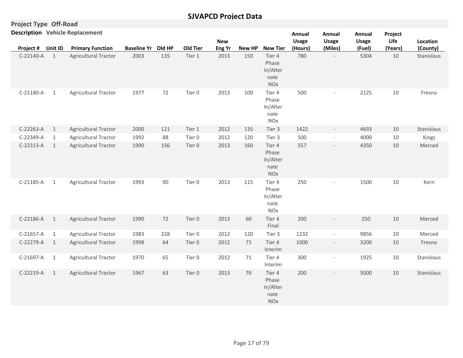|  | <b>Project Type Off-Road</b> |
|--|------------------------------|
|  |                              |

|                   |              | <b>Description</b> Vehicle Replacement |                           |     |          | <b>New</b> |        |                                                              | Annual<br><b>Usage</b> | Annual<br><b>Usage</b>   | <b>Annual</b><br><b>Usage</b> | Project<br>Life | Location   |
|-------------------|--------------|----------------------------------------|---------------------------|-----|----------|------------|--------|--------------------------------------------------------------|------------------------|--------------------------|-------------------------------|-----------------|------------|
| Project # Unit ID |              | <b>Primary Function</b>                | <b>Baseline Yr Old HP</b> |     | Old Tier | Eng Yr     | New HP | <b>New Tier</b>                                              | (Hours)                | (Miles)                  | (Fuel)                        | (Years)         | (County)   |
| C-22140-A         | $\,1\,$      | <b>Agricultural Tractor</b>            | 2003                      | 135 | Tier 1   | 2013       | 150    | Tier 4<br>Phase<br>In/Alter<br>nate<br><b>NO<sub>x</sub></b> | 780                    |                          | 5304                          | $10\,$          | Stanislaus |
| C-21180-A         | $\mathbf{1}$ | <b>Agricultural Tractor</b>            | 1977                      | 72  | Tier 0   | 2013       | 100    | Tier 4<br>Phase<br>In/Alter<br>nate<br><b>NOx</b>            | 500                    | $\overline{\phantom{a}}$ | 2125                          | 10              | Fresno     |
| C-22263-A         | $\mathbf{1}$ | <b>Agricultural Tractor</b>            | 2000                      | 121 | Tier 1   | 2012       | 135    | Tier 3                                                       | 1422                   | $\overline{\phantom{a}}$ | 4693                          | 10              | Stanislaus |
| C-22349-A         | $\mathbf{1}$ | <b>Agricultural Tractor</b>            | 1992                      | 88  | Tier 0   | 2012       | 120    | Tier 3                                                       | 500                    |                          | 4000                          | 10              | Kings      |
| C-22313-A         | $\mathbf{1}$ | <b>Agricultural Tractor</b>            | 1990                      | 156 | Tier 0   | 2013       | 160    | Tier 4<br>Phase<br>In/Alter<br>nate<br><b>NOx</b>            | 557                    | $\overline{\phantom{a}}$ | 4350                          | 10              | Merced     |
| C-21185-A         | $\mathbf{1}$ | <b>Agricultural Tractor</b>            | 1993                      | 90  | Tier 0   | 2013       | 115    | Tier 4<br>Phase<br>In/Alter<br>nate<br><b>NOx</b>            | 250                    |                          | 1500                          | 10              | Kern       |
| C-22186-A         | $1\,$        | <b>Agricultural Tractor</b>            | 1990                      | 72  | Tier 0   | 2013       | 60     | Tier 4<br>Final                                              | 200                    |                          | 250                           | 10              | Merced     |
| C-21657-A         | $\mathbf{1}$ | <b>Agricultural Tractor</b>            | 1983                      | 228 | Tier 0   | 2012       | 120    | Tier 3                                                       | 1232                   | $\sim$                   | 9856                          | $10\,$          | Merced     |
| C-22279-A         | $\mathbf{1}$ | <b>Agricultural Tractor</b>            | 1998                      | 64  | Tier 0   | 2012       | 71     | Tier 4<br>Interim                                            | 1000                   | $\overline{\phantom{a}}$ | 3200                          | $10\,$          | Fresno     |
| C-21697-A         | $1\,$        | <b>Agricultural Tractor</b>            | 1970                      | 65  | Tier 0   | 2012       | 71     | Tier 4<br>Interim                                            | 300                    |                          | 1925                          | 10              | Stanislaus |
| C-22219-A         | $\mathbf{1}$ | <b>Agricultural Tractor</b>            | 1967                      | 63  | Tier 0   | 2013       | 76     | Tier 4<br>Phase<br>In/Alter<br>nate<br><b>NOx</b>            | 200                    |                          | 5000                          | 10              | Stanislaus |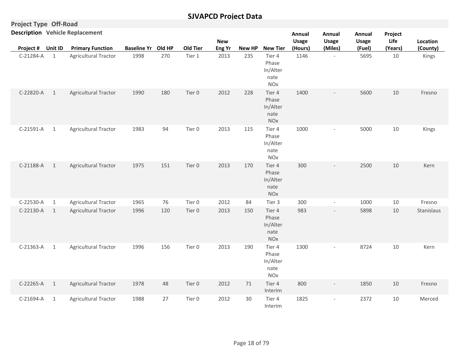| <b>Project Type Off-Road</b>   |              |                                                        |                                   |     |                    |                       |        |                                                              |                        |                                   |                                         |                            |                   |
|--------------------------------|--------------|--------------------------------------------------------|-----------------------------------|-----|--------------------|-----------------------|--------|--------------------------------------------------------------|------------------------|-----------------------------------|-----------------------------------------|----------------------------|-------------------|
|                                |              | <b>Description</b> Vehicle Replacement                 |                                   |     |                    | <b>New</b>            | New HP | <b>New Tier</b>                                              | Annual<br><b>Usage</b> | Annual<br><b>Usage</b><br>(Miles) | <b>Annual</b><br><b>Usage</b><br>(Fuel) | Project<br>Life<br>(Years) | Location          |
| Project # Unit ID<br>C-21284-A | 1            | <b>Primary Function</b><br><b>Agricultural Tractor</b> | <b>Baseline Yr Old HP</b><br>1998 | 270 | Old Tier<br>Tier 1 | <b>Eng Yr</b><br>2013 | 235    | Tier 4                                                       | (Hours)<br>1146        | $\overline{\phantom{a}}$          | 5695                                    | 10                         | (County)<br>Kings |
|                                |              |                                                        |                                   |     |                    |                       |        | Phase<br>In/Alter<br>nate<br><b>NO<sub>x</sub></b>           |                        |                                   |                                         |                            |                   |
| C-22820-A                      | $\mathbf{1}$ | <b>Agricultural Tractor</b>                            | 1990                              | 180 | Tier 0             | 2012                  | 228    | Tier 4<br>Phase<br>In/Alter<br>nate<br><b>NOx</b>            | 1400                   | $\overline{\phantom{m}}$          | 5600                                    | $10$                       | Fresno            |
| C-21591-A                      | $\mathbf{1}$ | Agricultural Tractor                                   | 1983                              | 94  | Tier 0             | 2013                  | 115    | Tier 4<br>Phase<br>In/Alter<br>nate<br><b>NOx</b>            | 1000                   |                                   | 5000                                    | $10\,$                     | Kings             |
| C-21188-A                      | $\mathbf{1}$ | <b>Agricultural Tractor</b>                            | 1975                              | 151 | Tier 0             | 2013                  | 170    | Tier 4<br>Phase<br>In/Alter<br>nate<br><b>NOx</b>            | 300                    | $\overline{\phantom{a}}$          | 2500                                    | $10$                       | Kern              |
| C-22530-A                      | $\mathbf{1}$ | Agricultural Tractor                                   | 1965                              | 76  | Tier 0             | 2012                  | 84     | Tier 3                                                       | 300                    | $\overline{\phantom{a}}$          | 1000                                    | 10                         | Fresno            |
| C-22130-A                      | $\mathbf{1}$ | <b>Agricultural Tractor</b>                            | 1996                              | 120 | Tier 0             | 2013                  | 150    | Tier 4<br>Phase<br>In/Alter<br>nate<br><b>NO<sub>x</sub></b> | 983                    | $\overline{\phantom{a}}$          | 5898                                    | 10                         | Stanislaus        |
| C-21363-A                      | $\mathbf{1}$ | <b>Agricultural Tractor</b>                            | 1996                              | 156 | Tier 0             | 2013                  | 190    | Tier 4<br>Phase<br>In/Alter<br>nate<br><b>NO<sub>x</sub></b> | 1300                   |                                   | 8724                                    | 10                         | Kern              |
| C-22265-A                      | $\mathbf{1}$ | <b>Agricultural Tractor</b>                            | 1978                              | 48  | Tier 0             | 2012                  | 71     | Tier 4<br>Interim                                            | 800                    | $\overline{\phantom{a}}$          | 1850                                    | $10$                       | Fresno            |
| C-21694-A                      | $\mathbf{1}$ | Agricultural Tractor                                   | 1988                              | 27  | Tier 0             | 2012                  | 30     | Tier 4<br><b>Interim</b>                                     | 1825                   | $\overline{\phantom{a}}$          | 2372                                    | 10                         | Merced            |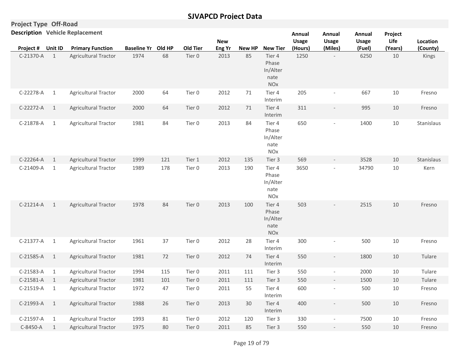|  | <b>Project Type Off-Road</b> |  |
|--|------------------------------|--|
|  |                              |  |

|             |              | <b>Description</b> Vehicle Replacement |                           |      |          | <b>New</b> |        |                                                              | Annual<br><b>Usage</b> | Annual<br><b>Usage</b>   | Annual<br><b>Usage</b> | Project<br>Life | Location   |
|-------------|--------------|----------------------------------------|---------------------------|------|----------|------------|--------|--------------------------------------------------------------|------------------------|--------------------------|------------------------|-----------------|------------|
| Project #   | Unit ID      | <b>Primary Function</b>                | <b>Baseline Yr Old HP</b> |      | Old Tier | Eng Yr     | New HP | <b>New Tier</b>                                              | (Hours)                | (Miles)                  | (Fuel)                 | (Years)         | (County)   |
| C-21370-A   | $\mathbf{1}$ | <b>Agricultural Tractor</b>            | 1974                      | 68   | Tier 0   | 2013       | 85     | Tier 4<br>Phase<br>In/Alter<br>nate<br><b>NOx</b>            | 1250                   |                          | 6250                   | $10$            | Kings      |
| C-22278-A   | $1\,$        | <b>Agricultural Tractor</b>            | 2000                      | 64   | Tier 0   | 2012       | 71     | Tier 4<br>Interim                                            | 205                    |                          | 667                    | $10\,$          | Fresno     |
| C-22272-A   | $1\,$        | <b>Agricultural Tractor</b>            | 2000                      | 64   | Tier 0   | 2012       | 71     | Tier 4<br>Interim                                            | 311                    | $\overline{\phantom{a}}$ | 995                    | $10\,$          | Fresno     |
| C-21878-A   | $\mathbf{1}$ | Agricultural Tractor                   | 1981                      | 84   | Tier 0   | 2013       | 84     | Tier 4<br>Phase<br>In/Alter<br>nate<br><b>NOx</b>            | 650                    |                          | 1400                   | 10              | Stanislaus |
| C-22264-A   | $\mathbf{1}$ | <b>Agricultural Tractor</b>            | 1999                      | 121  | Tier 1   | 2012       | 135    | Tier 3                                                       | 569                    | $\overline{\phantom{a}}$ | 3528                   | $10$            | Stanislaus |
| C-21409-A   | $1\,$        | <b>Agricultural Tractor</b>            | 1989                      | 178  | Tier 0   | 2013       | 190    | Tier 4<br>Phase<br>In/Alter<br>nate<br><b>NOx</b>            | 3650                   |                          | 34790                  | $10\,$          | Kern       |
| $C-21214-A$ | $\mathbf{1}$ | <b>Agricultural Tractor</b>            | 1978                      | 84   | Tier 0   | 2013       | 100    | Tier 4<br>Phase<br>In/Alter<br>nate<br><b>NO<sub>x</sub></b> | 503                    |                          | 2515                   | 10              | Fresno     |
| C-21377-A   | $\mathbf{1}$ | Agricultural Tractor                   | 1961                      | 37   | Tier 0   | 2012       | 28     | Tier 4<br>Interim                                            | 300                    | $\overline{\phantom{a}}$ | 500                    | $10\,$          | Fresno     |
| C-21585-A   | $1\,$        | <b>Agricultural Tractor</b>            | 1981                      | $72$ | Tier 0   | 2012       | 74     | Tier 4<br>Interim                                            | 550                    | $\overline{\phantom{a}}$ | 1800                   | $10\,$          | Tulare     |
| C-21583-A   | $1\,$        | <b>Agricultural Tractor</b>            | 1994                      | 115  | Tier 0   | 2011       | 111    | Tier 3                                                       | 550                    | $\sim$                   | 2000                   | 10              | Tulare     |
| C-21581-A   | $\mathbf{1}$ | <b>Agricultural Tractor</b>            | 1981                      | 101  | Tier 0   | 2011       | 111    | Tier 3                                                       | 550                    | $\overline{\phantom{a}}$ | 1500                   | $10$            | Tulare     |
| C-21519-A   | $\mathbf{1}$ | <b>Agricultural Tractor</b>            | 1972                      | 47   | Tier 0   | 2011       | 55     | Tier 4<br>Interim                                            | 600                    |                          | 500                    | $10\,$          | Fresno     |
| C-21993-A   | $1\,$        | <b>Agricultural Tractor</b>            | 1988                      | 26   | Tier 0   | 2013       | 30     | Tier 4<br>Interim                                            | 400                    | $\overline{\phantom{a}}$ | 500                    | $10\,$          | Fresno     |
| C-21597-A   | 1            | <b>Agricultural Tractor</b>            | 1993                      | 81   | Tier 0   | 2012       | 120    | Tier 3                                                       | 330                    |                          | 7500                   | 10              | Fresno     |
|             |              |                                        |                           |      |          |            |        |                                                              |                        |                          |                        |                 |            |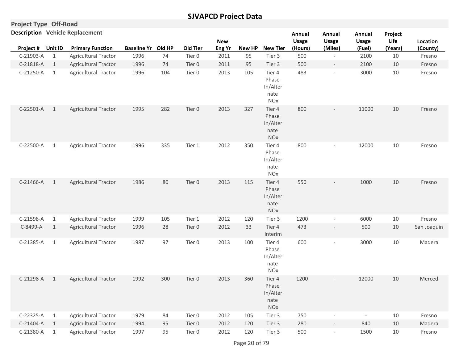**Project Type Off-Road Description Vehicle Replacement Project #Unit IDPrimary Function**<br>**Agricultural Tractor Baseline Yr Old HP Old Tier New Eng Yr New HPNew Tier**<br>Tier 3 **Annual Usage (Hours)Annual Usage (Miles)Annual Usage (Fuel)Project Life (Years)Location** D Primary Function Baseline Yr Old HP Old Tier Eng Yr New HP New Tier (Hours) (Miles) (Fuel) (Years) (County) C-21903-A 1<br>C-21818-A 1 1 Agricultural Tractor 1996 74 Tier 0 2011 95 Tier 3 500 - 2100 10 Fresno 10 Fresno<br>10 Fresno C-21818-A 1 Agricultural Tractor 1996 74 Tier 0 2011 95 Tier 3 500 - 2100 10 Fresno 10 Fresno<br>10 Fresno Agricultural Tractor <sup>1996</sup> <sup>104</sup> Tier 0 <sup>2013</sup> <sup>105</sup> Tier 4 Phase In/Alternate NOxC-21250-A <sup>1</sup>1 Agricultural Tractor 1996 104 Tier 0 2013 105 Tier 4 483 - 3000 10 Fresno Fresno Agricultural Tractor <sup>1995</sup> <sup>282</sup> Tier 0 <sup>2013</sup> <sup>327</sup> Tier 4 Phase In/Alternate NOxC-22501-A <sup>1</sup>1 Agricultural Tractor 1995 282 Tier 0 2013 327 Tier 4 800 - 11000 10 Fresno 10 Fresno Agricultural Tractor <sup>1996</sup> <sup>335</sup> Tier 1 <sup>2012</sup> <sup>350</sup> Tier 4 Phase In/Alternate NOxC-22500-A <sup>1</sup>1 Agricultural Tractor 1996 335 Tier 1 2012 350 Tier 4 800 - 12000 10 Fresno 10 Fresno Agricultural Tractor <sup>1986</sup> <sup>80</sup> Tier 0 <sup>2013</sup> <sup>115</sup> Tier 4 Phase In/Alternate NOxC-21466-A <sup>1</sup>1 Agricultural Tractor 1986 80 Tier 0 2013 115 Tier 4 550 - 1000 10 Fresno 10 Fresno C-21598-A <sup>1</sup> Agricultural Tractor <sup>1999</sup> <sup>105</sup> Tier 1 <sup>2012</sup> <sup>120</sup> Tier 3 <sup>1200</sup> - <sup>6000</sup> Fresno10 Fresno Agricultural Tractor <sup>1996</sup> <sup>28</sup> Tier 0 <sup>2012</sup> <sup>33</sup> Tier 4 InterimTier 4 C-8499-A <sup>1</sup>1 Agricultural Tractor 1996 28 Tier 0 2012 33 Tier 4 473 – 500 10 San Joaquin 10 San Joaquin Agricultural Tractor 1987 97 Tier 0 2013 100 Phase In/Alternate NOxC-21385-A <sup>1</sup>1 Agricultural Tractor 1987 97 Tier 0 2013 100 Tier 4 600 - 3000 10 Madera Agricultural Tractor <sup>1992</sup> <sup>300</sup> Tier 0 <sup>2013</sup> <sup>360</sup> Tier 4 Phase In/Alternate NOxC-21298-A <sup>1</sup>1 Agricultural Tractor 1992 300 Tier 0 2013 360 Tier 4 1200 - 12000 10 Merced 10 Merced C-22325-A <sup>1</sup>1 Agricultural Tractor 1979 84 Tier 0 2012 105 Tier 3 750 - - - 10 Fresno 10 Fresno C-21404-A <sup>1</sup>1 Agricultural Tractor 1994 95 Tier 0 2012 120 Tier 3 280 - 840 10 Madera C-21380-A <sup>1</sup>1 Agricultural Tractor 1997 95 Tier 0 2012 120 Tier 3 500 - - 1500 10 Fresno 10 Fresno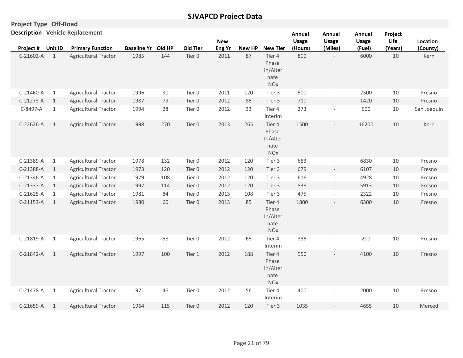|  | <b>Project Type Off-Road</b> |
|--|------------------------------|
|  |                              |

|           |              | <b>Description</b> Vehicle Replacement |                           |        |          |                      |               |                                                              | Annual                  | Annual                   | Annual                 | Project         |                      |
|-----------|--------------|----------------------------------------|---------------------------|--------|----------|----------------------|---------------|--------------------------------------------------------------|-------------------------|--------------------------|------------------------|-----------------|----------------------|
| Project # | Unit ID      | <b>Primary Function</b>                | <b>Baseline Yr Old HP</b> |        | Old Tier | <b>New</b><br>Eng Yr | <b>New HP</b> | <b>New Tier</b>                                              | <b>Usage</b><br>(Hours) | <b>Usage</b><br>(Miles)  | <b>Usage</b><br>(Fuel) | Life<br>(Years) | Location<br>(County) |
| C-21602-A | $\mathbf{1}$ | <b>Agricultural Tractor</b>            | 1985                      | 144    | Tier 0   | 2011                 | 87            | Tier 4<br>Phase<br>In/Alter<br>nate<br><b>NOx</b>            | 800                     | $\overline{\phantom{a}}$ | 6000                   | 10              | Kern                 |
| C-21460-A | $1\,$        | <b>Agricultural Tractor</b>            | 1996                      | $90\,$ | Tier 0   | 2011                 | 120           | Tier 3                                                       | 500                     |                          | 2500                   | 10              | Fresno               |
| C-21273-A | $\mathbf{1}$ | <b>Agricultural Tractor</b>            | 1987                      | 79     | Tier 0   | 2012                 | 85            | Tier 3                                                       | 710                     | $\overline{\phantom{a}}$ | 1420                   | 10              | Fresno               |
| C-8497-A  | $\mathbf{1}$ | <b>Agricultural Tractor</b>            | 1994                      | 28     | Tier 0   | 2012                 | 33            | Tier 4<br>Interim                                            | 273                     | $\overline{\phantom{a}}$ | 500                    | 10              | San Joaquin          |
| C-22626-A | $\,1\,$      | <b>Agricultural Tractor</b>            | 1998                      | 270    | Tier 0   | 2013                 | 265           | Tier 4<br>Phase<br>In/Alter<br>nate<br><b>NOx</b>            | 1500                    | $\overline{\phantom{a}}$ | 16200                  | 10              | Kern                 |
| C-21389-A | $1\,$        | Agricultural Tractor                   | 1978                      | 132    | Tier 0   | 2012                 | 120           | Tier 3                                                       | 683                     | L,                       | 6830                   | 10              | Fresno               |
| C-21388-A | $\mathbf{1}$ | <b>Agricultural Tractor</b>            | 1973                      | 120    | Tier 0   | 2012                 | 120           | Tier 3                                                       | 679                     | $\overline{\phantom{a}}$ | 6107                   | 10              | Fresno               |
| C-21346-A | $1\,$        | Agricultural Tractor                   | 1979                      | 108    | Tier 0   | 2012                 | 120           | Tier 3                                                       | 616                     | $\overline{\phantom{a}}$ | 4928                   | 10              | Fresno               |
| C-21337-A | $\mathbf{1}$ | <b>Agricultural Tractor</b>            | 1997                      | 114    | Tier 0   | 2012                 | 120           | Tier 3                                                       | 538                     | $\overline{\phantom{a}}$ | 5913                   | 10              | Fresno               |
| C-21625-A | $\mathbf{1}$ | <b>Agricultural Tractor</b>            | 1981                      | 84     | Tier 0   | 2013                 | 108           | Tier 3                                                       | 475                     | $\overline{a}$           | 2322                   | $10\,$          | Fresno               |
| C-21153-A | $\,1\,$      | <b>Agricultural Tractor</b>            | 1980                      | 60     | Tier 0   | 2013                 | 85            | Tier 4<br>Phase<br>In/Alter<br>nate<br><b>NOx</b>            | 1800                    |                          | 6300                   | 10              | Fresno               |
| C-21819-A | $\mathbf{1}$ | <b>Agricultural Tractor</b>            | 1965                      | 58     | Tier 0   | 2012                 | 65            | Tier 4<br>Interim                                            | 336                     |                          | 200                    | 10              | Fresno               |
| C-21842-A | $\mathbf{1}$ | <b>Agricultural Tractor</b>            | 1997                      | 100    | Tier 1   | 2012                 | 188           | Tier 4<br>Phase<br>In/Alter<br>nate<br><b>NO<sub>x</sub></b> | 950                     |                          | 4100                   | 10              | Fresno               |
| C-21478-A | $1\,$        | <b>Agricultural Tractor</b>            | 1971                      | 46     | Tier 0   | 2012                 | 56            | Tier 4<br>Interim                                            | 400                     | $\overline{\phantom{a}}$ | 2000                   | 10              | Fresno               |
| C-21659-A | $\mathbf{1}$ | <b>Agricultural Tractor</b>            | 1964                      | 115    | Tier 0   | 2012                 | 120           | Tier 3                                                       | 1035                    | $\overline{\phantom{a}}$ | 4655                   | 10              | Merced               |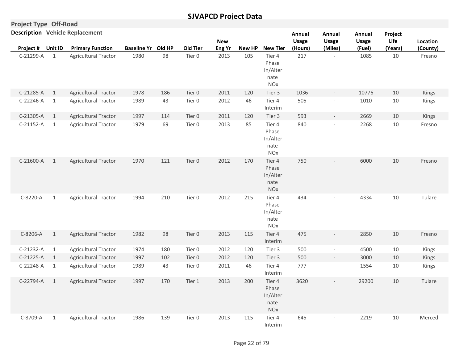| <b>Project Type Off-Road</b> |              |                                        |                    |     |          |               |        |                                                              |                 |                          |                        |                 |          |
|------------------------------|--------------|----------------------------------------|--------------------|-----|----------|---------------|--------|--------------------------------------------------------------|-----------------|--------------------------|------------------------|-----------------|----------|
|                              |              | <b>Description</b> Vehicle Replacement |                    |     |          | <b>New</b>    |        |                                                              | Annual<br>Usage | Annual<br><b>Usage</b>   | Annual<br><b>Usage</b> | Project<br>Life | Location |
| Project # Unit ID            |              | <b>Primary Function</b>                | Baseline Yr Old HP |     | Old Tier | <b>Eng Yr</b> | New HP | <b>New Tier</b>                                              | (Hours)         | (Miles)                  | (Fuel)                 | (Years)         | (County) |
| C-21299-A                    | $\mathbf{1}$ | <b>Agricultural Tractor</b>            | 1980               | 98  | Tier 0   | 2013          | 105    | Tier 4<br>Phase<br>In/Alter<br>nate<br><b>NOx</b>            | 217             | $\overline{a}$           | 1085                   | 10              | Fresno   |
| C-21285-A                    | $\mathbf{1}$ | <b>Agricultural Tractor</b>            | 1978               | 186 | Tier 0   | 2011          | 120    | Tier 3                                                       | 1036            | $\overline{\phantom{a}}$ | 10776                  | 10              | Kings    |
| C-22246-A                    | $\,1\,$      | <b>Agricultural Tractor</b>            | 1989               | 43  | Tier 0   | 2012          | 46     | Tier 4<br>Interim                                            | 505             |                          | 1010                   | 10              | Kings    |
| C-21305-A                    | $\mathbf{1}$ | Agricultural Tractor                   | 1997               | 114 | Tier 0   | 2011          | 120    | Tier 3                                                       | 593             | $\overline{\phantom{m}}$ | 2669                   | 10              | Kings    |
| $C-21152-A$                  | $\,1\,$      | <b>Agricultural Tractor</b>            | 1979               | 69  | Tier 0   | 2013          | 85     | Tier 4<br>Phase<br>In/Alter<br>nate<br><b>NOx</b>            | 840             |                          | 2268                   | 10              | Fresno   |
| C-21600-A                    | $\mathbf{1}$ | <b>Agricultural Tractor</b>            | 1970               | 121 | Tier 0   | 2012          | 170    | Tier 4<br>Phase<br>In/Alter<br>nate<br><b>NOx</b>            | 750             |                          | 6000                   | $10\,$          | Fresno   |
| C-8220-A                     | $\mathbf{1}$ | <b>Agricultural Tractor</b>            | 1994               | 210 | Tier 0   | 2012          | 215    | Tier 4<br>Phase<br>In/Alter<br>nate<br><b>NOx</b>            | 434             |                          | 4334                   | 10              | Tulare   |
| C-8206-A                     | $\mathbf{1}$ | <b>Agricultural Tractor</b>            | 1982               | 98  | Tier 0   | 2013          | 115    | Tier 4<br>Interim                                            | 475             | $\overline{\phantom{a}}$ | 2850                   | 10              | Fresno   |
| C-21232-A                    | $\mathbf{1}$ | <b>Agricultural Tractor</b>            | 1974               | 180 | Tier 0   | 2012          | 120    | Tier 3                                                       | 500             |                          | 4500                   | $10\,$          | Kings    |
| C-21225-A                    | $1\,$        | <b>Agricultural Tractor</b>            | 1997               | 102 | Tier 0   | 2012          | 120    | Tier 3                                                       | 500             | $\overline{\phantom{a}}$ | 3000                   | 10              | Kings    |
| C-22248-A                    | $1\,$        | <b>Agricultural Tractor</b>            | 1989               | 43  | Tier 0   | 2011          | 46     | Tier 4<br>Interim                                            | 777             | $\overline{a}$           | 1554                   | $10\,$          | Kings    |
| C-22794-A                    | $1\,$        | <b>Agricultural Tractor</b>            | 1997               | 170 | Tier 1   | 2013          | 200    | Tier 4<br>Phase<br>In/Alter<br>nate<br><b>NO<sub>x</sub></b> | 3620            | $\overline{a}$           | 29200                  | 10              | Tulare   |
| C-8709-A                     | $\mathbf{1}$ | <b>Agricultural Tractor</b>            | 1986               | 139 | Tier 0   | 2013          | 115    | Tier 4<br><b>Interim</b>                                     | 645             |                          | 2219                   | 10              | Merced   |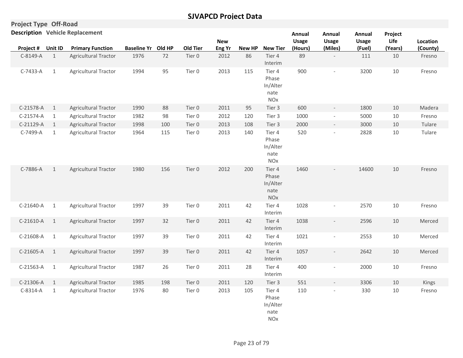**Project Type Off-Road Description Vehicle Replacement Project #Unit ID11 Byland Primary Function**<br>**1** Agricultural Tracto **Baseline Yr Old HP Old Tier New Eng Yr New HPNew Tier**<br>Tier 4 **Annual Usage (Hours)Annual Usage (Miles)Annual Usage (Fuel)Project Life (Years)Location** <u>D Primary Function Baseline Yr Old HP Old Tier Eng Yr New HP New Tier (Hours) (Miles) (Fuel) (Years) (County)</u> Agricultural Tractor 1976 72 Tier 0 2012 86 InterimTier 4  $C-8149-A$ 1 Agricultural Tractor 1976 72 Tier 0 2012 86 Tier 4 89 - 111 10 Fresno 10 Fresno Agricultural Tractor 1994 95 Tier 0 2013 115 Phase In/Alternate NOxC-7433-A <sup>1</sup>1 Agricultural Tractor 1994 95 Tier 0 2013 115 Tier 4 900 - 3200 10 Fresno 10 Fresno C-21578-A <sup>1</sup>1 Agricultural Tractor 1990 88 Tier 0 2011 95 Tier 3 600 - 1800 10 Madera C-21574-A <sup>1</sup> Agricultural Tractor <sup>1982</sup> <sup>98</sup> Tier 0 <sup>2012</sup> <sup>120</sup> Tier 3 <sup>1000</sup> - <sup>5000</sup> Fresno10 Fresno<br>10 Tulare C-21129-A 1 Agricultural Tractor <sup>1998</sup> <sup>100</sup> Tier 0 <sup>2013</sup> <sup>108</sup> Tier 3 <sup>2000</sup> - <sup>3000</sup> Tulare <sup>10</sup> Agricultural Tractor <sup>1964</sup> <sup>115</sup> Tier 0 <sup>2013</sup> <sup>140</sup> Tier 4 Phase In/Alternate NOxC-7499-A <sup>1</sup>1 Agricultural Tractor 1964 115 Tier 0 2013 140 Tier 4 520 - 2828 10 Tulare Agricultural Tractor <sup>1980</sup> <sup>156</sup> Tier 0 <sup>2012</sup> <sup>200</sup> Tier 4 Phase In/Alternate NOxC-7886-A <sup>1</sup>1 Agricultural Tractor 1980 156 Tier 0 2012 200 Tier 4 1460 - 14600 10 Fresno 10 Fresno Agricultural Tractor  $1997$  39 Tier 0 2011 42 Tier 4 InterimTier 4 C-21640-A <sup>1</sup>1 Agricultural Tractor 1997 39 Tier 0 2011 42 Tier 4 1028 - 2570 10 Fresno 10 Fresno Agricultural Tractor 1997 32 Tier 0 2011 42 InterimTier 4 C-21610-A <sup>1</sup>1 Agricultural Tractor 1997 32 Tier 0 2011 42 Tier 4 1038 - 2596 10 Merced 10 Merced Agricultural Tractor 1997 39 Tier 0 2011 42 InterimTier 4 C-21608-A <sup>1</sup>1 Agricultural Tractor 1997 39 Tier 0 2011 42 Tier 4 1021 - 2553 10 Merced 10 Merced Agricultural Tractor 1997 39 Tier 0 2011 42 InterimTier 4 C-21605-A <sup>1</sup>1 Agricultural Tractor 1997 39 Tier 0 2011 42 Tier 4 1057 - 2642 10 Merced 10 Merced Agricultural Tractor 1987 26 Tier 0 2011 28 InterimTier 3 C-21563-A <sup>1</sup>1 Agricultural Tractor 1987 26 Tier 0 2011 28 Tier 4 400 - 2000 10 Fresno 10 Fresno C-21306-A 1<br>C-8314-A 1 1 Agricultural Tractor 1985 198 Tier 0 2011 120 Tier 3 551 - 3306 10 Kings Agricultural Tractor 1976 80 Tier 0 2013 105 Tier 4 Phase In/Alternate  $C-8314-A$ 1 Agricultural Tractor 1976 80 Tier 0 2013 105 Tier 4 110 - 330 10 Fresno 10 Fresno

NOx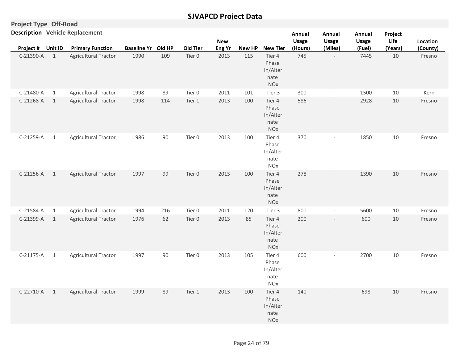| <b>Project Type Off-Road</b> |         |                                        |                    |        |          |            |     |                                                              |                        |                          |                        |                 |          |
|------------------------------|---------|----------------------------------------|--------------------|--------|----------|------------|-----|--------------------------------------------------------------|------------------------|--------------------------|------------------------|-----------------|----------|
|                              |         | <b>Description</b> Vehicle Replacement |                    |        |          | <b>New</b> |     |                                                              | Annual<br><b>Usage</b> | Annual<br><b>Usage</b>   | Annual<br><b>Usage</b> | Project<br>Life | Location |
| Project #                    | Unit ID | <b>Primary Function</b>                | <b>Baseline Yr</b> | Old HP | Old Tier | Eng Yr     |     | New HP New Tier                                              | (Hours)                | (Miles)                  | (Fuel)                 | (Years)         | (County) |
| C-21390-A                    |         | <b>Agricultural Tractor</b>            | 1990               | 109    | Tier 0   | 2013       | 115 | Tier 4<br>Phase<br>In/Alter<br>nate<br><b>NO<sub>x</sub></b> | 745                    | $\overline{\phantom{a}}$ | 7445                   | 10              | Fresno   |

| C-21390-A | $\mathbf{1}$ | <b>Agricultural Tractor</b> | 1990 | 109    | Tier 0 | 2013 | 115 | Tier 4<br>Phase<br>In/Alter<br>nate<br><b>NOx</b>            | 745 | $\overline{a}$           | 7445 | 10   | Fresno |
|-----------|--------------|-----------------------------|------|--------|--------|------|-----|--------------------------------------------------------------|-----|--------------------------|------|------|--------|
| C-21480-A | $\mathbf{1}$ | <b>Agricultural Tractor</b> | 1998 | 89     | Tier 0 | 2011 | 101 | Tier 3                                                       | 300 | $\overline{\phantom{a}}$ | 1500 | 10   | Kern   |
| C-21268-A | $\mathbf{1}$ | <b>Agricultural Tractor</b> | 1998 | 114    | Tier 1 | 2013 | 100 | Tier 4<br>Phase<br>In/Alter<br>nate<br><b>NOx</b>            | 586 | $\qquad \qquad -$        | 2928 | 10   | Fresno |
| C-21259-A | $\,1\,$      | <b>Agricultural Tractor</b> | 1986 | 90     | Tier 0 | 2013 | 100 | Tier 4<br>Phase<br>In/Alter<br>nate<br><b>NOx</b>            | 370 | $\overline{\phantom{a}}$ | 1850 | 10   | Fresno |
| C-21256-A | $\mathbf{1}$ | <b>Agricultural Tractor</b> | 1997 | 99     | Tier 0 | 2013 | 100 | Tier 4<br>Phase<br>In/Alter<br>nate<br><b>NOx</b>            | 278 | $\overline{\phantom{a}}$ | 1390 | $10$ | Fresno |
| C-21584-A | $\mathbf{1}$ | Agricultural Tractor        | 1994 | 216    | Tier 0 | 2011 | 120 | Tier 3                                                       | 800 | $\bar{\phantom{a}}$      | 5600 | 10   | Fresno |
| C-21399-A | $\mathbf{1}$ | <b>Agricultural Tractor</b> | 1976 | 62     | Tier 0 | 2013 | 85  | Tier 4<br>Phase<br>In/Alter<br>nate<br><b>NO<sub>x</sub></b> | 200 | $\overline{\phantom{a}}$ | 600  | 10   | Fresno |
| C-21175-A | $\,1\,$      | <b>Agricultural Tractor</b> | 1997 | $90\,$ | Tier 0 | 2013 | 105 | Tier 4<br>Phase<br>In/Alter<br>nate<br><b>NO<sub>x</sub></b> | 600 | $\frac{1}{2}$            | 2700 | 10   | Fresno |
| C-22710-A | $\,1\,$      | <b>Agricultural Tractor</b> | 1999 | 89     | Tier 1 | 2013 | 100 | Tier 4<br>Phase<br>In/Alter<br>nate<br><b>NO<sub>x</sub></b> | 140 | $\overline{\phantom{a}}$ | 698  | $10$ | Fresno |
|           |              |                             |      |        |        |      |     |                                                              |     |                          |      |      |        |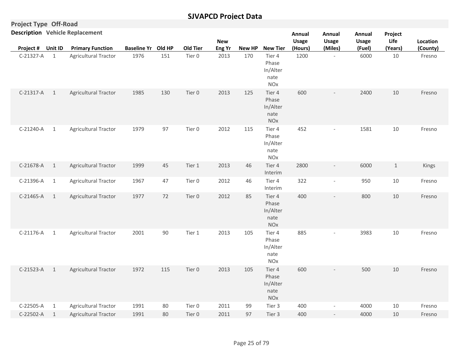| <b>Project Type Off-Road</b> |              |                                                                   |                    |      |          |                       |        |                                                              |                                   |                                   |                                  |                            |                    |
|------------------------------|--------------|-------------------------------------------------------------------|--------------------|------|----------|-----------------------|--------|--------------------------------------------------------------|-----------------------------------|-----------------------------------|----------------------------------|----------------------------|--------------------|
| Project # Unit ID            |              | <b>Description</b> Vehicle Replacement<br><b>Primary Function</b> | Baseline Yr Old HP |      | Old Tier | <b>New</b>            | New HP | <b>New Tier</b>                                              | Annual<br><b>Usage</b><br>(Hours) | Annual<br><b>Usage</b><br>(Miles) | Annual<br><b>Usage</b><br>(Fuel) | Project<br>Life<br>(Years) | Location           |
| C-21327-A                    | $\mathbf{1}$ | <b>Agricultural Tractor</b>                                       | 1976               | 151  | Tier 0   | <b>Eng Yr</b><br>2013 | 170    | Tier 4<br>Phase<br>In/Alter<br>nate<br><b>NOx</b>            | 1200                              |                                   | 6000                             | 10                         | (County)<br>Fresno |
| C-21317-A                    | $\mathbf{1}$ | <b>Agricultural Tractor</b>                                       | 1985               | 130  | Tier 0   | 2013                  | 125    | Tier 4<br>Phase<br>In/Alter<br>nate<br><b>NOx</b>            | 600                               | $\overline{\phantom{a}}$          | 2400                             | 10                         | Fresno             |
| C-21240-A                    | $\mathbf{1}$ | <b>Agricultural Tractor</b>                                       | 1979               | 97   | Tier 0   | 2012                  | 115    | Tier 4<br>Phase<br>In/Alter<br>nate<br><b>NOx</b>            | 452                               |                                   | 1581                             | 10                         | Fresno             |
| C-21678-A                    | $1\,$        | <b>Agricultural Tractor</b>                                       | 1999               | 45   | Tier 1   | 2013                  | 46     | Tier 4<br>Interim                                            | 2800                              | $\overline{\phantom{a}}$          | 6000                             | $\mathbf{1}$               | Kings              |
| C-21396-A                    | $1\,$        | Agricultural Tractor                                              | 1967               | 47   | Tier 0   | 2012                  | 46     | Tier 4<br>Interim                                            | 322                               |                                   | 950                              | $10\,$                     | Fresno             |
| C-21465-A                    | $\mathbf{1}$ | <b>Agricultural Tractor</b>                                       | 1977               | $72$ | Tier 0   | 2012                  | 85     | Tier 4<br>Phase<br>In/Alter<br>nate<br><b>NOx</b>            | 400                               |                                   | 800                              | 10                         | Fresno             |
| C-21176-A                    | $\mathbf{1}$ | <b>Agricultural Tractor</b>                                       | 2001               | 90   | Tier 1   | 2013                  | 105    | Tier 4<br>Phase<br>In/Alter<br>nate<br><b>NO<sub>x</sub></b> | 885                               |                                   | 3983                             | 10                         | Fresno             |
| C-21523-A                    | $1\,$        | <b>Agricultural Tractor</b>                                       | 1972               | 115  | Tier 0   | 2013                  | 105    | Tier 4<br>Phase<br>In/Alter<br>nate<br><b>NOx</b>            | 600                               | $\bar{\phantom{a}}$               | 500                              | 10                         | Fresno             |
| C-22505-A                    | $\mathbf{1}$ | Agricultural Tractor                                              | 1991               | 80   | Tier 0   | 2011                  | 99     | Tier 3                                                       | 400                               |                                   | 4000                             | 10                         | Fresno             |
| C-22502-A                    | $\mathbf{1}$ | <b>Agricultural Tractor</b>                                       | 1991               | 80   | Tier 0   | 2011                  | 97     | Tier 3                                                       | 400                               | $\overline{\phantom{a}}$          | 4000                             | 10                         | Fresno             |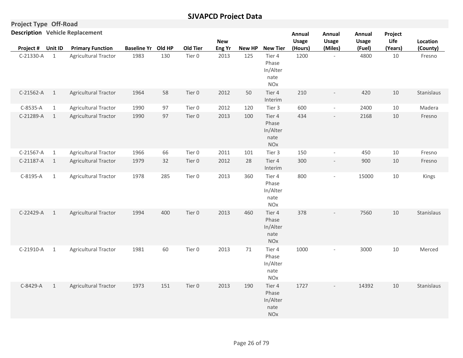| <b>Project Type Off-Road</b> |              |                                                                   |                           |     |          |                      |               |                                                              |                                          |                                   |                                  |                            |                      |
|------------------------------|--------------|-------------------------------------------------------------------|---------------------------|-----|----------|----------------------|---------------|--------------------------------------------------------------|------------------------------------------|-----------------------------------|----------------------------------|----------------------------|----------------------|
| Project # Unit ID            |              | <b>Description</b> Vehicle Replacement<br><b>Primary Function</b> | <b>Baseline Yr Old HP</b> |     | Old Tier | <b>New</b><br>Eng Yr | <b>New HP</b> | <b>New Tier</b>                                              | <b>Annual</b><br><b>Usage</b><br>(Hours) | Annual<br><b>Usage</b><br>(Miles) | Annual<br><b>Usage</b><br>(Fuel) | Project<br>Life<br>(Years) | Location<br>(County) |
| C-21330-A                    | $\mathbf{1}$ | <b>Agricultural Tractor</b>                                       | 1983                      | 130 | Tier 0   | 2013                 | 125           | Tier 4<br>Phase<br>In/Alter<br>nate<br><b>NOx</b>            | 1200                                     |                                   | 4800                             | $10\,$                     | Fresno               |
| C-21562-A                    | $\mathbf{1}$ | <b>Agricultural Tractor</b>                                       | 1964                      | 58  | Tier 0   | 2012                 | 50            | Tier 4<br>Interim                                            | 210                                      | $\overline{\phantom{a}}$          | 420                              | 10                         | Stanislaus           |
| C-8535-A                     | $\mathbf{1}$ | <b>Agricultural Tractor</b>                                       | 1990                      | 97  | Tier 0   | 2012                 | 120           | Tier 3                                                       | 600                                      | $\overline{\phantom{a}}$          | 2400                             | $10\,$                     | Madera               |
| C-21289-A                    | $\mathbf{1}$ | <b>Agricultural Tractor</b>                                       | 1990                      | 97  | Tier 0   | 2013                 | 100           | Tier 4<br>Phase<br>In/Alter<br>nate<br><b>NOx</b>            | 434                                      | $\overline{\phantom{a}}$          | 2168                             | 10                         | Fresno               |
| C-21567-A                    | $\mathbf{1}$ | <b>Agricultural Tractor</b>                                       | 1966                      | 66  | Tier 0   | 2011                 | 101           | Tier 3                                                       | 150                                      | $\overline{a}$                    | 450                              | 10                         | Fresno               |
| C-21187-A                    | $\mathbf{1}$ | <b>Agricultural Tractor</b>                                       | 1979                      | 32  | Tier 0   | 2012                 | 28            | Tier 4<br>Interim                                            | 300                                      | $\qquad \qquad -$                 | 900                              | 10                         | Fresno               |
| C-8195-A                     | $\mathbf{1}$ | <b>Agricultural Tractor</b>                                       | 1978                      | 285 | Tier 0   | 2013                 | 360           | Tier 4<br>Phase<br>In/Alter<br>nate<br><b>NO<sub>x</sub></b> | 800                                      | $\overline{\phantom{0}}$          | 15000                            | $10\,$                     | Kings                |
| C-22429-A                    | $\mathbf{1}$ | <b>Agricultural Tractor</b>                                       | 1994                      | 400 | Tier 0   | 2013                 | 460           | Tier 4<br>Phase<br>In/Alter<br>nate<br><b>NOx</b>            | 378                                      | $\overline{\phantom{m}}$          | 7560                             | 10                         | Stanislaus           |
| C-21910-A                    | $\mathbf{1}$ | <b>Agricultural Tractor</b>                                       | 1981                      | 60  | Tier 0   | 2013                 | 71            | Tier 4<br>Phase<br>In/Alter<br>nate<br><b>NOx</b>            | 1000                                     |                                   | 3000                             | 10                         | Merced               |
| C-8429-A                     | $\mathbf{1}$ | <b>Agricultural Tractor</b>                                       | 1973                      | 151 | Tier 0   | 2013                 | 190           | Tier 4<br>Phase<br>In/Alter<br>nate<br><b>NO<sub>x</sub></b> | 1727                                     | $\overline{\phantom{a}}$          | 14392                            | 10                         | Stanislaus           |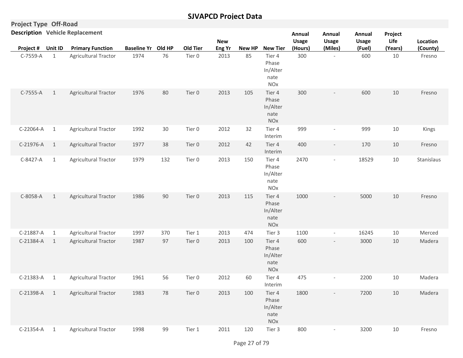| <b>Project Type Off-Road</b> |              |                                        |                           |     |          |            |               |                                                              |                        |                          |                        |                 |            |
|------------------------------|--------------|----------------------------------------|---------------------------|-----|----------|------------|---------------|--------------------------------------------------------------|------------------------|--------------------------|------------------------|-----------------|------------|
|                              |              | <b>Description</b> Vehicle Replacement |                           |     |          | <b>New</b> |               |                                                              | Annual<br><b>Usage</b> | Annual<br><b>Usage</b>   | Annual<br><b>Usage</b> | Project<br>Life | Location   |
| Project #                    | Unit ID      | <b>Primary Function</b>                | <b>Baseline Yr Old HP</b> |     | Old Tier | Eng Yr     | <b>New HP</b> | <b>New Tier</b>                                              | (Hours)                | (Miles)                  | (Fuel)                 | (Years)         | (County)   |
| C-7559-A                     | $\mathbf{1}$ | <b>Agricultural Tractor</b>            | 1974                      | 76  | Tier 0   | 2013       | 85            | Tier 4<br>Phase<br>In/Alter<br>nate<br><b>NOx</b>            | 300                    | $\overline{\phantom{a}}$ | 600                    | 10              | Fresno     |
| C-7555-A                     | $\mathbf{1}$ | <b>Agricultural Tractor</b>            | 1976                      | 80  | Tier 0   | 2013       | 105           | Tier 4<br>Phase<br>In/Alter<br>nate<br><b>NOx</b>            | 300                    |                          | 600                    | 10              | Fresno     |
| C-22064-A                    | $\mathbf{1}$ | <b>Agricultural Tractor</b>            | 1992                      | 30  | Tier 0   | 2012       | 32            | Tier 4<br>Interim                                            | 999                    | $\overline{a}$           | 999                    | 10              | Kings      |
| C-21976-A                    | $\mathbf{1}$ | <b>Agricultural Tractor</b>            | 1977                      | 38  | Tier 0   | 2012       | 42            | Tier 4<br>Interim                                            | 400                    | $\overline{\phantom{a}}$ | 170                    | 10              | Fresno     |
| C-8427-A                     | $\mathbf{1}$ | <b>Agricultural Tractor</b>            | 1979                      | 132 | Tier 0   | 2013       | 150           | Tier 4<br>Phase<br>In/Alter<br>nate<br><b>NOx</b>            | 2470                   | $\overline{\phantom{a}}$ | 18529                  | 10              | Stanislaus |
| C-8058-A                     | $\mathbf{1}$ | <b>Agricultural Tractor</b>            | 1986                      | 90  | Tier 0   | 2013       | 115           | Tier 4<br>Phase<br>In/Alter<br>nate<br><b>NOx</b>            | 1000                   | $\overline{\phantom{0}}$ | 5000                   | 10              | Fresno     |
| C-21887-A                    | $\mathbf{1}$ | Agricultural Tractor                   | 1997                      | 370 | Tier 1   | 2013       | 474           | Tier 3                                                       | 1100                   | $\overline{\phantom{m}}$ | 16245                  | 10              | Merced     |
| C-21384-A                    | $\mathbf{1}$ | <b>Agricultural Tractor</b>            | 1987                      | 97  | Tier 0   | 2013       | 100           | Tier 4<br>Phase<br>In/Alter<br>nate<br><b>NO<sub>x</sub></b> | 600                    | $\overline{\phantom{a}}$ | 3000                   | 10              | Madera     |
| C-21383-A                    | $\mathbf{1}$ | <b>Agricultural Tractor</b>            | 1961                      | 56  | Tier 0   | 2012       | 60            | Tier 4<br>Interim                                            | 475                    | $\overline{\phantom{m}}$ | 2200                   | 10              | Madera     |
| C-21398-A                    | $\mathbf{1}$ | <b>Agricultural Tractor</b>            | 1983                      | 78  | Tier 0   | 2013       | 100           | Tier 4<br>Phase<br>In/Alter<br>nate<br><b>NOx</b>            | 1800                   |                          | 7200                   | 10              | Madera     |
| C-21354-A                    | $\mathbf{1}$ | <b>Agricultural Tractor</b>            | 1998                      | 99  | Tier 1   | 2011       | 120           | Tier 3                                                       | 800                    | $\overline{\phantom{a}}$ | 3200                   | 10              | Fresno     |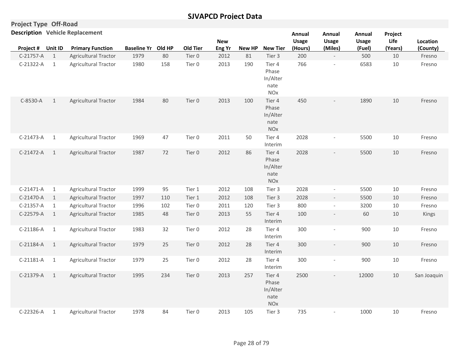**Project Type Off-Road**

|           |              | <b>Description</b> Vehicle Replacement |                    |        |          | <b>New</b>    |               |                                                              | Annual<br><b>Usage</b> | Annual<br><b>Usage</b>   | <b>Annual</b><br><b>Usage</b> | Project<br>Life | Location    |
|-----------|--------------|----------------------------------------|--------------------|--------|----------|---------------|---------------|--------------------------------------------------------------|------------------------|--------------------------|-------------------------------|-----------------|-------------|
| Project # | Unit ID      | <b>Primary Function</b>                | <b>Baseline Yr</b> | Old HP | Old Tier | <b>Eng Yr</b> | <b>New HP</b> | <b>New Tier</b>                                              | (Hours)                | (Miles)                  | (Fuel)                        | (Years)         | (County)    |
| C-21757-A | $\mathbf{1}$ | <b>Agricultural Tractor</b>            | 1979               | 80     | Tier 0   | 2012          | 81            | Tier 3                                                       | 200                    |                          | 500                           | $10\,$          | Fresno      |
| C-21322-A | $\mathbf{1}$ | <b>Agricultural Tractor</b>            | 1980               | 158    | Tier 0   | 2013          | 190           | Tier 4<br>Phase<br>In/Alter<br>nate<br><b>NO<sub>x</sub></b> | 766                    |                          | 6583                          | $10\,$          | Fresno      |
| C-8530-A  | $1\,$        | <b>Agricultural Tractor</b>            | 1984               | 80     | Tier 0   | 2013          | 100           | Tier 4<br>Phase<br>In/Alter<br>nate<br><b>NO<sub>x</sub></b> | 450                    | $\overline{\phantom{a}}$ | 1890                          | $10\,$          | Fresno      |
| C-21473-A | 1            | <b>Agricultural Tractor</b>            | 1969               | 47     | Tier 0   | 2011          | 50            | Tier 4<br>Interim                                            | 2028                   |                          | 5500                          | $10\,$          | Fresno      |
| C-21472-A | $\mathbf{1}$ | <b>Agricultural Tractor</b>            | 1987               | 72     | Tier 0   | 2012          | 86            | Tier 4<br>Phase<br>In/Alter<br>nate<br><b>NO<sub>x</sub></b> | 2028                   |                          | 5500                          | 10              | Fresno      |
| C-21471-A | $\mathbf{1}$ | <b>Agricultural Tractor</b>            | 1999               | 95     | Tier 1   | 2012          | 108           | Tier 3                                                       | 2028                   | $\overline{\phantom{a}}$ | 5500                          | 10              | Fresno      |
| C-21470-A | $\mathbf{1}$ | <b>Agricultural Tractor</b>            | 1997               | 110    | Tier 1   | 2012          | 108           | Tier 3                                                       | 2028                   | $\overline{\phantom{a}}$ | 5500                          | $10\,$          | Fresno      |
| C-21357-A | 1            | <b>Agricultural Tractor</b>            | 1996               | 102    | Tier 0   | 2011          | 120           | Tier 3                                                       | 800                    | $\overline{\phantom{a}}$ | 3200                          | $10\,$          | Fresno      |
| C-22579-A | $\mathbf{1}$ | <b>Agricultural Tractor</b>            | 1985               | 48     | Tier 0   | 2013          | 55            | Tier 4<br>Interim                                            | 100                    | $\overline{\phantom{a}}$ | 60                            | $10\,$          | Kings       |
| C-21186-A | $\mathbf 1$  | <b>Agricultural Tractor</b>            | 1983               | $32\,$ | Tier 0   | 2012          | 28            | Tier 4<br>Interim                                            | 300                    |                          | 900                           | $10\,$          | Fresno      |
| C-21184-A | $\mathbf{1}$ | <b>Agricultural Tractor</b>            | 1979               | 25     | Tier 0   | 2012          | 28            | Tier 4<br>Interim                                            | 300                    |                          | 900                           | $10\,$          | Fresno      |
| C-21181-A | $\mathbf{1}$ | Agricultural Tractor                   | 1979               | 25     | Tier 0   | 2012          | 28            | Tier 4<br>Interim                                            | 300                    |                          | 900                           | $10\,$          | Fresno      |
| C-21379-A | $\mathbf{1}$ | <b>Agricultural Tractor</b>            | 1995               | 234    | Tier 0   | 2013          | 257           | Tier 4<br>Phase<br>In/Alter<br>nate<br><b>NOx</b>            | 2500                   |                          | 12000                         | 10              | San Joaquin |
| C-22326-A | 1            | <b>Agricultural Tractor</b>            | 1978               | 84     | Tier 0   | 2013          | 105           | Tier 3                                                       | 735                    | $\overline{\phantom{a}}$ | 1000                          | $10\,$          | Fresno      |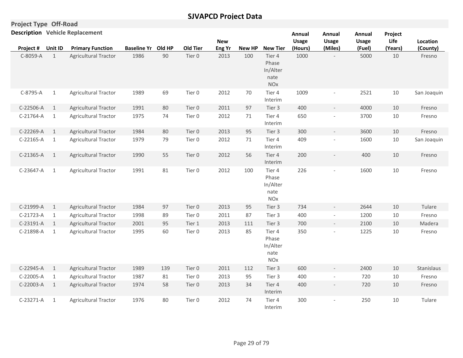|  | <b>Project Type Off-Road</b> |
|--|------------------------------|
|  |                              |

|           |              | <b>Description</b> Vehicle Replacement |                    |        |          |                      |               |                                                              | Annual                  | Annual                   | <b>Annual</b>          | Project         |                      |
|-----------|--------------|----------------------------------------|--------------------|--------|----------|----------------------|---------------|--------------------------------------------------------------|-------------------------|--------------------------|------------------------|-----------------|----------------------|
| Project # | Unit ID      | <b>Primary Function</b>                | <b>Baseline Yr</b> | Old HP | Old Tier | <b>New</b><br>Eng Yr | <b>New HP</b> | <b>New Tier</b>                                              | <b>Usage</b><br>(Hours) | <b>Usage</b><br>(Miles)  | <b>Usage</b><br>(Fuel) | Life<br>(Years) | Location<br>(County) |
| C-8059-A  | $\mathbf{1}$ | <b>Agricultural Tractor</b>            | 1986               | 90     | Tier 0   | 2013                 | 100           | Tier 4<br>Phase<br>In/Alter<br>nate<br><b>NOx</b>            | 1000                    |                          | 5000                   | 10              | Fresno               |
| C-8795-A  | $\mathbf{1}$ | <b>Agricultural Tractor</b>            | 1989               | 69     | Tier 0   | 2012                 | 70            | Tier 4<br>Interim                                            | 1009                    |                          | 2521                   | 10              | San Joaquin          |
| C-22506-A | $\mathbf{1}$ | <b>Agricultural Tractor</b>            | 1991               | 80     | Tier 0   | 2011                 | 97            | Tier 3                                                       | 400                     |                          | 4000                   | $10\,$          | Fresno               |
| C-21764-A | $\mathbf{1}$ | <b>Agricultural Tractor</b>            | 1975               | 74     | Tier 0   | 2012                 | 71            | Tier 4<br>Interim                                            | 650                     |                          | 3700                   | 10              | Fresno               |
| C-22269-A | $\mathbf{1}$ | <b>Agricultural Tractor</b>            | 1984               | 80     | Tier 0   | 2013                 | 95            | Tier 3                                                       | 300                     | $\overline{\phantom{a}}$ | 3600                   | 10              | Fresno               |
| C-22165-A | $\mathbf{1}$ | <b>Agricultural Tractor</b>            | 1979               | 79     | Tier 0   | 2012                 | 71            | Tier 4<br>Interim                                            | 409                     |                          | 1600                   | 10              | San Joaquin          |
| C-21365-A | $\mathbf{1}$ | <b>Agricultural Tractor</b>            | 1990               | 55     | Tier 0   | 2012                 | 56            | Tier 4<br>Interim                                            | 200                     |                          | 400                    | $10\,$          | Fresno               |
| C-23647-A | $\mathbf{1}$ | <b>Agricultural Tractor</b>            | 1991               | 81     | Tier 0   | 2012                 | 100           | Tier 4<br>Phase<br>In/Alter<br>nate<br><b>NOx</b>            | 226                     |                          | 1600                   | 10              | Fresno               |
| C-21999-A | $\mathbf{1}$ | <b>Agricultural Tractor</b>            | 1984               | 97     | Tier 0   | 2013                 | 95            | Tier 3                                                       | 734                     | $\overline{\phantom{a}}$ | 2644                   | 10              | Tulare               |
| C-21723-A | $1\,$        | <b>Agricultural Tractor</b>            | 1998               | 89     | Tier 0   | 2011                 | 87            | Tier 3                                                       | 400                     |                          | 1200                   | 10              | Fresno               |
| C-23191-A | $\mathbf{1}$ | <b>Agricultural Tractor</b>            | 2001               | 95     | Tier 1   | 2013                 | 111           | Tier 3                                                       | 700                     | $\overline{\phantom{a}}$ | 2100                   | 10              | Madera               |
| C-21898-A | $1\,$        | Agricultural Tractor                   | 1995               | 60     | Tier 0   | 2013                 | 85            | Tier 4<br>Phase<br>In/Alter<br>nate<br><b>NO<sub>x</sub></b> | 350                     |                          | 1225                   | $10\,$          | Fresno               |
| C-22945-A | $\,1\,$      | <b>Agricultural Tractor</b>            | 1989               | 139    | Tier 0   | 2011                 | 112           | Tier 3                                                       | 600                     |                          | 2400                   | $10\,$          | Stanislaus           |
| C-22005-A | $\mathbf{1}$ | <b>Agricultural Tractor</b>            | 1987               | 81     | Tier 0   | 2013                 | 95            | Tier 3                                                       | 400                     |                          | 720                    | 10              | Fresno               |
| C-22003-A | $\mathbf{1}$ | <b>Agricultural Tractor</b>            | 1974               | 58     | Tier 0   | 2013                 | 34            | Tier 4<br>Interim                                            | 400                     |                          | 720                    | 10              | Fresno               |
| C-23271-A | $\mathbf{1}$ | <b>Agricultural Tractor</b>            | 1976               | 80     | Tier 0   | 2012                 | 74            | Tier 4<br>Interim                                            | 300                     |                          | 250                    | 10              | Tulare               |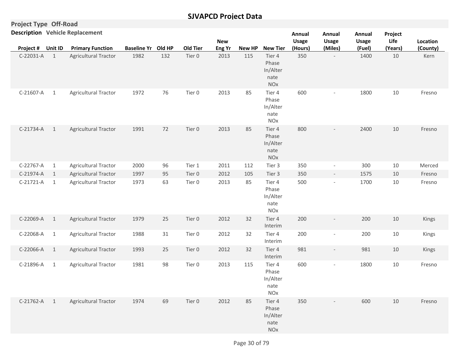**Project Type Off-Road Description Vehicle Replacement Project #Unit ID Primary Function Baseline Yr Old HP Old Tier New Eng Yr New HPNew Tier**<br>Tier 4 **Annual Usage (Hours)Annual Usage (Miles)Annual Usage (Fuel)Project Life (Years)Location** <u>D Primary Function Baseline Yr Old HP Old Tier Eng Yr New HP New Tier (Hours) (Miles) (Fuel) (Years) (County)</u> Agricultural Tractor 1982 132 Tier 0 2013 115 Phase In/Alternate NOxC-22031-A <sup>1</sup>1 Agricultural Tractor 1982 132 Tier 0 2013 115 Tier 4 350 - 1400 10 Kern 10 Kern Agricultural Tractor 1972 76 Tier 0 2013 85 Tier 4 Phase In/Alternate NOxC-21607-A <sup>1</sup>1 Agricultural Tractor 1972 76 Tier 0 2013 85 Tier 4 600 - 1800 10 Fresno 10 Fresno Agricultural Tractor <sup>1991</sup> <sup>72</sup> Tier 0 <sup>2013</sup> <sup>85</sup> Tier 4 Phase In/Alternate NOxTier 3 C-21734-A <sup>1</sup>1 Agricultural Tractor 1991 72 Tier 0 2013 85 Tier 4 800 - 2400 10 Fresno 10 Fresno C-22767-A <sup>1</sup>1 Agricultural Tractor 2000 96 Tier 1 2011 112 Tier 3 350 - 300 10 Merced 10 Merced<br>10 Fresno C-21974-A <sup>1</sup>1 Agricultural Tractor 1997 95 Tier 0 2012 105 Tier 3 350 - 1575 10 Fresno 10 Fresno<br>10 Fresno Agricultural Tractor <sup>1973</sup> <sup>63</sup> Tier 0 <sup>2013</sup> <sup>85</sup> Tier 4 Phase In/Alternate NOxC-21721-A <sup>1</sup>1 Agricultural Tractor 1973 63 Tier 0 2013 85 Tier 4 500 - 1700 10 Fresno Fresno Agricultural Tractor  $1979$  25 Tier 0 2012 32 Tier 4 InterimTier 4 C-22069-A <sup>1</sup>1 Agricultural Tractor 1979 25 Tier 0 2012 32 Tier 4 200 - 200 10 Kings Agricultural Tractor 1988 31 Tier 0 2012 32 InterimTier 4 C-22068-A <sup>1</sup>1 Agricultural Tractor 1988 31 Tier 0 2012 32 Tier 4 200 - 200 10 Kings Agricultural Tractor 1993 25 Tier 0 2012 32 InterimTier 4 C-22066-A <sup>1</sup>1 Agricultural Tractor 1993 25 Tier 0 2012 32 Tier 4 981 - 981 10 Kings Agricultural Tractor 1981 98 Tier 0 2013 115 Phase In/Alternate NOxC-21896-A <sup>1</sup>1 Agricultural Tractor 1981 98 Tier 0 2013 115 Tier 4 600 - 1800 10 Fresno 10 Fresno Agricultural Tractor <sup>1974</sup> <sup>69</sup> Tier 0 <sup>2012</sup> <sup>85</sup> Tier 4 Phase In/Alternate NOxC-21762-A <sup>1</sup>1 Agricultural Tractor 1974 69 Tier 0 2012 85 Tier 4 350 - 600 10 Fresno 10 Fresno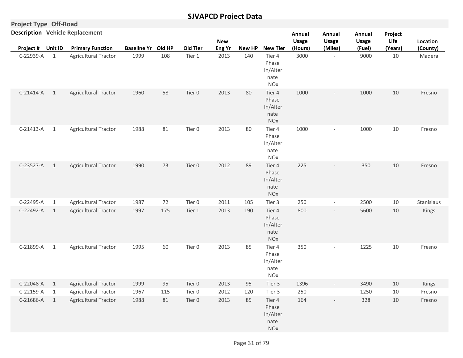| <b>Project Type Off-Road</b> |              |                                        |                    |     |          |            |               |                                                              |                        |                          |                        |                 |            |
|------------------------------|--------------|----------------------------------------|--------------------|-----|----------|------------|---------------|--------------------------------------------------------------|------------------------|--------------------------|------------------------|-----------------|------------|
|                              |              | <b>Description</b> Vehicle Replacement |                    |     |          | <b>New</b> |               |                                                              | Annual<br><b>Usage</b> | Annual<br><b>Usage</b>   | Annual<br><b>Usage</b> | Project<br>Life | Location   |
| Project # Unit ID            |              | <b>Primary Function</b>                | Baseline Yr Old HP |     | Old Tier | Eng Yr     | <b>New HP</b> | <b>New Tier</b>                                              | (Hours)                | (Miles)                  | (Fuel)                 | (Years)         | (County)   |
| C-22939-A                    | $\mathbf{1}$ | <b>Agricultural Tractor</b>            | 1999               | 108 | Tier 1   | 2013       | 140           | Tier 4<br>Phase<br>In/Alter<br>nate<br><b>NOx</b>            | 3000                   | $\overline{\phantom{a}}$ | 9000                   | 10              | Madera     |
| $C-21414-A$                  | $\mathbf{1}$ | <b>Agricultural Tractor</b>            | 1960               | 58  | Tier 0   | 2013       | 80            | Tier 4<br>Phase<br>In/Alter<br>nate<br><b>NO<sub>x</sub></b> | 1000                   |                          | 1000                   | 10              | Fresno     |
| C-21413-A                    | $\mathbf{1}$ | <b>Agricultural Tractor</b>            | 1988               | 81  | Tier 0   | 2013       | 80            | Tier 4<br>Phase<br>In/Alter<br>nate<br><b>NO<sub>x</sub></b> | 1000                   | $\overline{\phantom{a}}$ | 1000                   | 10              | Fresno     |
| C-23527-A                    | $\mathbf{1}$ | <b>Agricultural Tractor</b>            | 1990               | 73  | Tier 0   | 2012       | 89            | Tier 4<br>Phase<br>In/Alter<br>nate<br><b>NOx</b>            | 225                    |                          | 350                    | 10              | Fresno     |
| C-22495-A                    | $\mathbf{1}$ | <b>Agricultural Tractor</b>            | 1987               | 72  | Tier 0   | 2011       | 105           | Tier 3                                                       | 250                    | $\overline{\phantom{a}}$ | 2500                   | 10              | Stanislaus |
| C-22492-A                    | $\mathbf{1}$ | <b>Agricultural Tractor</b>            | 1997               | 175 | Tier 1   | 2013       | 190           | Tier 4<br>Phase<br>In/Alter<br>nate<br><b>NOx</b>            | 800                    | $\overline{\phantom{a}}$ | 5600                   | 10              | Kings      |
| C-21899-A                    | $\mathbf{1}$ | <b>Agricultural Tractor</b>            | 1995               | 60  | Tier 0   | 2013       | 85            | Tier 4<br>Phase<br>In/Alter<br>nate<br><b>NOx</b>            | 350                    |                          | 1225                   | 10              | Fresno     |
| C-22048-A 1                  |              | <b>Agricultural Tractor</b>            | 1999               | 95  | Tier 0   | 2013       | 95            | Tier 3                                                       | 1396                   |                          | 3490                   | 10              | Kings      |
| C-22159-A                    | $\mathbf{1}$ | <b>Agricultural Tractor</b>            | 1967               | 115 | Tier 0   | 2012       | 120           | Tier 3                                                       | 250                    |                          | 1250                   | 10              | Fresno     |
| C-21686-A                    | $\mathbf{1}$ | <b>Agricultural Tractor</b>            | 1988               | 81  | Tier 0   | 2013       | 85            | Tier 4<br>Phase<br>In/Alter<br>nate<br><b>NOx</b>            | 164                    | $\overline{\phantom{a}}$ | 328                    | 10              | Fresno     |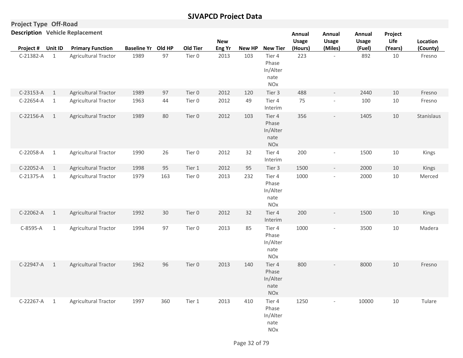| <b>Project Type Off-Road</b> |              |                                        |                           |     |          |            |        |                                                              |                        |                          |                        |                 |            |
|------------------------------|--------------|----------------------------------------|---------------------------|-----|----------|------------|--------|--------------------------------------------------------------|------------------------|--------------------------|------------------------|-----------------|------------|
|                              |              | <b>Description</b> Vehicle Replacement |                           |     |          | <b>New</b> |        |                                                              | Annual<br><b>Usage</b> | Annual<br><b>Usage</b>   | Annual<br><b>Usage</b> | Project<br>Life | Location   |
| Project # Unit ID            |              | <b>Primary Function</b>                | <b>Baseline Yr Old HP</b> |     | Old Tier | Eng Yr     | New HP | <b>New Tier</b>                                              | (Hours)                | (Miles)                  | (Fuel)                 | (Years)         | (County)   |
| C-21382-A                    | $\mathbf{1}$ | <b>Agricultural Tractor</b>            | 1989                      | 97  | Tier 0   | 2013       | 103    | Tier 4<br>Phase<br>In/Alter<br>nate<br><b>NOx</b>            | 223                    |                          | 892                    | 10              | Fresno     |
| C-23153-A                    | $\mathbf{1}$ | <b>Agricultural Tractor</b>            | 1989                      | 97  | Tier 0   | 2012       | 120    | Tier 3                                                       | 488                    | $\overline{\phantom{a}}$ | 2440                   | 10              | Fresno     |
| C-22654-A                    | $\mathbf{1}$ | <b>Agricultural Tractor</b>            | 1963                      | 44  | Tier 0   | 2012       | 49     | Tier 4<br>Interim                                            | 75                     | $\overline{\phantom{0}}$ | 100                    | $10\,$          | Fresno     |
| C-22156-A                    | $\mathbf{1}$ | <b>Agricultural Tractor</b>            | 1989                      | 80  | Tier 0   | 2012       | 103    | Tier 4<br>Phase<br>In/Alter<br>nate<br><b>NOx</b>            | 356                    | $\qquad \qquad -$        | 1405                   | $10\,$          | Stanislaus |
| C-22058-A                    | $1\,$        | <b>Agricultural Tractor</b>            | 1990                      | 26  | Tier 0   | 2012       | 32     | Tier 4<br>Interim                                            | 200                    |                          | 1500                   | $10\,$          | Kings      |
| C-22052-A                    | $\mathbf{1}$ | <b>Agricultural Tractor</b>            | 1998                      | 95  | Tier 1   | 2012       | 95     | Tier 3                                                       | 1500                   | $\overline{\phantom{a}}$ | 2000                   | 10              | Kings      |
| C-21375-A                    | $\mathbf{1}$ | <b>Agricultural Tractor</b>            | 1979                      | 163 | Tier 0   | 2013       | 232    | Tier 4<br>Phase<br>In/Alter<br>nate<br><b>NOx</b>            | 1000                   | $\qquad \qquad -$        | 2000                   | $10\,$          | Merced     |
| C-22062-A                    | $\mathbf{1}$ | <b>Agricultural Tractor</b>            | 1992                      | 30  | Tier 0   | 2012       | 32     | Tier 4<br>Interim                                            | 200                    | $\overline{\phantom{a}}$ | 1500                   | $10\,$          | Kings      |
| C-8595-A                     | $\mathbf{1}$ | <b>Agricultural Tractor</b>            | 1994                      | 97  | Tier 0   | 2013       | 85     | Tier 4<br>Phase<br>In/Alter<br>nate<br><b>NO<sub>x</sub></b> | 1000                   | $\overline{\phantom{a}}$ | 3500                   | $10\,$          | Madera     |
| C-22947-A                    | $\mathbf{1}$ | <b>Agricultural Tractor</b>            | 1962                      | 96  | Tier 0   | 2013       | 140    | Tier 4<br>Phase<br>In/Alter<br>nate<br><b>NOx</b>            | 800                    |                          | 8000                   | 10              | Fresno     |
| C-22267-A                    | $\mathbf{1}$ | <b>Agricultural Tractor</b>            | 1997                      | 360 | Tier 1   | 2013       | 410    | Tier 4<br>Phase<br>In/Alter<br>nate<br><b>NO<sub>x</sub></b> | 1250                   |                          | 10000                  | 10              | Tulare     |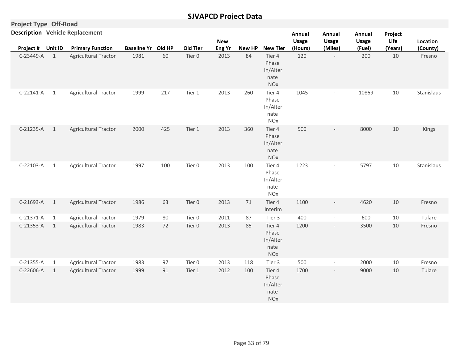| <b>Project Type Off-Road</b> |              |                                                                   |                           |     |          |                             |               |                                                              |                                   |                                   |                                  |                            |                      |
|------------------------------|--------------|-------------------------------------------------------------------|---------------------------|-----|----------|-----------------------------|---------------|--------------------------------------------------------------|-----------------------------------|-----------------------------------|----------------------------------|----------------------------|----------------------|
| Project # Unit ID            |              | <b>Description</b> Vehicle Replacement<br><b>Primary Function</b> | <b>Baseline Yr Old HP</b> |     | Old Tier | <b>New</b><br><b>Eng Yr</b> | <b>New HP</b> | <b>New Tier</b>                                              | Annual<br><b>Usage</b><br>(Hours) | Annual<br><b>Usage</b><br>(Miles) | Annual<br><b>Usage</b><br>(Fuel) | Project<br>Life<br>(Years) | Location<br>(County) |
| C-23449-A                    | $\mathbf{1}$ | <b>Agricultural Tractor</b>                                       | 1981                      | 60  | Tier 0   | 2013                        | 84            | Tier 4<br>Phase<br>In/Alter<br>nate<br><b>NO<sub>x</sub></b> | 120                               |                                   | 200                              | $10\,$                     | Fresno               |
| $C-22141-A$                  | $\mathbf{1}$ | <b>Agricultural Tractor</b>                                       | 1999                      | 217 | Tier 1   | 2013                        | 260           | Tier 4<br>Phase<br>In/Alter<br>nate<br><b>NOx</b>            | 1045                              |                                   | 10869                            | 10                         | Stanislaus           |
| C-21235-A                    | $\mathbf{1}$ | <b>Agricultural Tractor</b>                                       | 2000                      | 425 | Tier 1   | 2013                        | 360           | Tier 4<br>Phase<br>In/Alter<br>nate<br><b>NO<sub>x</sub></b> | 500                               |                                   | 8000                             | 10                         | Kings                |
| C-22103-A                    | $\mathbf{1}$ | <b>Agricultural Tractor</b>                                       | 1997                      | 100 | Tier 0   | 2013                        | 100           | Tier 4<br>Phase<br>In/Alter<br>nate<br><b>NOx</b>            | 1223                              | $\overline{\phantom{a}}$          | 5797                             | 10                         | Stanislaus           |
| C-21693-A                    | $\mathbf{1}$ | <b>Agricultural Tractor</b>                                       | 1986                      | 63  | Tier 0   | 2013                        | 71            | Tier 4<br>Interim                                            | 1100                              | $\overline{\phantom{a}}$          | 4620                             | 10                         | Fresno               |
| C-21371-A                    | $\mathbf{1}$ | <b>Agricultural Tractor</b>                                       | 1979                      | 80  | Tier 0   | 2011                        | 87            | Tier 3                                                       | 400                               | $\overline{\phantom{a}}$          | 600                              | 10                         | Tulare               |
| C-21353-A                    | $\mathbf{1}$ | <b>Agricultural Tractor</b>                                       | 1983                      | 72  | Tier 0   | 2013                        | 85            | Tier 4<br>Phase<br>In/Alter<br>nate<br><b>NO<sub>x</sub></b> | 1200                              | $\overline{\phantom{a}}$          | 3500                             | 10                         | Fresno               |
| C-21355-A                    | $\mathbf{1}$ | <b>Agricultural Tractor</b>                                       | 1983                      | 97  | Tier 0   | 2013                        | 118           | Tier 3                                                       | 500                               | $\overline{\phantom{a}}$          | 2000                             | 10                         | Fresno               |
| C-22606-A                    | $\mathbf{1}$ | <b>Agricultural Tractor</b>                                       | 1999                      | 91  | Tier 1   | 2012                        | 100           | Tier 4<br>Phase<br>In/Alter<br>nate<br><b>NO<sub>x</sub></b> | 1700                              | $\overline{\phantom{a}}$          | 9000                             | 10                         | Tulare               |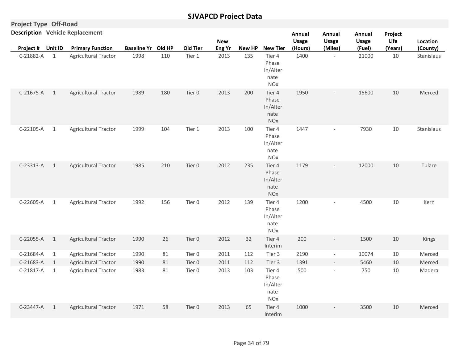| <b>Project Type Off-Road</b> |              |                                                                   |                    |     |          |                             |        |                                                              |                                   |                                   |                                  |                            |                      |
|------------------------------|--------------|-------------------------------------------------------------------|--------------------|-----|----------|-----------------------------|--------|--------------------------------------------------------------|-----------------------------------|-----------------------------------|----------------------------------|----------------------------|----------------------|
| Project # Unit ID            |              | <b>Description</b> Vehicle Replacement<br><b>Primary Function</b> | Baseline Yr Old HP |     | Old Tier | <b>New</b><br><b>Eng Yr</b> | New HP | <b>New Tier</b>                                              | Annual<br><b>Usage</b><br>(Hours) | Annual<br><b>Usage</b><br>(Miles) | Annual<br><b>Usage</b><br>(Fuel) | Project<br>Life<br>(Years) | Location<br>(County) |
| C-21882-A                    | $\mathbf{1}$ | <b>Agricultural Tractor</b>                                       | 1998               | 110 | Tier 1   | 2013                        | 135    | Tier 4<br>Phase<br>In/Alter<br>nate<br><b>NOx</b>            | 1400                              | $\overline{\phantom{a}}$          | 21000                            | 10                         | Stanislaus           |
| C-21675-A                    | $\mathbf{1}$ | <b>Agricultural Tractor</b>                                       | 1989               | 180 | Tier 0   | 2013                        | 200    | Tier 4<br>Phase<br>In/Alter<br>nate<br><b>NOx</b>            | 1950                              |                                   | 15600                            | 10                         | Merced               |
| C-22105-A                    | $\mathbf{1}$ | Agricultural Tractor                                              | 1999               | 104 | Tier 1   | 2013                        | 100    | Tier 4<br>Phase<br>In/Alter<br>nate<br><b>NOx</b>            | 1447                              |                                   | 7930                             | $10\,$                     | Stanislaus           |
| C-23313-A                    | $\mathbf{1}$ | <b>Agricultural Tractor</b>                                       | 1985               | 210 | Tier 0   | 2012                        | 235    | Tier 4<br>Phase<br>In/Alter<br>nate<br><b>NOx</b>            | 1179                              | $\overline{\phantom{a}}$          | 12000                            | $10$                       | Tulare               |
| C-22605-A                    | $1\,$        | <b>Agricultural Tractor</b>                                       | 1992               | 156 | Tier 0   | 2012                        | 139    | Tier 4<br>Phase<br>In/Alter<br>nate<br><b>NOx</b>            | 1200                              |                                   | 4500                             | $10\,$                     | Kern                 |
| C-22055-A                    | $\mathbf{1}$ | <b>Agricultural Tractor</b>                                       | 1990               | 26  | Tier 0   | 2012                        | 32     | Tier 4<br>Interim                                            | 200                               | $\overline{\phantom{a}}$          | 1500                             | $10\,$                     | Kings                |
| C-21684-A                    | $\mathbf{1}$ | <b>Agricultural Tractor</b>                                       | 1990               | 81  | Tier 0   | 2011                        | 112    | Tier 3                                                       | 2190                              | $\overline{\phantom{a}}$          | 10074                            | 10                         | Merced               |
| C-21683-A                    | $\mathbf{1}$ | <b>Agricultural Tractor</b>                                       | 1990               | 81  | Tier 0   | 2011                        | 112    | Tier 3                                                       | 1391                              | $\overline{\phantom{a}}$          | 5460                             | 10                         | Merced               |
| C-21817-A                    | $\mathbf{1}$ | <b>Agricultural Tractor</b>                                       | 1983               | 81  | Tier 0   | 2013                        | 103    | Tier 4<br>Phase<br>In/Alter<br>nate<br><b>NO<sub>x</sub></b> | 500                               |                                   | 750                              | $10\,$                     | Madera               |
| C-23447-A                    | $\mathbf{1}$ | <b>Agricultural Tractor</b>                                       | 1971               | 58  | Tier 0   | 2013                        | 65     | Tier 4<br>Interim                                            | 1000                              |                                   | 3500                             | 10                         | Merced               |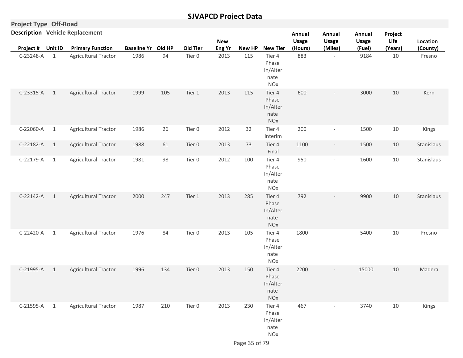| <b>Project Type Off-Road</b> |              |                                        |                    |     |          |            |        |                                                              |                        |                          |                        |                 |            |
|------------------------------|--------------|----------------------------------------|--------------------|-----|----------|------------|--------|--------------------------------------------------------------|------------------------|--------------------------|------------------------|-----------------|------------|
|                              |              | <b>Description</b> Vehicle Replacement |                    |     |          | <b>New</b> |        |                                                              | Annual<br><b>Usage</b> | Annual<br><b>Usage</b>   | Annual<br><b>Usage</b> | Project<br>Life | Location   |
| Project # Unit ID            |              | <b>Primary Function</b>                | Baseline Yr Old HP |     | Old Tier | Eng Yr     | New HP | <b>New Tier</b>                                              | (Hours)                | (Miles)                  | (Fuel)                 | (Years)         | (County)   |
| C-23248-A                    | $\mathbf{1}$ | <b>Agricultural Tractor</b>            | 1986               | 94  | Tier 0   | 2013       | 115    | Tier 4<br>Phase<br>In/Alter<br>nate<br><b>NOx</b>            | 883                    | $\overline{\phantom{a}}$ | 9184                   | 10              | Fresno     |
| C-23315-A                    | $\mathbf{1}$ | <b>Agricultural Tractor</b>            | 1999               | 105 | Tier 1   | 2013       | 115    | Tier 4<br>Phase<br>In/Alter<br>nate<br><b>NOx</b>            | 600                    | $\qquad \qquad -$        | 3000                   | 10              | Kern       |
| C-22060-A                    | $\mathbf{1}$ | <b>Agricultural Tractor</b>            | 1986               | 26  | Tier 0   | 2012       | 32     | Tier 4<br>Interim                                            | 200                    | $\bar{ }$                | 1500                   | 10              | Kings      |
| C-22182-A                    | $\mathbf{1}$ | <b>Agricultural Tractor</b>            | 1988               | 61  | Tier 0   | 2013       | 73     | Tier 4<br>Final                                              | 1100                   | $\overline{\phantom{a}}$ | 1500                   | 10              | Stanislaus |
| C-22179-A                    | $\mathbf{1}$ | <b>Agricultural Tractor</b>            | 1981               | 98  | Tier 0   | 2012       | 100    | Tier 4<br>Phase<br>In/Alter<br>nate<br><b>NO<sub>x</sub></b> | 950                    | $\overline{\phantom{a}}$ | 1600                   | 10              | Stanislaus |
| C-22142-A                    | $\mathbf{1}$ | <b>Agricultural Tractor</b>            | 2000               | 247 | Tier 1   | 2013       | 285    | Tier 4<br>Phase<br>In/Alter<br>nate<br><b>NOx</b>            | 792                    | $\qquad \qquad -$        | 9900                   | 10              | Stanislaus |
| C-22420-A                    | $\mathbf{1}$ | <b>Agricultural Tractor</b>            | 1976               | 84  | Tier 0   | 2013       | 105    | Tier 4<br>Phase<br>In/Alter<br>nate<br><b>NO<sub>x</sub></b> | 1800                   | $\overline{\phantom{a}}$ | 5400                   | 10              | Fresno     |
| C-21995-A                    | $\mathbf{1}$ | <b>Agricultural Tractor</b>            | 1996               | 134 | Tier 0   | 2013       | 150    | Tier 4<br>Phase<br>In/Alter<br>nate<br><b>NOx</b>            | 2200                   | $\overline{\phantom{a}}$ | 15000                  | 10              | Madera     |
| C-21595-A 1                  |              | <b>Agricultural Tractor</b>            | 1987               | 210 | Tier 0   | 2013       | 230    | Tier 4<br>Phase<br>In/Alter<br>nate<br><b>NOx</b>            | 467                    | $\overline{\phantom{a}}$ | 3740                   | 10              | Kings      |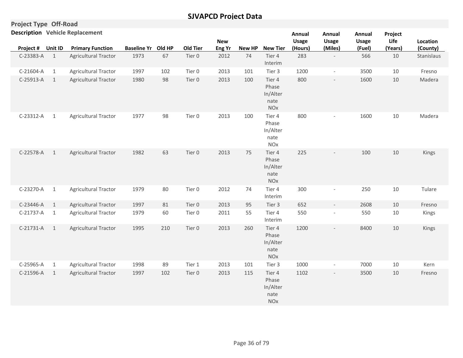| <b>Project Type Off-Road</b> |              |                                        |                    |     |          |               |        |                                                              |                        |                          |                        |                 |            |
|------------------------------|--------------|----------------------------------------|--------------------|-----|----------|---------------|--------|--------------------------------------------------------------|------------------------|--------------------------|------------------------|-----------------|------------|
|                              |              | <b>Description</b> Vehicle Replacement |                    |     |          | <b>New</b>    |        |                                                              | Annual<br><b>Usage</b> | Annual<br><b>Usage</b>   | Annual<br><b>Usage</b> | Project<br>Life | Location   |
| Project #                    | Unit ID      | <b>Primary Function</b>                | Baseline Yr Old HP |     | Old Tier | <b>Eng Yr</b> | New HP | <b>New Tier</b>                                              | (Hours)                | (Miles)                  | (Fuel)                 | (Years)         | (County)   |
| C-23383-A                    | $\mathbf{1}$ | <b>Agricultural Tractor</b>            | 1973               | 67  | Tier 0   | 2012          | 74     | Tier 4<br>Interim                                            | 283                    |                          | 566                    | $10\,$          | Stanislaus |
| C-21604-A                    | $\mathbf{1}$ | <b>Agricultural Tractor</b>            | 1997               | 102 | Tier 0   | 2013          | 101    | Tier 3                                                       | 1200                   | $\overline{\phantom{a}}$ | 3500                   | 10              | Fresno     |
| C-25913-A                    | $\mathbf{1}$ | <b>Agricultural Tractor</b>            | 1980               | 98  | Tier 0   | 2013          | 100    | Tier 4<br>Phase<br>In/Alter<br>nate<br><b>NOx</b>            | 800                    | $\overline{\phantom{a}}$ | 1600                   | 10              | Madera     |
| C-23312-A                    | $\mathbf{1}$ | <b>Agricultural Tractor</b>            | 1977               | 98  | Tier 0   | 2013          | 100    | Tier 4<br>Phase<br>In/Alter<br>nate<br><b>NOx</b>            | 800                    |                          | 1600                   | $10\,$          | Madera     |
| C-22578-A                    | $\mathbf{1}$ | <b>Agricultural Tractor</b>            | 1982               | 63  | Tier 0   | 2013          | 75     | Tier 4<br>Phase<br>In/Alter<br>nate<br><b>NOx</b>            | 225                    |                          | 100                    | 10              | Kings      |
| C-23270-A                    | $\mathbf{1}$ | <b>Agricultural Tractor</b>            | 1979               | 80  | Tier 0   | 2012          | 74     | Tier 4<br>Interim                                            | 300                    | $\overline{\phantom{a}}$ | 250                    | $10\,$          | Tulare     |
| C-23446-A                    | $1\,$        | <b>Agricultural Tractor</b>            | 1997               | 81  | Tier 0   | 2013          | 95     | Tier 3                                                       | 652                    | $\overline{\phantom{a}}$ | 2608                   | $10\,$          | Fresno     |
| C-21737-A                    | $\mathbf{1}$ | <b>Agricultural Tractor</b>            | 1979               | 60  | Tier 0   | 2011          | 55     | Tier 4<br>Interim                                            | 550                    |                          | 550                    | 10              | Kings      |
| C-21731-A                    | $\mathbf{1}$ | <b>Agricultural Tractor</b>            | 1995               | 210 | Tier 0   | 2013          | 260    | Tier 4<br>Phase<br>In/Alter<br>nate<br><b>NO<sub>x</sub></b> | 1200                   | $\overline{\phantom{a}}$ | 8400                   | 10              | Kings      |
| C-25965-A                    | $\mathbf{1}$ | Agricultural Tractor                   | 1998               | 89  | Tier 1   | 2013          | 101    | Tier 3                                                       | 1000                   | $\overline{\phantom{a}}$ | 7000                   | 10              | Kern       |
| C-21596-A                    | $\mathbf{1}$ | <b>Agricultural Tractor</b>            | 1997               | 102 | Tier 0   | 2013          | 115    | Tier 4<br>Phase<br>In/Alter<br>nate<br><b>NOx</b>            | 1102                   | $\overline{\phantom{a}}$ | 3500                   | 10              | Fresno     |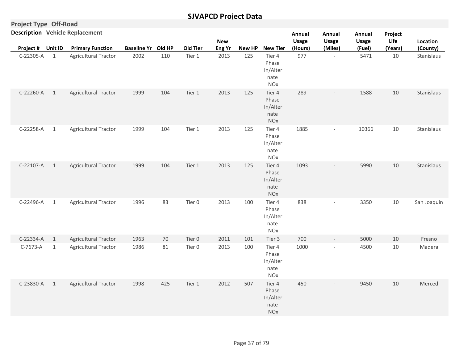| <b>Project Type Off-Road</b> |              |                                                                   |                    |     |          |                      |               |                                                              |                                   |                                   |                                         |                            |                      |
|------------------------------|--------------|-------------------------------------------------------------------|--------------------|-----|----------|----------------------|---------------|--------------------------------------------------------------|-----------------------------------|-----------------------------------|-----------------------------------------|----------------------------|----------------------|
| Project #                    | Unit ID      | <b>Description</b> Vehicle Replacement<br><b>Primary Function</b> | Baseline Yr Old HP |     | Old Tier | <b>New</b><br>Eng Yr | <b>New HP</b> | <b>New Tier</b>                                              | Annual<br><b>Usage</b><br>(Hours) | Annual<br><b>Usage</b><br>(Miles) | <b>Annual</b><br><b>Usage</b><br>(Fuel) | Project<br>Life<br>(Years) | Location<br>(County) |
| C-22305-A                    | $\mathbf{1}$ | <b>Agricultural Tractor</b>                                       | 2002               | 110 | Tier 1   | 2013                 | 125           | Tier 4<br>Phase<br>In/Alter<br>nate<br><b>NOx</b>            | 977                               | $\overline{\phantom{a}}$          | 5471                                    | 10                         | Stanislaus           |
| C-22260-A                    | $\mathbf{1}$ | <b>Agricultural Tractor</b>                                       | 1999               | 104 | Tier 1   | 2013                 | 125           | Tier 4<br>Phase<br>In/Alter<br>nate<br><b>NOx</b>            | 289                               | $\overline{a}$                    | 1588                                    | 10                         | Stanislaus           |
| C-22258-A                    | $\mathbf{1}$ | Agricultural Tractor                                              | 1999               | 104 | Tier 1   | 2013                 | 125           | Tier 4<br>Phase<br>In/Alter<br>nate<br><b>NOx</b>            | 1885                              | $\overline{\phantom{a}}$          | 10366                                   | 10                         | Stanislaus           |
| C-22107-A                    | $\,1\,$      | <b>Agricultural Tractor</b>                                       | 1999               | 104 | Tier 1   | 2013                 | 125           | Tier 4<br>Phase<br>In/Alter<br>nate<br><b>NOx</b>            | 1093                              | $\overline{\phantom{a}}$          | 5990                                    | 10                         | Stanislaus           |
| C-22496-A                    | $\mathbf{1}$ | Agricultural Tractor                                              | 1996               | 83  | Tier 0   | 2013                 | 100           | Tier 4<br>Phase<br>In/Alter<br>nate<br><b>NOx</b>            | 838                               |                                   | 3350                                    | 10                         | San Joaquin          |
| C-22334-A                    | $\mathbf{1}$ | <b>Agricultural Tractor</b>                                       | 1963               | 70  | Tier 0   | 2011                 | 101           | Tier 3                                                       | 700                               |                                   | 5000                                    | $10$                       | Fresno               |
| C-7673-A                     | $\mathbf{1}$ | <b>Agricultural Tractor</b>                                       | 1986               | 81  | Tier 0   | 2013                 | 100           | Tier 4<br>Phase<br>In/Alter<br>nate<br><b>NO<sub>x</sub></b> | 1000                              | $\overline{\phantom{a}}$          | 4500                                    | 10                         | Madera               |
| C-23830-A                    | $\mathbf{1}$ | <b>Agricultural Tractor</b>                                       | 1998               | 425 | Tier 1   | 2012                 | 507           | Tier 4<br>Phase<br>In/Alter<br>nate<br><b>NOx</b>            | 450                               |                                   | 9450                                    | 10                         | Merced               |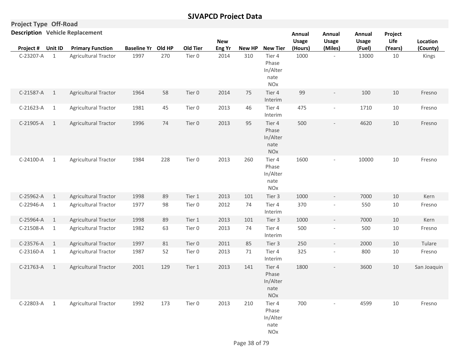| <b>Project Type Off-Road</b> |              |                                        |                           |        |          |            |        |                                                              |                        |                          |                               |                 |             |
|------------------------------|--------------|----------------------------------------|---------------------------|--------|----------|------------|--------|--------------------------------------------------------------|------------------------|--------------------------|-------------------------------|-----------------|-------------|
|                              |              | <b>Description</b> Vehicle Replacement |                           |        |          | <b>New</b> |        |                                                              | Annual<br><b>Usage</b> | Annual<br><b>Usage</b>   | <b>Annual</b><br><b>Usage</b> | Project<br>Life | Location    |
| Project # Unit ID            |              | <b>Primary Function</b>                | <b>Baseline Yr Old HP</b> |        | Old Tier | Eng Yr     | New HP | <b>New Tier</b>                                              | (Hours)                | (Miles)                  | (Fuel)                        | (Years)         | (County)    |
| C-23207-A                    | $\mathbf{1}$ | <b>Agricultural Tractor</b>            | 1997                      | 270    | Tier 0   | 2014       | 310    | Tier 4<br>Phase<br>In/Alter<br>nate<br><b>NOx</b>            | 1000                   |                          | 13000                         | 10              | Kings       |
| C-21587-A                    | $\mathbf{1}$ | <b>Agricultural Tractor</b>            | 1964                      | 58     | Tier 0   | 2014       | 75     | Tier 4<br>Interim                                            | 99                     | $\overline{\phantom{a}}$ | 100                           | 10              | Fresno      |
| C-21623-A                    | $\mathbf{1}$ | <b>Agricultural Tractor</b>            | 1981                      | 45     | Tier 0   | 2013       | 46     | Tier 4<br>Interim                                            | 475                    | $\sim$                   | 1710                          | 10              | Fresno      |
| C-21905-A                    | $1\,$        | <b>Agricultural Tractor</b>            | 1996                      | 74     | Tier 0   | 2013       | 95     | Tier 4<br>Phase<br>In/Alter<br>nate<br><b>NO<sub>x</sub></b> | 500                    |                          | 4620                          | 10              | Fresno      |
| C-24100-A                    | $\mathbf{1}$ | <b>Agricultural Tractor</b>            | 1984                      | 228    | Tier 0   | 2013       | 260    | Tier 4<br>Phase<br>In/Alter<br>nate<br><b>NOx</b>            | 1600                   |                          | 10000                         | 10              | Fresno      |
| C-25962-A                    | $1\,$        | <b>Agricultural Tractor</b>            | 1998                      | 89     | Tier 1   | 2013       | 101    | Tier 3                                                       | 1000                   |                          | 7000                          | 10              | Kern        |
| C-22946-A                    | $1\,$        | <b>Agricultural Tractor</b>            | 1977                      | 98     | Tier 0   | 2012       | 74     | Tier 4<br>Interim                                            | 370                    |                          | 550                           | 10              | Fresno      |
| C-25964-A                    | $1\,$        | <b>Agricultural Tractor</b>            | 1998                      | 89     | Tier 1   | 2013       | 101    | Tier 3                                                       | 1000                   | $\sim$                   | 7000                          | 10              | Kern        |
| C-21508-A                    | $\mathbf{1}$ | <b>Agricultural Tractor</b>            | 1982                      | 63     | Tier 0   | 2013       | 74     | Tier 4<br>Interim                                            | 500                    |                          | 500                           | 10              | Fresno      |
| C-23576-A                    | $1\,$        | <b>Agricultural Tractor</b>            | 1997                      | $81\,$ | Tier 0   | 2011       | 85     | Tier 3                                                       | 250                    | $\sim$                   | 2000                          | 10              | Tulare      |
| C-23160-A                    | $\mathbf{1}$ | <b>Agricultural Tractor</b>            | 1987                      | 52     | Tier 0   | 2013       | 71     | Tier 4<br>Interim                                            | 325                    |                          | 800                           | 10              | Fresno      |
| C-21763-A                    | $\,1\,$      | <b>Agricultural Tractor</b>            | 2001                      | 129    | Tier 1   | 2013       | 141    | Tier 4<br>Phase<br>In/Alter<br>nate<br><b>NO<sub>x</sub></b> | 1800                   |                          | 3600                          | 10              | San Joaquin |
| C-22803-A                    | $\mathbf{1}$ | <b>Agricultural Tractor</b>            | 1992                      | 173    | Tier 0   | 2013       | 210    | Tier 4<br>Phase<br>In/Alter                                  | 700                    |                          | 4599                          | 10              | Fresno      |

nate NOx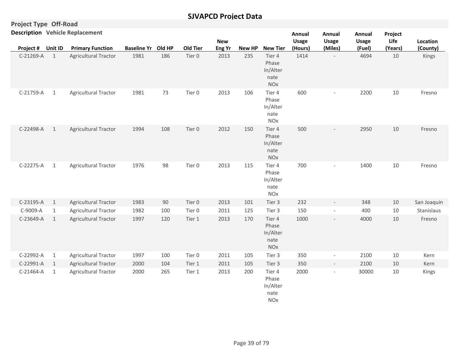| <b>Project Type Off-Road</b> |              |                                        |                    |        |          |            |               |                                                              |                        |                          |                        |                 |             |
|------------------------------|--------------|----------------------------------------|--------------------|--------|----------|------------|---------------|--------------------------------------------------------------|------------------------|--------------------------|------------------------|-----------------|-------------|
|                              |              | <b>Description</b> Vehicle Replacement |                    |        |          | <b>New</b> |               |                                                              | Annual<br><b>Usage</b> | Annual<br><b>Usage</b>   | Annual<br><b>Usage</b> | Project<br>Life | Location    |
| Project # Unit ID            |              | <b>Primary Function</b>                | Baseline Yr Old HP |        | Old Tier | Eng Yr     | <b>New HP</b> | <b>New Tier</b>                                              | (Hours)                | (Miles)                  | (Fuel)                 | (Years)         | (County)    |
| C-21269-A                    | 1            | <b>Agricultural Tractor</b>            | 1981               | 186    | Tier 0   | 2013       | 235           | Tier 4<br>Phase<br>In/Alter<br>nate<br><b>NO<sub>x</sub></b> | 1414                   | $\overline{\phantom{0}}$ | 4694                   | $10$            | Kings       |
| C-21759-A                    | $\mathbf{1}$ | <b>Agricultural Tractor</b>            | 1981               | 73     | Tier 0   | 2013       | 106           | Tier 4<br>Phase<br>In/Alter<br>nate<br><b>NOx</b>            | 600                    | $\overline{a}$           | 2200                   | 10              | Fresno      |
| C-22498-A                    | $\mathbf{1}$ | <b>Agricultural Tractor</b>            | 1994               | 108    | Tier 0   | 2012       | 150           | Tier 4<br>Phase<br>In/Alter<br>nate<br><b>NOx</b>            | 500                    | $\overline{\phantom{0}}$ | 2950                   | $10\,$          | Fresno      |
| C-22275-A                    | $\mathbf{1}$ | <b>Agricultural Tractor</b>            | 1976               | 98     | Tier 0   | 2013       | 115           | Tier 4<br>Phase<br>In/Alter<br>nate<br><b>NOx</b>            | 700                    | $\overline{\phantom{m}}$ | 1400                   | 10              | Fresno      |
| C-23195-A                    | $\mathbf{1}$ | <b>Agricultural Tractor</b>            | 1983               | $90\,$ | Tier 0   | 2013       | 101           | Tier 3                                                       | 232                    | $\overline{a}$           | 348                    | $10\,$          | San Joaquin |
| C-9009-A                     | $\mathbf{1}$ | <b>Agricultural Tractor</b>            | 1982               | 100    | Tier 0   | 2011       | 125           | Tier 3                                                       | 150                    | $\overline{\phantom{a}}$ | 400                    | 10              | Stanislaus  |
| C-23649-A                    | $\mathbf{1}$ | <b>Agricultural Tractor</b>            | 1997               | 120    | Tier 1   | 2013       | 170           | Tier 4<br>Phase<br>In/Alter<br>nate<br><b>NOx</b>            | 1000                   | $\overline{\phantom{a}}$ | 4000                   | 10              | Fresno      |
| C-22992-A                    | $\mathbf{1}$ | <b>Agricultural Tractor</b>            | 1997               | 100    | Tier 0   | 2011       | 105           | Tier 3                                                       | 350                    | $\overline{\phantom{a}}$ | 2100                   | 10              | Kern        |
| C-22991-A                    | $\mathbf{1}$ | <b>Agricultural Tractor</b>            | 2000               | 104    | Tier 1   | 2011       | 105           | Tier 3                                                       | 350                    | $\overline{\phantom{a}}$ | 2100                   | 10              | Kern        |
| C-21464-A                    | $\mathbf{1}$ | <b>Agricultural Tractor</b>            | 2000               | 265    | Tier 1   | 2013       | 200           | Tier 4<br>Phase<br>In/Alter<br>nate<br><b>NOx</b>            | 2000                   | $\overline{\phantom{0}}$ | 30000                  | 10              | Kings       |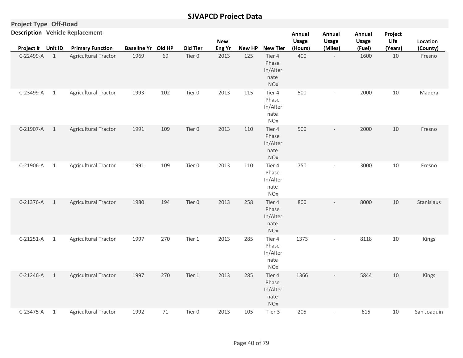| <b>Project Type Off-Road</b> |              |                                                                   |                           |     |          |                      |               |                                                              |                                   |                                   |                                  |                            |                      |
|------------------------------|--------------|-------------------------------------------------------------------|---------------------------|-----|----------|----------------------|---------------|--------------------------------------------------------------|-----------------------------------|-----------------------------------|----------------------------------|----------------------------|----------------------|
| Project # Unit ID            |              | <b>Description</b> Vehicle Replacement<br><b>Primary Function</b> | <b>Baseline Yr Old HP</b> |     | Old Tier | <b>New</b><br>Eng Yr | <b>New HP</b> | <b>New Tier</b>                                              | Annual<br><b>Usage</b><br>(Hours) | Annual<br><b>Usage</b><br>(Miles) | Annual<br><b>Usage</b><br>(Fuel) | Project<br>Life<br>(Years) | Location<br>(County) |
| C-22499-A                    | $\mathbf{1}$ | <b>Agricultural Tractor</b>                                       | 1969                      | 69  | Tier 0   | 2013                 | 125           | Tier 4<br>Phase<br>In/Alter<br>nate<br><b>NOx</b>            | 400                               | $\overline{\phantom{a}}$          | 1600                             | $10\,$                     | Fresno               |
| C-23499-A                    | $\mathbf{1}$ | <b>Agricultural Tractor</b>                                       | 1993                      | 102 | Tier 0   | 2013                 | 115           | Tier 4<br>Phase<br>In/Alter<br>nate<br><b>NOx</b>            | 500                               |                                   | 2000                             | $10\,$                     | Madera               |
| C-21907-A                    | $\mathbf{1}$ | <b>Agricultural Tractor</b>                                       | 1991                      | 109 | Tier 0   | 2013                 | 110           | Tier 4<br>Phase<br>In/Alter<br>nate<br><b>NO<sub>x</sub></b> | 500                               | $\overline{a}$                    | 2000                             | 10                         | Fresno               |
| C-21906-A                    | $\mathbf{1}$ | Agricultural Tractor                                              | 1991                      | 109 | Tier 0   | 2013                 | 110           | Tier 4<br>Phase<br>In/Alter<br>nate<br><b>NOx</b>            | 750                               | $\overline{\phantom{a}}$          | 3000                             | 10                         | Fresno               |
| C-21376-A                    | $\mathbf{1}$ | <b>Agricultural Tractor</b>                                       | 1980                      | 194 | Tier 0   | 2013                 | 258           | Tier 4<br>Phase<br>In/Alter<br>nate<br><b>NOx</b>            | 800                               | $\overline{\phantom{a}}$          | 8000                             | $10$                       | Stanislaus           |
| $C-21251-A$                  | $\mathbf{1}$ | <b>Agricultural Tractor</b>                                       | 1997                      | 270 | Tier 1   | 2013                 | 285           | Tier 4<br>Phase<br>In/Alter<br>nate<br><b>NOx</b>            | 1373                              |                                   | 8118                             | $10\,$                     | Kings                |
| C-21246-A                    | $\mathbf{1}$ | <b>Agricultural Tractor</b>                                       | 1997                      | 270 | Tier 1   | 2013                 | 285           | Tier 4<br>Phase<br>In/Alter<br>nate<br><b>NOx</b>            | 1366                              | $\overline{\phantom{a}}$          | 5844                             | 10                         | Kings                |
| C-23475-A                    | $\mathbf{1}$ | <b>Agricultural Tractor</b>                                       | 1992                      | 71  | Tier 0   | 2013                 | 105           | Tier 3                                                       | 205                               |                                   | 615                              | 10                         | San Joaquin          |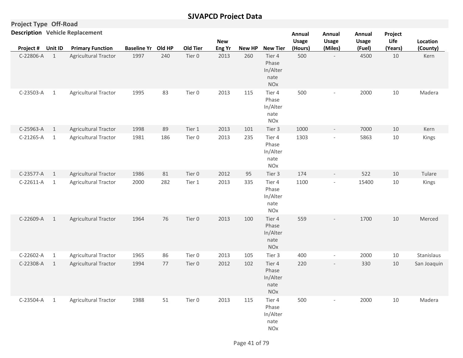**Project Type Off-Road Description Vehicle Replacement Project #Unit ID Primary Function Baseline Yr Old HP Old Tier New Eng Yr New HP New Tier Annual Usage (Hours)Annual Usage (Miles)Annual Usage (Fuel)Project Life (Years)Location** <u>D Primary Function Baseline Yr Old HP Old Tier Eng Yr New HP New Tier (Hours) (Miles) (Fuel) (Years) (County)</u> Agricultural Tractor 1997 240 Tier 0 2013 260 Phase In/Alternate NOxC-22806-A <sup>1</sup>1 Agricultural Tractor 1997 240 Tier 0 2013 260 Tier 4 500 - 4500 10 Kern 10 Kern Agricultural Tractor 1995 83 Tier 0 2013 115 Tier 4 Phase In/Alternate NOxC-23503-A <sup>1</sup>1 Agricultural Tractor 1995 83 Tier 0 2013 115 Tier 4 500 - 2000 10 Madera C-25963-A <sup>1</sup>1 Agricultural Tractor 1998 89 Tier 1 2013 101 Tier 3 1000 - 7000 10 Kern 10 Kern Agricultural Tractor <sup>1981</sup> <sup>186</sup> Tier 0 <sup>2013</sup> <sup>235</sup> Tier 4 Phase In/Alternate NOxC-21265-A <sup>1</sup>1 Agricultural Tractor 1981 186 Tier 0 2013 235 Tier 4 1303 - 5863 10 Kings C-23577-A <sup>1</sup> Agricultural Tractor <sup>1986</sup> <sup>81</sup> Tier 0 <sup>2012</sup> <sup>95</sup> Tier 3 <sup>174</sup> - <sup>522</sup> Tulare <sup>10</sup> Agricultural Tractor <sup>2000</sup> <sup>282</sup> Tier 1 <sup>2013</sup> <sup>335</sup> Tier 4 Phase In/Alternate NOxC-22611-A <sup>1</sup>1 Agricultural Tractor 2000 282 Tier 1 2013 335 Tier 4 1100 - 15400 10 Kings Agricultural Tractor <sup>1964</sup> <sup>76</sup> Tier 0 <sup>2013</sup> <sup>100</sup> Tier 4 Phase In/Alternate NOxC-22609-A <sup>1</sup>1 Agricultural Tractor 1964 76 Tier 0 2013 100 Tier 4 559 - 1700 10 Merced 10 Merced C-22602-A <sup>1</sup>1 Agricultural Tractor 1965 86 Tier 0 2013 105 Tier 3 400 - 2000 10 Stanislaus Agricultural Tractor 1994 77 Tier 0 2012 102 Tier 4 Phase In/Alternate NOxTier 4 C-22308-A <sup>1</sup>1 Agricultural Tractor 1994 77 Tier 0 2012 102 Tier 4 220 - 330 10 San Joaquin 10 San Joaquin Agricultural Tractor 1988 51 Tier 0 2013 115 Phase In/Alternate NOxC-23504-A <sup>1</sup>1 Agricultural Tractor 1988 51 Tier 0 2013 115 Tier 4 500 - 2000 10 Madera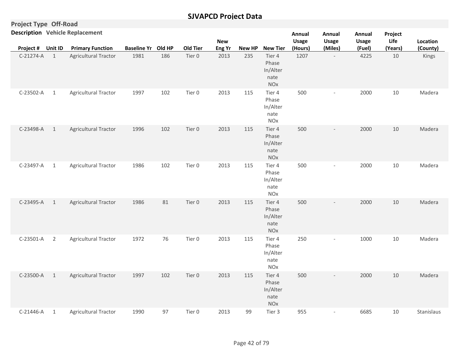| <b>Project Type Off-Road</b> |                |                                                                   |                           |     |          |                      |               |                                                              |                                   |                                   |                                  |                            |                      |
|------------------------------|----------------|-------------------------------------------------------------------|---------------------------|-----|----------|----------------------|---------------|--------------------------------------------------------------|-----------------------------------|-----------------------------------|----------------------------------|----------------------------|----------------------|
| Project # Unit ID            |                | <b>Description</b> Vehicle Replacement<br><b>Primary Function</b> | <b>Baseline Yr Old HP</b> |     | Old Tier | <b>New</b><br>Eng Yr | <b>New HP</b> | <b>New Tier</b>                                              | Annual<br><b>Usage</b><br>(Hours) | Annual<br><b>Usage</b><br>(Miles) | Annual<br><b>Usage</b><br>(Fuel) | Project<br>Life<br>(Years) | Location<br>(County) |
| C-21274-A                    | $\mathbf{1}$   | <b>Agricultural Tractor</b>                                       | 1981                      | 186 | Tier 0   | 2013                 | 235           | Tier 4<br>Phase<br>In/Alter<br>nate<br><b>NOx</b>            | 1207                              | $\overline{\phantom{a}}$          | 4225                             | $10\,$                     | Kings                |
| C-23502-A                    | $\mathbf{1}$   | <b>Agricultural Tractor</b>                                       | 1997                      | 102 | Tier 0   | 2013                 | 115           | Tier 4<br>Phase<br>In/Alter<br>nate<br><b>NOx</b>            | 500                               |                                   | 2000                             | 10                         | Madera               |
| C-23498-A                    | $\mathbf{1}$   | <b>Agricultural Tractor</b>                                       | 1996                      | 102 | Tier 0   | 2013                 | 115           | Tier 4<br>Phase<br>In/Alter<br>nate<br><b>NO<sub>x</sub></b> | 500                               |                                   | 2000                             | $10$                       | Madera               |
| C-23497-A                    | $\mathbf{1}$   | Agricultural Tractor                                              | 1986                      | 102 | Tier 0   | 2013                 | 115           | Tier 4<br>Phase<br>In/Alter<br>nate<br><b>NOx</b>            | 500                               | $\sim$                            | 2000                             | 10                         | Madera               |
| C-23495-A                    | $\mathbf{1}$   | <b>Agricultural Tractor</b>                                       | 1986                      | 81  | Tier 0   | 2013                 | 115           | Tier 4<br>Phase<br>In/Alter<br>nate<br><b>NOx</b>            | 500                               | $\overline{\phantom{a}}$          | 2000                             | 10                         | Madera               |
| C-23501-A                    | $\overline{2}$ | Agricultural Tractor                                              | 1972                      | 76  | Tier 0   | 2013                 | 115           | Tier 4<br>Phase<br>In/Alter<br>nate<br><b>NO<sub>x</sub></b> | 250                               |                                   | 1000                             | 10                         | Madera               |
| C-23500-A                    | $\mathbf{1}$   | <b>Agricultural Tractor</b>                                       | 1997                      | 102 | Tier 0   | 2013                 | 115           | Tier 4<br>Phase<br>In/Alter<br>nate<br><b>NOx</b>            | 500                               | $\overline{\phantom{a}}$          | 2000                             | 10                         | Madera               |
| C-21446-A                    | $\mathbf{1}$   | <b>Agricultural Tractor</b>                                       | 1990                      | 97  | Tier 0   | 2013                 | 99            | Tier 3                                                       | 955                               |                                   | 6685                             | 10                         | Stanislaus           |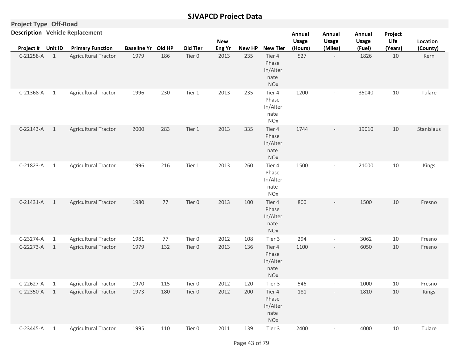| <b>Project Type Off-Road</b> |              |                                        |                    |     |          |            |               |                                                              |                        |                          |                        |                 |            |
|------------------------------|--------------|----------------------------------------|--------------------|-----|----------|------------|---------------|--------------------------------------------------------------|------------------------|--------------------------|------------------------|-----------------|------------|
|                              |              | <b>Description</b> Vehicle Replacement |                    |     |          | <b>New</b> |               |                                                              | Annual<br><b>Usage</b> | Annual<br><b>Usage</b>   | Annual<br><b>Usage</b> | Project<br>Life | Location   |
| Project # Unit ID            |              | <b>Primary Function</b>                | Baseline Yr Old HP |     | Old Tier | Eng Yr     | <b>New HP</b> | <b>New Tier</b>                                              | (Hours)                | (Miles)                  | (Fuel)                 | (Years)         | (County)   |
| C-21258-A                    | 1            | <b>Agricultural Tractor</b>            | 1979               | 186 | Tier 0   | 2013       | 235           | Tier 4<br>Phase<br>In/Alter<br>nate<br><b>NOx</b>            | 527                    | $\overline{\phantom{a}}$ | 1826                   | 10              | Kern       |
| C-21368-A                    | $\mathbf{1}$ | Agricultural Tractor                   | 1996               | 230 | Tier 1   | 2013       | 235           | Tier 4<br>Phase<br>In/Alter<br>nate<br><b>NOx</b>            | 1200                   |                          | 35040                  | 10              | Tulare     |
| C-22143-A                    | $1\,$        | <b>Agricultural Tractor</b>            | 2000               | 283 | Tier 1   | 2013       | 335           | Tier 4<br>Phase<br>In/Alter<br>nate<br><b>NOx</b>            | 1744                   |                          | 19010                  | 10              | Stanislaus |
| C-21823-A                    | $\mathbf{1}$ | Agricultural Tractor                   | 1996               | 216 | Tier 1   | 2013       | 260           | Tier 4<br>Phase<br>In/Alter<br>nate<br><b>NOx</b>            | 1500                   |                          | 21000                  | 10              | Kings      |
| C-21431-A                    | $\mathbf{1}$ | <b>Agricultural Tractor</b>            | 1980               | 77  | Tier 0   | 2013       | 100           | Tier 4<br>Phase<br>In/Alter<br>nate<br><b>NO<sub>x</sub></b> | 800                    |                          | 1500                   | 10              | Fresno     |
| C-23274-A                    | $\mathbf{1}$ | <b>Agricultural Tractor</b>            | 1981               | 77  | Tier 0   | 2012       | 108           | Tier 3                                                       | 294                    | $\overline{\phantom{a}}$ | 3062                   | 10              | Fresno     |
| C-22273-A                    | $\mathbf{1}$ | <b>Agricultural Tractor</b>            | 1979               | 132 | Tier 0   | 2013       | 136           | Tier 4<br>Phase<br>In/Alter<br>nate<br><b>NO<sub>x</sub></b> | 1100                   | $\overline{\phantom{a}}$ | 6050                   | 10              | Fresno     |
| C-22627-A 1                  |              | Agricultural Tractor                   | 1970               | 115 | Tier 0   | 2012       | 120           | Tier 3                                                       | 546                    |                          | 1000                   | 10              | Fresno     |
| C-22350-A 1                  |              | <b>Agricultural Tractor</b>            | 1973               | 180 | Tier 0   | 2012       | 200           | Tier 4<br>Phase<br>In/Alter<br>nate<br>NOx                   | 181                    | $\overline{\phantom{a}}$ | 1810                   | 10              | Kings      |
| C-23445-A                    | $\mathbf{1}$ | <b>Agricultural Tractor</b>            | 1995               | 110 | Tier 0   | 2011       | 139           | Tier 3                                                       | 2400                   | $\overline{\phantom{a}}$ | 4000                   | 10              | Tulare     |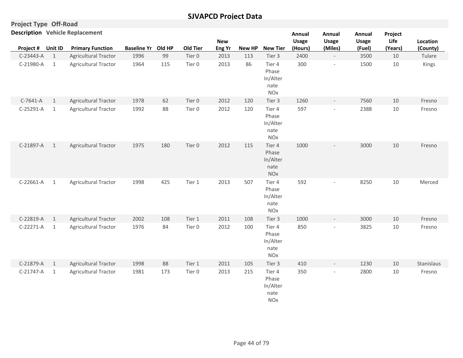| <b>Project Type Off-Road</b> |              |                                        |                           |     |          |               |               |                                                              |                        |                          |                        |                 |            |
|------------------------------|--------------|----------------------------------------|---------------------------|-----|----------|---------------|---------------|--------------------------------------------------------------|------------------------|--------------------------|------------------------|-----------------|------------|
|                              |              | <b>Description</b> Vehicle Replacement |                           |     |          | <b>New</b>    |               |                                                              | Annual<br><b>Usage</b> | Annual<br><b>Usage</b>   | Annual<br><b>Usage</b> | Project<br>Life | Location   |
| Project # Unit ID            |              | <b>Primary Function</b>                | <b>Baseline Yr Old HP</b> |     | Old Tier | <b>Eng Yr</b> | <b>New HP</b> | <b>New Tier</b>                                              | (Hours)                | (Miles)                  | (Fuel)                 | (Years)         | (County)   |
| C-23443-A                    | $\mathbf{1}$ | <b>Agricultural Tractor</b>            | 1996                      | 99  | Tier 0   | 2013          | 113           | Tier 3                                                       | 2400                   |                          | 3500                   | 10              | Tulare     |
| C-21980-A                    | $\mathbf{1}$ | <b>Agricultural Tractor</b>            | 1964                      | 115 | Tier 0   | 2013          | 86            | Tier 4<br>Phase<br>In/Alter<br>nate<br><b>NOx</b>            | 300                    | $\sim$                   | 1500                   | $10\,$          | Kings      |
| $C-7641-A$                   | $\mathbf{1}$ | <b>Agricultural Tractor</b>            | 1978                      | 62  | Tier 0   | 2012          | 120           | Tier 3                                                       | 1260                   | $\overline{a}$           | 7560                   | $10\,$          | Fresno     |
| C-25291-A                    | $\mathbf{1}$ | <b>Agricultural Tractor</b>            | 1992                      | 88  | Tier 0   | 2012          | 120           | Tier 4<br>Phase<br>In/Alter<br>nate<br><b>NOx</b>            | 597                    |                          | 2388                   | 10              | Fresno     |
| C-21897-A                    | $\mathbf{1}$ | <b>Agricultural Tractor</b>            | 1975                      | 180 | Tier 0   | 2012          | 115           | Tier 4<br>Phase<br>In/Alter<br>nate<br><b>NOx</b>            | 1000                   |                          | 3000                   | $10\,$          | Fresno     |
| C-22661-A                    | $\mathbf{1}$ | <b>Agricultural Tractor</b>            | 1998                      | 425 | Tier 1   | 2013          | 507           | Tier 4<br>Phase<br>In/Alter<br>nate<br><b>NOx</b>            | 592                    |                          | 8250                   | 10              | Merced     |
| C-22819-A                    | $\mathbf{1}$ | <b>Agricultural Tractor</b>            | 2002                      | 108 | Tier 1   | 2011          | 108           | Tier 3                                                       | 1000                   | $\overline{\phantom{a}}$ | 3000                   | 10              | Fresno     |
| C-22271-A                    | $\mathbf{1}$ | <b>Agricultural Tractor</b>            | 1976                      | 84  | Tier 0   | 2012          | 100           | Tier 4<br>Phase<br>In/Alter<br>nate<br><b>NO<sub>x</sub></b> | 850                    |                          | 3825                   | 10              | Fresno     |
| C-21879-A                    | $1\,$        | <b>Agricultural Tractor</b>            | 1998                      | 88  | Tier 1   | 2011          | 105           | Tier 3                                                       | 410                    | $\overline{\phantom{a}}$ | 1230                   | $10\,$          | Stanislaus |
| C-21747-A                    | $\mathbf{1}$ | <b>Agricultural Tractor</b>            | 1981                      | 173 | Tier 0   | 2013          | 215           | Tier 4<br>Phase<br>In/Alter<br>nate<br><b>NOx</b>            | 350                    |                          | 2800                   | 10              | Fresno     |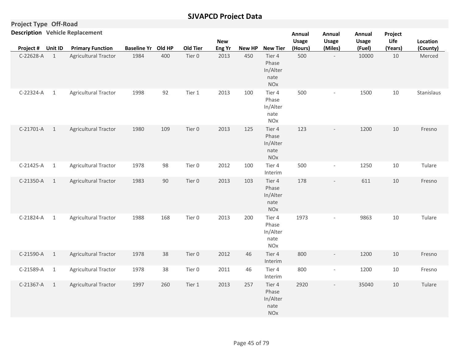| <b>Project Type Off-Road</b> |              |                                                                   |                    |     |          |                      |        |                                                   |                                   |                                   |                                  |                            |                      |
|------------------------------|--------------|-------------------------------------------------------------------|--------------------|-----|----------|----------------------|--------|---------------------------------------------------|-----------------------------------|-----------------------------------|----------------------------------|----------------------------|----------------------|
| Project # Unit ID            |              | <b>Description</b> Vehicle Replacement<br><b>Primary Function</b> | Baseline Yr Old HP |     | Old Tier | <b>New</b><br>Eng Yr | New HP | <b>New Tier</b>                                   | Annual<br><b>Usage</b><br>(Hours) | Annual<br><b>Usage</b><br>(Miles) | Annual<br><b>Usage</b><br>(Fuel) | Project<br>Life<br>(Years) | Location<br>(County) |
| C-22628-A                    | $\mathbf{1}$ | <b>Agricultural Tractor</b>                                       | 1984               | 400 | Tier 0   | 2013                 | 450    | Tier 4<br>Phase<br>In/Alter<br>nate<br><b>NOx</b> | 500                               |                                   | 10000                            | $10\,$                     | Merced               |
| C-22324-A                    | $\mathbf{1}$ | <b>Agricultural Tractor</b>                                       | 1998               | 92  | Tier 1   | 2013                 | 100    | Tier 4<br>Phase<br>In/Alter<br>nate<br><b>NOx</b> | 500                               | $\overline{\phantom{a}}$          | 1500                             | 10                         | Stanislaus           |
| C-21701-A                    | $\mathbf{1}$ | <b>Agricultural Tractor</b>                                       | 1980               | 109 | Tier 0   | 2013                 | 125    | Tier 4<br>Phase<br>In/Alter<br>nate<br><b>NOx</b> | 123                               |                                   | 1200                             | 10                         | Fresno               |
| C-21425-A                    | $\mathbf{1}$ | <b>Agricultural Tractor</b>                                       | 1978               | 98  | Tier 0   | 2012                 | 100    | Tier 4<br>Interim                                 | 500                               | $\overline{\phantom{a}}$          | 1250                             | 10                         | Tulare               |
| C-21350-A                    | $1\,$        | <b>Agricultural Tractor</b>                                       | 1983               | 90  | Tier 0   | 2013                 | 103    | Tier 4<br>Phase<br>In/Alter<br>nate<br><b>NOx</b> | 178                               | $\overline{\phantom{a}}$          | 611                              | $10\,$                     | Fresno               |
| C-21824-A                    | $\mathbf{1}$ | <b>Agricultural Tractor</b>                                       | 1988               | 168 | Tier 0   | 2013                 | 200    | Tier 4<br>Phase<br>In/Alter<br>nate<br><b>NOx</b> | 1973                              | $\overline{\phantom{a}}$          | 9863                             | $10\,$                     | Tulare               |
| C-21590-A                    | $\mathbf{1}$ | <b>Agricultural Tractor</b>                                       | 1978               | 38  | Tier 0   | 2012                 | 46     | Tier 4<br>Interim                                 | 800                               | $\overline{\phantom{a}}$          | 1200                             | $10\,$                     | Fresno               |
| C-21589-A                    | $\mathbf{1}$ | <b>Agricultural Tractor</b>                                       | 1978               | 38  | Tier 0   | 2011                 | 46     | Tier 4<br>Interim                                 | 800                               | $\frac{1}{2}$                     | 1200                             | 10                         | Fresno               |
| C-21367-A                    | $\mathbf{1}$ | <b>Agricultural Tractor</b>                                       | 1997               | 260 | Tier 1   | 2013                 | 257    | Tier 4<br>Phase<br>In/Alter<br>nate<br>NOx        | 2920                              | $\overline{\phantom{a}}$          | 35040                            | 10                         | Tulare               |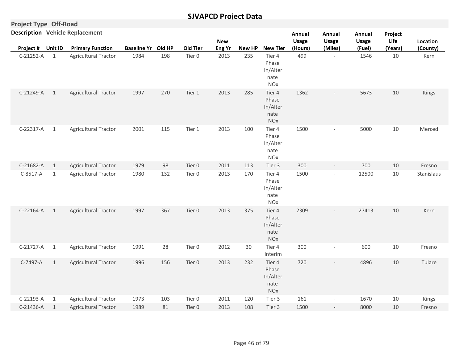| <b>Project Type Off-Road</b> |              |                                                                   |                    |     |          |                      |               |                                                   |                                   |                                   |                                  |                            |                      |
|------------------------------|--------------|-------------------------------------------------------------------|--------------------|-----|----------|----------------------|---------------|---------------------------------------------------|-----------------------------------|-----------------------------------|----------------------------------|----------------------------|----------------------|
| Project # Unit ID            |              | <b>Description</b> Vehicle Replacement<br><b>Primary Function</b> | Baseline Yr Old HP |     | Old Tier | <b>New</b><br>Eng Yr | <b>New HP</b> | <b>New Tier</b>                                   | Annual<br><b>Usage</b><br>(Hours) | Annual<br><b>Usage</b><br>(Miles) | Annual<br><b>Usage</b><br>(Fuel) | Project<br>Life<br>(Years) | Location<br>(County) |
| C-21252-A                    | 1            | <b>Agricultural Tractor</b>                                       | 1984               | 198 | Tier 0   | 2013                 | 235           | Tier 4<br>Phase<br>In/Alter<br>nate<br><b>NOx</b> | 499                               | $\overline{\phantom{a}}$          | 1546                             | 10                         | Kern                 |
| C-21249-A                    | $\mathbf{1}$ | <b>Agricultural Tractor</b>                                       | 1997               | 270 | Tier 1   | 2013                 | 285           | Tier 4<br>Phase<br>In/Alter<br>nate<br><b>NOx</b> | 1362                              |                                   | 5673                             | 10                         | Kings                |
| C-22317-A                    | $\mathbf{1}$ | <b>Agricultural Tractor</b>                                       | 2001               | 115 | Tier 1   | 2013                 | 100           | Tier 4<br>Phase<br>In/Alter<br>nate<br><b>NOx</b> | 1500                              |                                   | 5000                             | 10                         | Merced               |
| C-21682-A                    | $\mathbf{1}$ | Agricultural Tractor                                              | 1979               | 98  | Tier 0   | 2011                 | 113           | Tier 3                                            | 300                               | $\overline{a}$                    | 700                              | $10\,$                     | Fresno               |
| C-8517-A                     | $\mathbf{1}$ | <b>Agricultural Tractor</b>                                       | 1980               | 132 | Tier 0   | 2013                 | 170           | Tier 4<br>Phase<br>In/Alter<br>nate<br><b>NOx</b> | 1500                              |                                   | 12500                            | 10                         | Stanislaus           |
| C-22164-A                    | $\mathbf{1}$ | <b>Agricultural Tractor</b>                                       | 1997               | 367 | Tier 0   | 2013                 | 375           | Tier 4<br>Phase<br>In/Alter<br>nate<br><b>NOx</b> | 2309                              | $\overline{\phantom{a}}$          | 27413                            | 10                         | Kern                 |
| C-21727-A                    | $\mathbf{1}$ | Agricultural Tractor                                              | 1991               | 28  | Tier 0   | 2012                 | $30\,$        | Tier 4<br>Interim                                 | 300                               |                                   | 600                              | $10\,$                     | Fresno               |
| C-7497-A                     | $\mathbf{1}$ | <b>Agricultural Tractor</b>                                       | 1996               | 156 | Tier 0   | 2013                 | 232           | Tier 4<br>Phase<br>In/Alter<br>nate<br><b>NOx</b> | 720                               |                                   | 4896                             | 10                         | Tulare               |
| C-22193-A                    | $\mathbf{1}$ | <b>Agricultural Tractor</b>                                       | 1973               | 103 | Tier 0   | 2011                 | 120           | Tier 3                                            | 161                               | $\overline{a}$                    | 1670                             | 10                         | Kings                |
| C-21436-A                    | $\mathbf{1}$ | <b>Agricultural Tractor</b>                                       | 1989               | 81  | Tier 0   | 2013                 | 108           | Tier 3                                            | 1500                              | $\overline{\phantom{a}}$          | 8000                             | 10                         | Fresno               |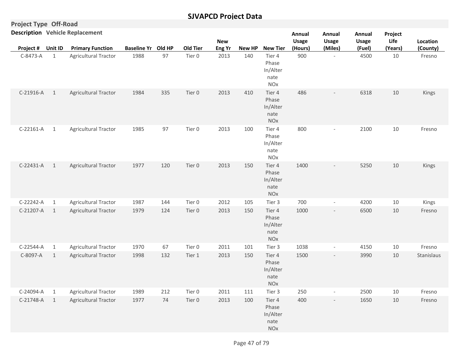| <b>Project Type Off-Road</b> |              |                                        |                    |     |          |               |        |                                                              |              |                          |              |         |            |
|------------------------------|--------------|----------------------------------------|--------------------|-----|----------|---------------|--------|--------------------------------------------------------------|--------------|--------------------------|--------------|---------|------------|
|                              |              | <b>Description</b> Vehicle Replacement |                    |     |          |               |        |                                                              | Annual       | Annual                   | Annual       | Project |            |
|                              |              |                                        |                    |     |          | <b>New</b>    |        |                                                              | <b>Usage</b> | <b>Usage</b>             | <b>Usage</b> | Life    | Location   |
| Project # Unit ID            |              | <b>Primary Function</b>                | Baseline Yr Old HP |     | Old Tier | <b>Eng Yr</b> | New HP | <b>New Tier</b>                                              | (Hours)      | (Miles)                  | (Fuel)       | (Years) | (County)   |
| C-8473-A                     | $\mathbf{1}$ | <b>Agricultural Tractor</b>            | 1988               | 97  | Tier 0   | 2013          | 140    | Tier 4<br>Phase<br>In/Alter<br>nate<br><b>NOx</b>            | 900          | $\overline{\phantom{a}}$ | 4500         | 10      | Fresno     |
| C-21916-A                    | $\mathbf{1}$ | <b>Agricultural Tractor</b>            | 1984               | 335 | Tier 0   | 2013          | 410    | Tier 4<br>Phase<br>In/Alter<br>nate<br><b>NOx</b>            | 486          | $\overline{\phantom{a}}$ | 6318         | 10      | Kings      |
| C-22161-A                    | $\mathbf{1}$ | <b>Agricultural Tractor</b>            | 1985               | 97  | Tier 0   | 2013          | 100    | Tier 4<br>Phase<br>In/Alter<br>nate<br><b>NO<sub>x</sub></b> | 800          | $\overline{\phantom{a}}$ | 2100         | 10      | Fresno     |
| C-22431-A                    | $\mathbf{1}$ | <b>Agricultural Tractor</b>            | 1977               | 120 | Tier 0   | 2013          | 150    | Tier 4<br>Phase<br>In/Alter<br>nate<br><b>NOx</b>            | 1400         | $\overline{\phantom{a}}$ | 5250         | $10$    | Kings      |
| C-22242-A                    | $\mathbf{1}$ | <b>Agricultural Tractor</b>            | 1987               | 144 | Tier 0   | 2012          | 105    | Tier 3                                                       | 700          | $\overline{\phantom{a}}$ | 4200         | 10      | Kings      |
| C-21207-A                    | $\mathbf{1}$ | <b>Agricultural Tractor</b>            | 1979               | 124 | Tier 0   | 2013          | 150    | Tier 4<br>Phase<br>In/Alter<br>nate<br><b>NOx</b>            | 1000         | $\overline{\phantom{a}}$ | 6500         | 10      | Fresno     |
| C-22544-A                    | $\mathbf{1}$ | <b>Agricultural Tractor</b>            | 1970               | 67  | Tier 0   | 2011          | 101    | Tier 3                                                       | 1038         | $\overline{\phantom{a}}$ | 4150         | 10      | Fresno     |
| C-8097-A                     | $\mathbf{1}$ | <b>Agricultural Tractor</b>            | 1998               | 132 | Tier 1   | 2013          | 150    | Tier 4<br>Phase<br>In/Alter<br>nate<br><b>NO<sub>x</sub></b> | 1500         | $\overline{\phantom{a}}$ | 3990         | 10      | Stanislaus |
| C-24094-A                    | $\mathbf{1}$ | Agricultural Tractor                   | 1989               | 212 | Tier 0   | 2011          | 111    | Tier 3                                                       | 250          | $\overline{\phantom{a}}$ | 2500         | $10\,$  | Fresno     |
| C-21748-A                    | $\mathbf{1}$ | <b>Agricultural Tractor</b>            | 1977               | 74  | Tier 0   | 2013          | 100    | Tier 4<br>Phase<br>In/Alter<br>nate<br><b>NOx</b>            | 400          | $\overline{\phantom{a}}$ | 1650         | $10\,$  | Fresno     |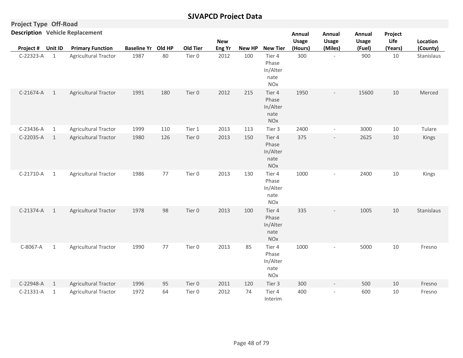| <b>Project Type Off-Road</b> |              |                                        |                    |        |          |            |        |                                                              |                        |                          |                        |                 |            |
|------------------------------|--------------|----------------------------------------|--------------------|--------|----------|------------|--------|--------------------------------------------------------------|------------------------|--------------------------|------------------------|-----------------|------------|
|                              |              | <b>Description</b> Vehicle Replacement |                    |        |          | <b>New</b> |        |                                                              | Annual<br><b>Usage</b> | Annual<br><b>Usage</b>   | Annual<br><b>Usage</b> | Project<br>Life | Location   |
| Project #                    | Unit ID      | <b>Primary Function</b>                | <b>Baseline Yr</b> | Old HP | Old Tier | Eng Yr     | New HP | <b>New Tier</b>                                              | (Hours)                | (Miles)                  | (Fuel)                 | (Years)         | (County)   |
| C-22323-A                    | $\mathbf{1}$ | <b>Agricultural Tractor</b>            | 1987               | 80     | Tier 0   | 2012       | 100    | Tier 4<br>Phase<br>In/Alter<br>nate<br><b>NOx</b>            | 300                    |                          | 900                    | 10              | Stanislaus |
| C-21674-A                    | $\mathbf{1}$ | <b>Agricultural Tractor</b>            | 1991               | 180    | Tier 0   | 2012       | 215    | Tier 4<br>Phase<br>In/Alter<br>nate<br><b>NOx</b>            | 1950                   | $\overline{\phantom{a}}$ | 15600                  | 10              | Merced     |
| C-23436-A                    | $\mathbf{1}$ | <b>Agricultural Tractor</b>            | 1999               | 110    | Tier 1   | 2013       | 113    | Tier 3                                                       | 2400                   |                          | 3000                   | 10              | Tulare     |
| C-22035-A                    | $\mathbf{1}$ | <b>Agricultural Tractor</b>            | 1980               | 126    | Tier 0   | 2013       | 150    | Tier 4<br>Phase<br>In/Alter<br>nate<br><b>NOx</b>            | 375                    | $\overline{\phantom{a}}$ | 2625                   | 10              | Kings      |
| C-21710-A                    | $\mathbf{1}$ | <b>Agricultural Tractor</b>            | 1986               | $77$   | Tier 0   | 2013       | 130    | Tier 4<br>Phase<br>In/Alter<br>nate<br><b>NO<sub>x</sub></b> | 1000                   |                          | 2400                   | 10              | Kings      |
| C-21374-A                    | $\mathbf{1}$ | <b>Agricultural Tractor</b>            | 1978               | 98     | Tier 0   | 2013       | 100    | Tier 4<br>Phase<br>In/Alter<br>nate<br><b>NOx</b>            | 335                    |                          | 1005                   | 10              | Stanislaus |
| C-8067-A                     | $\mathbf{1}$ | <b>Agricultural Tractor</b>            | 1990               | 77     | Tier 0   | 2013       | 85     | Tier 4<br>Phase<br>In/Alter<br>nate<br><b>NOx</b>            | 1000                   | $\overline{\phantom{a}}$ | 5000                   | 10              | Fresno     |
| C-22948-A                    | $\mathbf{1}$ | <b>Agricultural Tractor</b>            | 1996               | 95     | Tier 0   | 2011       | 120    | Tier 3                                                       | 300                    | $\overline{\phantom{a}}$ | 500                    | 10              | Fresno     |
| C-21331-A                    | 1            | <b>Agricultural Tractor</b>            | 1972               | 64     | Tier 0   | 2012       | 74     | Tier 4<br>Interim                                            | 400                    |                          | 600                    | 10              | Fresno     |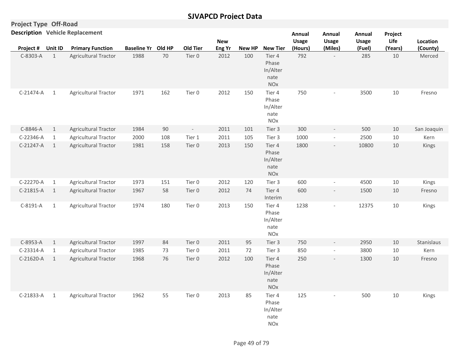|  | <b>Project Type Off-Road</b> |
|--|------------------------------|
|  |                              |

|                   |              | <b>Description</b> Vehicle Replacement |                    |     |                          |                      |               |                                                   | Annual                  | Annual                   | Annual                 | Project         |                      |
|-------------------|--------------|----------------------------------------|--------------------|-----|--------------------------|----------------------|---------------|---------------------------------------------------|-------------------------|--------------------------|------------------------|-----------------|----------------------|
| Project # Unit ID |              | <b>Primary Function</b>                | Baseline Yr Old HP |     | Old Tier                 | <b>New</b><br>Eng Yr | <b>New HP</b> | <b>New Tier</b>                                   | <b>Usage</b><br>(Hours) | <b>Usage</b><br>(Miles)  | <b>Usage</b><br>(Fuel) | Life<br>(Years) | Location<br>(County) |
| C-8303-A          | $\mathbf{1}$ | <b>Agricultural Tractor</b>            | 1988               | 70  | Tier 0                   | 2012                 | 100           | Tier 4<br>Phase<br>In/Alter<br>nate<br><b>NOx</b> | 792                     |                          | 285                    | $10\,$          | Merced               |
| C-21474-A         | 1            | Agricultural Tractor                   | 1971               | 162 | Tier 0                   | 2012                 | 150           | Tier 4<br>Phase<br>In/Alter<br>nate<br><b>NOx</b> | 750                     |                          | 3500                   | 10              | Fresno               |
| C-8846-A          | $\mathbf{1}$ | <b>Agricultural Tractor</b>            | 1984               | 90  | $\overline{\phantom{a}}$ | 2011                 | 101           | Tier 3                                            | 300                     |                          | 500                    | 10              | San Joaquin          |
| C-22346-A         | $\mathbf{1}$ | <b>Agricultural Tractor</b>            | 2000               | 108 | Tier 1                   | 2011                 | 105           | Tier 3                                            | 1000                    |                          | 2500                   | $10\,$          | Kern                 |
| C-21247-A         | $\mathbf{1}$ | <b>Agricultural Tractor</b>            | 1981               | 158 | Tier 0                   | 2013                 | 150           | Tier 4<br>Phase<br>In/Alter<br>nate<br><b>NOx</b> | 1800                    | $\overline{\phantom{a}}$ | 10800                  | $10\,$          | Kings                |
| C-22270-A         | $1\,$        | Agricultural Tractor                   | 1973               | 151 | Tier 0                   | 2012                 | 120           | Tier 3                                            | 600                     | $\overline{\phantom{a}}$ | 4500                   | $10\,$          | Kings                |
| C-21815-A         | $1\,$        | <b>Agricultural Tractor</b>            | 1967               | 58  | Tier 0                   | 2012                 | 74            | Tier 4<br>Interim                                 | 600                     | $\overline{\phantom{a}}$ | 1500                   | 10              | Fresno               |
| C-8191-A          | $\,1\,$      | <b>Agricultural Tractor</b>            | 1974               | 180 | Tier 0                   | 2013                 | 150           | Tier 4<br>Phase<br>In/Alter<br>nate<br><b>NOx</b> | 1238                    |                          | 12375                  | $10\,$          | Kings                |
| C-8953-A          | $\mathbf{1}$ | <b>Agricultural Tractor</b>            | 1997               | 84  | Tier 0                   | 2011                 | 95            | Tier 3                                            | 750                     |                          | 2950                   | 10              | Stanislaus           |
| C-23314-A         | $\mathbf{1}$ | Agricultural Tractor                   | 1985               | 73  | Tier 0                   | 2011                 | 72            | Tier 3                                            | 850                     | $\overline{\phantom{a}}$ | 3800                   | 10              | Kern                 |
| C-21620-A         | $\mathbf{1}$ | <b>Agricultural Tractor</b>            | 1968               | 76  | Tier 0                   | 2012                 | 100           | Tier 4<br>Phase<br>In/Alter<br>nate<br><b>NOx</b> | 250                     | $\overline{\phantom{a}}$ | 1300                   | $10\,$          | Fresno               |
| C-21833-A         | $\mathbf{1}$ | Agricultural Tractor                   | 1962               | 55  | Tier 0                   | 2013                 | 85            | Tier 4<br>Phase<br>In/Alter<br>nate<br><b>NOx</b> | 125                     |                          | 500                    | 10              | Kings                |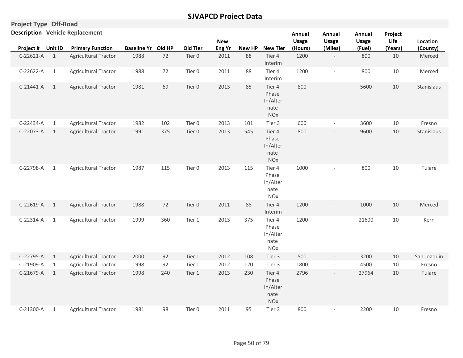10 Fresno

| <b>Project Type Off-Road</b> |              |                                        |                    |     |          |               |               |                                                              |                        |                          |                        |                 |             |
|------------------------------|--------------|----------------------------------------|--------------------|-----|----------|---------------|---------------|--------------------------------------------------------------|------------------------|--------------------------|------------------------|-----------------|-------------|
|                              |              | <b>Description</b> Vehicle Replacement |                    |     |          | <b>New</b>    |               |                                                              | Annual<br><b>Usage</b> | Annual<br><b>Usage</b>   | Annual<br><b>Usage</b> | Project<br>Life | Location    |
| Project # Unit ID            |              | <b>Primary Function</b>                | Baseline Yr Old HP |     | Old Tier | <b>Eng Yr</b> | <b>New HP</b> | <b>New Tier</b>                                              | (Hours)                | (Miles)                  | (Fuel)                 | (Years)         | (County)    |
| C-22621-A                    | $\mathbf{1}$ | <b>Agricultural Tractor</b>            | 1988               | 72  | Tier 0   | 2011          | 88            | Tier 4<br>Interim                                            | 1200                   | $\overline{\phantom{a}}$ | 800                    | 10              | Merced      |
| C-22622-A                    | $\mathbf{1}$ | <b>Agricultural Tractor</b>            | 1988               | 72  | Tier 0   | 2011          | 88            | Tier 4<br>Interim                                            | 1200                   | $\overline{\phantom{a}}$ | 800                    | $10\,$          | Merced      |
| $C-21441-A$                  | $\mathbf{1}$ | <b>Agricultural Tractor</b>            | 1981               | 69  | Tier 0   | 2013          | 85            | Tier 4<br>Phase<br>In/Alter<br>nate<br><b>NO<sub>x</sub></b> | 800                    | $\overline{\phantom{a}}$ | 5600                   | 10              | Stanislaus  |
| C-22434-A                    | $\mathbf{1}$ | <b>Agricultural Tractor</b>            | 1982               | 102 | Tier 0   | 2013          | 101           | Tier 3                                                       | 600                    | $\overline{\phantom{m}}$ | 3600                   | 10              | Fresno      |
| C-22073-A                    | $\mathbf{1}$ | <b>Agricultural Tractor</b>            | 1991               | 375 | Tier 0   | 2013          | 545           | Tier 4<br>Phase<br>In/Alter<br>nate<br><b>NOx</b>            | 800                    | $\overline{\phantom{a}}$ | 9600                   | 10              | Stanislaus  |
| C-22798-A                    | $\mathbf{1}$ | <b>Agricultural Tractor</b>            | 1987               | 115 | Tier 0   | 2013          | 115           | Tier 4<br>Phase<br>In/Alter<br>nate<br><b>NO<sub>x</sub></b> | 1000                   |                          | 800                    | 10              | Tulare      |
| C-22619-A                    | $\mathbf{1}$ | <b>Agricultural Tractor</b>            | 1988               | 72  | Tier 0   | 2011          | 88            | Tier 4<br>Interim                                            | 1200                   | $\overline{\phantom{a}}$ | 1000                   | 10              | Merced      |
| C-22314-A                    | $\mathbf{1}$ | <b>Agricultural Tractor</b>            | 1999               | 360 | Tier 1   | 2013          | 375           | Tier 4<br>Phase<br>In/Alter<br>nate<br><b>NOx</b>            | 1200                   | $\frac{1}{2}$            | 21600                  | $10\,$          | Kern        |
| C-22795-A                    | $\mathbf{1}$ | <b>Agricultural Tractor</b>            | 2000               | 92  | Tier 1   | 2012          | 108           | Tier 3                                                       | 500                    | $\mathcal{L}^{\pm}$      | 3200                   | 10              | San Joaquin |
| C-21909-A                    | $\mathbf{1}$ | <b>Agricultural Tractor</b>            | 1998               | 92  | Tier 1   | 2012          | 120           | Tier 3                                                       | 1800                   | $\overline{a}$           | 4500                   | 10              | Fresno      |
| C-21679-A                    | $\mathbf{1}$ | <b>Agricultural Tractor</b>            | 1998               | 240 | Tier 1   | 2013          | 230           | Tier 4<br>Phase<br>In/Alter<br>nate                          | 2796                   | $\overline{\phantom{a}}$ | 27964                  | 10              | Tulare      |

C-21300-A <sup>1</sup>

Agricultural Tractor <sup>1981</sup> <sup>98</sup> Tier 0 <sup>2011</sup> <sup>95</sup> Tier 3 <sup>800</sup> - <sup>2200</sup> Fresno

 NOxTier 3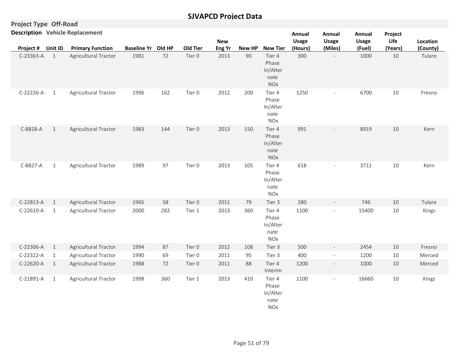**Project Type Off-Road Description Vehicle Replacement Project #Unit ID Primary Function Baseline Yr Old HP Old Tier New Eng Yr New HPNew Tier**<br>Tier 4 **Annual Usage (Hours)Annual Usage (Miles)Annual Usage (Fuel)Project Life (Years)Location** <u>D Primary Function Baseline Yr Old HP Old Tier Eng Yr New HP New Tier (Hours) (Miles) (Fuel) (Years) (County)</u> Agricultural Tractor 1981 72 Tier 0 2013 90 Phase In/Alternate NOxC-23363-A <sup>1</sup>1 Agricultural Tractor 1981 72 Tier 0 2013 90 Tier 4 300 - 1000 10 Tulare Agricultural Tractor <sup>1996</sup> <sup>162</sup> Tier 0 <sup>2012</sup> <sup>200</sup> Tier 4 Phase In/Alternate NOxC-22226-A <sup>1</sup>1 Agricultural Tractor 1996 162 Tier 0 2012 200 Tier 4 1250 - 6700 10 Fresno 10 Fresno Agricultural Tractor 1983 144 Tier 0 2013 150 Tier 4 Phase In/Alternate NOxTier 4 C-8828-A <sup>1</sup>1 Agricultural Tractor 1983 144 Tier 0 2013 150 Tier 4 991 - 8919 10 Kern 10 Kern Agricultural Tractor 1989 97 Tier 0 2013 105 Phase In/Alternate NOxC-8827-A <sup>1</sup>1 Agricultural Tractor 1989 97 Tier 0 2013 105 Tier 4 618 - 3711 10 Kern 10 Kern C-22813-A <sup>1</sup> Agricultural Tractor <sup>1965</sup> <sup>58</sup> Tier 0 <sup>2011</sup> <sup>79</sup> Tier 3 <sup>280</sup> - <sup>746</sup> Tulare <sup>10</sup> Agricultural Tractor <sup>2000</sup> <sup>282</sup> Tier 1 <sup>2013</sup> <sup>360</sup> Tier 4 Phase In/Alternate NOxC-22610-A <sup>1</sup>1 Agricultural Tractor 2000 282 Tier 1 2013 360 Tier 4 1100 - 15400 10 Kings C-22306-A <sup>1</sup>1 Agricultural Tractor 1994 87 Tier 0 2012 108 Tier 3 500 - - 2454 10 Fresno 10 Fresno C-22322-A <sup>1</sup> Agricultural Tractor <sup>1990</sup> <sup>69</sup> Tier 0 <sup>2011</sup> <sup>95</sup> Tier 3 <sup>400</sup> - <sup>1200</sup> Merced10 Merced Agricultural Tractor 1988 72 Tier 0 2011 88 Tier 4 InterimTier 4 C-22620-A <sup>1</sup>1 Agricultural Tractor 1988 72 Tier 0 2011 88 Tier 4 1200 - 1000 10 Merced 10 Merced Agricultural Tractor 1998 360 Tier 1 2013 410 Phase In/Alternate NOxC-21891-A <sup>1</sup>1 Agricultural Tractor 1998 360 Tier 1 2013 410 Tier 4 1100 - 16660 10 Kings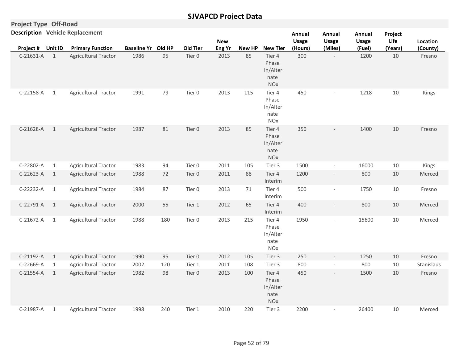**Project Type Off-Road Description Vehicle Replacement Project #Unit ID Primary Function Baseline Yr Old HP Old Tier New Eng Yr New HPNew Tier**<br>Tier 4 **Annual Usage (Hours)Annual Usage (Miles)Annual Usage (Fuel)Project Life (Years)Location** <u>D Primary Function Baseline Yr Old HP Old Tier Eng Yr New HP New Tier (Hours) (Miles) (Fuel) (Years) (County)</u> Agricultural Tractor 1986 95 Tier 0 2013 85 Phase In/Alternate NOxC-21631-A <sup>1</sup>1 Agricultural Tractor 1986 95 Tier 0 2013 85 Tier 4 300 - 1200 10 Fresno 10 Fresno Agricultural Tractor 1991 79 Tier 0 2013 115 Tier 4 Phase In/Alternate NOxC-22158-A <sup>1</sup>1 Agricultural Tractor 1991 79 Tier 0 2013 115 Tier 4 450 - 1218 10 Kings Agricultural Tractor 1987 81 Tier 0 2013 85 Tier 4 Phase In/Alternate NOxTier 3 C-21628-A <sup>1</sup>1 Agricultural Tractor 1987 81 Tier 0 2013 85 Tier 4 350 - 1400 10 Fresno 10 Fresno C-22802-A <sup>1</sup>1 Agricultural Tractor 1983 94 Tier 0 2011 105 Tier 3 1500 - 16000 10 Kings Agricultural Tractor 1988 72 Tier 0 2011 88 Tier 4 InterimTier 4 C-22623-A <sup>1</sup>1 Agricultural Tractor 1988 72 Tier 0 2011 88 Tier 4 1200 - 800 10 Merced 10 Merced Agricultural Tractor 1984 87 Tier 0 2013 71 InterimTier 4 C-22232-A <sup>1</sup>1 Agricultural Tractor 1984 87 Tier 0 2013 71 Tier 4 500 - 1750 10 Fresno 10 Fresno Agricultural Tractor 2000 55 Tier 1 2012 65 InterimTier 4 C-22791-A <sup>1</sup>1 Agricultural Tractor 2000 55 Tier 1 2012 65 Tier 4 400 - 800 10 Merced 10 Merced Agricultural Tractor 1988 180 Tier 0 2013 215 Phase In/Alternate NOxC-21672-A <sup>1</sup>1 Agricultural Tractor 1988 180 Tier 0 2013 215 Tier 4 1950 - 15600 10 Merced 10 Merced C-21192-A <sup>1</sup> Agricultural Tractor <sup>1990</sup> <sup>95</sup> Tier 0 <sup>2012</sup> <sup>105</sup> Tier 3 <sup>250</sup> - <sup>1250</sup> Fresno10 Fresno<br>10 Stanislaus C-22669-A <sup>1</sup>1 Agricultural Tractor 2002 120 Tier 1 2011 108 Tier 3 800 - 800 10 Stanislaus Agricultural Tractor 1982 98 Tier 0 2013 100 Tier 4 Phase In/Alternate NOxC-21554-A <sup>1</sup>1 Agricultural Tractor 1982 98 Tier 0 2013 100 Tier 4 450 - 1500 10 Fresno 10 Fresno C-21987-A <sup>1</sup> Agricultural Tractor <sup>1998</sup> <sup>240</sup> Tier 1 <sup>2010</sup> <sup>220</sup> Tier 3 <sup>2200</sup> - <sup>26400</sup> Merced10 Merced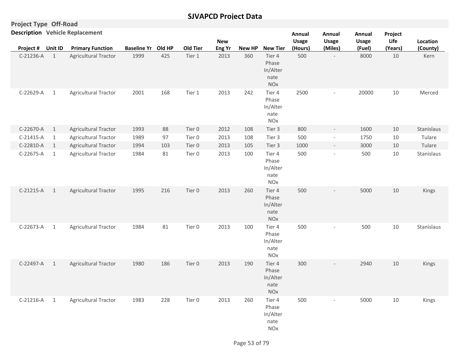|  | <b>Project Type Off-Road</b> |  |
|--|------------------------------|--|
|  |                              |  |

|                   |              | <b>Description</b> Vehicle Replacement |                    |     |          | <b>New</b>    |               |                                                   | Annual<br><b>Usage</b> | Annual<br><b>Usage</b>   | Annual<br><b>Usage</b> | Project<br>Life | Location   |
|-------------------|--------------|----------------------------------------|--------------------|-----|----------|---------------|---------------|---------------------------------------------------|------------------------|--------------------------|------------------------|-----------------|------------|
| Project # Unit ID |              | <b>Primary Function</b>                | Baseline Yr Old HP |     | Old Tier | <b>Eng Yr</b> | <b>New HP</b> | <b>New Tier</b>                                   | (Hours)                | (Miles)                  | (Fuel)                 | (Years)         | (County)   |
| C-21236-A 1       |              | <b>Agricultural Tractor</b>            | 1999               | 425 | Tier 1   | 2013          | 360           | Tier 4<br>Phase<br>In/Alter<br>nate<br><b>NOx</b> | 500                    |                          | 8000                   | $10\,$          | Kern       |
| C-22629-A         | $\mathbf{1}$ | <b>Agricultural Tractor</b>            | 2001               | 168 | Tier 1   | 2013          | 242           | Tier 4<br>Phase<br>In/Alter<br>nate<br><b>NOx</b> | 2500                   |                          | 20000                  | $10\,$          | Merced     |
| C-22670-A         | $\mathbf{1}$ | <b>Agricultural Tractor</b>            | 1993               | 88  | Tier 0   | 2012          | 108           | Tier 3                                            | 800                    | $\overline{\phantom{a}}$ | 1600                   | 10              | Stanislaus |
| C-21415-A         | $\mathbf{1}$ | <b>Agricultural Tractor</b>            | 1989               | 97  | Tier 0   | 2013          | 108           | Tier 3                                            | 500                    |                          | 1750                   | $10\,$          | Tulare     |
| C-22810-A         | $\mathbf{1}$ | <b>Agricultural Tractor</b>            | 1994               | 103 | Tier 0   | 2013          | 105           | Tier 3                                            | 1000                   | $\overline{\phantom{a}}$ | 3000                   | 10              | Tulare     |
| C-22675-A         | $\mathbf{1}$ | <b>Agricultural Tractor</b>            | 1984               | 81  | Tier 0   | 2013          | 100           | Tier 4<br>Phase<br>In/Alter<br>nate<br><b>NOx</b> | 500                    |                          | 500                    | 10              | Stanislaus |
| $C-21215-A$       | $\mathbf{1}$ | <b>Agricultural Tractor</b>            | 1995               | 216 | Tier 0   | 2013          | 260           | Tier 4<br>Phase<br>In/Alter<br>nate<br><b>NOx</b> | 500                    |                          | 5000                   | 10              | Kings      |
| C-22673-A         | $\mathbf{1}$ | <b>Agricultural Tractor</b>            | 1984               | 81  | Tier 0   | 2013          | 100           | Tier 4<br>Phase<br>In/Alter<br>nate<br><b>NOx</b> | 500                    |                          | 500                    | 10              | Stanislaus |
| C-22497-A         | $\mathbf{1}$ | <b>Agricultural Tractor</b>            | 1980               | 186 | Tier 0   | 2013          | 190           | Tier 4<br>Phase<br>In/Alter<br>nate<br><b>NOx</b> | 300                    |                          | 2940                   | $10\,$          | Kings      |
| C-21216-A         | $\mathbf{1}$ | <b>Agricultural Tractor</b>            | 1983               | 228 | Tier 0   | 2013          | 260           | Tier 4<br>Phase<br>In/Alter<br>nate<br><b>NOx</b> | 500                    |                          | 5000                   | 10              | Kings      |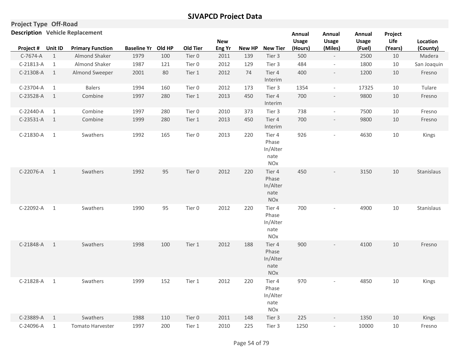**Project Type Off-Road**

|           |              | <b>Description</b> Vehicle Replacement |                    |     |          | <b>New</b>    |               |                                                              | Annual<br><b>Usage</b> | Annual<br><b>Usage</b>   | Annual<br><b>Usage</b> | Project<br>Life | Location    |
|-----------|--------------|----------------------------------------|--------------------|-----|----------|---------------|---------------|--------------------------------------------------------------|------------------------|--------------------------|------------------------|-----------------|-------------|
| Project # | Unit ID      | <b>Primary Function</b>                | Baseline Yr Old HP |     | Old Tier | <b>Eng Yr</b> | <b>New HP</b> | <b>New Tier</b>                                              | (Hours)                | (Miles)                  | (Fuel)                 | (Years)         | (County)    |
| C-7674-A  | $\mathbf{1}$ | Almond Shaker                          | 1979               | 100 | Tier 0   | 2011          | 139           | Tier 3                                                       | 500                    | $\overline{\phantom{a}}$ | 2500                   | 10              | Madera      |
| C-21813-A | $\mathbf{1}$ | Almond Shaker                          | 1987               | 121 | Tier 0   | 2012          | 129           | Tier 3                                                       | 484                    | $\overline{a}$           | 1800                   | 10              | San Joaquin |
| C-21308-A | $1\,$        | Almond Sweeper                         | 2001               | 80  | Tier 1   | 2012          | 74            | Tier 4<br>Interim                                            | 400                    | $\overline{\phantom{a}}$ | 1200                   | $10\,$          | Fresno      |
| C-23704-A | $\mathbf{1}$ | <b>Balers</b>                          | 1994               | 160 | Tier 0   | 2012          | 173           | Tier 3                                                       | 1354                   | $\overline{\phantom{a}}$ | 17325                  | 10              | Tulare      |
| C-23528-A | $\mathbf{1}$ | Combine                                | 1997               | 280 | Tier 1   | 2013          | 450           | Tier 4<br>Interim                                            | 700                    | $\overline{\phantom{a}}$ | 9800                   | $10\,$          | Fresno      |
| C-22440-A | $\mathbf{1}$ | Combine                                | 1997               | 280 | Tier 0   | 2010          | 373           | Tier 3                                                       | 738                    | $\overline{\phantom{a}}$ | 7500                   | 10              | Fresno      |
| C-23531-A | $\mathbf{1}$ | Combine                                | 1999               | 280 | Tier 1   | 2013          | 450           | Tier 4<br>Interim                                            | 700                    | $\overline{\phantom{a}}$ | 9800                   | $10\,$          | Fresno      |
| C-21830-A | $1\,$        | Swathers                               | 1992               | 165 | Tier 0   | 2013          | 220           | Tier 4<br>Phase<br>In/Alter<br>nate<br><b>NOx</b>            | 926                    |                          | 4630                   | 10              | Kings       |
| C-22076-A | $\mathbf{1}$ | Swathers                               | 1992               | 95  | Tier 0   | 2012          | 220           | Tier 4<br>Phase<br>In/Alter<br>nate<br><b>NOx</b>            | 450                    |                          | 3150                   | $10$            | Stanislaus  |
| C-22092-A | $\mathbf{1}$ | Swathers                               | 1990               | 95  | Tier 0   | 2012          | 220           | Tier 4<br>Phase<br>In/Alter<br>nate<br><b>NOx</b>            | 700                    | $\overline{\phantom{a}}$ | 4900                   | 10              | Stanislaus  |
| C-21848-A | $1\,$        | Swathers                               | 1998               | 100 | Tier 1   | 2012          | 188           | Tier 4<br>Phase<br>In/Alter<br>nate<br><b>NO<sub>x</sub></b> | 900                    |                          | 4100                   | $10$            | Fresno      |
| C-21828-A | $\mathbf{1}$ | Swathers                               | 1999               | 152 | Tier 1   | 2012          | 220           | Tier 4<br>Phase<br>In/Alter<br>nate<br><b>NOx</b>            | 970                    |                          | 4850                   | 10              | Kings       |
| C-23889-A | $\mathbf{1}$ | Swathers                               | 1988               | 110 | Tier 0   | 2011          | 148           | Tier 3                                                       | 225                    |                          | 1350                   | $10$            | Kings       |
| C-24096-A | $\mathbf{1}$ | Tomato Harvester                       | 1997               | 200 | Tier 1   | 2010          | 225           | Tier 3                                                       | 1250                   |                          | 10000                  | 10              | Fresno      |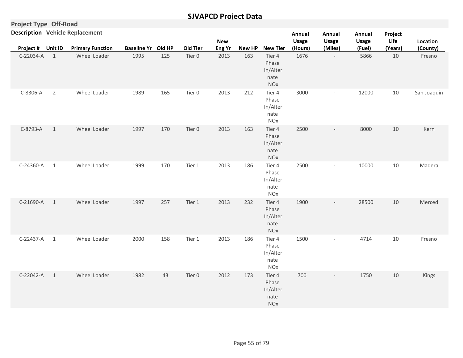| <b>Project Type Off-Road</b> |                |                                                                   |                           |     |          |                      |               |                                                              |                                   |                                   |                                  |                            |                      |
|------------------------------|----------------|-------------------------------------------------------------------|---------------------------|-----|----------|----------------------|---------------|--------------------------------------------------------------|-----------------------------------|-----------------------------------|----------------------------------|----------------------------|----------------------|
| Project # Unit ID            |                | <b>Description</b> Vehicle Replacement<br><b>Primary Function</b> | <b>Baseline Yr Old HP</b> |     | Old Tier | <b>New</b><br>Eng Yr | <b>New HP</b> | <b>New Tier</b>                                              | Annual<br><b>Usage</b><br>(Hours) | Annual<br><b>Usage</b><br>(Miles) | Annual<br><b>Usage</b><br>(Fuel) | Project<br>Life<br>(Years) | Location<br>(County) |
| C-22034-A 1                  |                | Wheel Loader                                                      | 1995                      | 125 | Tier 0   | 2013                 | 163           | Tier 4<br>Phase<br>In/Alter<br>nate<br><b>NOx</b>            | 1676                              | $\overline{\phantom{a}}$          | 5866                             | 10                         | Fresno               |
| C-8306-A                     | $\overline{2}$ | Wheel Loader                                                      | 1989                      | 165 | Tier 0   | 2013                 | 212           | Tier 4<br>Phase<br>In/Alter<br>nate<br><b>NOx</b>            | 3000                              | $\overline{\phantom{a}}$          | 12000                            | 10                         | San Joaquin          |
| C-8793-A                     | $\mathbf{1}$   | Wheel Loader                                                      | 1997                      | 170 | Tier 0   | 2013                 | 163           | Tier 4<br>Phase<br>In/Alter<br>nate<br><b>NOx</b>            | 2500                              | $\overline{a}$                    | 8000                             | $10\,$                     | Kern                 |
| C-24360-A                    | $\mathbf{1}$   | Wheel Loader                                                      | 1999                      | 170 | Tier 1   | 2013                 | 186           | Tier 4<br>Phase<br>In/Alter<br>nate<br><b>NOx</b>            | 2500                              | $\blacksquare$                    | 10000                            | 10                         | Madera               |
| C-21690-A                    | $\mathbf{1}$   | Wheel Loader                                                      | 1997                      | 257 | Tier 1   | 2013                 | 232           | Tier 4<br>Phase<br>In/Alter<br>nate<br><b>NO<sub>x</sub></b> | 1900                              | $\overline{\phantom{a}}$          | 28500                            | 10                         | Merced               |
| C-22437-A                    | $\mathbf{1}$   | Wheel Loader                                                      | 2000                      | 158 | Tier 1   | 2013                 | 186           | Tier 4<br>Phase<br>In/Alter<br>nate<br><b>NOx</b>            | 1500                              | $\frac{1}{2}$                     | 4714                             | 10                         | Fresno               |
| C-22042-A                    | $\mathbf{1}$   | Wheel Loader                                                      | 1982                      | 43  | Tier 0   | 2012                 | 173           | Tier 4<br>Phase<br>In/Alter<br>nate<br><b>NOx</b>            | 700                               | $\overline{\phantom{a}}$          | 1750                             | 10                         | Kings                |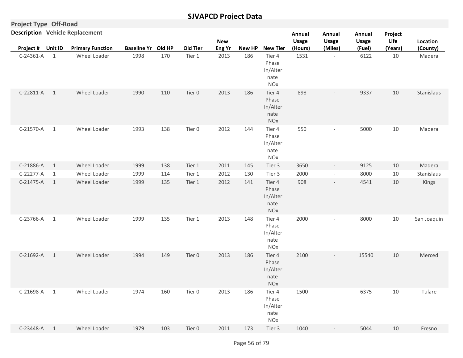| <b>Project Type Off-Road</b> |              |                                        |                    |     |          |               |               |                                                              |                        |                          |                        |                 |             |
|------------------------------|--------------|----------------------------------------|--------------------|-----|----------|---------------|---------------|--------------------------------------------------------------|------------------------|--------------------------|------------------------|-----------------|-------------|
|                              |              | <b>Description</b> Vehicle Replacement |                    |     |          | <b>New</b>    |               |                                                              | Annual<br><b>Usage</b> | Annual<br><b>Usage</b>   | Annual<br><b>Usage</b> | Project<br>Life | Location    |
| Project # Unit ID            |              | <b>Primary Function</b>                | Baseline Yr Old HP |     | Old Tier | <b>Eng Yr</b> | <b>New HP</b> | <b>New Tier</b>                                              | (Hours)                | (Miles)                  | (Fuel)                 | (Years)         | (County)    |
| C-24361-A                    | $\mathbf{1}$ | Wheel Loader                           | 1998               | 170 | Tier 1   | 2013          | 186           | Tier 4<br>Phase<br>In/Alter<br>nate<br><b>NOx</b>            | 1531                   | $\overline{\phantom{a}}$ | 6122                   | 10              | Madera      |
| C-22811-A                    | $\mathbf{1}$ | Wheel Loader                           | 1990               | 110 | Tier 0   | 2013          | 186           | Tier 4<br>Phase<br>In/Alter<br>nate<br><b>NOx</b>            | 898                    | $\overline{\phantom{a}}$ | 9337                   | 10              | Stanislaus  |
| C-21570-A                    | $1\,$        | Wheel Loader                           | 1993               | 138 | Tier 0   | 2012          | 144           | Tier 4<br>Phase<br>In/Alter<br>nate<br><b>NOx</b>            | 550                    | $\overline{\phantom{a}}$ | 5000                   | 10              | Madera      |
| C-21886-A                    | $\mathbf{1}$ | Wheel Loader                           | 1999               | 138 | Tier 1   | 2011          | 145           | Tier 3                                                       | 3650                   | $\overline{\phantom{a}}$ | 9125                   | 10              | Madera      |
| C-22277-A                    | $\mathbf{1}$ | Wheel Loader                           | 1999               | 114 | Tier 1   | 2012          | 130           | Tier 3                                                       | 2000                   | $\overline{\phantom{a}}$ | 8000                   | 10              | Stanislaus  |
| C-21475-A                    | $\mathbf{1}$ | Wheel Loader                           | 1999               | 135 | Tier 1   | 2012          | 141           | Tier 4<br>Phase<br>In/Alter<br>nate<br><b>NOx</b>            | 908                    | $\overline{\phantom{a}}$ | 4541                   | $10\,$          | Kings       |
| C-23766-A                    | $\mathbf{1}$ | Wheel Loader                           | 1999               | 135 | Tier 1   | 2013          | 148           | Tier 4<br>Phase<br>In/Alter<br>nate<br><b>NOx</b>            | 2000                   | $\overline{\phantom{a}}$ | 8000                   | 10              | San Joaquin |
| C-21692-A                    | $\mathbf{1}$ | Wheel Loader                           | 1994               | 149 | Tier 0   | 2013          | 186           | Tier 4<br>Phase<br>In/Alter<br>nate<br><b>NO<sub>x</sub></b> | 2100                   | $\overline{\phantom{a}}$ | 15540                  | 10              | Merced      |
| C-21698-A 1                  |              | Wheel Loader                           | 1974               | 160 | Tier 0   | 2013          | 186           | Tier 4<br>Phase<br>In/Alter<br>nate<br><b>NOx</b>            | 1500                   | $\overline{\phantom{a}}$ | 6375                   | $10\,$          | Tulare      |
| C-23448-A                    | $\mathbf{1}$ | Wheel Loader                           | 1979               | 103 | Tier 0   | 2011          | 173           | Tier 3                                                       | 1040                   | $\overline{\phantom{a}}$ | 5044                   | 10              | Fresno      |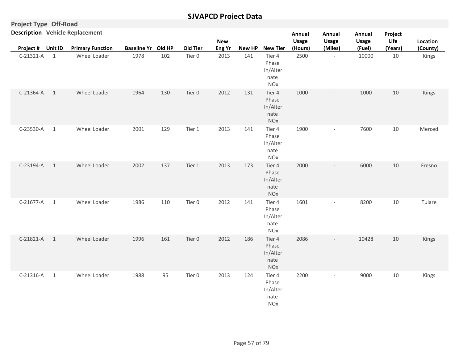| <b>Project Type Off-Road</b>       |              |                                         |                            |     |                    |                       |                      |                                                                                 |                        |                                     |                               |                 |                   |
|------------------------------------|--------------|-----------------------------------------|----------------------------|-----|--------------------|-----------------------|----------------------|---------------------------------------------------------------------------------|------------------------|-------------------------------------|-------------------------------|-----------------|-------------------|
|                                    |              | <b>Description</b> Vehicle Replacement  |                            |     |                    | <b>New</b>            |                      |                                                                                 | Annual<br><b>Usage</b> | Annual<br>Usage                     | <b>Annual</b><br><b>Usage</b> | Project<br>Life | Location          |
| Project # Unit ID<br>$C-21321-A$ 1 |              | <b>Primary Function</b><br>Wheel Loader | Baseline Yr Old HP<br>1978 | 102 | Old Tier<br>Tier 0 | <b>Eng Yr</b><br>2013 | <b>New HP</b><br>141 | <b>New Tier</b><br>Tier 4<br>Phase<br>In/Alter<br>nate<br><b>NO<sub>x</sub></b> | (Hours)<br>2500        | (Miles)<br>$\overline{\phantom{a}}$ | (Fuel)<br>10000               | (Years)<br>10   | (County)<br>Kings |
| C-21364-A                          | $\mathbf{1}$ | Wheel Loader                            | 1964                       | 130 | Tier 0             | 2012                  | 131                  | Tier 4<br>Phase<br>In/Alter<br>nate<br><b>NOx</b>                               | 1000                   | $\overline{\phantom{a}}$            | 1000                          | 10              | Kings             |
| C-23530-A                          | $\mathbf{1}$ | Wheel Loader                            | 2001                       | 129 | Tier 1             | 2013                  | 141                  | Tier 4<br>Phase<br>In/Alter<br>nate<br><b>NOx</b>                               | 1900                   | $\overline{\phantom{a}}$            | 7600                          | 10              | Merced            |
| C-23194-A                          | $\mathbf{1}$ | Wheel Loader                            | 2002                       | 137 | Tier 1             | 2013                  | 173                  | Tier 4<br>Phase<br>In/Alter<br>nate<br><b>NOx</b>                               | 2000                   | $\overline{\phantom{a}}$            | 6000                          | 10              | Fresno            |
| C-21677-A                          | $\mathbf{1}$ | Wheel Loader                            | 1986                       | 110 | Tier 0             | 2012                  | 141                  | Tier 4<br>Phase<br>In/Alter<br>nate<br><b>NOx</b>                               | 1601                   | $\overline{\phantom{a}}$            | 8200                          | 10              | Tulare            |
| C-21821-A                          | $\mathbf{1}$ | Wheel Loader                            | 1996                       | 161 | Tier 0             | 2012                  | 186                  | Tier 4<br>Phase<br>In/Alter<br>nate<br><b>NO<sub>x</sub></b>                    | 2086                   | $\overline{\phantom{a}}$            | 10428                         | 10              | Kings             |
| C-21316-A                          | $\mathbf{1}$ | Wheel Loader                            | 1988                       | 95  | Tier 0             | 2013                  | 124                  | Tier 4<br>Phase<br>In/Alter<br>nate<br><b>NO<sub>x</sub></b>                    | 2200                   |                                     | 9000                          | $10\,$          | Kings             |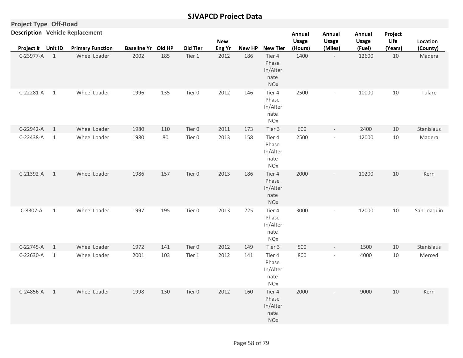| <b>Project Type Off-Road</b> |              |                                        |                    |     |          |               |        |                                                   |                        |                          |                        |                 |             |
|------------------------------|--------------|----------------------------------------|--------------------|-----|----------|---------------|--------|---------------------------------------------------|------------------------|--------------------------|------------------------|-----------------|-------------|
|                              |              | <b>Description</b> Vehicle Replacement |                    |     |          | <b>New</b>    |        |                                                   | Annual<br><b>Usage</b> | Annual<br><b>Usage</b>   | Annual<br><b>Usage</b> | Project<br>Life | Location    |
| Project # Unit ID            |              | <b>Primary Function</b>                | Baseline Yr Old HP |     | Old Tier | <b>Eng Yr</b> | New HP | <b>New Tier</b>                                   | (Hours)                | (Miles)                  | (Fuel)                 | (Years)         | (County)    |
| C-23977-A 1                  |              | Wheel Loader                           | 2002               | 185 | Tier 1   | 2012          | 186    | Tier 4<br>Phase<br>In/Alter<br>nate<br><b>NOx</b> | 1400                   | $\overline{\phantom{a}}$ | 12600                  | 10              | Madera      |
| C-22281-A                    | $\mathbf{1}$ | Wheel Loader                           | 1996               | 135 | Tier 0   | 2012          | 146    | Tier 4<br>Phase<br>In/Alter<br>nate<br><b>NOx</b> | 2500                   | $\overline{a}$           | 10000                  | $10\,$          | Tulare      |
| C-22942-A                    | $1\,$        | Wheel Loader                           | 1980               | 110 | Tier 0   | 2011          | 173    | Tier 3                                            | 600                    | $\overline{\phantom{a}}$ | 2400                   | $10\,$          | Stanislaus  |
| C-22438-A                    | $\mathbf{1}$ | Wheel Loader                           | 1980               | 80  | Tier 0   | 2013          | 158    | Tier 4<br>Phase<br>In/Alter<br>nate<br><b>NOx</b> | 2500                   | $\frac{1}{2}$            | 12000                  | 10              | Madera      |
| C-21392-A                    | $\mathbf{1}$ | Wheel Loader                           | 1986               | 157 | Tier 0   | 2013          | 186    | Tier 4<br>Phase<br>In/Alter<br>nate<br><b>NOx</b> | 2000                   | $\overline{\phantom{a}}$ | 10200                  | $10\,$          | Kern        |
| C-8307-A                     | $\mathbf{1}$ | Wheel Loader                           | 1997               | 195 | Tier 0   | 2013          | 225    | Tier 4<br>Phase<br>In/Alter<br>nate<br><b>NOx</b> | 3000                   | $\overline{\phantom{0}}$ | 12000                  | 10              | San Joaquin |
| C-22745-A                    | $\mathbf{1}$ | Wheel Loader                           | 1972               | 141 | Tier 0   | 2012          | 149    | Tier 3                                            | 500                    | $\overline{\phantom{a}}$ | 1500                   | 10              | Stanislaus  |
| C-22630-A                    | $\mathbf{1}$ | Wheel Loader                           | 2001               | 103 | Tier 1   | 2012          | 141    | Tier 4<br>Phase<br>In/Alter<br>nate<br><b>NOx</b> | 800                    | $\qquad \qquad -$        | 4000                   | 10              | Merced      |
| C-24856-A                    | $\mathbf{1}$ | Wheel Loader                           | 1998               | 130 | Tier 0   | 2012          | 160    | Tier 4<br>Phase<br>In/Alter<br>nate<br><b>NOx</b> | 2000                   | $\overline{\phantom{a}}$ | 9000                   | $10\,$          | Kern        |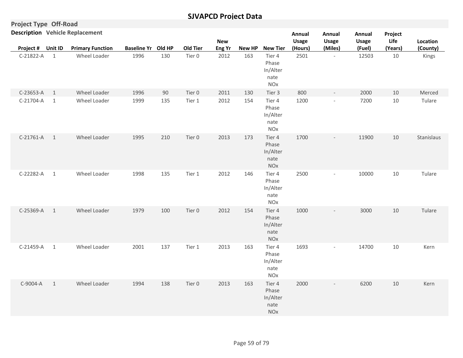|           | <b>Project Type Off-Road</b> |                                                                   |                    |        |          |                             |        |                                                   |                                   |                                   |                                  |                            |                      |
|-----------|------------------------------|-------------------------------------------------------------------|--------------------|--------|----------|-----------------------------|--------|---------------------------------------------------|-----------------------------------|-----------------------------------|----------------------------------|----------------------------|----------------------|
|           | Project # Unit ID            | <b>Description</b> Vehicle Replacement<br><b>Primary Function</b> | Baseline Yr Old HP |        | Old Tier | <b>New</b><br><b>Eng Yr</b> | New HP | <b>New Tier</b>                                   | Annual<br><b>Usage</b><br>(Hours) | Annual<br><b>Usage</b><br>(Miles) | Annual<br><b>Usage</b><br>(Fuel) | Project<br>Life<br>(Years) | Location<br>(County) |
| C-21822-A | $\mathbf{1}$                 | Wheel Loader                                                      | 1996               | 130    | Tier 0   | 2012                        | 163    | Tier 4<br>Phase<br>In/Alter<br>nate<br><b>NOx</b> | 2501                              | $\overline{\phantom{a}}$          | 12503                            | 10                         | Kings                |
| C-23653-A | $\mathbf{1}$                 | Wheel Loader                                                      | 1996               | $90\,$ | Tier 0   | 2011                        | 130    | Tier 3                                            | 800                               | $\sim$                            | 2000                             | 10                         | Merced               |
| C-21704-A | $\mathbf{1}$                 | Wheel Loader                                                      | 1999               | 135    | Tier 1   | 2012                        | 154    | Tier 4<br>Phase<br>In/Alter<br>nate<br><b>NOx</b> | 1200                              | $\overline{\phantom{a}}$          | 7200                             | $10\,$                     | Tulare               |
| C-21761-A | $\mathbf{1}$                 | Wheel Loader                                                      | 1995               | 210    | Tier 0   | 2013                        | 173    | Tier 4<br>Phase<br>In/Alter<br>nate<br><b>NOx</b> | 1700                              | $\overline{\phantom{a}}$          | 11900                            | $10\,$                     | Stanislaus           |
| C-22282-A | $1\,$                        | Wheel Loader                                                      | 1998               | 135    | Tier 1   | 2012                        | 146    | Tier 4<br>Phase<br>In/Alter<br>nate<br><b>NOx</b> | 2500                              | $\overline{\phantom{a}}$          | 10000                            | 10                         | Tulare               |
| C-25369-A | $\mathbf{1}$                 | Wheel Loader                                                      | 1979               | 100    | Tier 0   | 2012                        | 154    | Tier 4<br>Phase<br>In/Alter<br>nate<br><b>NOx</b> | 1000                              | $\overline{\phantom{a}}$          | 3000                             | $10\,$                     | Tulare               |
| C-21459-A | $\mathbf{1}$                 | Wheel Loader                                                      | 2001               | 137    | Tier 1   | 2013                        | 163    | Tier 4<br>Phase<br>In/Alter<br>nate<br><b>NOx</b> | 1693                              |                                   | 14700                            | $10\,$                     | Kern                 |
| C-9004-A  | $\,1\,$                      | Wheel Loader                                                      | 1994               | 138    | Tier 0   | 2013                        | 163    | Tier 4<br>Phase<br>In/Alter<br>nate<br><b>NOx</b> | 2000                              | $\overline{\phantom{a}}$          | 6200                             | 10                         | Kern                 |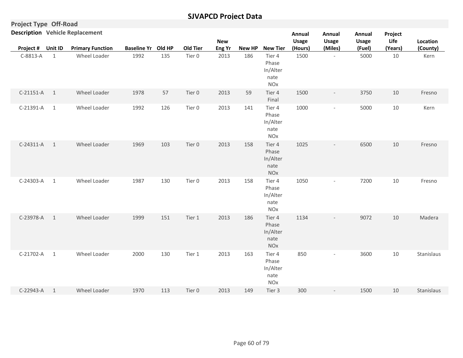| <b>Project Type Off-Road</b> |              |                                        |                    |     |          |               |               |                                                              |                        |                          |                        |                 |            |
|------------------------------|--------------|----------------------------------------|--------------------|-----|----------|---------------|---------------|--------------------------------------------------------------|------------------------|--------------------------|------------------------|-----------------|------------|
|                              |              | <b>Description</b> Vehicle Replacement |                    |     |          | <b>New</b>    |               |                                                              | Annual<br><b>Usage</b> | Annual<br><b>Usage</b>   | Annual<br><b>Usage</b> | Project<br>Life | Location   |
| Project #                    | Unit ID      | <b>Primary Function</b>                | Baseline Yr Old HP |     | Old Tier | <b>Eng Yr</b> | <b>New HP</b> | <b>New Tier</b>                                              | (Hours)                | (Miles)                  | (Fuel)                 | (Years)         | (County)   |
| C-8813-A                     | $\mathbf{1}$ | Wheel Loader                           | 1992               | 135 | Tier 0   | 2013          | 186           | Tier 4<br>Phase<br>In/Alter<br>nate<br><b>NOx</b>            | 1500                   | $\overline{\phantom{a}}$ | 5000                   | 10              | Kern       |
| $C-21151-A$                  | $\mathbf{1}$ | Wheel Loader                           | 1978               | 57  | Tier 0   | 2013          | 59            | Tier 4<br>Final                                              | 1500                   | $\overline{\phantom{a}}$ | 3750                   | 10              | Fresno     |
| C-21391-A                    | $\mathbf{1}$ | Wheel Loader                           | 1992               | 126 | Tier 0   | 2013          | 141           | Tier 4<br>Phase<br>In/Alter<br>nate<br><b>NO<sub>x</sub></b> | 1000                   | $\overline{\phantom{a}}$ | 5000                   | 10              | Kern       |
| C-24311-A                    | $\mathbf{1}$ | Wheel Loader                           | 1969               | 103 | Tier 0   | 2013          | 158           | Tier 4<br>Phase<br>In/Alter<br>nate<br><b>NOx</b>            | 1025                   |                          | 6500                   | 10              | Fresno     |
| C-24303-A                    | $\mathbf{1}$ | Wheel Loader                           | 1987               | 130 | Tier 0   | 2013          | 158           | Tier 4<br>Phase<br>In/Alter<br>nate<br><b>NOx</b>            | 1050                   |                          | 7200                   | 10              | Fresno     |
| C-23978-A                    | $\mathbf{1}$ | Wheel Loader                           | 1999               | 151 | Tier 1   | 2013          | 186           | Tier 4<br>Phase<br>In/Alter<br>nate<br><b>NOx</b>            | 1134                   |                          | 9072                   | 10              | Madera     |
| C-21702-A                    | $\mathbf{1}$ | Wheel Loader                           | 2000               | 130 | Tier 1   | 2013          | 163           | Tier 4<br>Phase<br>In/Alter<br>nate<br><b>NOx</b>            | 850                    |                          | 3600                   | 10              | Stanislaus |
| C-22943-A                    | $\mathbf{1}$ | Wheel Loader                           | 1970               | 113 | Tier 0   | 2013          | 149           | Tier 3                                                       | 300                    | $\overline{\phantom{a}}$ | 1500                   | 10              | Stanislaus |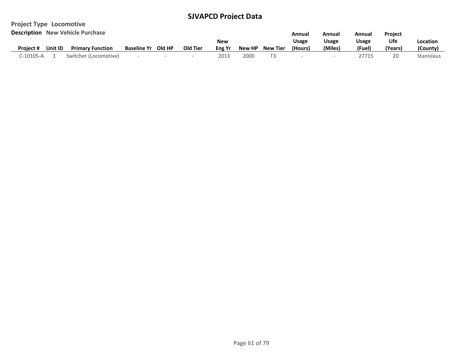| <b>Project Type Locomotive</b> |         |                                         |                    |        |          |               |      |                 |         |                          |              |                |            |
|--------------------------------|---------|-----------------------------------------|--------------------|--------|----------|---------------|------|-----------------|---------|--------------------------|--------------|----------------|------------|
|                                |         | <b>Description</b> New Vehicle Purchase |                    |        |          |               |      |                 | Annual  | Annual                   | Annual       | <b>Project</b> |            |
|                                |         |                                         |                    |        |          | <b>New</b>    |      |                 | Usage   | Usage                    | <b>Usage</b> | Life           | Location   |
| Project #                      | Unit ID | <b>Primary Function</b>                 | <b>Baseline Yr</b> | Old HP | Old Tier | <b>Eng Yr</b> |      | New HP New Tier | (Hours) | (Miles)                  | (Fuel)       | (Years)        | (County)   |
| C-10105-A                      |         | Switcher (Locomotive)                   | $-$                |        |          | 2013          | 2000 | Г3.             |         | $\overline{\phantom{0}}$ | 27715        |                | Stanislaus |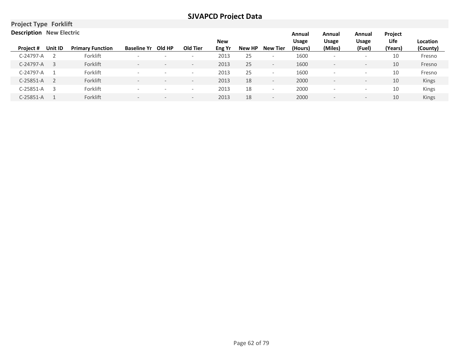| <b>Project Type Forklift</b>                        |         |                         |                          |                                 |                          |                      |        |                          |                            |                                   |                                  |                            |                             |
|-----------------------------------------------------|---------|-------------------------|--------------------------|---------------------------------|--------------------------|----------------------|--------|--------------------------|----------------------------|-----------------------------------|----------------------------------|----------------------------|-----------------------------|
| <b>Description New Electric</b><br><b>Project #</b> | Unit ID | <b>Primary Function</b> | <b>Baseline Yr</b>       | Old HP                          | Old Tier                 | <b>New</b><br>Eng Yr | New HP | New Tier                 | Annual<br>Usage<br>(Hours) | Annual<br><b>Usage</b><br>(Miles) | Annual<br><b>Usage</b><br>(Fuel) | Project<br>Life<br>(Years) | <b>Location</b><br>(County) |
| C-24797-A                                           |         | Forklift                |                          | $\overline{\phantom{a}}$        | $\qquad \qquad -$        | 2013                 | 25     |                          | 1600                       |                                   | $\overline{\phantom{a}}$         | 10                         | Fresno                      |
| C-24797-A                                           |         | Forklift                |                          |                                 | $\overline{\phantom{a}}$ | 2013                 | 25     | $-$                      | 1600                       |                                   | $\overline{\phantom{a}}$         | 10                         | Fresno                      |
| C-24797-A                                           |         | Forklift                | $\overline{\phantom{a}}$ | $\overline{\phantom{a}}$        | $\overline{\phantom{m}}$ | 2013                 | 25     |                          | 1600                       |                                   | $\overline{\phantom{a}}$         | 10                         | Fresno                      |
| C-25851-A                                           |         | Forklift                | $\overline{\phantom{a}}$ | $\overline{\phantom{a}}$        | $\qquad \qquad -$        | 2013                 | 18     | $-$                      | 2000                       | $\qquad \qquad -$                 | $\qquad \qquad -$                | 10                         | Kings                       |
| C-25851-A                                           |         | Forklift                | $\overline{\phantom{a}}$ | $\overline{\phantom{0}}$        | $\overline{\phantom{m}}$ | 2013                 | 18     | $\overline{\phantom{0}}$ | 2000                       |                                   | $\overline{\phantom{a}}$         | 10                         | Kings                       |
| $C-25851-A$                                         |         | Forklift                | $\overline{\phantom{a}}$ | $\hspace{0.1mm}-\hspace{0.1mm}$ | $\qquad \qquad -$        | 2013                 | 18     | $-$                      | 2000                       | $\qquad \qquad -$                 | $\qquad \qquad -$                | 10                         | Kings                       |
|                                                     |         |                         |                          |                                 |                          |                      |        |                          |                            |                                   |                                  |                            |                             |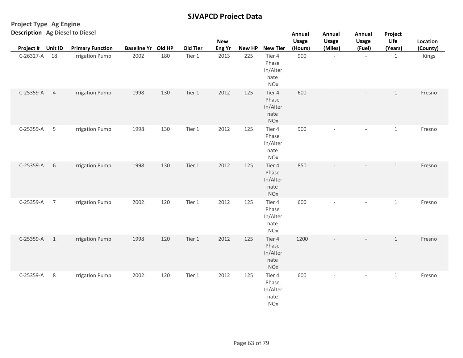**Project Type Ag Engine**

**Description Ag Diesel to Diesel**

| <b>Description</b> Ag Diesel to Diesel |                |                         |                    |     |          | <b>New</b> |               |                                                              | Annual<br><b>Usage</b> | Annual<br><b>Usage</b>   | Annual<br><b>Usage</b>   | Project<br>Life | Location |
|----------------------------------------|----------------|-------------------------|--------------------|-----|----------|------------|---------------|--------------------------------------------------------------|------------------------|--------------------------|--------------------------|-----------------|----------|
| Project # Unit ID                      |                | <b>Primary Function</b> | Baseline Yr Old HP |     | Old Tier | Eng Yr     | <b>New HP</b> | <b>New Tier</b>                                              | (Hours)                | (Miles)                  | (Fuel)                   | (Years)         | (County) |
| C-26327-A 18                           |                | <b>Irrigation Pump</b>  | 2002               | 180 | Tier 1   | 2013       | 225           | Tier 4<br>Phase<br>In/Alter<br>nate<br><b>NOx</b>            | 900                    | $\overline{\phantom{m}}$ | $\overline{\phantom{a}}$ | $\mathbf{1}$    | Kings    |
| C-25359-A                              | $\overline{4}$ | <b>Irrigation Pump</b>  | 1998               | 130 | Tier 1   | 2012       | 125           | Tier 4<br>Phase<br>In/Alter<br>nate<br><b>NOx</b>            | 600                    |                          |                          | $\mathbf{1}$    | Fresno   |
| C-25359-A                              | 5              | <b>Irrigation Pump</b>  | 1998               | 130 | Tier 1   | 2012       | 125           | Tier 4<br>Phase<br>In/Alter<br>nate<br><b>NOx</b>            | 900                    | $\overline{a}$           | $\overline{\phantom{a}}$ | $\mathbf{1}$    | Fresno   |
| C-25359-A                              | $6\,$          | <b>Irrigation Pump</b>  | 1998               | 130 | Tier 1   | 2012       | 125           | Tier 4<br>Phase<br>In/Alter<br>nate<br><b>NOx</b>            | 850                    |                          |                          | $\mathbf{1}$    | Fresno   |
| C-25359-A                              | $\overline{7}$ | <b>Irrigation Pump</b>  | 2002               | 120 | Tier 1   | 2012       | 125           | Tier 4<br>Phase<br>In/Alter<br>nate<br><b>NOx</b>            | 600                    |                          |                          | $\mathbf{1}$    | Fresno   |
| C-25359-A                              | $\mathbf{1}$   | <b>Irrigation Pump</b>  | 1998               | 120 | Tier 1   | 2012       | 125           | Tier 4<br>Phase<br>In/Alter<br>nate<br><b>NOx</b>            | 1200                   |                          |                          | $\mathbf{1}$    | Fresno   |
| C-25359-A                              | 8              | <b>Irrigation Pump</b>  | 2002               | 120 | Tier 1   | 2012       | 125           | Tier 4<br>Phase<br>In/Alter<br>nate<br><b>NO<sub>x</sub></b> | 600                    |                          |                          | $\mathbf{1}$    | Fresno   |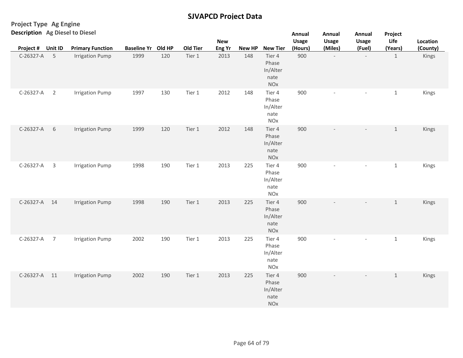| <b>Description</b> Ag Diesel to Diesel |                |                         |                           |     |          | <b>New</b> |        |                                                              | Annual<br><b>Usage</b> | Annual<br><b>Usage</b>   | Annual<br><b>Usage</b>   | Project<br>Life | Location |
|----------------------------------------|----------------|-------------------------|---------------------------|-----|----------|------------|--------|--------------------------------------------------------------|------------------------|--------------------------|--------------------------|-----------------|----------|
| Project # Unit ID                      |                | <b>Primary Function</b> | <b>Baseline Yr Old HP</b> |     | Old Tier | Eng Yr     | New HP | <b>New Tier</b>                                              | (Hours)                | (Miles)                  | (Fuel)                   | (Years)         | (County) |
| C-26327-A                              | 5              | <b>Irrigation Pump</b>  | 1999                      | 120 | Tier 1   | 2013       | 148    | Tier 4<br>Phase<br>In/Alter<br>nate<br><b>NO<sub>x</sub></b> | 900                    | $\overline{\phantom{a}}$ | $\overline{\phantom{a}}$ | $\mathbf{1}$    | Kings    |
| C-26327-A                              | $\overline{2}$ | <b>Irrigation Pump</b>  | 1997                      | 130 | Tier 1   | 2012       | 148    | Tier 4<br>Phase<br>In/Alter<br>nate<br><b>NOx</b>            | 900                    |                          |                          | $\,1\,$         | Kings    |
| C-26327-A                              | $\,6\,$        | <b>Irrigation Pump</b>  | 1999                      | 120 | Tier 1   | 2012       | 148    | Tier 4<br>Phase<br>In/Alter<br>nate<br><b>NOx</b>            | 900                    |                          |                          | $\mathbf{1}$    | Kings    |
| C-26327-A                              | $\overline{3}$ | <b>Irrigation Pump</b>  | 1998                      | 190 | Tier 1   | 2013       | 225    | Tier 4<br>Phase<br>In/Alter<br>nate<br><b>NOx</b>            | 900                    |                          | $\overline{\phantom{a}}$ | $\mathbf 1$     | Kings    |
| C-26327-A                              | 14             | <b>Irrigation Pump</b>  | 1998                      | 190 | Tier 1   | 2013       | 225    | Tier 4<br>Phase<br>In/Alter<br>nate<br><b>NOx</b>            | 900                    |                          |                          | $\mathbf{1}$    | Kings    |
| C-26327-A                              | $\overline{7}$ | <b>Irrigation Pump</b>  | 2002                      | 190 | Tier 1   | 2013       | 225    | Tier 4<br>Phase<br>In/Alter<br>nate<br><b>NOx</b>            | 900                    |                          | $\overline{\phantom{a}}$ | $\mathbf{1}$    | Kings    |
| C-26327-A                              | 11             | <b>Irrigation Pump</b>  | 2002                      | 190 | Tier 1   | 2013       | 225    | Tier 4<br>Phase<br>In/Alter<br>nate<br><b>NOx</b>            | 900                    |                          |                          | $1\,$           | Kings    |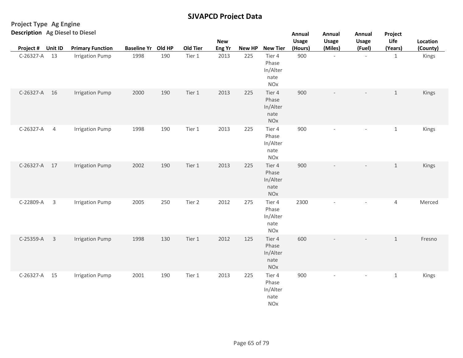**Project Type Ag Engine**

**Description Ag Diesel to Diesel**

| <b>Description</b> Ag Diesel to Diesel |                |                         |                    |     |          | <b>New</b>    |        |                                                   | Annual<br><b>Usage</b> | Annual<br><b>Usage</b>   | Annual<br><b>Usage</b>   | Project<br>Life | Location |
|----------------------------------------|----------------|-------------------------|--------------------|-----|----------|---------------|--------|---------------------------------------------------|------------------------|--------------------------|--------------------------|-----------------|----------|
| Project # Unit ID                      |                | <b>Primary Function</b> | Baseline Yr Old HP |     | Old Tier | <b>Eng Yr</b> | New HP | <b>New Tier</b>                                   | (Hours)                | (Miles)                  | (Fuel)                   | (Years)         | (County) |
| C-26327-A 13                           |                | <b>Irrigation Pump</b>  | 1998               | 190 | Tier 1   | 2013          | 225    | Tier 4<br>Phase<br>In/Alter<br>nate<br><b>NOx</b> | 900                    | $\overline{\phantom{a}}$ | $\overline{\phantom{a}}$ | $\mathbf{1}$    | Kings    |
| C-26327-A                              | 16             | <b>Irrigation Pump</b>  | 2000               | 190 | Tier 1   | 2013          | 225    | Tier 4<br>Phase<br>In/Alter<br>nate<br><b>NOx</b> | 900                    |                          |                          | $\mathbf{1}$    | Kings    |
| C-26327-A                              | $\overline{4}$ | <b>Irrigation Pump</b>  | 1998               | 190 | Tier 1   | 2013          | 225    | Tier 4<br>Phase<br>In/Alter<br>nate<br><b>NOx</b> | 900                    |                          | $\overline{\phantom{a}}$ | $1\,$           | Kings    |
| C-26327-A                              | 17             | <b>Irrigation Pump</b>  | 2002               | 190 | Tier 1   | 2013          | 225    | Tier 4<br>Phase<br>In/Alter<br>nate<br><b>NOx</b> | 900                    |                          |                          | $\mathbf{1}$    | Kings    |
| C-22809-A                              | $\mathsf{3}$   | <b>Irrigation Pump</b>  | 2005               | 250 | Tier 2   | 2012          | 275    | Tier 4<br>Phase<br>In/Alter<br>nate<br><b>NOx</b> | 2300                   |                          |                          | $\overline{4}$  | Merced   |
| C-25359-A                              | $\mathbf{3}$   | <b>Irrigation Pump</b>  | 1998               | 130 | Tier 1   | 2012          | 125    | Tier 4<br>Phase<br>In/Alter<br>nate<br><b>NOx</b> | 600                    |                          |                          | $\mathbf{1}$    | Fresno   |
| C-26327-A 15                           |                | <b>Irrigation Pump</b>  | 2001               | 190 | Tier 1   | 2013          | 225    | Tier 4<br>Phase<br>In/Alter<br>nate<br><b>NOx</b> | 900                    |                          |                          | $\,1$           | Kings    |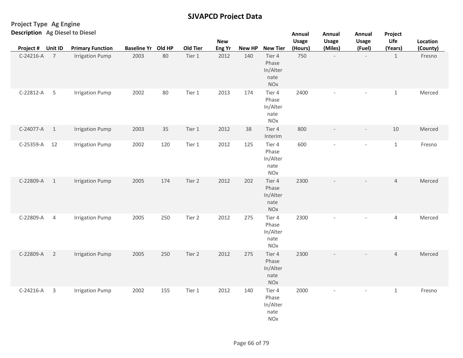| <b>Description</b> Ag Diesel to Diesel |                |                         |                    |        |          | <b>New</b>    |               |                                                   | Annual<br><b>Usage</b> | Annual<br><b>Usage</b>   | Annual<br><b>Usage</b>   | Project<br>Life | Location |
|----------------------------------------|----------------|-------------------------|--------------------|--------|----------|---------------|---------------|---------------------------------------------------|------------------------|--------------------------|--------------------------|-----------------|----------|
| Project # Unit ID                      |                | <b>Primary Function</b> | Baseline Yr Old HP |        | Old Tier | <b>Eng Yr</b> | <b>New HP</b> | <b>New Tier</b>                                   | (Hours)                | (Miles)                  | (Fuel)                   | (Years)         | (County) |
| C-24216-A                              | $\overline{7}$ | <b>Irrigation Pump</b>  | 2003               | 80     | Tier 1   | 2012          | 140           | Tier 4<br>Phase<br>In/Alter<br>nate<br><b>NOx</b> | 750                    | $\overline{\phantom{a}}$ | $\overline{\phantom{a}}$ | $1\,$           | Fresno   |
| C-22812-A                              | $\sqrt{5}$     | <b>Irrigation Pump</b>  | 2002               | $80\,$ | Tier 1   | 2013          | 174           | Tier 4<br>Phase<br>In/Alter<br>nate<br><b>NOx</b> | 2400                   |                          |                          | $\mathbf{1}$    | Merced   |
| C-24077-A                              | $\overline{1}$ | <b>Irrigation Pump</b>  | 2003               | 35     | Tier 1   | 2012          | 38            | Tier 4<br>Interim                                 | 800                    |                          | $\overline{\phantom{a}}$ | 10              | Merced   |
| C-25359-A                              | 12             | <b>Irrigation Pump</b>  | 2002               | 120    | Tier 1   | 2012          | 125           | Tier 4<br>Phase<br>In/Alter<br>nate<br><b>NOx</b> | 600                    |                          |                          | $\mathbf{1}$    | Fresno   |
| C-22809-A                              | $1\,$          | <b>Irrigation Pump</b>  | 2005               | 174    | Tier 2   | 2012          | 202           | Tier 4<br>Phase<br>In/Alter<br>nate<br><b>NOx</b> | 2300                   |                          |                          | $\overline{4}$  | Merced   |
| C-22809-A                              | $\overline{4}$ | <b>Irrigation Pump</b>  | 2005               | 250    | Tier 2   | 2012          | 275           | Tier 4<br>Phase<br>In/Alter<br>nate<br><b>NOx</b> | 2300                   |                          |                          | $\overline{4}$  | Merced   |
| C-22809-A                              | $\overline{2}$ | <b>Irrigation Pump</b>  | 2005               | 250    | Tier 2   | 2012          | 275           | Tier 4<br>Phase<br>In/Alter<br>nate<br><b>NOx</b> | 2300                   |                          |                          | 4               | Merced   |
| C-24216-A                              | $\mathsf{3}$   | <b>Irrigation Pump</b>  | 2002               | 155    | Tier 1   | 2012          | 140           | Tier 4<br>Phase<br>In/Alter<br>nate<br><b>NOx</b> | 2000                   |                          |                          | $\mathbf{1}$    | Fresno   |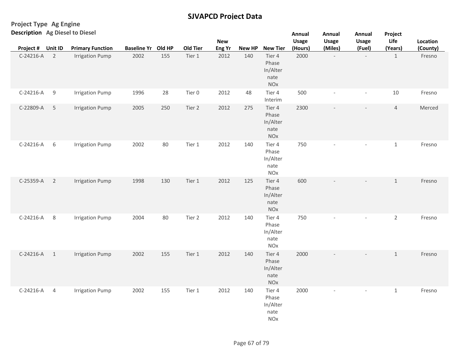| <b>Description</b> Ag Diesel to Diesel |                |                         |                    |     |          | <b>New</b>    |               |                                                              | Annual<br><b>Usage</b> | Annual<br><b>Usage</b> | Annual<br><b>Usage</b>   | Project<br>Life | Location |  |
|----------------------------------------|----------------|-------------------------|--------------------|-----|----------|---------------|---------------|--------------------------------------------------------------|------------------------|------------------------|--------------------------|-----------------|----------|--|
| Project # Unit ID                      |                | <b>Primary Function</b> | Baseline Yr Old HP |     | Old Tier | <b>Eng Yr</b> | <b>New HP</b> | <b>New Tier</b>                                              | (Hours)                | (Miles)                | (Fuel)                   | (Years)         | (County) |  |
| $C-24216-A$ 2                          |                | <b>Irrigation Pump</b>  | 2002               | 155 | Tier 1   | 2012          | 140           | Tier 4<br>Phase<br>In/Alter<br>nate<br><b>NOx</b>            | 2000                   |                        | $\overline{\phantom{a}}$ | $\,1\,$         | Fresno   |  |
| C-24216-A                              | 9              | <b>Irrigation Pump</b>  | 1996               | 28  | Tier 0   | 2012          | 48            | Tier 4<br>Interim                                            | 500                    |                        |                          | $10\,$          | Fresno   |  |
| C-22809-A                              | 5              | <b>Irrigation Pump</b>  | 2005               | 250 | Tier 2   | 2012          | 275           | Tier 4<br>Phase<br>In/Alter<br>nate<br><b>NOx</b>            | 2300                   |                        |                          | $\overline{4}$  | Merced   |  |
| C-24216-A                              | 6              | <b>Irrigation Pump</b>  | 2002               | 80  | Tier 1   | 2012          | 140           | Tier 4<br>Phase<br>In/Alter<br>nate<br><b>NO<sub>x</sub></b> | 750                    |                        |                          | $\,1$           | Fresno   |  |
| C-25359-A                              | $\overline{2}$ | <b>Irrigation Pump</b>  | 1998               | 130 | Tier 1   | 2012          | 125           | Tier 4<br>Phase<br>In/Alter<br>nate<br>$NOx$                 | 600                    |                        |                          | $\mathbf{1}$    | Fresno   |  |
| C-24216-A                              | 8              | <b>Irrigation Pump</b>  | 2004               | 80  | Tier 2   | 2012          | 140           | Tier 4<br>Phase<br>In/Alter<br>nate<br><b>NOx</b>            | 750                    |                        |                          | $\overline{2}$  | Fresno   |  |
| C-24216-A                              | $\mathbf{1}$   | <b>Irrigation Pump</b>  | 2002               | 155 | Tier 1   | 2012          | 140           | Tier 4<br>Phase<br>In/Alter<br>nate<br><b>NOx</b>            | 2000                   |                        |                          | $\mathbf{1}$    | Fresno   |  |
| C-24216-A                              | $\overline{4}$ | <b>Irrigation Pump</b>  | 2002               | 155 | Tier 1   | 2012          | 140           | Tier 4<br>Phase<br>In/Alter<br>nate<br><b>NO<sub>x</sub></b> | 2000                   |                        |                          | $\mathbf{1}$    | Fresno   |  |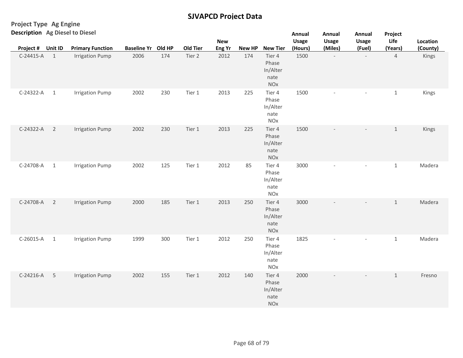| <b>Description</b> Ag Diesel to Diesel |                |                         |                    |     |          | <b>New</b> |        |                                                              | Annual<br><b>Usage</b> | Annual<br><b>Usage</b>   | Annual<br><b>Usage</b>   | Project<br>Life | Location |
|----------------------------------------|----------------|-------------------------|--------------------|-----|----------|------------|--------|--------------------------------------------------------------|------------------------|--------------------------|--------------------------|-----------------|----------|
| Project # Unit ID                      |                | <b>Primary Function</b> | Baseline Yr Old HP |     | Old Tier | Eng Yr     | New HP | <b>New Tier</b>                                              | (Hours)                | (Miles)                  | (Fuel)                   | (Years)         | (County) |
| C-24415-A 1                            |                | <b>Irrigation Pump</b>  | 2006               | 174 | Tier 2   | 2012       | 174    | Tier 4<br>Phase<br>In/Alter<br>nate<br><b>NOx</b>            | 1500                   | $\overline{\phantom{a}}$ | $\overline{\phantom{a}}$ | $\overline{4}$  | Kings    |
| C-24322-A                              | $\mathbf{1}$   | <b>Irrigation Pump</b>  | 2002               | 230 | Tier 1   | 2013       | 225    | Tier 4<br>Phase<br>In/Alter<br>nate<br><b>NOx</b>            | 1500                   |                          |                          | $1\,$           | Kings    |
| C-24322-A                              | $\overline{2}$ | <b>Irrigation Pump</b>  | 2002               | 230 | Tier 1   | 2013       | 225    | Tier 4<br>Phase<br>In/Alter<br>nate<br><b>NOx</b>            | 1500                   |                          |                          | $\,1$           | Kings    |
| C-24708-A                              | $\mathbf{1}$   | <b>Irrigation Pump</b>  | 2002               | 125 | Tier 1   | 2012       | 85     | Tier 4<br>Phase<br>In/Alter<br>nate<br><b>NOx</b>            | 3000                   |                          | $\overline{\phantom{a}}$ | $\mathbf{1}$    | Madera   |
| C-24708-A                              | $\overline{2}$ | <b>Irrigation Pump</b>  | 2000               | 185 | Tier 1   | 2013       | 250    | Tier 4<br>Phase<br>In/Alter<br>nate<br><b>NOx</b>            | 3000                   |                          |                          | $\mathbf{1}$    | Madera   |
| C-26015-A                              | $\mathbf{1}$   | <b>Irrigation Pump</b>  | 1999               | 300 | Tier 1   | 2012       | 250    | Tier 4<br>Phase<br>In/Alter<br>nate<br><b>NO<sub>x</sub></b> | 1825                   |                          | $\overline{a}$           | $\mathbf{1}$    | Madera   |
| C-24216-A                              | 5              | <b>Irrigation Pump</b>  | 2002               | 155 | Tier 1   | 2012       | 140    | Tier 4<br>Phase<br>In/Alter<br>nate<br><b>NOx</b>            | 2000                   |                          |                          | $\mathbf{1}$    | Fresno   |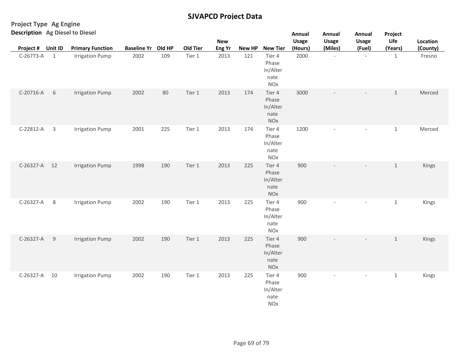**Project Type Ag Engine**

**Description Ag Diesel to Diesel**

| <b>Description</b> Ag Diesel to Diesel |                |                         |                    |     |          | <b>New</b>    |        |                                                              | Annual<br><b>Usage</b> | Annual<br><b>Usage</b>   | Annual<br><b>Usage</b>   | Project<br>Life | Location |
|----------------------------------------|----------------|-------------------------|--------------------|-----|----------|---------------|--------|--------------------------------------------------------------|------------------------|--------------------------|--------------------------|-----------------|----------|
| Project # Unit ID                      |                | <b>Primary Function</b> | Baseline Yr Old HP |     | Old Tier | <b>Eng Yr</b> | New HP | <b>New Tier</b>                                              | (Hours)                | (Miles)                  | (Fuel)                   | (Years)         | (County) |
| C-26773-A                              | $\mathbf{1}$   | <b>Irrigation Pump</b>  | 2002               | 109 | Tier 1   | 2013          | 121    | Tier 4<br>Phase<br>In/Alter<br>nate<br><b>NOx</b>            | 2000                   | $\overline{\phantom{a}}$ | $\overline{\phantom{a}}$ | $\mathbf{1}$    | Fresno   |
| C-20716-A                              | 6              | <b>Irrigation Pump</b>  | 2002               | 80  | Tier 1   | 2013          | 174    | Tier 4<br>Phase<br>In/Alter<br>nate<br><b>NOx</b>            | 3000                   |                          |                          | $\mathbf{1}$    | Merced   |
| C-22812-A                              | $\mathbf{3}$   | <b>Irrigation Pump</b>  | 2001               | 225 | Tier 1   | 2013          | 174    | Tier 4<br>Phase<br>In/Alter<br>nate<br><b>NOx</b>            | 1200                   |                          | $\overline{\phantom{a}}$ | $\mathbf{1}$    | Merced   |
| C-26327-A                              | 12             | <b>Irrigation Pump</b>  | 1998               | 190 | Tier 1   | 2013          | 225    | Tier 4<br>Phase<br>In/Alter<br>nate<br><b>NOx</b>            | 900                    |                          |                          | $\mathbf{1}$    | Kings    |
| C-26327-A                              | $8\phantom{1}$ | <b>Irrigation Pump</b>  | 2002               | 190 | Tier 1   | 2013          | 225    | Tier 4<br>Phase<br>In/Alter<br>nate<br><b>NOx</b>            | 900                    |                          |                          | $\mathbf{1}$    | Kings    |
| C-26327-A                              | $\mathsf 9$    | <b>Irrigation Pump</b>  | 2002               | 190 | Tier 1   | 2013          | 225    | Tier 4<br>Phase<br>In/Alter<br>nate<br><b>NO<sub>x</sub></b> | 900                    |                          |                          | $\mathbf{1}$    | Kings    |
| C-26327-A 10                           |                | <b>Irrigation Pump</b>  | 2002               | 190 | Tier 1   | 2013          | 225    | Tier 4<br>Phase<br>In/Alter<br>nate<br><b>NOx</b>            | 900                    |                          |                          | $\mathbf{1}$    | Kings    |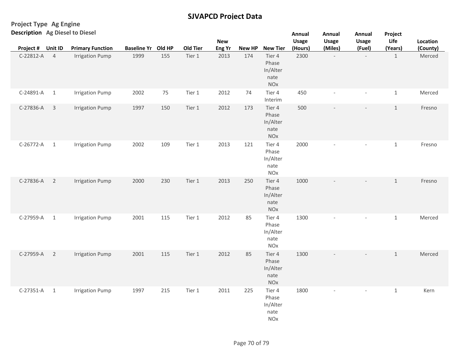**Project Type Ag Engine**

**Description Ag Diesel to Diesel Project #Unit ID Primary Function Baseline Yr Old HP Old Tier New Eng Yr New HPNew Tier**<br>Tier 4 **Annual Usage (Hours)Annual Usage (Miles)Annual Usage (Fuel)Project Life (Years)Location** <u>D Primary Function Baseline Yr Old HP Old Tier Eng Yr New HP New Tier (Hours) (Miles) (Fuel) (Years) (County)</u> Irrigation Pump 1999 155 Tier 1 2013 174 Phase In/Alternate NOxC-22812-A 4 4 Irrigation Pump 1999 155 Tier 1 2013 174 Tier 4 2300 - - - 1 Merced 1 Merced Irrigation Pump <sup>2002</sup> <sup>75</sup> Tier 1 <sup>2012</sup> <sup>74</sup> Tier 4 InterimTier 4 C-24891-A <sup>1</sup>1 Irrigation Pump 2002 75 Tier 1 2012 74 Tier 4 450 - - - 1 Merced 1 Merced Irrigation Pump 1997 150 Tier 1 2012 173 Phase In/Alternate NOxTier 4 C-27836-A <sup>3</sup>3 Irrigation Pump 1997 150 Tier 1 2012 173 Tier 4 500 - - - 1 Fresno 1 Fresno Irrigation Pump 2002 109 Tier 1 2013 121 Phase In/Alternate NOxTier 4 C-26772-A <sup>1</sup>1 Irrigation Pump 2002 109 Tier 1 2013 121 Tier 4 2000 - - - - 1 Fresno 1 Fresno Irrigation Pump 2000 230 Tier 1 2013 250 Phase In/Alternate NOxC-27836-A <sup>2</sup>2 Irrigation Pump 2000 230 Tier 1 2013 250 Tier 4 1000 - - - - 1 Fresno 1 Fresno Irrigation Pump <sup>2001</sup> <sup>115</sup> Tier 1 <sup>2012</sup> <sup>85</sup> Tier 4 Phase In/Alternate NOxTier 4 C-27959-A <sup>1</sup>1 Irrigation Pump 2001 115 Tier 1 2012 85 Tier 4 1300 - - - 1 Merced 1 Merced Irrigation Pump 2001 115 Tier 1 2012 85 Phase In/Alternate NOxTier 4 C-27959-A <sup>2</sup>2 Irrigation Pump 2001 115 Tier 1 2012 85 Tier 4 1300 - - - 1 Merced 1 Merced Irrigation Pump 1997 215 Tier 1 2011 225 Phase In/Alternate NOxC-27351-A <sup>1</sup>1 Irrigation Pump 1997 215 Tier 1 2011 225 Tier 4 1800 - - - - 1 Kern 1 Kern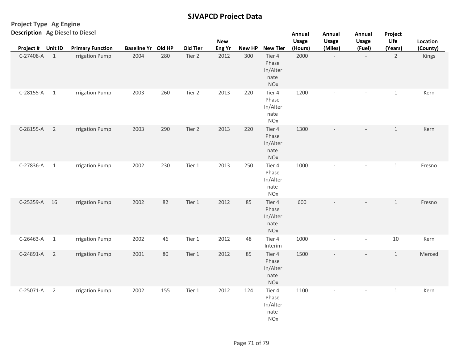| <b>Description</b> Ag Diesel to Diesel |                |                         |                    |        |          | <b>New</b>    |               |                                                              | Annual<br><b>Usage</b> | Annual<br><b>Usage</b>   | Annual<br><b>Usage</b>   | Project<br>Life | Location |
|----------------------------------------|----------------|-------------------------|--------------------|--------|----------|---------------|---------------|--------------------------------------------------------------|------------------------|--------------------------|--------------------------|-----------------|----------|
| Project # Unit ID                      |                | <b>Primary Function</b> | Baseline Yr Old HP |        | Old Tier | <b>Eng Yr</b> | <b>New HP</b> | <b>New Tier</b>                                              | (Hours)                | (Miles)                  | (Fuel)                   | (Years)         | (County) |
| C-27408-A                              | $\mathbf{1}$   | <b>Irrigation Pump</b>  | 2004               | 280    | Tier 2   | 2012          | 300           | Tier 4<br>Phase<br>In/Alter<br>nate<br><b>NOx</b>            | 2000                   | $\overline{\phantom{m}}$ | $\overline{\phantom{a}}$ | $\overline{2}$  | Kings    |
| C-28155-A                              | $\mathbf{1}$   | <b>Irrigation Pump</b>  | 2003               | 260    | Tier 2   | 2013          | 220           | Tier 4<br>Phase<br>In/Alter<br>nate<br><b>NOx</b>            | 1200                   |                          |                          | $1\,$           | Kern     |
| C-28155-A                              | $\overline{2}$ | <b>Irrigation Pump</b>  | 2003               | 290    | Tier 2   | 2013          | 220           | Tier 4<br>Phase<br>In/Alter<br>nate<br><b>NO<sub>x</sub></b> | 1300                   |                          |                          | $\mathbf{1}$    | Kern     |
| C-27836-A                              | $\mathbf{1}$   | <b>Irrigation Pump</b>  | 2002               | 230    | Tier 1   | 2013          | 250           | Tier 4<br>Phase<br>In/Alter<br>nate<br><b>NOx</b>            | 1000                   |                          |                          | $\mathbf{1}$    | Fresno   |
| C-25359-A                              | 16             | <b>Irrigation Pump</b>  | 2002               | 82     | Tier 1   | 2012          | 85            | Tier 4<br>Phase<br>In/Alter<br>nate<br><b>NOx</b>            | 600                    |                          |                          | $\mathbf{1}$    | Fresno   |
| C-26463-A                              | $\mathbf{1}$   | <b>Irrigation Pump</b>  | 2002               | $46\,$ | Tier 1   | 2012          | 48            | Tier 4<br>Interim                                            | 1000                   |                          | $\overline{\phantom{a}}$ | $10\,$          | Kern     |
| C-24891-A                              | $\overline{2}$ | <b>Irrigation Pump</b>  | 2001               | $80\,$ | Tier 1   | 2012          | 85            | Tier 4<br>Phase<br>In/Alter<br>nate<br><b>NOx</b>            | 1500                   |                          |                          | $\mathbf{1}$    | Merced   |
| C-25071-A                              | $\overline{2}$ | <b>Irrigation Pump</b>  | 2002               | 155    | Tier 1   | 2012          | 124           | Tier 4<br>Phase<br>In/Alter<br>nate<br><b>NOx</b>            | 1100                   |                          |                          | $1\,$           | Kern     |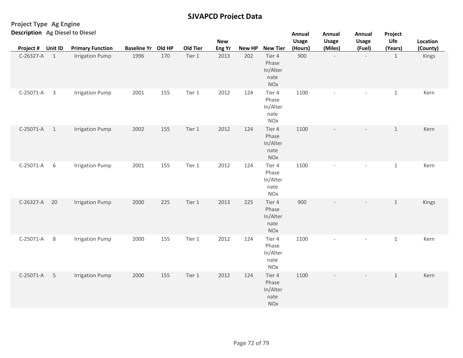**Project Type Ag Engine Ag Diesel to Diesel**

| <b>Description</b> Ag Diesel to Diesel |              |                         |                           |     |          | <b>New</b> |        |                                                              | Annual<br><b>Usage</b> | Annual<br><b>Usage</b>   | Annual<br><b>Usage</b>   | Project<br>Life | Location |
|----------------------------------------|--------------|-------------------------|---------------------------|-----|----------|------------|--------|--------------------------------------------------------------|------------------------|--------------------------|--------------------------|-----------------|----------|
| Project # Unit ID                      |              | <b>Primary Function</b> | <b>Baseline Yr Old HP</b> |     | Old Tier | Eng Yr     | New HP | <b>New Tier</b>                                              | (Hours)                | (Miles)                  | (Fuel)                   | (Years)         | (County) |
| C-26327-A 1                            |              | <b>Irrigation Pump</b>  | 1996                      | 170 | Tier 1   | 2013       | 202    | Tier 4<br>Phase<br>In/Alter<br>nate<br><b>NO<sub>x</sub></b> | 900                    | $\overline{\phantom{a}}$ | $\overline{\phantom{a}}$ | $\mathbf{1}$    | Kings    |
| C-25071-A                              | $\mathsf{3}$ | <b>Irrigation Pump</b>  | 2001                      | 155 | Tier 1   | 2012       | 124    | Tier 4<br>Phase<br>In/Alter<br>nate<br><b>NOx</b>            | 1100                   |                          |                          | $1\,$           | Kern     |
| C-25071-A                              | $\mathbf{1}$ | <b>Irrigation Pump</b>  | 2002                      | 155 | Tier 1   | 2012       | 124    | Tier 4<br>Phase<br>In/Alter<br>nate<br><b>NOx</b>            | 1100                   |                          |                          | $\mathbf{1}$    | Kern     |
| C-25071-A                              | 6            | <b>Irrigation Pump</b>  | 2001                      | 155 | Tier 1   | 2012       | 124    | Tier 4<br>Phase<br>In/Alter<br>nate<br><b>NOx</b>            | 1100                   |                          | $\overline{\phantom{0}}$ | $\mathbf{1}$    | Kern     |
| C-26327-A                              | 20           | <b>Irrigation Pump</b>  | 2000                      | 225 | Tier 1   | 2013       | 225    | Tier 4<br>Phase<br>In/Alter<br>nate<br><b>NOx</b>            | 900                    |                          |                          | $\mathbf{1}$    | Kings    |
| C-25071-A                              | 8            | <b>Irrigation Pump</b>  | 2000                      | 155 | Tier 1   | 2012       | 124    | Tier 4<br>Phase<br>In/Alter<br>nate<br><b>NOx</b>            | 1100                   |                          | $\overline{a}$           | $\mathbf{1}$    | Kern     |
| C-25071-A                              | 5            | <b>Irrigation Pump</b>  | 2000                      | 155 | Tier 1   | 2012       | 124    | Tier 4<br>Phase<br>In/Alter<br>nate<br><b>NOx</b>            | 1100                   |                          |                          | $\mathbf{1}$    | Kern     |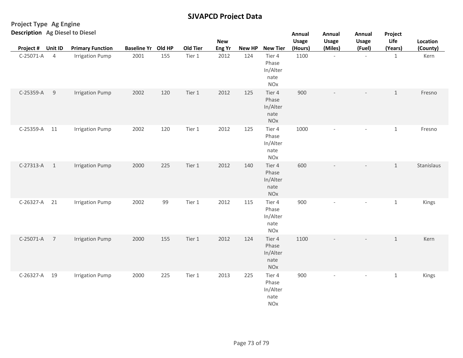| <b>Description</b> Ag Diesel to Diesel |                |                         |                           |     |          | <b>New</b> |        |                                                              | Annual<br><b>Usage</b> | Annual<br><b>Usage</b>   | Annual<br><b>Usage</b>   | Project<br>Life | Location   |
|----------------------------------------|----------------|-------------------------|---------------------------|-----|----------|------------|--------|--------------------------------------------------------------|------------------------|--------------------------|--------------------------|-----------------|------------|
| Project # Unit ID                      |                | <b>Primary Function</b> | <b>Baseline Yr Old HP</b> |     | Old Tier | Eng Yr     | New HP | <b>New Tier</b>                                              | (Hours)                | (Miles)                  | (Fuel)                   | (Years)         | (County)   |
| C-25071-A                              | $\overline{4}$ | <b>Irrigation Pump</b>  | 2001                      | 155 | Tier 1   | 2012       | 124    | Tier 4<br>Phase<br>In/Alter<br>nate<br><b>NO<sub>x</sub></b> | 1100                   | $\overline{\phantom{a}}$ | $\overline{\phantom{a}}$ | $\mathbf{1}$    | Kern       |
| C-25359-A                              | $9\,$          | <b>Irrigation Pump</b>  | 2002                      | 120 | Tier 1   | 2012       | 125    | Tier 4<br>Phase<br>In/Alter<br>nate<br><b>NOx</b>            | 900                    |                          |                          | $\mathbf{1}$    | Fresno     |
| C-25359-A                              | 11             | <b>Irrigation Pump</b>  | 2002                      | 120 | Tier 1   | 2012       | 125    | Tier 4<br>Phase<br>In/Alter<br>nate<br><b>NO<sub>x</sub></b> | 1000                   |                          | $\overline{\phantom{a}}$ | $\mathbf{1}$    | Fresno     |
| C-27313-A                              | $\mathbf{1}$   | <b>Irrigation Pump</b>  | 2000                      | 225 | Tier 1   | 2012       | 140    | Tier 4<br>Phase<br>In/Alter<br>nate<br>$NOx$                 | 600                    |                          |                          | $\mathbf{1}$    | Stanislaus |
| C-26327-A                              | 21             | <b>Irrigation Pump</b>  | 2002                      | 99  | Tier 1   | 2012       | 115    | Tier 4<br>Phase<br>In/Alter<br>nate<br><b>NOx</b>            | 900                    |                          | $\overline{\phantom{a}}$ | $\mathbf{1}$    | Kings      |
| C-25071-A                              | $\overline{7}$ | <b>Irrigation Pump</b>  | 2000                      | 155 | Tier 1   | 2012       | 124    | Tier 4<br>Phase<br>In/Alter<br>nate<br><b>NOx</b>            | 1100                   |                          |                          | $\mathbf{1}$    | Kern       |
| C-26327-A                              | 19             | <b>Irrigation Pump</b>  | 2000                      | 225 | Tier 1   | 2013       | 225    | Tier 4<br>Phase<br>In/Alter<br>nate<br><b>NOx</b>            | 900                    |                          |                          | $\,1$           | Kings      |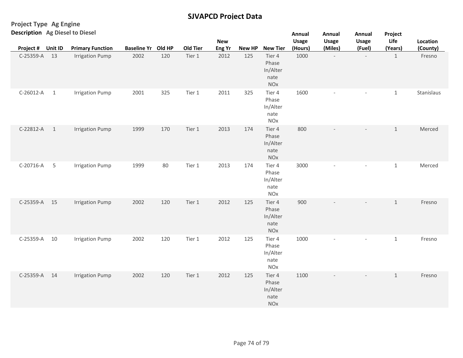**Project Type Ag Engine Ag Diesel to Diesel**

| <b>Description</b> Ag Diesel to Diesel |                |                         |                    |     |          | <b>New</b> |        |                                                              | Annual<br><b>Usage</b> | Annual<br><b>Usage</b>   | Annual<br><b>Usage</b>   | Project<br>Life | Location   |
|----------------------------------------|----------------|-------------------------|--------------------|-----|----------|------------|--------|--------------------------------------------------------------|------------------------|--------------------------|--------------------------|-----------------|------------|
| Project # Unit ID                      |                | <b>Primary Function</b> | Baseline Yr Old HP |     | Old Tier | Eng Yr     | New HP | <b>New Tier</b>                                              | (Hours)                | (Miles)                  | (Fuel)                   | (Years)         | (County)   |
| C-25359-A 13                           |                | <b>Irrigation Pump</b>  | 2002               | 120 | Tier 1   | 2012       | 125    | Tier 4<br>Phase<br>In/Alter<br>nate<br><b>NO<sub>x</sub></b> | 1000                   | $\overline{\phantom{a}}$ | $\overline{\phantom{a}}$ | $\mathbf{1}$    | Fresno     |
| C-26012-A                              | $\mathbf{1}$   | <b>Irrigation Pump</b>  | 2001               | 325 | Tier 1   | 2011       | 325    | Tier 4<br>Phase<br>In/Alter<br>nate<br><b>NO<sub>x</sub></b> | 1600                   |                          |                          | $\mathbf{1}$    | Stanislaus |
| C-22812-A                              | $\mathbf{1}$   | <b>Irrigation Pump</b>  | 1999               | 170 | Tier 1   | 2013       | 174    | Tier 4<br>Phase<br>In/Alter<br>nate<br><b>NO<sub>x</sub></b> | 800                    |                          |                          | $\mathbf{1}$    | Merced     |
| C-20716-A                              | $\overline{5}$ | <b>Irrigation Pump</b>  | 1999               | 80  | Tier 1   | 2013       | 174    | Tier 4<br>Phase<br>In/Alter<br>nate<br><b>NOx</b>            | 3000                   |                          | $\overline{\phantom{a}}$ | $\mathbf{1}$    | Merced     |
| C-25359-A                              | 15             | <b>Irrigation Pump</b>  | 2002               | 120 | Tier 1   | 2012       | 125    | Tier 4<br>Phase<br>In/Alter<br>nate<br><b>NOx</b>            | 900                    |                          |                          | $\mathbf{1}$    | Fresno     |
| C-25359-A                              | 10             | <b>Irrigation Pump</b>  | 2002               | 120 | Tier 1   | 2012       | 125    | Tier 4<br>Phase<br>In/Alter<br>nate<br><b>NOx</b>            | 1000                   |                          | $\overline{a}$           | $\mathbf{1}$    | Fresno     |
| C-25359-A                              | 14             | <b>Irrigation Pump</b>  | 2002               | 120 | Tier 1   | 2012       | 125    | Tier 4<br>Phase<br>In/Alter<br>nate<br><b>NOx</b>            | 1100                   |                          |                          | $\mathbf{1}$    | Fresno     |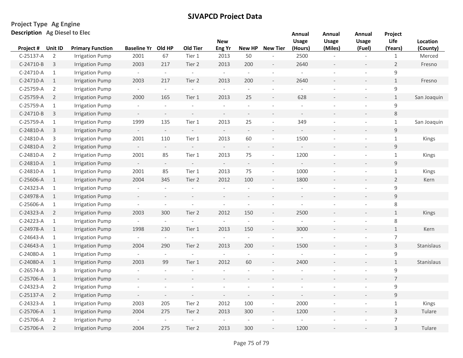| <b>Description</b> Ag Diesel to Elec |                |                         |                           |                          |                          | <b>New</b>               |                          |                          | Annual<br><b>Usage</b>   | Annual<br><b>Usage</b>   | Annual<br><b>Usage</b>   | Project<br>Life | Location    |
|--------------------------------------|----------------|-------------------------|---------------------------|--------------------------|--------------------------|--------------------------|--------------------------|--------------------------|--------------------------|--------------------------|--------------------------|-----------------|-------------|
| Project #                            | Unit ID        | <b>Primary Function</b> | <b>Baseline Yr Old HP</b> |                          | Old Tier                 | <b>Eng Yr</b>            | <b>New HP</b>            | <b>New Tier</b>          | (Hours)                  | (Miles)                  | (Fuel)                   | (Years)         | (County)    |
| C-25137-A                            | $\overline{2}$ | <b>Irrigation Pump</b>  | 2001                      | 67                       | Tier 1                   | 2013                     | 50                       |                          | 2500                     | $\overline{\phantom{a}}$ | $\overline{\phantom{a}}$ | $\mathbf{1}$    | Merced      |
| C-24710-B                            | 3              | Irrigation Pump         | 2003                      | 217                      | Tier 2                   | 2013                     | 200                      | $\frac{1}{2}$            | 2640                     |                          | $\overline{\phantom{a}}$ | $\overline{2}$  | Fresno      |
| C-24710-A                            | $\mathbf{1}$   | <b>Irrigation Pump</b>  | $\overline{\phantom{a}}$  | $\overline{\phantom{a}}$ | $\overline{\phantom{a}}$ | $\overline{\phantom{a}}$ | $\overline{\phantom{a}}$ | $\overline{a}$           | $\overline{\phantom{a}}$ |                          | $\overline{\phantom{a}}$ | 9               |             |
| C-24710-A                            | $\mathbf{1}$   | Irrigation Pump         | 2003                      | 217                      | Tier 2                   | 2013                     | 200                      | $\overline{\phantom{a}}$ | 2640                     |                          | $\overline{\phantom{a}}$ | $\mathbf{1}$    | Fresno      |
| C-25759-A                            | $\overline{2}$ | Irrigation Pump         | $\overline{\phantom{a}}$  | $\overline{\phantom{a}}$ | $\overline{\phantom{a}}$ | $\overline{\phantom{a}}$ | $\overline{\phantom{a}}$ | $\overline{a}$           | $\overline{\phantom{a}}$ |                          | $\overline{\phantom{a}}$ | 9               |             |
| C-25759-A                            | $\overline{2}$ | Irrigation Pump         | 2000                      | 165                      | Tier 1                   | 2013                     | 25                       | $\overline{\phantom{a}}$ | 628                      |                          | $\overline{\phantom{0}}$ | $\mathbf{1}$    | San Joaquin |
| C-25759-A                            | $\mathbf{1}$   | Irrigation Pump         | $\overline{\phantom{a}}$  | $\overline{\phantom{a}}$ | $\overline{a}$           | $\overline{\phantom{a}}$ | $\overline{a}$           |                          | $\overline{\phantom{0}}$ |                          | $\overline{a}$           | 9               |             |
| C-24710-B                            | $\overline{3}$ | <b>Irrigation Pump</b>  | $\overline{\phantom{a}}$  | $\overline{\phantom{a}}$ | $\overline{\phantom{a}}$ | $\overline{\phantom{a}}$ | $\overline{\phantom{a}}$ |                          | $\overline{\phantom{a}}$ |                          | $\overline{a}$           | 8               |             |
| C-25759-A                            | $\mathbf{1}$   | <b>Irrigation Pump</b>  | 1999                      | 135                      | Tier 1                   | 2013                     | 25                       |                          | 349                      |                          | $\overline{a}$           | $\mathbf{1}$    | San Joaquin |
| C-24810-A                            | $\mathsf{3}$   | <b>Irrigation Pump</b>  |                           | $\overline{\phantom{a}}$ | $\overline{\phantom{a}}$ | $\overline{\phantom{a}}$ | $\overline{\phantom{a}}$ |                          |                          |                          |                          | $\mathsf 9$     |             |
| C-24810-A                            | $\mathsf{3}$   | <b>Irrigation Pump</b>  | 2001                      | 110                      | Tier 1                   | 2013                     | 60                       | $\overline{\phantom{a}}$ | 1500                     |                          |                          | $\mathbf{1}$    | Kings       |
| C-24810-A                            | $\overline{2}$ | <b>Irrigation Pump</b>  |                           | $\overline{\phantom{a}}$ | $\overline{\phantom{a}}$ | $\overline{\phantom{a}}$ | $\overline{\phantom{a}}$ | $\overline{\phantom{0}}$ |                          |                          |                          | $\mathsf g$     |             |
| C-24810-A                            | $\overline{2}$ | Irrigation Pump         | 2001                      | 85                       | Tier 1                   | 2013                     | 75                       | $\overline{\phantom{a}}$ | 1200                     |                          | $\overline{\phantom{a}}$ | $1\,$           | Kings       |
| C-24810-A                            | $\mathbf{1}$   | <b>Irrigation Pump</b>  |                           | $\overline{\phantom{a}}$ | $\overline{\phantom{a}}$ | $\overline{\phantom{a}}$ | $\overline{\phantom{a}}$ | $\overline{\phantom{a}}$ |                          |                          |                          | $\mathsf g$     |             |
| C-24810-A                            | $\mathbf{1}$   | Irrigation Pump         | 2001                      | 85                       | Tier 1                   | 2013                     | 75                       | $\overline{\phantom{0}}$ | 1000                     |                          | $\overline{\phantom{a}}$ | $\mathbf{1}$    | Kings       |
| C-25606-A                            | $\mathbf{1}$   | Irrigation Pump         | 2004                      | 345                      | Tier 2                   | 2012                     | 100                      | $\overline{\phantom{a}}$ | 1800                     |                          |                          | $\overline{2}$  | Kern        |
| C-24323-A                            | $\mathbf{1}$   | Irrigation Pump         | $\overline{\phantom{a}}$  | $\overline{\phantom{a}}$ | $\overline{\phantom{a}}$ | $\overline{\phantom{a}}$ | $\overline{\phantom{a}}$ |                          | $\overline{\phantom{a}}$ |                          | $\overline{\phantom{0}}$ | 9               |             |
| C-24978-A                            | $\mathbf{1}$   | <b>Irrigation Pump</b>  | $\overline{\phantom{a}}$  | $\overline{\phantom{a}}$ | $\overline{\phantom{a}}$ | $\overline{\phantom{a}}$ | $\overline{\phantom{a}}$ | $\overline{a}$           | $\overline{\phantom{a}}$ |                          | $\overline{a}$           | $\mathsf g$     |             |
| C-25606-A                            | $\mathbf{1}$   | Irrigation Pump         | $\overline{\phantom{a}}$  | $\overline{\phantom{a}}$ | $\overline{\phantom{a}}$ | $\overline{\phantom{a}}$ | $\overline{\phantom{a}}$ | $\overline{a}$           | $\overline{\phantom{a}}$ |                          | $\overline{\phantom{0}}$ | 8               |             |
| C-24323-A                            | $\overline{2}$ | <b>Irrigation Pump</b>  | 2003                      | 300                      | Tier 2                   | 2012                     | 150                      | $\overline{a}$           | 2500                     |                          |                          | $\mathbf{1}$    | Kings       |
| C-24223-A                            | $\mathbf{1}$   | <b>Irrigation Pump</b>  | $\overline{\phantom{a}}$  | $\overline{\phantom{a}}$ | $\overline{\phantom{a}}$ | $\overline{\phantom{a}}$ | $\overline{\phantom{a}}$ | $\overline{a}$           | $\overline{\phantom{a}}$ |                          | $\overline{\phantom{a}}$ | 8               |             |
| C-24978-A                            | $\mathbf{1}$   | <b>Irrigation Pump</b>  | 1998                      | 230                      | Tier 1                   | 2013                     | 150                      | $\overline{a}$           | 3000                     |                          |                          | $\mathbf{1}$    | Kern        |
| C-24643-A                            | $\mathbf{1}$   | <b>Irrigation Pump</b>  | $\overline{\phantom{a}}$  | $\overline{\phantom{a}}$ | $\overline{\phantom{a}}$ | $\overline{\phantom{a}}$ | $\overline{\phantom{a}}$ |                          | $\overline{\phantom{a}}$ |                          | $\overline{a}$           | $\overline{7}$  |             |
| C-24643-A                            | $\mathbf{1}$   | <b>Irrigation Pump</b>  | 2004                      | 290                      | Tier 2                   | 2013                     | 200                      |                          | 1500                     |                          |                          | 3               | Stanislaus  |
| C-24080-A                            | $\mathbf{1}$   | <b>Irrigation Pump</b>  | $\overline{\phantom{a}}$  | $\overline{\phantom{a}}$ |                          | $\overline{\phantom{a}}$ | $\overline{\phantom{a}}$ |                          | $\overline{\phantom{a}}$ |                          | $\overline{\phantom{a}}$ | 9               |             |
| C-24080-A                            | $\mathbf{1}$   | <b>Irrigation Pump</b>  | 2003                      | 99                       | Tier 1                   | 2012                     | 60                       | $\overline{\phantom{a}}$ | 2400                     |                          |                          | $\mathbf{1}$    | Stanislaus  |
| C-26574-A                            | 3              | <b>Irrigation Pump</b>  |                           | $\overline{\phantom{a}}$ |                          | $\overline{\phantom{a}}$ | $\overline{\phantom{a}}$ |                          | $\overline{\phantom{a}}$ |                          | $\overline{\phantom{a}}$ | 9               |             |
| C-25706-A                            | $\mathbf{1}$   | <b>Irrigation Pump</b>  | $\overline{\phantom{a}}$  | $\overline{\phantom{a}}$ | $\overline{\phantom{a}}$ | $\overline{\phantom{a}}$ |                          |                          | $\overline{\phantom{a}}$ | $\qquad \qquad -$        | $\overline{\phantom{0}}$ | $\overline{7}$  |             |
| C-24323-A                            | $\overline{2}$ | <b>Irrigation Pump</b>  | $\overline{\phantom{a}}$  | $\overline{\phantom{a}}$ | $\overline{\phantom{m}}$ | $\overline{\phantom{a}}$ | $\overline{\phantom{a}}$ |                          | $\overline{\phantom{a}}$ |                          | $\overline{a}$           | 9               |             |
| C-25137-A                            | $\overline{2}$ | <b>Irrigation Pump</b>  | $\overline{\phantom{a}}$  | $\overline{\phantom{a}}$ | $\overline{\phantom{a}}$ | $\overline{\phantom{a}}$ | $\overline{\phantom{a}}$ | $\overline{\phantom{a}}$ | $\overline{\phantom{a}}$ |                          | $\overline{\phantom{0}}$ | 9               |             |
| C-24323-A                            | $\mathbf{1}$   | <b>Irrigation Pump</b>  | 2003                      | 205                      | Tier 2                   | 2012                     | 100                      | $\overline{a}$           | 2000                     |                          | $\overline{\phantom{a}}$ | $\mathbf 1$     | Kings       |
| C-25706-A                            | $\mathbf{1}$   | <b>Irrigation Pump</b>  | 2004                      | 275                      | Tier 2                   | 2013                     | 300                      | $\overline{\phantom{a}}$ | 1200                     | $\overline{a}$           | $\overline{\phantom{a}}$ | 3               | Tulare      |
| C-25706-A                            | $\overline{2}$ | <b>Irrigation Pump</b>  | $\overline{\phantom{a}}$  | $\overline{\phantom{a}}$ | $\overline{\phantom{a}}$ | $\overline{\phantom{a}}$ | $\overline{\phantom{a}}$ |                          | $\overline{\phantom{a}}$ |                          |                          | 7               |             |
| C-25706-A                            | $\overline{2}$ | <b>Irrigation Pump</b>  | 2004                      | 275                      | Tier 2                   | 2013                     | 300                      | $\overline{\phantom{a}}$ | 1200                     |                          |                          | 3               | Tulare      |
|                                      |                |                         |                           |                          |                          |                          |                          |                          |                          |                          |                          |                 |             |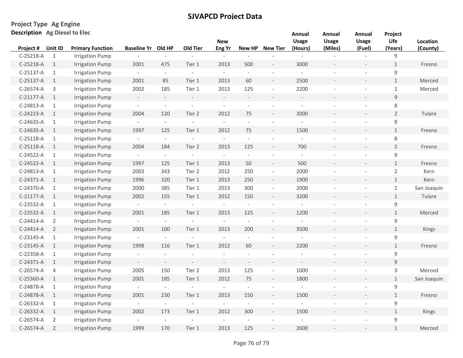| <b>Description</b> Ag Diesel to Elec |                |                         |                           |                          |                          | <b>New</b>                  |                          |                          | Annual<br><b>Usage</b>   | Annual<br><b>Usage</b>   | Annual<br><b>Usage</b>   | Project<br>Life | Location    |
|--------------------------------------|----------------|-------------------------|---------------------------|--------------------------|--------------------------|-----------------------------|--------------------------|--------------------------|--------------------------|--------------------------|--------------------------|-----------------|-------------|
| Project #                            | Unit ID        | <b>Primary Function</b> | <b>Baseline Yr Old HP</b> |                          | Old Tier                 | <b>Eng Yr</b>               | New HP                   | <b>New Tier</b>          | (Hours)                  | (Miles)                  | (Fuel)                   | (Years)         | (County)    |
| C-25218-A                            | $\mathbf{1}$   | Irrigation Pump         |                           | $\overline{\phantom{a}}$ | $\overline{\phantom{a}}$ | $\overline{\phantom{a}}$    | $\overline{\phantom{a}}$ |                          | $\overline{\phantom{a}}$ | $\overline{\phantom{a}}$ | $\overline{\phantom{a}}$ | 9               |             |
| C-25218-A                            | $\mathbf{1}$   | <b>Irrigation Pump</b>  | 2001                      | 475                      | Tier 1                   | 2013                        | 500                      | $\overline{\phantom{a}}$ | 3000                     |                          | $\overline{\phantom{a}}$ | $\mathbf{1}$    | Fresno      |
| C-25137-A                            | $\mathbf{1}$   | <b>Irrigation Pump</b>  | $\overline{\phantom{a}}$  | $\overline{\phantom{a}}$ | $\overline{\phantom{a}}$ | $\overline{\phantom{a}}$    | $\overline{\phantom{a}}$ |                          | $\overline{\phantom{a}}$ |                          | L,                       | $\mathsf 9$     |             |
| C-25137-A                            | $1\,$          | <b>Irrigation Pump</b>  | 2001                      | 85                       | Tier 1                   | 2013                        | 60                       |                          | 2500                     |                          | $\overline{\phantom{0}}$ | $\mathbf{1}$    | Merced      |
| C-26574-A                            | 3              | <b>Irrigation Pump</b>  | 2002                      | 185                      | Tier 1                   | 2013                        | 125                      |                          | 2200                     |                          | $\overline{\phantom{0}}$ | $\mathbf{1}$    | Merced      |
| C-21177-A                            | $\,1\,$        | <b>Irrigation Pump</b>  | $\overline{\phantom{a}}$  | $\overline{\phantom{a}}$ | $\overline{\phantom{a}}$ | $\overline{\phantom{a}}$    | $\overline{\phantom{a}}$ |                          | $\overline{\phantom{a}}$ |                          | $\overline{a}$           | $\mathsf g$     |             |
| C-24813-A                            | $\mathbf{1}$   | <b>Irrigation Pump</b>  | $\overline{\phantom{a}}$  | $\overline{\phantom{a}}$ | $\overline{\phantom{m}}$ | $\overline{\phantom{a}}$    |                          |                          | $\overline{a}$           |                          | $\overline{a}$           | 8               |             |
| C-24223-A                            | $\,1\,$        | <b>Irrigation Pump</b>  | 2004                      | 120                      | Tier 2                   | 2012                        | 75                       |                          | 3000                     |                          |                          | $\overline{2}$  | Tulare      |
| C-24635-A                            | $\mathbf 1$    | <b>Irrigation Pump</b>  | $\overline{\phantom{a}}$  | $\overline{\phantom{a}}$ | $\sim$                   | $\overline{\phantom{a}}$    | $\overline{\phantom{a}}$ |                          | $\overline{\phantom{0}}$ |                          |                          | 9               |             |
| C-24635-A                            | $\mathbf{1}$   | <b>Irrigation Pump</b>  | 1997                      | 125                      | Tier 1                   | 2012                        | 75                       |                          | 1500                     |                          |                          | $\mathbf{1}$    | Fresno      |
| C-25118-A                            | $1\,$          | <b>Irrigation Pump</b>  | $\overline{\phantom{a}}$  | $\overline{\phantom{a}}$ | $\overline{\phantom{a}}$ | $\overline{\phantom{a}}$    | $\overline{\phantom{a}}$ |                          | $\overline{\phantom{a}}$ |                          |                          | 8               |             |
| C-25118-A                            | $\mathbf{1}$   | <b>Irrigation Pump</b>  | 2004                      | 184                      | Tier 2                   | 2013                        | 125                      | $\overline{\phantom{a}}$ | 700                      |                          |                          | $\overline{2}$  | Fresno      |
| C-24522-A                            | $\mathbf 1$    | <b>Irrigation Pump</b>  | $\overline{\phantom{a}}$  | $\overline{\phantom{a}}$ | $\overline{\phantom{a}}$ | $\mathcal{L}_{\mathcal{A}}$ | $\overline{\phantom{a}}$ |                          | $\overline{\phantom{a}}$ |                          |                          | $\mathsf 9$     |             |
| C-24522-A                            | $\mathbf{1}$   | <b>Irrigation Pump</b>  | 1997                      | 125                      | Tier 1                   | 2013                        | 50                       | $\overline{\phantom{a}}$ | 500                      |                          | $\overline{\phantom{0}}$ | $\mathbf{1}$    | Fresno      |
| C-24813-A                            | $\mathbf{1}$   | <b>Irrigation Pump</b>  | 2003                      | 343                      | Tier 2                   | 2012                        | 250                      | $\overline{\phantom{a}}$ | 2000                     |                          |                          | $\overline{2}$  | Kern        |
| C-24371-A                            | $\mathbf{1}$   | <b>Irrigation Pump</b>  | 1996                      | 320                      | Tier 1                   | 2013                        | 250                      | $\overline{a}$           | 1900                     |                          |                          | $\mathbf{1}$    | Kern        |
| C-24370-A                            | $\mathbf{1}$   | Irrigation Pump         | 2000                      | 385                      | Tier 1                   | 2013                        | 300                      |                          | 2000                     |                          | $\overline{a}$           | $\mathbf{1}$    | San Joaquin |
| C-21177-A                            | $1\,$          | <b>Irrigation Pump</b>  | 2002                      | 155                      | Tier 1                   | 2012                        | 150                      |                          | 3200                     |                          |                          | $\mathbf{1}$    | Tulare      |
| C-23532-A                            | $1\,$          | <b>Irrigation Pump</b>  | $\overline{\phantom{a}}$  | $\overline{\phantom{a}}$ | $\overline{\phantom{a}}$ | $\sim$                      | $\overline{\phantom{a}}$ |                          | $\overline{\phantom{a}}$ |                          | $\overline{a}$           | 9               |             |
| C-23532-A                            | $\mathbf{1}$   | <b>Irrigation Pump</b>  | 2001                      | 185                      | Tier 1                   | 2013                        | 125                      |                          | 1200                     |                          |                          | $\mathbf{1}$    | Merced      |
| C-24414-A                            | $\overline{2}$ | <b>Irrigation Pump</b>  | $\overline{\phantom{a}}$  | $\overline{\phantom{a}}$ | $\overline{a}$           | $\sim$                      | $\overline{\phantom{a}}$ |                          | $\overline{\phantom{a}}$ |                          | $\overline{a}$           | 9               |             |
| $C-24414-A$                          | $\overline{2}$ | <b>Irrigation Pump</b>  | 2001                      | 100                      | Tier 1                   | 2013                        | 200                      |                          | 3500                     |                          |                          | $\mathbf{1}$    | Kings       |
| C-23145-A                            | $1\,$          | <b>Irrigation Pump</b>  | $\overline{\phantom{a}}$  | $\overline{\phantom{a}}$ | $\overline{a}$           | $\sim$                      | $\overline{\phantom{a}}$ |                          | $\overline{\phantom{a}}$ |                          | $\overline{a}$           | 9               |             |
| C-23145-A                            | $\mathbf{1}$   | <b>Irrigation Pump</b>  | 1998                      | 116                      | Tier 1                   | 2012                        | 60                       |                          | 2200                     |                          |                          | $\mathbf{1}$    | Fresno      |
| C-22358-A                            | $\mathbf{1}$   | Irrigation Pump         | $\overline{\phantom{a}}$  | $\overline{\phantom{a}}$ | $\overline{a}$           | $\overline{\phantom{a}}$    | $\overline{\phantom{a}}$ |                          | $\overline{\phantom{a}}$ |                          | $\overline{a}$           | 9               |             |
| C-24371-A                            | $\mathbf{1}$   | <b>Irrigation Pump</b>  | $\overline{\phantom{a}}$  | $\overline{\phantom{a}}$ | $\qquad \qquad -$        | $\overline{\phantom{a}}$    | $\overline{\phantom{a}}$ |                          | $\overline{\phantom{a}}$ |                          | $\overline{\phantom{0}}$ | 9               |             |
| C-26574-A                            | $\overline{4}$ | <b>Irrigation Pump</b>  | 2005                      | 150                      | Tier 2                   | 2013                        | 125                      | $\overline{\phantom{a}}$ | 1000                     |                          | $\overline{\phantom{0}}$ | 3               | Merced      |
| C-25360-A                            | $\mathbf{1}$   | <b>Irrigation Pump</b>  | 2001                      | 185                      | Tier 1                   | 2012                        | 75                       | $\overline{\phantom{a}}$ | 1800                     |                          | $\overline{\phantom{0}}$ | $\mathbf{1}$    | San Joaquin |
| C-24878-A                            | $\mathbf{1}$   | Irrigation Pump         | $\overline{\phantom{a}}$  | $\overline{\phantom{a}}$ | $\sim$                   | $\overline{\phantom{a}}$    | $\overline{\phantom{a}}$ |                          | $\overline{\phantom{a}}$ |                          | $\overline{a}$           | 9               |             |
| C-24878-A                            | $\mathbf{1}$   | <b>Irrigation Pump</b>  | 2001                      | 230                      | Tier 1                   | 2013                        | 150                      | $\overline{a}$           | 1500                     |                          | $\overline{a}$           | $\mathbf{1}$    | Fresno      |
| C-26332-A                            | $1\,$          | <b>Irrigation Pump</b>  | $\overline{\phantom{a}}$  | $\overline{\phantom{a}}$ | $\sim$                   | $\overline{\phantom{a}}$    | $\overline{\phantom{a}}$ |                          | $\overline{\phantom{a}}$ |                          |                          | 9               |             |
| C-26332-A                            | $\,1\,$        | <b>Irrigation Pump</b>  | 2002                      | 173                      | Tier 1                   | 2012                        | 300                      | $\overline{\phantom{a}}$ | 1500                     |                          |                          | $\mathbf{1}$    | Kings       |
| C-26574-A                            | $\overline{2}$ | <b>Irrigation Pump</b>  |                           | $\overline{\phantom{a}}$ | $\overline{\phantom{a}}$ |                             |                          |                          |                          |                          |                          | 9               |             |
| C-26574-A                            | $\overline{2}$ | <b>Irrigation Pump</b>  | 1999                      | 170                      | Tier 1                   | 2013                        | 125                      | $\overline{\phantom{a}}$ | 2600                     |                          |                          | $\mathbf{1}$    | Merced      |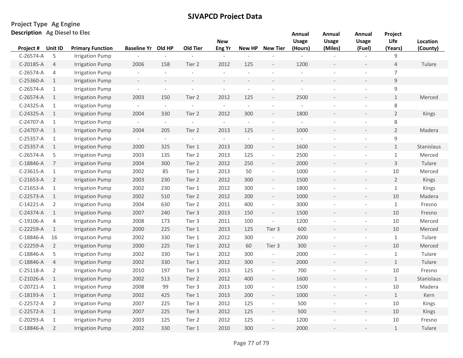| <b>Description</b> Ag Diesel to Elec |                |                         |                          |                          |                      | <b>New</b>               |                          |                          | Annual<br><b>Usage</b>   | Annual<br><b>Usage</b> | Annual<br><b>Usage</b>   | Project<br>Life | Location   |
|--------------------------------------|----------------|-------------------------|--------------------------|--------------------------|----------------------|--------------------------|--------------------------|--------------------------|--------------------------|------------------------|--------------------------|-----------------|------------|
| Project #                            | Unit ID        | <b>Primary Function</b> | Baseline Yr Old HP       |                          | Old Tier             | <b>Eng Yr</b>            | New HP                   | <b>New Tier</b>          | (Hours)                  | (Miles)                | (Fuel)                   | (Years)         | (County)   |
| C-26574-A                            | 5              | Irrigation Pump         |                          | $\overline{\phantom{a}}$ | $\qquad \qquad \Box$ |                          |                          |                          |                          |                        | $\overline{\phantom{a}}$ | 9               |            |
| C-20185-A                            | $\overline{4}$ | <b>Irrigation Pump</b>  | 2006                     | 158                      | Tier 2               | 2012                     | 125                      |                          | 1200                     |                        | $\overline{\phantom{0}}$ | $\overline{4}$  | Tulare     |
| C-26574-A                            | 4              | Irrigation Pump         |                          | $\overline{\phantom{a}}$ |                      |                          |                          |                          | $\overline{a}$           |                        | $\overline{a}$           | $\overline{7}$  |            |
| C-25360-A                            | $1\,$          | <b>Irrigation Pump</b>  | $\overline{\phantom{a}}$ | $\overline{\phantom{a}}$ | $\qquad \qquad -$    | $\overline{\phantom{a}}$ |                          |                          | $\overline{\phantom{a}}$ |                        | $\overline{\phantom{0}}$ | $\mathsf g$     |            |
| C-26574-A                            | $\mathbf{1}$   | <b>Irrigation Pump</b>  | $\overline{\phantom{a}}$ | $\overline{\phantom{a}}$ | $\overline{a}$       | $\sim$                   |                          |                          | $\overline{\phantom{a}}$ |                        | $\overline{a}$           | 9               |            |
| C-26574-A                            | $\mathbf{1}$   | <b>Irrigation Pump</b>  | 2003                     | 150                      | Tier 2               | 2012                     | 125                      |                          | 2500                     |                        | $\overline{a}$           | $\mathbf{1}$    | Merced     |
| C-24325-A                            | $\mathbf{1}$   | <b>Irrigation Pump</b>  |                          | $\overline{\phantom{a}}$ | $\frac{1}{2}$        |                          | $\overline{\phantom{a}}$ |                          |                          |                        |                          | 8               |            |
| C-24325-A                            | $\mathbf{1}$   | <b>Irrigation Pump</b>  | 2004                     | 330                      | Tier 2               | 2012                     | 300                      |                          | 1800                     |                        |                          | $\overline{2}$  | Kings      |
| C-24707-A                            | $\mathbf{1}$   | <b>Irrigation Pump</b>  | $\overline{\phantom{a}}$ | $\overline{\phantom{a}}$ | $\frac{1}{2}$        | $\overline{\phantom{a}}$ | $\overline{\phantom{a}}$ |                          | $\overline{\phantom{0}}$ |                        |                          | 8               |            |
| C-24707-A                            | $\mathbf{1}$   | Irrigation Pump         | 2004                     | 205                      | Tier 2               | 2013                     | 125                      |                          | 1000                     |                        |                          | $\overline{2}$  | Madera     |
| C-25357-A                            | $\mathbf{1}$   | <b>Irrigation Pump</b>  | $\overline{\phantom{a}}$ | $\overline{\phantom{a}}$ | $\frac{1}{2}$        | $\equiv$                 | $\overline{\phantom{a}}$ |                          | $\overline{\phantom{a}}$ |                        |                          | 9               |            |
| C-25357-A                            | $\mathbf{1}$   | Irrigation Pump         | 2000                     | 325                      | Tier 1               | 2013                     | 200                      | $\overline{\phantom{a}}$ | 1600                     |                        |                          | $\mathbf{1}$    | Stanislaus |
| C-26574-A                            | 5              | <b>Irrigation Pump</b>  | 2003                     | 135                      | Tier 2               | 2013                     | 125                      |                          | 2500                     |                        |                          | $\mathbf{1}$    | Merced     |
| C-18846-A                            | $\overline{7}$ | <b>Irrigation Pump</b>  | 2004                     | 300                      | Tier 2               | 2012                     | 250                      | $\overline{\phantom{a}}$ | 2000                     |                        | $\overline{a}$           | $\overline{3}$  | Tulare     |
| C-23615-A                            | $\mathbf{1}$   | <b>Irrigation Pump</b>  | 2002                     | 85                       | Tier 1               | 2013                     | 50                       |                          | 1000                     |                        |                          | $10\,$          | Merced     |
| C-21653-A                            | $\overline{2}$ | <b>Irrigation Pump</b>  | 2003                     | 230                      | Tier 2               | 2012                     | 300                      |                          | 1500                     |                        |                          | $\overline{2}$  | Kings      |
| C-21653-A                            | $\mathbf{1}$   | <b>Irrigation Pump</b>  | 2002                     | 230                      | Tier 1               | 2012                     | 300                      | $\overline{\phantom{a}}$ | 1800                     |                        | $\overline{a}$           | $\mathbf{1}$    | Kings      |
| C-22573-A                            | $\mathbf{1}$   | <b>Irrigation Pump</b>  | 2002                     | 510                      | Tier 2               | 2012                     | 200                      |                          | 1000                     |                        |                          | $10\,$          | Madera     |
| C-14221-A                            | $\overline{2}$ | <b>Irrigation Pump</b>  | 2004                     | 630                      | Tier 2               | 2011                     | 400                      | $\overline{\phantom{a}}$ | 3000                     |                        |                          | $\mathbf{1}$    | Fresno     |
| C-24374-A                            | $\mathbf{1}$   | <b>Irrigation Pump</b>  | 2007                     | 240                      | Tier 3               | 2013                     | 150                      |                          | 1500                     |                        |                          | $10\,$          | Fresno     |
| C-19106-A                            | 4              | Irrigation Pump         | 2008                     | 173                      | Tier 3               | 2011                     | 100                      | $\overline{\phantom{a}}$ | 1200                     |                        |                          | $10\,$          | Merced     |
| C-22259-A                            | $\mathbf{1}$   | <b>Irrigation Pump</b>  | 2000                     | 225                      | Tier 1               | 2013                     | 125                      | Tier 3                   | 600                      |                        |                          | $10\,$          | Merced     |
| C-18846-A                            | 16             | Irrigation Pump         | 2002                     | 330                      | Tier 1               | 2012                     | 300                      | $\overline{\phantom{a}}$ | 2000                     |                        |                          | $\mathbf{1}$    | Tulare     |
| C-22259-A                            | $\overline{2}$ | <b>Irrigation Pump</b>  | 2000                     | 225                      | Tier 1               | 2012                     | 60                       | Tier 3                   | 300                      |                        | $\overline{\phantom{0}}$ | $10\,$          | Merced     |
| C-18846-A                            | 5              | <b>Irrigation Pump</b>  | 2002                     | 330                      | Tier 1               | 2012                     | 300                      | $\overline{\phantom{a}}$ | 2000                     |                        | $\overline{a}$           | $\mathbf{1}$    | Tulare     |
| C-18846-A                            | $\overline{4}$ | <b>Irrigation Pump</b>  | 2002                     | 330                      | Tier 1               | 2012                     | 300                      | $\overline{\phantom{a}}$ | 2000                     |                        | $\overline{\phantom{0}}$ | $\mathbf{1}$    | Tulare     |
| C-25118-A                            | $\overline{2}$ | <b>Irrigation Pump</b>  | 2010                     | 197                      | Tier 3               | 2013                     | 125                      | $\overline{\phantom{a}}$ | 700                      |                        | $\overline{\phantom{0}}$ | $10\,$          | Fresno     |
| C-21026-A                            | $\mathbf{1}$   | <b>Irrigation Pump</b>  | 2002                     | 513                      | Tier 2               | 2012                     | 400                      | $\overline{\phantom{a}}$ | 1600                     |                        | $\overline{a}$           | $\mathbf{1}$    | Stanislaus |
| C-20721-A                            | $\mathbf{1}$   | <b>Irrigation Pump</b>  | 2008                     | 99                       | Tier 3               | 2013                     | 100                      | $\overline{\phantom{a}}$ | 1500                     |                        | $\overline{a}$           | $10\,$          | Madera     |
| C-18193-A                            | $\mathbf{1}$   | <b>Irrigation Pump</b>  | 2002                     | 425                      | Tier 1               | 2013                     | 200                      | $\overline{\phantom{a}}$ | 1000                     |                        | $\overline{a}$           | $\mathbf{1}$    | Kern       |
| C-22572-A                            | $\overline{2}$ | <b>Irrigation Pump</b>  | 2007                     | 225                      | Tier 3               | 2012                     | 125                      |                          | 500                      |                        |                          | 10              | Kings      |
| C-22572-A                            | $\mathbf{1}$   | <b>Irrigation Pump</b>  | 2007                     | 225                      | Tier 3               | 2012                     | 125                      |                          | 500                      |                        |                          | $10\,$          | Kings      |
| C-20293-A                            | $\mathbf{1}$   | <b>Irrigation Pump</b>  | 2003                     | 125                      | Tier 2               | 2012                     | 125                      |                          | 1200                     |                        |                          | 10              | Fresno     |
| C-18846-A                            | $\overline{2}$ | <b>Irrigation Pump</b>  | 2002                     | 330                      | Tier 1               | 2010                     | 300                      | $\overline{\phantom{a}}$ | 2000                     |                        |                          | $\mathbf{1}$    | Tulare     |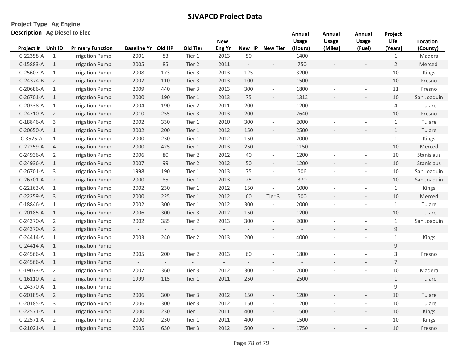| <b>Description</b> Ag Diesel to Elec |                |                         |                           |                          |                          | <b>New</b>               |                          |                          | Annual<br>Usage          | Annual<br><b>Usage</b>   | Annual<br><b>Usage</b>   | Project<br>Life | Location    |
|--------------------------------------|----------------|-------------------------|---------------------------|--------------------------|--------------------------|--------------------------|--------------------------|--------------------------|--------------------------|--------------------------|--------------------------|-----------------|-------------|
| Project #                            | Unit ID        | <b>Primary Function</b> | <b>Baseline Yr Old HP</b> |                          | Old Tier                 | <b>Eng Yr</b>            | <b>New HP</b>            | <b>New Tier</b>          | (Hours)                  | (Miles)                  | (Fuel)                   | (Years)         | (County)    |
| C-22358-A                            | $\mathbf{1}$   | Irrigation Pump         | 2001                      | 83                       | Tier 1                   | 2013                     | 50                       |                          | 1400                     | $\overline{\phantom{a}}$ | $\overline{\phantom{a}}$ | $\mathbf{1}$    | Madera      |
| C-15883-A                            | $\mathbf{1}$   | Irrigation Pump         | 2005                      | 85                       | Tier 2                   | 2011                     | $\overline{\phantom{a}}$ | $\overline{\phantom{a}}$ | 750                      |                          | $\overline{\phantom{a}}$ | $\overline{2}$  | Merced      |
| C-25607-A                            | $\mathbf{1}$   | Irrigation Pump         | 2008                      | 173                      | Tier 3                   | 2013                     | 125                      | $\overline{\phantom{a}}$ | 3200                     |                          | $\overline{\phantom{a}}$ | $10\,$          | Kings       |
| C-24374-B                            | $\overline{2}$ | <b>Irrigation Pump</b>  | 2007                      | 110                      | Tier 3                   | 2013                     | 100                      | $\overline{\phantom{a}}$ | 1500                     |                          | $\overline{\phantom{a}}$ | $10$            | Fresno      |
| C-20686-A                            | $\mathbf{1}$   | <b>Irrigation Pump</b>  | 2009                      | 440                      | Tier 3                   | 2013                     | 300                      | $\overline{\phantom{a}}$ | 1800                     |                          | $\overline{\phantom{a}}$ | 11              | Fresno      |
| C-26701-A                            | $1\,$          | <b>Irrigation Pump</b>  | 2000                      | 190                      | Tier 1                   | 2013                     | 75                       | $\overline{\phantom{a}}$ | 1312                     |                          | $\overline{\phantom{0}}$ | $10\,$          | San Joaquin |
| C-20338-A                            | $\mathbf{1}$   | <b>Irrigation Pump</b>  | 2004                      | 190                      | Tier 2                   | 2011                     | 200                      | $\overline{\phantom{a}}$ | 1200                     |                          | $\overline{a}$           | 4               | Tulare      |
| C-24710-A                            | $\overline{2}$ | <b>Irrigation Pump</b>  | 2010                      | 255                      | Tier 3                   | 2013                     | 200                      | $\overline{\phantom{a}}$ | 2640                     |                          | $\overline{\phantom{0}}$ | 10              | Fresno      |
| C-18846-A                            | 3              | <b>Irrigation Pump</b>  | 2002                      | 330                      | Tier 1                   | 2010                     | 300                      | $\overline{\phantom{0}}$ | 2000                     |                          |                          | $\mathbf{1}$    | Tulare      |
| C-20650-A                            | $\mathbf{1}$   | <b>Irrigation Pump</b>  | 2002                      | 200                      | Tier 1                   | 2012                     | 150                      | $\overline{\phantom{0}}$ | 2500                     |                          |                          | $\mathbf{1}$    | Tulare      |
| C-3575-A                             | $\mathbf{1}$   | <b>Irrigation Pump</b>  | 2000                      | 230                      | Tier 1                   | 2012                     | 150                      | $\frac{1}{2}$            | 2000                     |                          | $\overline{\phantom{a}}$ | $1\,$           | Kings       |
| C-22259-A                            | 4              | <b>Irrigation Pump</b>  | 2000                      | 425                      | Tier 1                   | 2013                     | 250                      | $\overline{\phantom{a}}$ | 1150                     |                          | $\overline{\phantom{a}}$ | $10\,$          | Merced      |
| C-24936-A                            | $\overline{2}$ | <b>Irrigation Pump</b>  | 2006                      | 80                       | Tier 2                   | 2012                     | 40                       | $\overline{\phantom{0}}$ | 1200                     |                          | $\overline{\phantom{a}}$ | $10\,$          | Stanislaus  |
| C-24936-A                            | $\mathbf{1}$   | Irrigation Pump         | 2007                      | 99                       | Tier 2                   | 2012                     | 50                       | $\overline{\phantom{a}}$ | 1200                     |                          | $\overline{\phantom{a}}$ | 10              | Stanislaus  |
| C-26701-A                            | $\mathsf{3}$   | Irrigation Pump         | 1998                      | 190                      | Tier 1                   | 2013                     | 75                       |                          | 506                      |                          | $\overline{\phantom{0}}$ | $10\,$          | San Joaquin |
| C-26701-A                            | $\overline{2}$ | Irrigation Pump         | 2000                      | 85                       | Tier 1                   | 2013                     | 25                       | $\overline{\phantom{a}}$ | 370                      |                          |                          | 10              | San Joaquin |
| C-22163-A                            | $\mathbf{1}$   | Irrigation Pump         | 2002                      | 230                      | Tier 1                   | 2012                     | 150                      | $\overline{\phantom{a}}$ | 1000                     |                          | $\overline{a}$           | $\mathbf{1}$    | Kings       |
| C-22259-A                            | 3              | <b>Irrigation Pump</b>  | 2000                      | 225                      | Tier 1                   | 2012                     | 60                       | Tier 3                   | 500                      |                          |                          | 10              | Merced      |
| C-18846-A                            | $\mathbf{1}$   | Irrigation Pump         | 2002                      | 300                      | Tier 1                   | 2012                     | 300                      | $\overline{\phantom{a}}$ | 2000                     |                          | $\overline{\phantom{0}}$ | $\mathbf{1}$    | Tulare      |
| C-20185-A                            | $\mathbf{1}$   | <b>Irrigation Pump</b>  | 2006                      | 300                      | Tier 3                   | 2012                     | 150                      |                          | 1200                     |                          |                          | 10              | Tulare      |
| C-24370-A                            | $\overline{2}$ | <b>Irrigation Pump</b>  | 2002                      | 385                      | Tier 2                   | 2013                     | 300                      | $\bar{\phantom{a}}$      | 2000                     |                          | $\overline{\phantom{a}}$ | $\mathbf{1}$    | San Joaquin |
| C-24370-A                            | $\overline{2}$ | <b>Irrigation Pump</b>  |                           |                          |                          |                          |                          |                          |                          |                          |                          | $\mathsf g$     |             |
| C-24414-A                            | $\mathbf{1}$   | <b>Irrigation Pump</b>  | 2003                      | 240                      | Tier 2                   | 2013                     | 200                      | $\frac{1}{2}$            | 4000                     |                          |                          | $\mathbf{1}$    | Kings       |
| $C-24414-A$                          | $\mathbf{1}$   | <b>Irrigation Pump</b>  |                           | $\overline{\phantom{a}}$ |                          |                          | $\overline{\phantom{a}}$ |                          |                          |                          |                          | 9               |             |
| C-24566-A                            | $\mathbf{1}$   | <b>Irrigation Pump</b>  | 2005                      | 200                      | Tier 2                   | 2013                     | 60                       | $\overline{\phantom{a}}$ | 1800                     |                          |                          | 3               | Fresno      |
| C-24566-A                            | $\mathbf{1}$   | <b>Irrigation Pump</b>  | $\overline{\phantom{a}}$  | $\overline{\phantom{a}}$ |                          | $\overline{\phantom{a}}$ | $\overline{\phantom{a}}$ | $\overline{\phantom{a}}$ |                          |                          | $\overline{a}$           | $7\overline{ }$ |             |
| C-19073-A                            | $\overline{2}$ | <b>Irrigation Pump</b>  | 2007                      | 360                      | Tier 3                   | 2012                     | 300                      | $\overline{\phantom{0}}$ | 2000                     |                          | $\overline{\phantom{a}}$ | $10\,$          | Madera      |
| C-16110-A                            | $\overline{2}$ | Irrigation Pump         | 1999                      | 115                      | Tier 1                   | 2011                     | 250                      | $\overline{\phantom{a}}$ | 2500                     | $\overline{\phantom{m}}$ | $\overline{\phantom{0}}$ | $\mathbf{1}$    | Tulare      |
| C-24370-A                            | $\mathbf{1}$   | Irrigation Pump         | $\overline{\phantom{a}}$  | $\overline{\phantom{a}}$ | $\overline{\phantom{a}}$ | $\overline{\phantom{a}}$ | $\overline{\phantom{a}}$ | $\overline{a}$           | $\overline{\phantom{a}}$ |                          | $\overline{\phantom{a}}$ | 9               |             |
| C-20185-A                            | $\overline{2}$ | <b>Irrigation Pump</b>  | 2006                      | 300                      | Tier 3                   | 2012                     | 150                      | $\overline{\phantom{a}}$ | 1200                     |                          | $\overline{a}$           | $10\,$          | Tulare      |
| C-20185-A                            | 3              | <b>Irrigation Pump</b>  | 2006                      | 300                      | Tier 3                   | 2012                     | 150                      | $\overline{a}$           | 1200                     |                          | $\overline{a}$           | 10              | Tulare      |
| C-22571-A                            | $1\,$          | <b>Irrigation Pump</b>  | 2000                      | 230                      | Tier 1                   | 2011                     | 400                      | $\overline{\phantom{a}}$ | 1500                     | $\overline{a}$           | $\overline{\phantom{m}}$ | 10              | Kings       |
| C-22571-A                            | $\overline{2}$ | <b>Irrigation Pump</b>  | 2000                      | 230                      | Tier 1                   | 2011                     | 400                      |                          | 1500                     |                          |                          | 10              | Kings       |
| C-21021-A                            | $\mathbf{1}$   | <b>Irrigation Pump</b>  | 2005                      | 630                      | Tier 3                   | 2012                     | 500                      | $\overline{\phantom{a}}$ | 1750                     |                          |                          | 10              | Fresno      |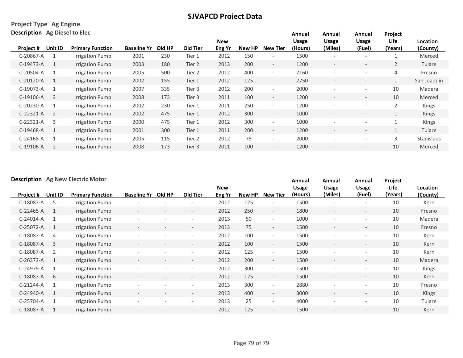**Project Type Ag Engine DescriptionAg Diesel to Elec**

| Description |              | Ag Diesel to Elec       |                    |        |          |            |        |                          | Annual       | Annual                   | Annual                   | <b>Project</b> |                 |
|-------------|--------------|-------------------------|--------------------|--------|----------|------------|--------|--------------------------|--------------|--------------------------|--------------------------|----------------|-----------------|
|             |              |                         |                    |        |          | <b>New</b> |        |                          | <b>Usage</b> | <b>Usage</b>             | Usage                    | Life           | <b>Location</b> |
| Project #   | Unit ID      | <b>Primary Function</b> | <b>Baseline Yr</b> | Old HP | Old Tier | Eng Yr     | New HP | <b>New Tier</b>          | (Hours)      | (Miles)                  | (Fuel)                   | (Years)        | (County)        |
| C-20867-A   |              | Irrigation Pump         | 2001               | 230    | Tier 1   | 2012       | 150    | $\overline{\phantom{a}}$ | 1500         | $\overline{\phantom{a}}$ | $\overline{\phantom{0}}$ |                | Merced          |
| C-19473-A   |              | Irrigation Pump         | 2003               | 180    | Tier 2   | 2013       | 200    | $ \,$                    | 1200         | $\overline{\phantom{a}}$ | $\overline{\phantom{0}}$ | $\overline{2}$ | Tulare          |
| C-20504-A   | $\mathbf{1}$ | Irrigation Pump         | 2005               | 500    | Tier 2   | 2012       | 400    | $\overline{\phantom{0}}$ | 2160         | $\overline{\phantom{a}}$ | $\overline{\phantom{0}}$ | 4              | Fresno          |
| C-20120-A   | 1            | Irrigation Pump         | 2002               | 155    | Tier 1   | 2012       | 125    | $-$                      | 2750         | $\overline{\phantom{a}}$ | $\overline{\phantom{a}}$ | $\mathbf{1}$   | San Joaquin     |
| C-19073-A   |              | Irrigation Pump         | 2007               | 335    | Tier 3   | 2012       | 200    | $\overline{\phantom{a}}$ | 2000         | $\overline{\phantom{a}}$ | $\overline{\phantom{0}}$ | 10             | Madera          |
| C-19106-A   | 3            | <b>Irrigation Pump</b>  | 2008               | 173    | Tier 3   | 2011       | 100    | $ \,$                    | 1200         | $\overline{\phantom{a}}$ | $\overline{\phantom{a}}$ | 10             | Merced          |
| C-20230-A   | 1            | Irrigation Pump         | 2002               | 230    | Tier 1   | 2011       | 250    | $\overline{\phantom{a}}$ | 1200         |                          | $\overline{\phantom{0}}$ | $\overline{2}$ | <b>Kings</b>    |
| C-22321-A   | 2            | Irrigation Pump         | 2002               | 475    | Tier 1   | 2012       | 300    | $ \,$                    | 1000         | $\overline{\phantom{a}}$ | $\sim$                   |                | <b>Kings</b>    |
| $C-22321-A$ | 3            | Irrigation Pump         | 2000               | 475    | Tier 1   | 2012       | 300    | $\overline{\phantom{a}}$ | 1000         | $\overline{\phantom{a}}$ | $\overline{\phantom{0}}$ | $\mathbf{1}$   | <b>Kings</b>    |
| C-19468-A   |              | Irrigation Pump         | 2001               | 300    | Tier 1   | 2011       | 200    | $ \,$                    | 1200         |                          | $\overline{\phantom{a}}$ | $\mathbf{1}$   | Tulare          |
| C-24168-A   |              | Irrigation Pump         | 2005               | 115    | Tier 2   | 2012       | 75     | $\overline{\phantom{a}}$ | 2000         | $\overline{\phantom{a}}$ | $\overline{\phantom{0}}$ | 3              | Stanislaus      |
| C-19106-A   | 2            | Irrigation Pump         | 2008               | 173    | Tier 3   | 2011       | 100    | $\overline{\phantom{a}}$ | 1200         |                          | $\qquad \qquad -$        | 10             | Merced          |
|             |              |                         |                    |        |          |            |        |                          |              |                          |                          |                |                 |

|                  |              | <b>Description</b> Ag New Electric Motor |                          |                              |                          |               |               |                          | Annual       | Annual                   | Annual                   | Project |              |
|------------------|--------------|------------------------------------------|--------------------------|------------------------------|--------------------------|---------------|---------------|--------------------------|--------------|--------------------------|--------------------------|---------|--------------|
|                  |              |                                          |                          |                              |                          | New           |               |                          | <b>Usage</b> | <b>Usage</b>             | <b>Usage</b>             | Life    | Location     |
| <b>Project #</b> | Unit ID      | <b>Primary Function</b>                  | <b>Baseline Yr</b>       | Old HP                       | Old Tier                 | <b>Eng Yr</b> | <b>New HP</b> | <b>New Tier</b>          | (Hours)      | (Miles)                  | (Fuel)                   | (Years) | (County)     |
| C-18087-A        | 5            | <b>Irrigation Pump</b>                   |                          | $\qquad \qquad \blacksquare$ | $\overline{\phantom{a}}$ | 2012          | 125           | $\overline{\phantom{a}}$ | 1500         | $\qquad \qquad -$        | $\overline{\phantom{m}}$ | 10      | Kern         |
| C-22465-A        |              | <b>Irrigation Pump</b>                   | $\qquad \qquad -$        | $\overline{\phantom{a}}$     | $\overline{\phantom{a}}$ | 2012          | 250           | $ \,$                    | 1800         | $\overline{\phantom{a}}$ | $\sim$                   | 10      | Fresno       |
| C-24014-A        | 1            | <b>Irrigation Pump</b>                   | $\overline{\phantom{a}}$ | $\overline{\phantom{a}}$     | $\sim$                   | 2013          | 50            | $\overline{\phantom{0}}$ | 1000         | $\overline{\phantom{a}}$ | $\overline{\phantom{a}}$ | 10      | Madera       |
| C-25072-A        | $\mathbf{1}$ | <b>Irrigation Pump</b>                   | $\qquad \qquad -$        | $\overline{\phantom{a}}$     | $\overline{\phantom{a}}$ | 2013          | 75            | $\qquad \qquad -$        | 1500         | $\overline{\phantom{a}}$ | $\overline{\phantom{0}}$ | 10      | Fresno       |
| C-18087-A        | 4            | <b>Irrigation Pump</b>                   | $\overline{\phantom{0}}$ | $\overline{\phantom{0}}$     | $\sim$                   | 2012          | 100           | $\overline{\phantom{0}}$ | 1500         | $\overline{\phantom{a}}$ | $\sim$                   | 10      | Kern         |
| C-18087-A        | 3            | Irrigation Pump                          | $\overline{\phantom{a}}$ | $\overline{\phantom{0}}$     | $\overline{\phantom{a}}$ | 2012          | 100           | $ \,$                    | 1500         | $\overline{\phantom{a}}$ | $\sim$                   | 10      | Kern         |
| C-18087-A        | 2            | <b>Irrigation Pump</b>                   | $\overline{\phantom{a}}$ | $\qquad \qquad -$            | $\sim$                   | 2012          | 125           | $\overline{\phantom{0}}$ | 1500         | $\qquad \qquad -$        | $\sim$                   | 10      | Kern         |
| C-26373-A        | 1            | Irrigation Pump                          |                          | $\overline{\phantom{0}}$     | $\overline{\phantom{a}}$ | 2012          | 200           | $ \,$                    | 1500         | $\overline{\phantom{a}}$ | $\sim$                   | 10      | Madera       |
| C-24979-A        | $\mathbf{1}$ | <b>Irrigation Pump</b>                   |                          | $\qquad \qquad -$            | $\sim$                   | 2012          | 300           | $\qquad \qquad -$        | 1500         | $\overline{\phantom{m}}$ | $\sim$                   | 10      | Kings        |
| C-18087-A        | 6            | <b>Irrigation Pump</b>                   |                          | $\overline{\phantom{0}}$     | $\overline{\phantom{a}}$ | 2012          | 125           | $ \,$                    | 1500         | $\overline{\phantom{a}}$ | $\sim$                   | 10      | Kern         |
| C-21244-A        | $\mathbf{1}$ | <b>Irrigation Pump</b>                   | $\overline{\phantom{a}}$ | $\overline{\phantom{a}}$     | $\overline{\phantom{a}}$ | 2013          | 300           | $\overline{\phantom{0}}$ | 2880         | $\overline{\phantom{a}}$ | $\overline{\phantom{a}}$ | 10      | Fresno       |
| C-24940-A        | $\mathbf{1}$ | Irrigation Pump                          |                          | $\overline{\phantom{a}}$     | $\overline{\phantom{a}}$ | 2013          | 400           | $\qquad \qquad -$        | 3000         | $\overline{\phantom{m}}$ | $-$                      | 10      | <b>Kings</b> |
| C-25704-A        | 1            | <b>Irrigation Pump</b>                   |                          | $\overline{\phantom{a}}$     | $\overline{\phantom{a}}$ | 2013          | 25            | $\overline{\phantom{a}}$ | 4000         | $\overline{\phantom{a}}$ | $\overline{\phantom{a}}$ | 10      | Tulare       |
| C-18087-A        |              | <b>Irrigation Pump</b>                   |                          | $\qquad \qquad -$            | $\overline{\phantom{a}}$ | 2012          | 125           | $\qquad \qquad -$        | 1500         | $\qquad \qquad$          | $\qquad \qquad -$        | 10      | Kern         |
|                  |              |                                          |                          |                              |                          |               |               |                          |              |                          |                          |         |              |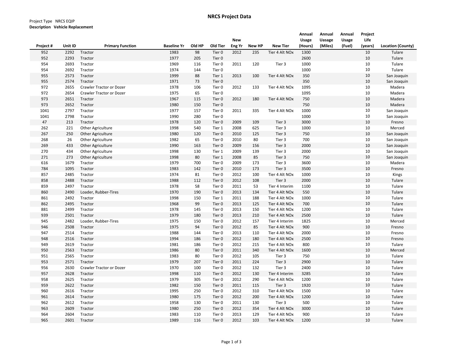Project Type NRCS EQIP **Description Vehicle Replacement** 

|                 |              |                                     |                    |            |                                        |              |               |                          | Annual       | Annual        | Annual | Project  |                          |
|-----------------|--------------|-------------------------------------|--------------------|------------|----------------------------------------|--------------|---------------|--------------------------|--------------|---------------|--------|----------|--------------------------|
|                 |              |                                     |                    |            |                                        | <b>New</b>   |               |                          | <b>Usage</b> | <b>Uasage</b> | Usage  | Life     |                          |
| <b>Project#</b> | Unit ID      | <b>Primary Function</b>             | <b>Baseline Yr</b> | Old HP     | Old Tier                               | Eng Yr       | <b>New HP</b> | <b>New Tier</b>          | (Hours)      | (Miles)       | (Fuel) | (years)  | <b>Location (County)</b> |
| 952             | 2292         | Tractor                             | 1983               | 98         | Tier <sub>0</sub>                      | 2012         | 235           | Tier 4 Alt NOx           | 1300         |               |        | 10       | Tulare                   |
| 952             | 2293         | Tractor                             | 1977               | 205        | Tier <sub>0</sub>                      |              |               |                          | 2600         |               |        | 10       | Tulare                   |
| 954             | 2693         | Tractor                             | 1969               | 116        | Tier <sub>0</sub>                      | 2011         | 120           | Tier 3                   | 1000         |               |        | 10       | Tulare                   |
| 954             | 2692         | Tractor                             | 1974               | 144        | Tier <sub>0</sub>                      |              |               |                          | 1000         |               |        | 10       | Tulare                   |
| 955             | 2573         | Tractor                             | 1999               | 88         | Tier 1                                 | 2013         | 100           | Tier 4 Alt NOx           | 350          |               |        | 10       | San Joaquin              |
| 955             | 2574         | Tractor                             | 1971               | 73         | Tier <sub>0</sub>                      |              |               |                          | 350          |               |        | 10       | San Joaquin              |
| 972             | 2655         | Crawler Tractor or Dozer            | 1978               | 106        | Tier <sub>0</sub>                      | 2012         | 133           | Tier 4 Alt NOx           | 1095         |               |        | 10       | Madera                   |
| 972<br>973      | 2654<br>2651 | Crawler Tractor or Dozer<br>Tractor | 1975<br>1967       | 65<br>115  | Tier <sub>0</sub><br>Tier <sub>0</sub> | 2012         | 180           | Tier 4 Alt NOx           | 1095         |               |        | 10       | Madera<br>Madera         |
| 973             | 2652         | Tractor                             | 1980               | 150        | Tier <sub>0</sub>                      |              |               |                          | 750<br>750   |               |        | 10<br>10 | Madera                   |
| 1041            | 2797         | Tractor                             | 1977               | 157        | Tier <sub>0</sub>                      | 2011         | 335           | Tier 4 Alt NOx           | 1000         |               |        | 10       | San Joaquin              |
| 1041            | 2798         | Tractor                             | 1990               | 280        | Tier <sub>0</sub>                      |              |               |                          | 1000         |               |        | 10       | San Joaquin              |
| 47              | 213          | Tractor                             | 1978               | 120        | Tier <sub>0</sub>                      | 2009         | 109           | Tier 3                   | 3000         |               |        | 10       | Fresno                   |
| 262             | 221          | Other Agriculture                   | 1998               | 540        | Tier 1                                 | 2008         | 625           | Tier 3                   | 1000         |               |        | 10       | Merced                   |
| 267             | 250          | Other Agriculture                   | 1980               | 120        | Tier <sub>0</sub>                      | 2010         | 125           | Tier 3                   | 750          |               |        | 10       | San Joaquin              |
| 268             | 26           | Other Agriculture                   | 1982               | 65         | Tier <sub>0</sub>                      | 2010         | 80            | Tier 3                   | 700          |               |        | 10       | San Joaquin              |
| 269             | 433          | Other Agriculture                   | 1990               | 163        | Tier 0                                 | 2009         | 156           | Tier 3                   | 2000         |               |        | 10       | San Joaquin              |
| 270             | 434          | Other Agriculture                   | 1998               | 130        | Tier 1                                 | 2009         | 139           | Tier 3                   | 2000         |               |        | 10       | San Joaquin              |
| 271             | 273          | Other Agriculture                   | 1998               | 80         | Tier 1                                 | 2008         | 85            | Tier 3                   | 750          |               |        | 10       | San Joaquin              |
| 616             | 1679         | Tractor                             | 1979               | 700        | Tier <sub>0</sub>                      | 2009         | 173           | Tier 3                   | 3600         |               |        | 10       | Madera                   |
| 784             | 1095         | Tractor                             | 1983               | 142        | Tier 0                                 | 2010         | 173           | Tier 3                   | 3500         |               |        | 10       | Fresno                   |
| 857             | 2485         | Tractor                             | 1974               | 81         | Tier <sub>0</sub>                      | 2012         | 100           | Tier 4 Alt NOx           | 1000         |               |        | 10       | Kings                    |
| 858             | 2488         | Tractor                             | 1988               | 112        | Tier <sub>0</sub>                      | 2012         | 108           | Tier 3                   | 2000         |               |        | 10       | Tulare                   |
| 859             | 2497         | Tractor                             | 1978               | 58         | Tier <sub>0</sub>                      | 2011         | 53            | Tier 4 Interim           | 1100         |               |        | 10       | Tulare                   |
| 860             | 2490         | Loader, Rubber-Tires                | 1970               | 190        | Tier 0                                 | 2013         | 134           | Tier 4 Alt NOx           | 550          |               |        | 10       | Tulare                   |
| 861             | 2492         | Tractor                             | 1998               | 150        | Tier 1                                 | 2011         | 188           | Tier 4 Alt NOx           | 1000         |               |        | 10       | Tulare                   |
| 862             | 2495         | Tractor                             | 1968               | 99         | Tier <sub>0</sub>                      | 2013         | 125           | Tier 4 Alt NOx           | 700          |               |        | 10       | Tulare                   |
| 881             | 2499         | Tractor                             | 1978               | 145        | Tier <sub>0</sub>                      | 2013         | 150           | Tier 4 Alt NOx           | 1200         |               |        | 10       | Tulare                   |
| 939             | 2501         | Tractor                             | 1979               | 180        | Tier 0                                 | 2013         | 210           | Tier 4 Alt NOx           | 2500         |               |        | 10       | Tulare                   |
| 945             | 2482         | Loader, Rubber-Tires                | 1975               | 150        | Tier <sub>0</sub>                      | 2012         | 157           | Tier 4 Interim           | 1825         |               |        | 10       | Merced                   |
| 946             | 2508         | Tractor                             | 1975               | 94         | Tier <sub>0</sub>                      | 2012         | 85            | Tier 4 Alt NOx           | 900          |               |        | 10       | Fresno                   |
| 947             | 2514         | Tractor                             | 1988               | 144        | Tier <sub>0</sub>                      | 2013         | 110           | Tier 4 Alt NOx           | 2000         |               |        | 10       | Fresno                   |
| 948             | 2516         | Tractor                             | 1994               | 186        | Tier <sub>0</sub>                      | 2012         | 180           | Tier 4 Alt NOx           | 2500         |               |        | 10       | Fresno                   |
| 949             | 2619         | Tractor                             | 1981               | 186        | Tier <sub>0</sub>                      | 2012         | 215           | Tier 4 Alt NOx           | 800          |               |        | 10       | Tulare                   |
| 950             | 2563         | Tractor                             | 1986               | 80         | Tier 0                                 | 2011         | 340           | Tier 4 Alt NOx           | 1600         |               |        | 10       | Merced                   |
| 951             | 2565         | Tractor                             | 1983               | 80         | Tier <sub>0</sub>                      | 2012         | 105           | Tier 3                   | 750          |               |        | 10       | Tulare                   |
| 953             | 2571         | Tractor                             | 1979               | 207        | Tier <sub>0</sub>                      | 2011         | 224           | Tier 3                   | 2900         |               |        | 10       | Tulare                   |
| 956             | 2630         | Crawler Tractor or Dozer            | 1970               | 100        | Tier 0                                 | 2012         | 132           | Tier 3                   | 2400         |               |        | 10       | Tulare                   |
| 957             | 2628         | Tractor                             | 1998               | 110        | Tier <sub>0</sub>                      | 2012         | 130           | Tier 4 Interim           | 3285         |               |        | 10       | Tulare                   |
| 958             | 2625         | Tractor                             | 1979<br>1982       | 305        | Tier <sub>0</sub>                      | 2012         | 290           | Tier 4 Alt NOx           | 1200         |               |        | 10<br>10 | Tulare                   |
| 959<br>960      | 2622<br>2616 | Tractor<br>Tractor                  | 1995               | 150<br>250 | Tier <sub>0</sub><br>Tier <sub>0</sub> | 2011<br>2012 | 115<br>310    | Tier 3<br>Tier 4 Alt NOx | 1920<br>1500 |               |        | 10       | Tulare<br>Tulare         |
| 961             | 2614         | Tractor                             | 1980               | 175        | Tier <sub>0</sub>                      | 2012         | 200           | Tier 4 Alt NOx           | 1200         |               |        | 10       | Tulare                   |
| 962             | 2612         | Tractor                             | 1958               | 130        | Tier <sub>0</sub>                      | 2011         | 130           | Tier 3                   | 500          |               |        | 10       | Tulare                   |
| 963             | 2609         | Tractor                             | 1980               | 250        | Tier <sub>0</sub>                      | 2012         | 354           | Tier 4 Alt NOx           | 3000         |               |        | 10       | Tulare                   |
| 964             | 2604         | Tractor                             | 1983               | 110        | Tier <sub>0</sub>                      | 2013         | 129           | Tier 4 Alt NOx           | 900          |               |        | 10       | Tulare                   |
| 965             | 2601         | Tractor                             | 1989               | 116        | Tier <sub>0</sub>                      | 2012         | 103           | Tier 4 Alt NOx           | 1200         |               |        | 10       | Tulare                   |
|                 |              |                                     |                    |            |                                        |              |               |                          |              |               |        |          |                          |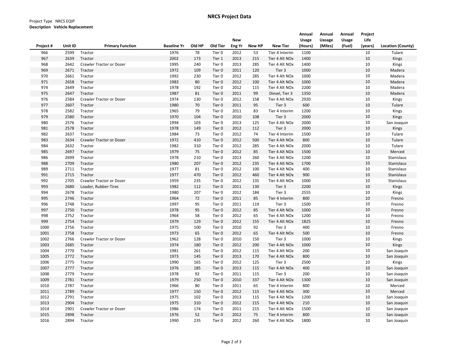Project Type NRCS EQIP **Description Vehicle Replacement** 

|          |         |                          |                    |        |          | New    |               |                 | Annual<br>Usage | Annual<br>Uasage | Annual<br>Usage | Project<br>Life |                   |
|----------|---------|--------------------------|--------------------|--------|----------|--------|---------------|-----------------|-----------------|------------------|-----------------|-----------------|-------------------|
| Project# | Unit ID | <b>Primary Function</b>  | <b>Baseline Yr</b> | Old HP | Old Tier | Eng Yr | <b>New HP</b> | <b>New Tier</b> | (Hours)         | (Miles)          | (Fuel)          | (years)         | Location (County) |
| 966      | 2599    | Tractor                  | 1976               | 78     | Tier 0   | 2012   | 53            | Tier 4 Interim  | 1100            |                  |                 | 10              | Tulare            |
| 967      | 2639    | Tractor                  | 2002               | 173    | Tier 1   | 2013   | 215           | Tier 4 Alt NOx  | 1400            |                  |                 | 10              | Kings             |
| 968      | 2642    | Crawler Tractor or Dozer | 1995               | 240    | Tier 0   | 2013   | 285           | Tier 4 Alt NOx  | 1400            |                  |                 | 10              | Kings             |
| 969      | 2671    | Tractor                  | 1972               | 109    | Tier 0   | 2011   | 120           | Tier 3          | 1000            |                  |                 | 10              | Madera            |
| 970      | 2661    | Tractor                  | 1992               | 230    | Tier 0   | 2012   | 285           | Tier 4 Alt NOx  | 1000            |                  |                 | 10              | Madera            |
| 971      | 2658    | Tractor                  | 1983               | 80     | Tier 0   | 2012   | 100           | Tier 4 Alt NOx  | 1000            |                  |                 | 10              | Madera            |
| 974      | 2649    | Tractor                  | 1978               | 192    | Tier 0   | 2012   | 115           | Tier 4 Alt NOx  | 2200            |                  |                 | 10              | Madera            |
| 975      | 2647    | Tractor                  | 1987               | 81     | Tier 0   | 2011   | 99            | Diesel, Tier 3  | 1350            |                  |                 | 10              | Madera            |
| 976      | 2584    | Crawler Tractor or Dozer | 1974               | 130    | Tier 0   | 2012   | 158           | Tier 4 Alt NOx  | 2920            |                  |                 | 10              | Kings             |
| 977      | 2607    | Tractor                  | 1980               | 70     | Tier 0   | 2011   | 95            | Tier 3          | 600             |                  |                 | 10              | Tulare            |
| 978      | 2582    | Tractor                  | 1965               | 79     | Tier 0   | 2011   | 83            | Tier 4 Interim  | 1200            |                  |                 | 10              | Kings             |
| 979      | 2580    | Tractor                  | 1970               | 104    | Tier 0   | 2010   | 108           | Tier 3          | 2000            |                  |                 | 10              | Kings             |
| 980      | 2576    | Tractor                  | 1994               | 103    | Tier 0   | 2013   | 125           | Tier 4 Alt NOx  | 2000            |                  |                 | 10              | San Joaquin       |
| 981      | 2578    | Tractor                  | 1978               | 149    | Tier 0   | 2012   | 112           | Tier 3          | 2000            |                  |                 | 10              | Kings             |
| 982      | 2637    | Tractor                  | 1984               | 73     | Tier 0   | 2012   | 74            | Tier 4 Interim  | 1500            |                  |                 | 10              | Tulare            |
| 983      | 2634    | Crawler Tractor or Dozer | 1972               | 410    | Tier 0   | 2012   | 500           | Tier 4 Alt NOx  | 800             |                  |                 | 10              | Tulare            |
| 984      | 2632    | Tractor                  | 1982               | 310    | Tier 0   | 2012   | 285           | Tier 4 Alt NOx  | 2000            |                  |                 | 10              | Tulare            |
| 985      | 2697    | Tractor                  | 1979               | 75     | Tier 0   | 2012   | 85            | Tier 4 Alt NOx  | 1500            |                  |                 | 10              | Merced            |
| 986      | 2699    | Tractor                  | 1978               | 210    | Tier 0   | 2013   | 260           | Tier 4 Alt NOx  | 1200            |                  |                 | 10              | Stanislaus        |
| 988      | 2709    | Tractor                  | 1980               | 207    | Tier 0   | 2012   | 235           | Tier 4 Alt NOx  | 1700            |                  |                 | 10              | Stanislaus        |
| 989      | 2711    | Tractor                  | 1977               | 81     | Tier 0   | 2012   | 100           | Tier 4 Alt NOx  | 400             |                  |                 | 10              | Stanislaus        |
| 991      | 2715    | Tractor                  | 1977               | 470    | Tier 0   | 2012   | 460           | Tier 4 Alt NOx  | 900             |                  |                 | 10              | Stanislaus        |
| 992      | 2705    | Crawler Tractor or Dozer | 1959               | 235    | Tier 0   | 2012   | 135           | Tier 4 Alt NOx  | 1000            |                  |                 | 10              | Stanislaus        |
| 993      | 2680    | Loader, Rubber-Tires     | 1982               | 112    | Tier 0   | 2011   | 130           | Tier 3          | 2200            |                  |                 | 10              | Kings             |
| 994      | 2678    | Tractor                  | 1980               | 207    | Tier 0   | 2012   | 184           | Tier 3          | 2555            |                  |                 | 10              | Kings             |
| 995      | 2746    | Tractor                  | 1964               | 72     | Tier 0   | 2011   | 85            | Tier 4 Interim  | 800             |                  |                 | 10              | Fresno            |
| 996      | 2748    | Tractor                  | 1997               | 95     | Tier 0   | 2011   | 119           | Tier 3          | 1500            |                  |                 | 10              | Fresno            |
| 997      | 2750    | Tractor                  | 1978               | 95     | Tier 0   | 2012   | 85            | Tier 4 Alt NOx  | 1000            |                  |                 | 10              | Fresno            |
| 998      | 2752    | Tractor                  | 1964               | 58     | Tier 0   | 2012   | 65            | Tier 4 Alt NOx  | 1200            |                  |                 | 10              | Fresno            |
| 999      | 2754    | Tractor                  | 1979               | 129    | Tier 0   | 2012   | 155           | Tier 4 Alt NOx  | 1825            |                  |                 | 10              | Fresno            |
| 1000     | 2756    | Tractor                  | 1975               | 100    | Tier 0   | 2010   | 92            | Tier 3          | 400             |                  |                 | 10              | Fresno            |
| 1001     | 2758    | Tractor                  | 1973               | 65     | Tier 0   | 2012   | 65            | Tier 4 Alt NOx  | 500             |                  |                 | 10              | Fresno            |
| 1002     | 2766    | Crawler Tractor or Dozer | 1962               | 128    | Tier 0   | 2010   | 150           | Tier 3          | 1000            |                  |                 | 10              | Kings             |
| 1003     | 2685    | Tractor                  | 1974               | 180    | Tier 0   | 2012   | 200           | Tier 4 Alt NOx  | 1000            |                  |                 | 10              | Kings             |
| 1004     | 2770    | Tractor                  | 1981               | 261    | Tier 0   | 2012   | 115           | Tier 4 Alt NOx  | 200             |                  |                 | 10              | San Joaquin       |
| 1005     | 2772    | Tractor                  | 1973               | 145    | Tier 0   | 2013   | 170           | Tier 4 Alt NOx  | 800             |                  |                 | 10              | San Joaquin       |
| 1006     | 2775    | Tractor                  | 1990               | 165    | Tier 0   | 2012   | 125           | Tier 3          | 2500            |                  |                 | 10              | Kings             |
| 1007     | 2777    | Tractor                  | 1976               | 185    | Tier 0   | 2013   | 115           | Tier 4 Alt NOx  | 400             |                  |                 | 10              | San Joaquin       |
| 1008     | 2779    | Tractor                  | 1978               | 92     | Tier 0   | 2011   | 115           | Tier 3          | 200             |                  |                 | 10              | San Joaquin       |
| 1009     | 2781    | Tractor                  | 1979               | 250    | Tier 0   | 2010   | 337           | Tier 4 Alt NOx  | 1300            |                  |                 | 10              | San Joaquin       |
| 1010     | 2787    | Tractor                  | 1966               | 80     | Tier 0   | 2011   | 65            | Tier 4 Interim  | 800             |                  |                 | 10              | Merced            |
| 1011     | 2789    | Tractor                  | 1977               | 150    | Tier 0   | 2012   | 115           | Tier 4 Alt NOx  | 300             |                  |                 | 10              | Merced            |
| 1012     | 2791    | Tractor                  | 1975               | 102    | Tier 0   | 2013   | 115           | Tier 4 Alt NOx  | 1200            |                  |                 | 10              | San Joaquin       |
| 1013     | 2904    | Tractor                  | 1975               | 310    | Tier 0   | 2012   | 215           | Tier 4 Alt NOx  | 210             |                  |                 | 10              | San Joaquin       |
| 1014     | 2901    | Crawler Tractor or Dozer | 1986               | 174    | Tier 0   | 2011   | 215           | Tier 4 Alt NOx  | 1500            |                  |                 | 10              | San Joaquin       |
| 1015     | 2898    | Tractor                  | 1976               | 52     | Tier 0   | 2012   | 75            | Tier 4 Interim  | 800             |                  |                 | 10              | San Joaquin       |
| 1016     | 2894    | Tractor                  | 1990               | 235    | Tier 0   | 2012   | 260           | Tier 4 Alt NOx  | 1800            |                  |                 | 10              | San Joaquin       |